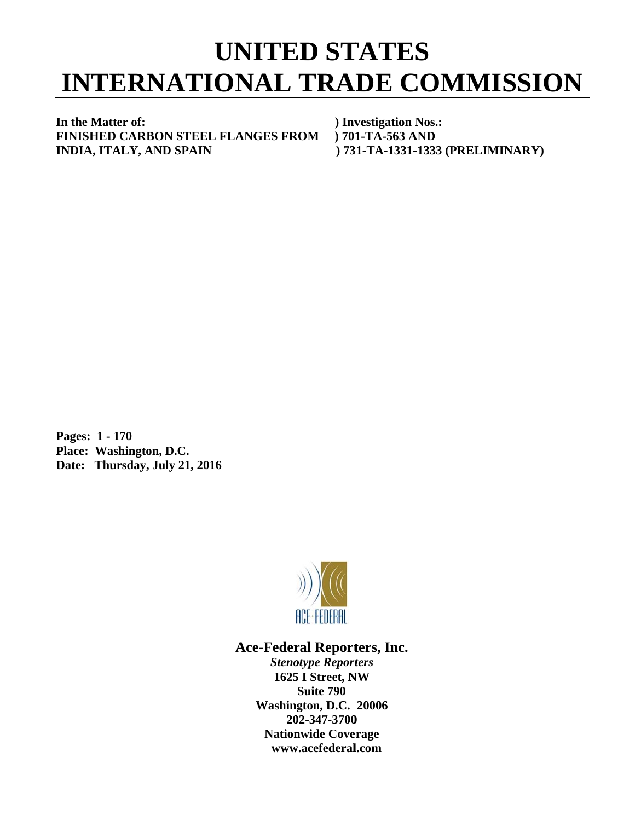## **INTERNATIONAL TRADE COMMISSION UNITED STATES**

In the Matter of: **F FINISHED CARBON S STEEL FLA ANGES FR ROM ) 701 INDIA, ITALY, AND SPAIN** 

 **) Inv vestigation Nos.: ) 73 1-TA-1331- -1333 (PRE LIMINARY ) 1-TA-563 A AND** 

**P Pages: 1 - 1 170 P Place: Was hington, D.C C. Date: Thursday, July 21, 2016** 



## Ace-Federal Reporters, Inc.

**Stenotype Reporters 1625 I Street, NW Washin gton, D.C. 20006 20 02-347-3700** 202-347-3700<br>Nationwide Coverage **www w.acefederal l.com Suite 790**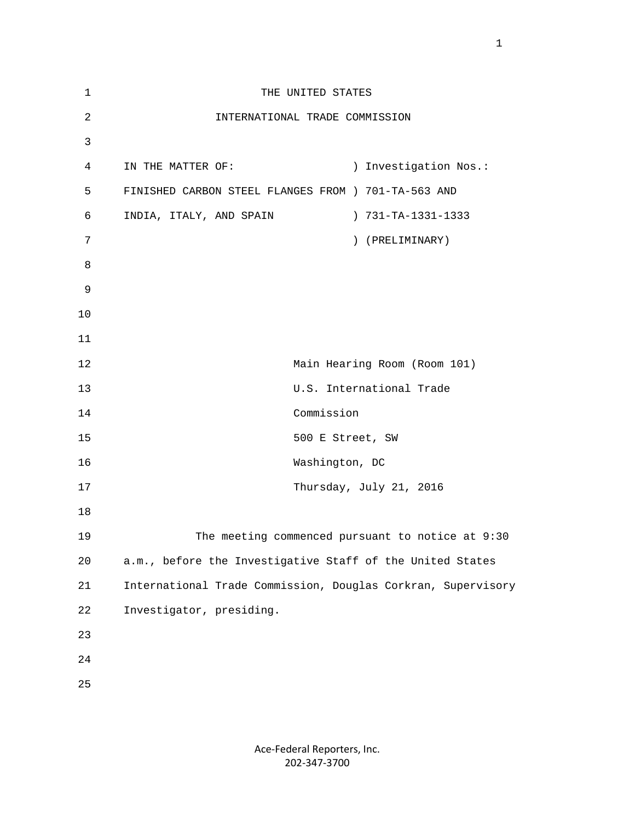| $\mathbf{1}$   | THE UNITED STATES                                            |
|----------------|--------------------------------------------------------------|
| $\sqrt{2}$     | INTERNATIONAL TRADE COMMISSION                               |
| $\mathfrak{Z}$ |                                                              |
| 4              | ) Investigation Nos.:<br>IN THE MATTER OF:                   |
| 5              | FINISHED CARBON STEEL FLANGES FROM ) 701-TA-563 AND          |
| 6              | INDIA, ITALY, AND SPAIN<br>) 731-TA-1331-1333                |
| 7              | ) (PRELIMINARY)                                              |
| 8              |                                                              |
| 9              |                                                              |
| 10             |                                                              |
| 11             |                                                              |
| 12             | Main Hearing Room (Room 101)                                 |
| 13             | U.S. International Trade                                     |
| 14             | Commission                                                   |
| 15             | 500 E Street, SW                                             |
| 16             | Washington, DC                                               |
| 17             | Thursday, July 21, 2016                                      |
| 18             |                                                              |
| 19             | The meeting commenced pursuant to notice at 9:30             |
| 20             | a.m., before the Investigative Staff of the United States    |
| 21             | International Trade Commission, Douglas Corkran, Supervisory |
| 22             | Investigator, presiding.                                     |
| 23             |                                                              |
| 24             |                                                              |
| 25             |                                                              |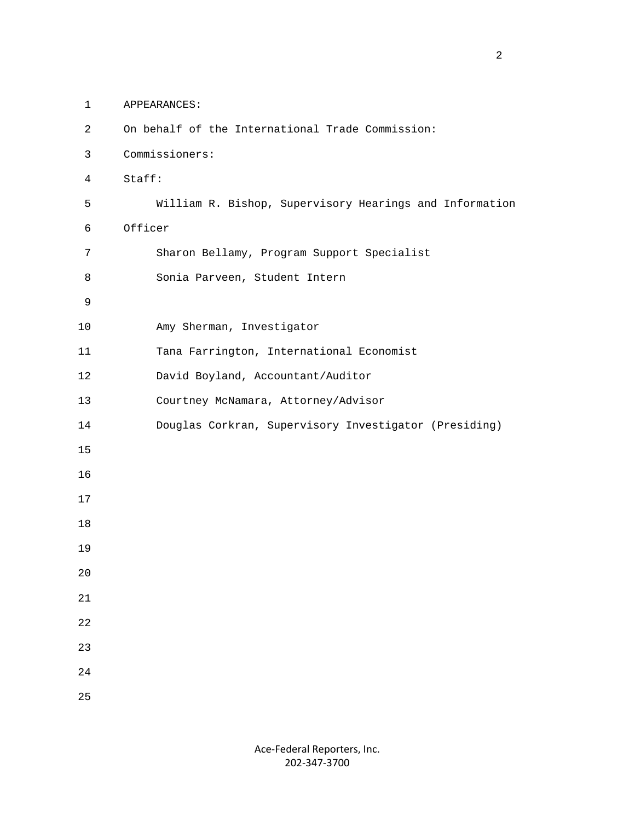- 1 APPEARANCES:
- 2 On behalf of the International Trade Commission: 3 Commissioners: 4 Staff: 5 William R. Bishop, Supervisory Hearings and Information 6 Officer 7 Sharon Bellamy, Program Support Specialist 8 Sonia Parveen, Student Intern 9 10 Amy Sherman, Investigator 11 Tana Farrington, International Economist 12 David Boyland, Accountant/Auditor 13 Courtney McNamara, Attorney/Advisor 14 Douglas Corkran, Supervisory Investigator (Presiding) 15 16 17 18 19 20 21 22 23 24 25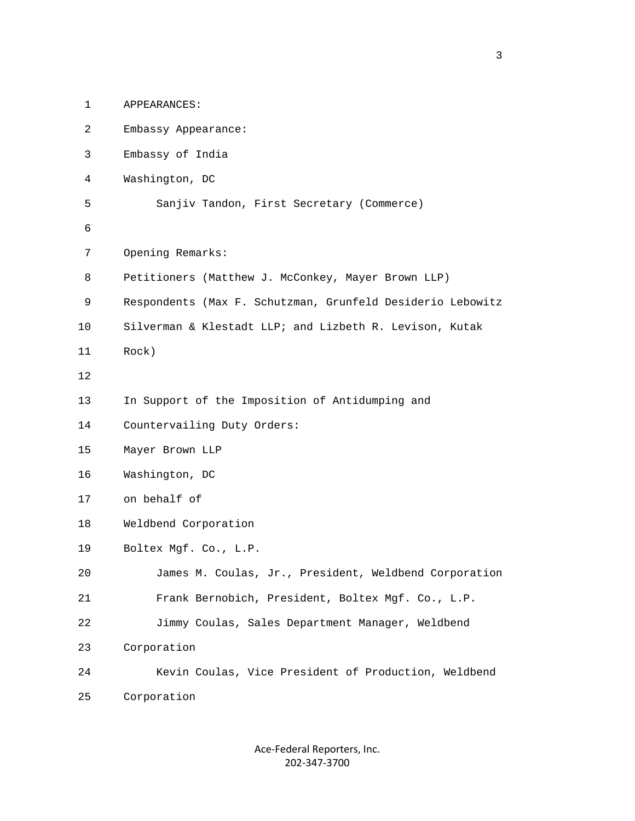| $\mathbf{1}$   | APPEARANCES:                                               |
|----------------|------------------------------------------------------------|
| $\overline{a}$ | Embassy Appearance:                                        |
| 3              | Embassy of India                                           |
| 4              | Washington, DC                                             |
| 5              | Sanjiv Tandon, First Secretary (Commerce)                  |
| 6              |                                                            |
| 7              | Opening Remarks:                                           |
| 8              | Petitioners (Matthew J. McConkey, Mayer Brown LLP)         |
| 9              | Respondents (Max F. Schutzman, Grunfeld Desiderio Lebowitz |
| 10             | Silverman & Klestadt LLP; and Lizbeth R. Levison, Kutak    |
| 11             | Rock)                                                      |
| 12             |                                                            |
| 13             | In Support of the Imposition of Antidumping and            |
| 14             | Countervailing Duty Orders:                                |
| 15             | Mayer Brown LLP                                            |
| 16             | Washington, DC                                             |
| 17             | on behalf of                                               |
| 18             | Weldbend Corporation                                       |
| 19             | Boltex Mgf. Co., L.P.                                      |
| 20             | James M. Coulas, Jr., President, Weldbend Corporation      |
| 21             | Frank Bernobich, President, Boltex Mgf. Co., L.P.          |
| 22             | Jimmy Coulas, Sales Department Manager, Weldbend           |
| 23             | Corporation                                                |
| 24             | Kevin Coulas, Vice President of Production, Weldbend       |
| 25             | Corporation                                                |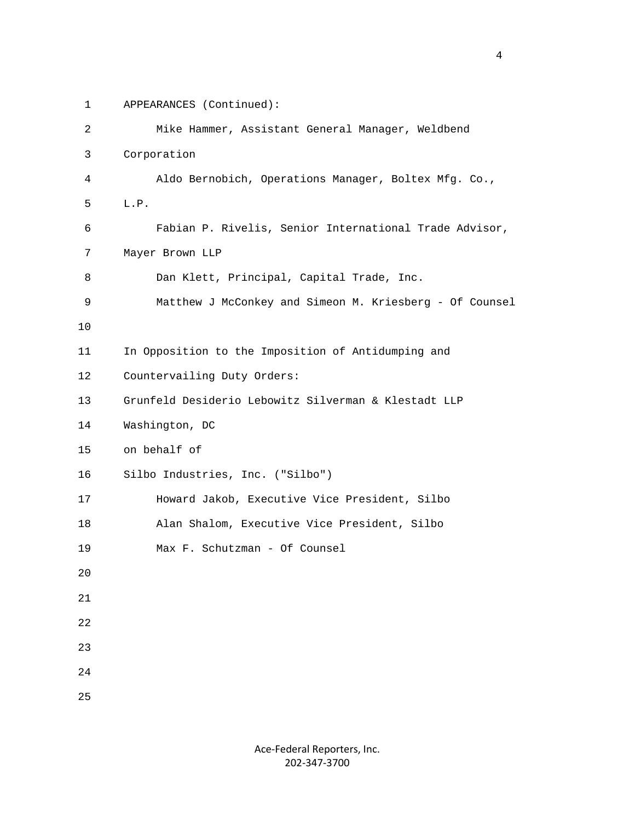1 APPEARANCES (Continued):

| 2           | Mike Hammer, Assistant General Manager, Weldbend        |
|-------------|---------------------------------------------------------|
| 3           | Corporation                                             |
| 4           | Aldo Bernobich, Operations Manager, Boltex Mfg. Co.,    |
| 5           | L.P.                                                    |
| 6           | Fabian P. Rivelis, Senior International Trade Advisor,  |
| 7           | Mayer Brown LLP                                         |
| 8           | Dan Klett, Principal, Capital Trade, Inc.               |
| 9           | Matthew J McConkey and Simeon M. Kriesberg - Of Counsel |
| 10          |                                                         |
| 11          | In Opposition to the Imposition of Antidumping and      |
| 12          | Countervailing Duty Orders:                             |
| 13          | Grunfeld Desiderio Lebowitz Silverman & Klestadt LLP    |
| 14          | Washington, DC                                          |
| 15          | on behalf of                                            |
| 16          | Silbo Industries, Inc. ("Silbo")                        |
| 17          | Howard Jakob, Executive Vice President, Silbo           |
| 18          | Alan Shalom, Executive Vice President, Silbo            |
| 19          | Max F. Schutzman - Of Counsel                           |
| 20          |                                                         |
| 21          |                                                         |
| 22          |                                                         |
| 23          |                                                         |
| $2\sqrt{4}$ |                                                         |
| 25          |                                                         |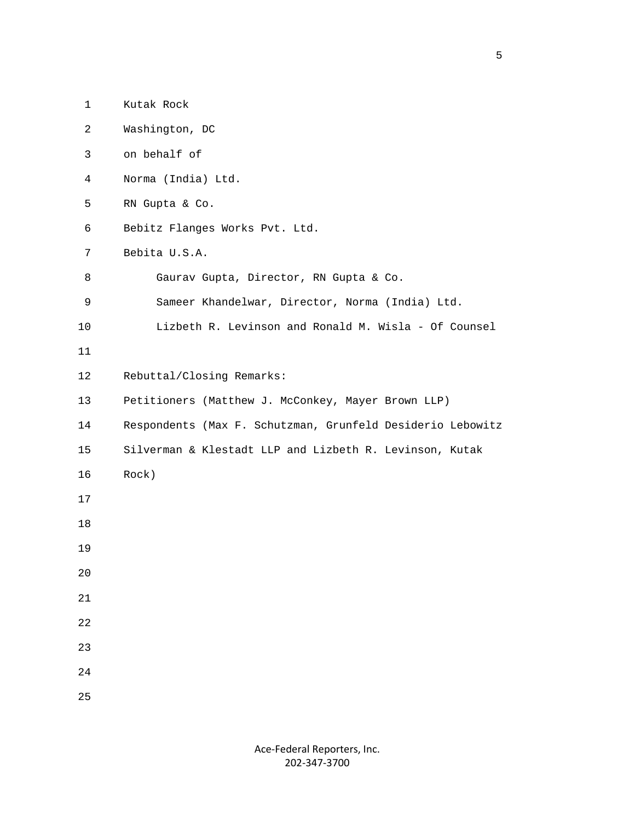| $\mathbf{1}$ | Kutak Rock                                                 |
|--------------|------------------------------------------------------------|
| 2            | Washington, DC                                             |
| 3            | on behalf of                                               |
| 4            | Norma (India) Ltd.                                         |
| 5            | RN Gupta & Co.                                             |
| 6            | Bebitz Flanges Works Pvt. Ltd.                             |
| 7            | Bebita U.S.A.                                              |
| 8            | Gaurav Gupta, Director, RN Gupta & Co.                     |
| 9            | Sameer Khandelwar, Director, Norma (India) Ltd.            |
| 10           | Lizbeth R. Levinson and Ronald M. Wisla - Of Counsel       |
| 11           |                                                            |
| 12           | Rebuttal/Closing Remarks:                                  |
| 13           | Petitioners (Matthew J. McConkey, Mayer Brown LLP)         |
| 14           | Respondents (Max F. Schutzman, Grunfeld Desiderio Lebowitz |
| 15           | Silverman & Klestadt LLP and Lizbeth R. Levinson, Kutak    |
| 16           | Rock)                                                      |
| 17           |                                                            |
| 18           |                                                            |
| 19           |                                                            |
| 20           |                                                            |
| 21           |                                                            |
| 22           |                                                            |
| 23           |                                                            |
| 24           |                                                            |
| 25           |                                                            |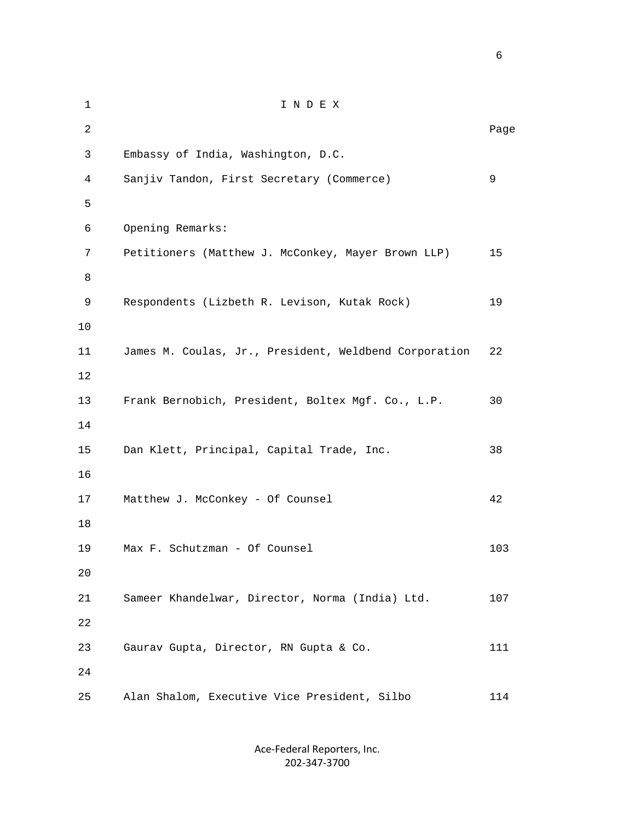1 I N D E X 2 **Page 12** Page 2 **Page 2** Page 2 Page 2 Page 2 Page 2 Page 2 Page 2 Page 2 Page 2 Page 2 Page 2 Page 2 Page 2 Page 2 Page 2 Page 2 Page 2 Page 2 Page 2 Page 2 Page 2 Page 2 Page 2 Page 2 Page 2 Page 2 Page 2 Page 2 Page 3 Embassy of India, Washington, D.C. 4 Sanjiv Tandon, First Secretary (Commerce) 9  $5<sub>5</sub>$  6 Opening Remarks: 7 Petitioners (Matthew J. McConkey, Mayer Brown LLP) 15 8 9 Respondents (Lizbeth R. Levison, Kutak Rock) 19 10 11 James M. Coulas, Jr., President, Weldbend Corporation 22 12 13 Frank Bernobich, President, Boltex Mgf. Co., L.P. 30 14 15 Dan Klett, Principal, Capital Trade, Inc. 38 16 17 Matthew J. McConkey - Of Counsel 42 18 19 Max F. Schutzman - Of Counsel 103 20 21 Sameer Khandelwar, Director, Norma (India) Ltd. 107 22 23 Gaurav Gupta, Director, RN Gupta & Co. 111 24 25 Alan Shalom, Executive Vice President, Silbo 114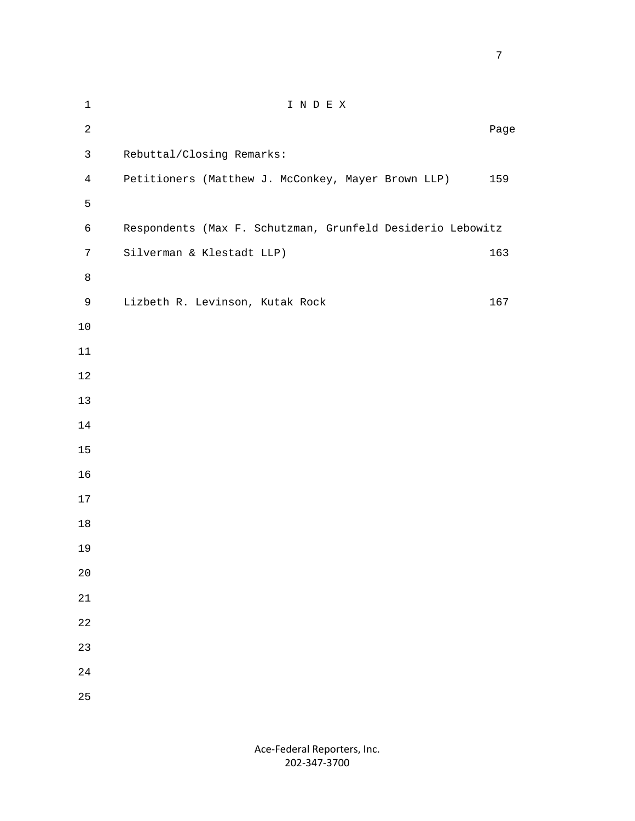1 I N D E X **Page 12** Page 2 **Page 2** Page 2 Page 2 Page 2 Page 2 Page 2 Page 2 Page 2 Page 2 Page 2 Page 2 Page 2 Page 2 Page 2 Page 2 Page 2 Page 2 Page 2 Page 2 Page 2 Page 2 Page 2 Page 2 Page 2 Page 2 Page 2 Page 2 Page 2 Page 3 Rebuttal/Closing Remarks: 4 Petitioners (Matthew J. McConkey, Mayer Brown LLP) 159 6 Respondents (Max F. Schutzman, Grunfeld Desiderio Lebowitz 7 Silverman & Klestadt LLP) 163 9 Lizbeth R. Levinson, Kutak Rock 167

- 
- 

 $5<sub>5</sub>$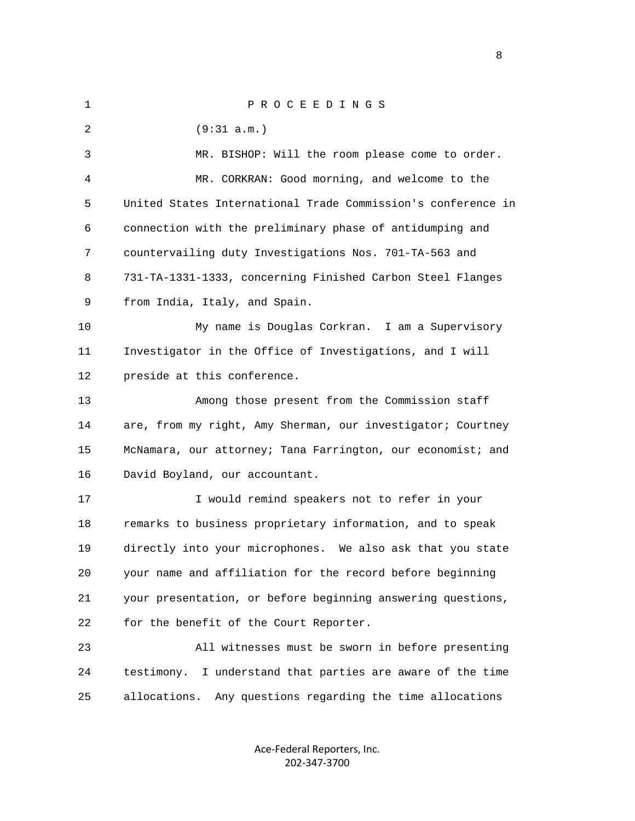| $\mathbf 1$ | PROCEEDINGS                                                   |
|-------------|---------------------------------------------------------------|
| 2           | (9:31 a.m.)                                                   |
| 3           | MR. BISHOP: Will the room please come to order.               |
| 4           | MR. CORKRAN: Good morning, and welcome to the                 |
| 5           | United States International Trade Commission's conference in  |
| 6           | connection with the preliminary phase of antidumping and      |
| 7           | countervailing duty Investigations Nos. 701-TA-563 and        |
| 8           | 731-TA-1331-1333, concerning Finished Carbon Steel Flanges    |
| 9           | from India, Italy, and Spain.                                 |
| 10          | My name is Douglas Corkran. I am a Supervisory                |
| 11          | Investigator in the Office of Investigations, and I will      |
| 12          | preside at this conference.                                   |
| 13          | Among those present from the Commission staff                 |
| 14          | are, from my right, Amy Sherman, our investigator; Courtney   |
| 15          | McNamara, our attorney; Tana Farrington, our economist; and   |
| 16          | David Boyland, our accountant.                                |
| 17          | I would remind speakers not to refer in your                  |
| 18          | remarks to business proprietary information, and to speak     |
| 19          | directly into your microphones. We also ask that you state    |
| 20          | your name and affiliation for the record before beginning     |
| 21          | your presentation, or before beginning answering questions,   |
| 22          | for the benefit of the Court Reporter.                        |
| 23          | All witnesses must be sworn in before presenting              |
| 24          | I understand that parties are aware of the time<br>testimony. |
| 25          | allocations.<br>Any questions regarding the time allocations  |
|             |                                                               |

Ace‐Federal Reporters, Inc. 202‐347‐3700

experience of the state of the state of the state of the state of the state of the state of the state of the s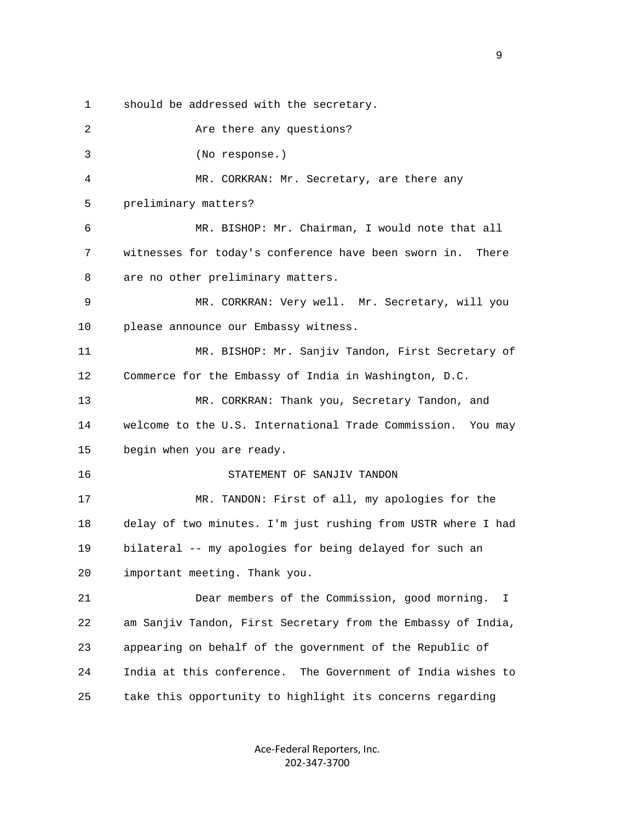1 should be addressed with the secretary.

2 Are there any questions? 3 (No response.) 4 MR. CORKRAN: Mr. Secretary, are there any 5 preliminary matters? 6 MR. BISHOP: Mr. Chairman, I would note that all 7 witnesses for today's conference have been sworn in. There 8 are no other preliminary matters. 9 MR. CORKRAN: Very well. Mr. Secretary, will you 10 please announce our Embassy witness. 11 MR. BISHOP: Mr. Sanjiv Tandon, First Secretary of 12 Commerce for the Embassy of India in Washington, D.C. 13 MR. CORKRAN: Thank you, Secretary Tandon, and 14 welcome to the U.S. International Trade Commission. You may 15 begin when you are ready. 16 STATEMENT OF SANJIV TANDON 17 MR. TANDON: First of all, my apologies for the 18 delay of two minutes. I'm just rushing from USTR where I had 19 bilateral -- my apologies for being delayed for such an 20 important meeting. Thank you. 21 Dear members of the Commission, good morning. I 22 am Sanjiv Tandon, First Secretary from the Embassy of India, 23 appearing on behalf of the government of the Republic of 24 India at this conference. The Government of India wishes to 25 take this opportunity to highlight its concerns regarding

> Ace‐Federal Reporters, Inc. 202‐347‐3700

en de la provincia de la provincia de la provincia de la provincia de la provincia de la provincia de la provi<br>1900 : la provincia de la provincia de la provincia de la provincia de la provincia de la provincia de la prov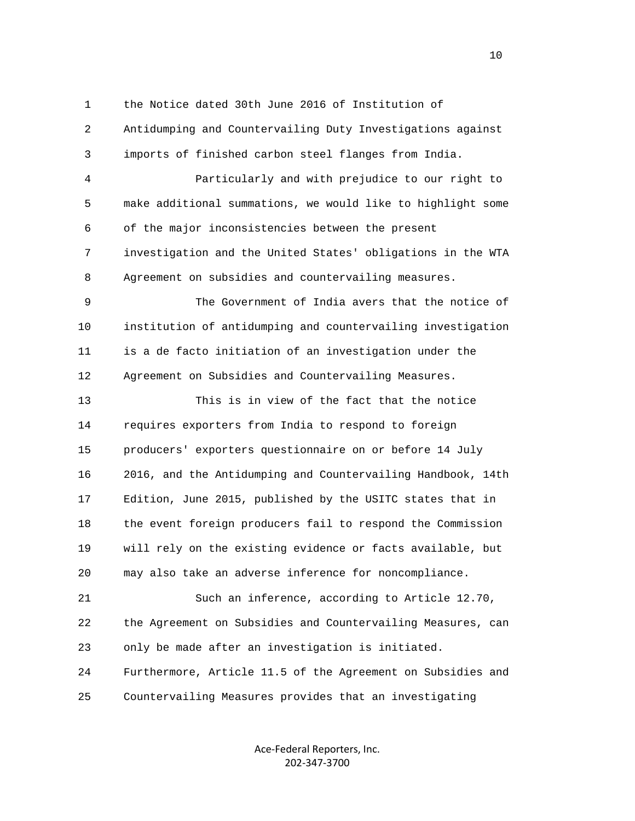1 the Notice dated 30th June 2016 of Institution of 2 Antidumping and Countervailing Duty Investigations against 3 imports of finished carbon steel flanges from India. 4 Particularly and with prejudice to our right to 5 make additional summations, we would like to highlight some 6 of the major inconsistencies between the present 7 investigation and the United States' obligations in the WTA 8 Agreement on subsidies and countervailing measures. 9 The Government of India avers that the notice of 10 institution of antidumping and countervailing investigation 11 is a de facto initiation of an investigation under the 12 Agreement on Subsidies and Countervailing Measures. 13 This is in view of the fact that the notice 14 requires exporters from India to respond to foreign 15 producers' exporters questionnaire on or before 14 July 16 2016, and the Antidumping and Countervailing Handbook, 14th 17 Edition, June 2015, published by the USITC states that in 18 the event foreign producers fail to respond the Commission 19 will rely on the existing evidence or facts available, but 20 may also take an adverse inference for noncompliance. 21 Such an inference, according to Article 12.70, 22 the Agreement on Subsidies and Countervailing Measures, can 23 only be made after an investigation is initiated. 24 Furthermore, Article 11.5 of the Agreement on Subsidies and 25 Countervailing Measures provides that an investigating

> Ace‐Federal Reporters, Inc. 202‐347‐3700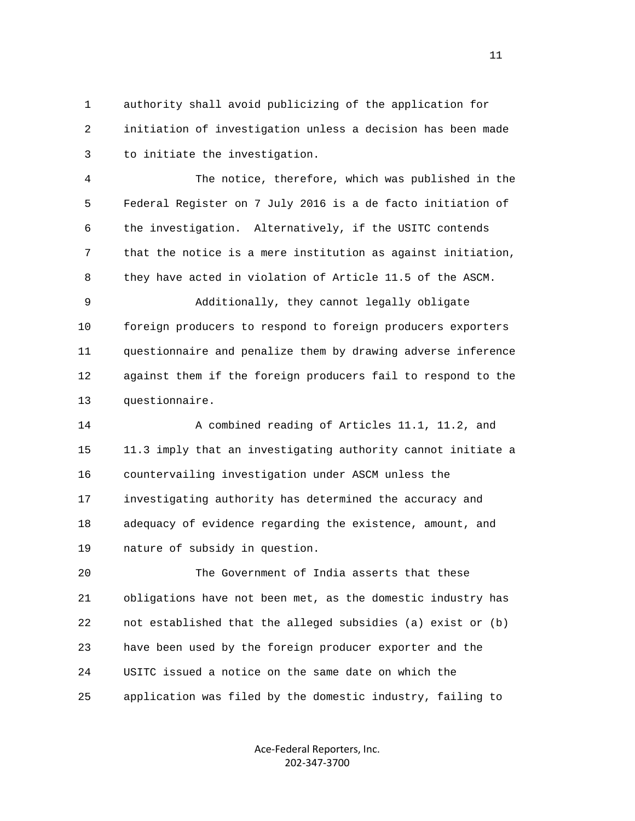1 authority shall avoid publicizing of the application for 2 initiation of investigation unless a decision has been made 3 to initiate the investigation.

 4 The notice, therefore, which was published in the 5 Federal Register on 7 July 2016 is a de facto initiation of 6 the investigation. Alternatively, if the USITC contends 7 that the notice is a mere institution as against initiation, 8 they have acted in violation of Article 11.5 of the ASCM.

 9 Additionally, they cannot legally obligate 10 foreign producers to respond to foreign producers exporters 11 questionnaire and penalize them by drawing adverse inference 12 against them if the foreign producers fail to respond to the 13 questionnaire.

 14 A combined reading of Articles 11.1, 11.2, and 15 11.3 imply that an investigating authority cannot initiate a 16 countervailing investigation under ASCM unless the 17 investigating authority has determined the accuracy and 18 adequacy of evidence regarding the existence, amount, and 19 nature of subsidy in question.

 20 The Government of India asserts that these 21 obligations have not been met, as the domestic industry has 22 not established that the alleged subsidies (a) exist or (b) 23 have been used by the foreign producer exporter and the 24 USITC issued a notice on the same date on which the 25 application was filed by the domestic industry, failing to

> Ace‐Federal Reporters, Inc. 202‐347‐3700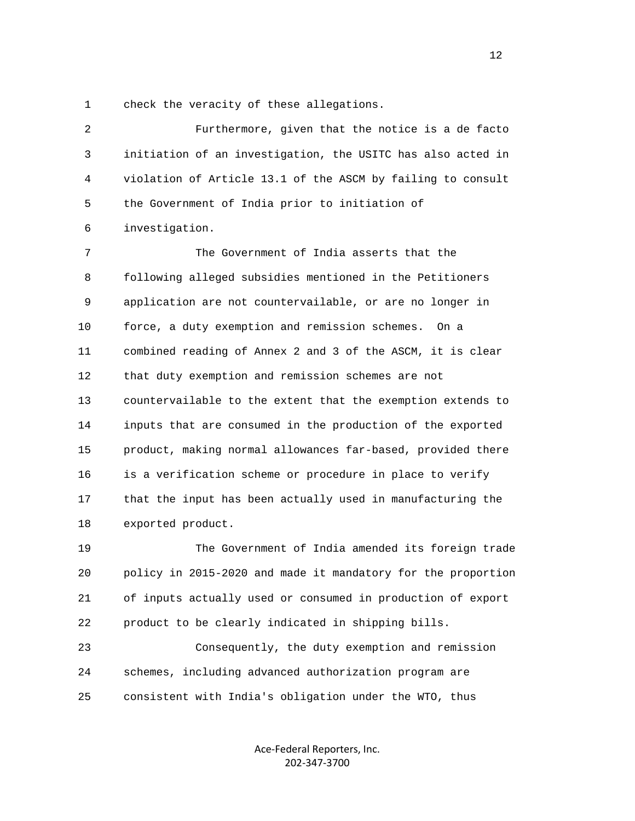1 check the veracity of these allegations.

| $\overline{2}$ | Furthermore, given that the notice is a de facto             |
|----------------|--------------------------------------------------------------|
| 3              | initiation of an investigation, the USITC has also acted in  |
| 4              | violation of Article 13.1 of the ASCM by failing to consult  |
| 5              | the Government of India prior to initiation of               |
| 6              | investigation.                                               |
| 7              | The Government of India asserts that the                     |
| 8              | following alleged subsidies mentioned in the Petitioners     |
| 9              | application are not countervailable, or are no longer in     |
| 10             | force, a duty exemption and remission schemes.<br>On a       |
| 11             | combined reading of Annex 2 and 3 of the ASCM, it is clear   |
| 12             | that duty exemption and remission schemes are not            |
| 13             | countervailable to the extent that the exemption extends to  |
| 14             | inputs that are consumed in the production of the exported   |
| 15             | product, making normal allowances far-based, provided there  |
| 16             | is a verification scheme or procedure in place to verify     |
| 17             | that the input has been actually used in manufacturing the   |
| 18             | exported product.                                            |
| 19             | The Government of India amended its foreign trade            |
| 20             | policy in 2015-2020 and made it mandatory for the proportion |

 21 of inputs actually used or consumed in production of export 22 product to be clearly indicated in shipping bills.

 23 Consequently, the duty exemption and remission 24 schemes, including advanced authorization program are 25 consistent with India's obligation under the WTO, thus

> Ace‐Federal Reporters, Inc. 202‐347‐3700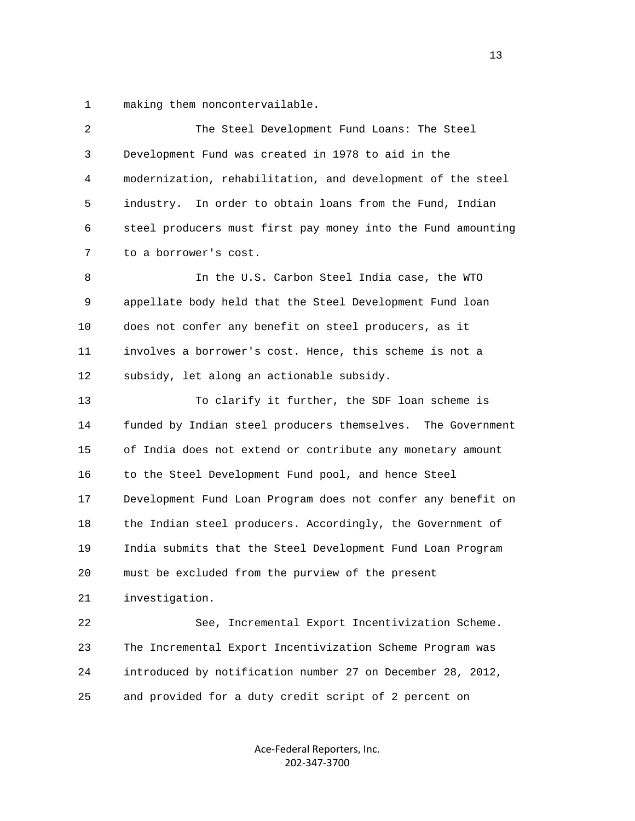1 making them noncontervailable.

| 2  | The Steel Development Fund Loans: The Steel                  |
|----|--------------------------------------------------------------|
| 3  | Development Fund was created in 1978 to aid in the           |
| 4  | modernization, rehabilitation, and development of the steel  |
| 5  | industry. In order to obtain loans from the Fund, Indian     |
| 6  | steel producers must first pay money into the Fund amounting |
| 7  | to a borrower's cost.                                        |
| 8  | In the U.S. Carbon Steel India case, the WTO                 |
| 9  | appellate body held that the Steel Development Fund loan     |
| 10 | does not confer any benefit on steel producers, as it        |
| 11 | involves a borrower's cost. Hence, this scheme is not a      |
| 12 | subsidy, let along an actionable subsidy.                    |
| 13 | To clarify it further, the SDF loan scheme is                |
| 14 | funded by Indian steel producers themselves. The Government  |
| 15 | of India does not extend or contribute any monetary amount   |
| 16 | to the Steel Development Fund pool, and hence Steel          |
| 17 | Development Fund Loan Program does not confer any benefit on |
| 18 | the Indian steel producers. Accordingly, the Government of   |
| 19 | India submits that the Steel Development Fund Loan Program   |
| 20 | must be excluded from the purview of the present             |
| 21 | investigation.                                               |
| 22 | See, Incremental Export Incentivization Scheme.              |
| 23 | The Incremental Export Incentivization Scheme Program was    |
| 24 | introduced by notification number 27 on December 28, 2012,   |
| 25 | and provided for a duty credit script of 2 percent on        |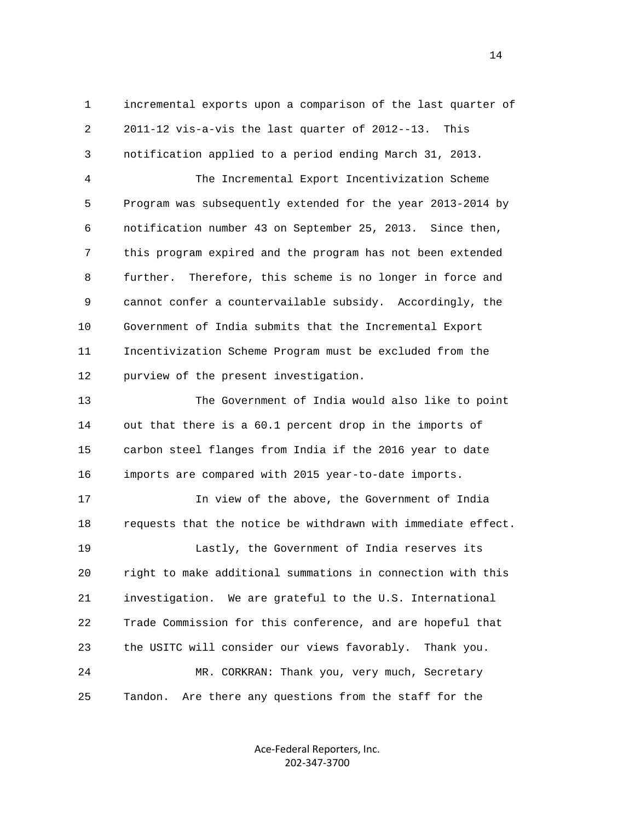1 incremental exports upon a comparison of the last quarter of 2 2011-12 vis-a-vis the last quarter of 2012--13. This 3 notification applied to a period ending March 31, 2013.

 4 The Incremental Export Incentivization Scheme 5 Program was subsequently extended for the year 2013-2014 by 6 notification number 43 on September 25, 2013. Since then, 7 this program expired and the program has not been extended 8 further. Therefore, this scheme is no longer in force and 9 cannot confer a countervailable subsidy. Accordingly, the 10 Government of India submits that the Incremental Export 11 Incentivization Scheme Program must be excluded from the 12 purview of the present investigation.

 13 The Government of India would also like to point 14 out that there is a 60.1 percent drop in the imports of 15 carbon steel flanges from India if the 2016 year to date 16 imports are compared with 2015 year-to-date imports.

 17 In view of the above, the Government of India 18 requests that the notice be withdrawn with immediate effect. 19 Lastly, the Government of India reserves its 20 right to make additional summations in connection with this 21 investigation. We are grateful to the U.S. International 22 Trade Commission for this conference, and are hopeful that 23 the USITC will consider our views favorably. Thank you. 24 MR. CORKRAN: Thank you, very much, Secretary 25 Tandon. Are there any questions from the staff for the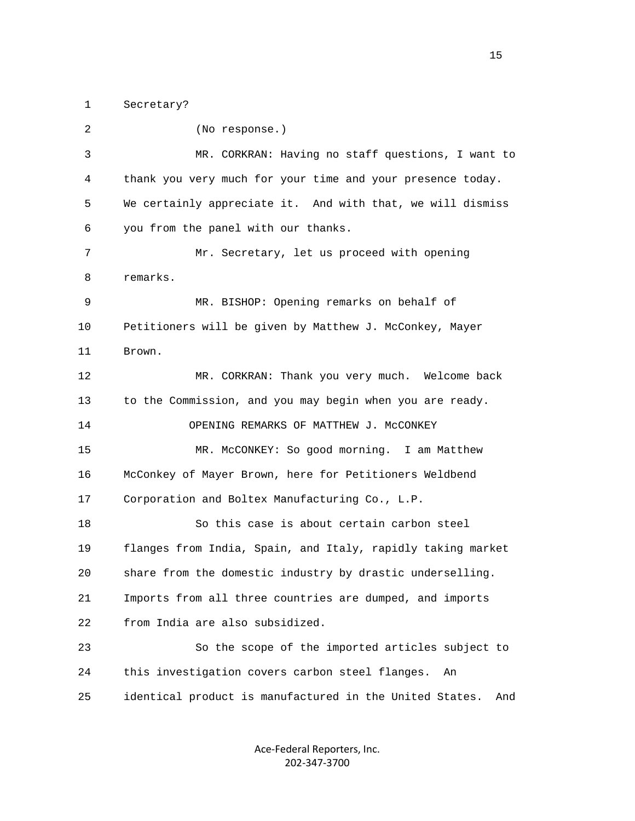1 Secretary?

| 2  | (No response.)                                                 |
|----|----------------------------------------------------------------|
| 3  | MR. CORKRAN: Having no staff questions, I want to              |
| 4  | thank you very much for your time and your presence today.     |
| 5  | We certainly appreciate it. And with that, we will dismiss     |
| 6  | you from the panel with our thanks.                            |
| 7  | Mr. Secretary, let us proceed with opening                     |
| 8  | remarks.                                                       |
| 9  | MR. BISHOP: Opening remarks on behalf of                       |
| 10 | Petitioners will be given by Matthew J. McConkey, Mayer        |
| 11 | Brown.                                                         |
| 12 | MR. CORKRAN: Thank you very much. Welcome back                 |
| 13 | to the Commission, and you may begin when you are ready.       |
| 14 | OPENING REMARKS OF MATTHEW J. MCCONKEY                         |
| 15 | MR. McCONKEY: So good morning. I am Matthew                    |
| 16 | McConkey of Mayer Brown, here for Petitioners Weldbend         |
| 17 | Corporation and Boltex Manufacturing Co., L.P.                 |
| 18 | So this case is about certain carbon steel                     |
| 19 | flanges from India, Spain, and Italy, rapidly taking market    |
| 20 | share from the domestic industry by drastic underselling.      |
| 21 | Imports from all three countries are dumped, and imports       |
| 22 | from India are also subsidized.                                |
| 23 | So the scope of the imported articles subject to               |
| 24 | this investigation covers carbon steel flanges.<br>An          |
| 25 | identical product is manufactured in the United States.<br>And |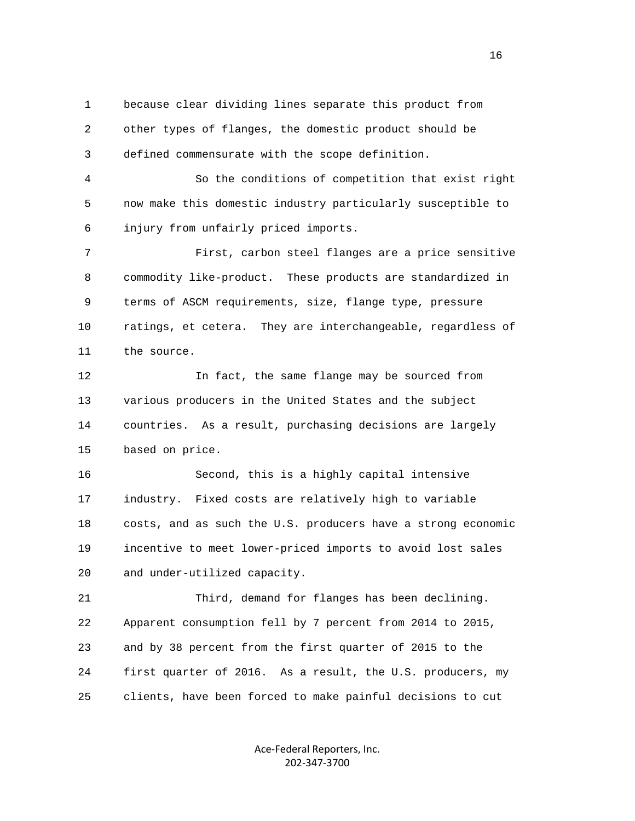1 because clear dividing lines separate this product from 2 other types of flanges, the domestic product should be 3 defined commensurate with the scope definition.

 4 So the conditions of competition that exist right 5 now make this domestic industry particularly susceptible to 6 injury from unfairly priced imports.

 7 First, carbon steel flanges are a price sensitive 8 commodity like-product. These products are standardized in 9 terms of ASCM requirements, size, flange type, pressure 10 ratings, et cetera. They are interchangeable, regardless of 11 the source.

 12 In fact, the same flange may be sourced from 13 various producers in the United States and the subject 14 countries. As a result, purchasing decisions are largely 15 based on price.

 16 Second, this is a highly capital intensive 17 industry. Fixed costs are relatively high to variable 18 costs, and as such the U.S. producers have a strong economic 19 incentive to meet lower-priced imports to avoid lost sales 20 and under-utilized capacity.

 21 Third, demand for flanges has been declining. 22 Apparent consumption fell by 7 percent from 2014 to 2015, 23 and by 38 percent from the first quarter of 2015 to the 24 first quarter of 2016. As a result, the U.S. producers, my 25 clients, have been forced to make painful decisions to cut

> Ace‐Federal Reporters, Inc. 202‐347‐3700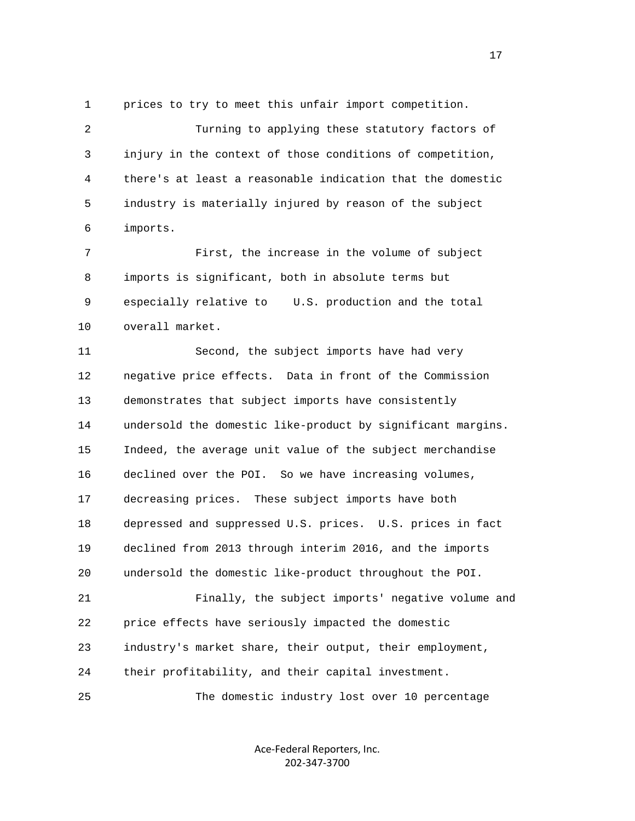1 prices to try to meet this unfair import competition.

 2 Turning to applying these statutory factors of 3 injury in the context of those conditions of competition, 4 there's at least a reasonable indication that the domestic 5 industry is materially injured by reason of the subject 6 imports.

 7 First, the increase in the volume of subject 8 imports is significant, both in absolute terms but 9 especially relative to U.S. production and the total 10 overall market.

 11 Second, the subject imports have had very 12 negative price effects. Data in front of the Commission 13 demonstrates that subject imports have consistently 14 undersold the domestic like-product by significant margins. 15 Indeed, the average unit value of the subject merchandise 16 declined over the POI. So we have increasing volumes, 17 decreasing prices. These subject imports have both 18 depressed and suppressed U.S. prices. U.S. prices in fact 19 declined from 2013 through interim 2016, and the imports 20 undersold the domestic like-product throughout the POI. 21 Finally, the subject imports' negative volume and 22 price effects have seriously impacted the domestic 23 industry's market share, their output, their employment,

24 their profitability, and their capital investment.

25 The domestic industry lost over 10 percentage

Ace‐Federal Reporters, Inc. 202‐347‐3700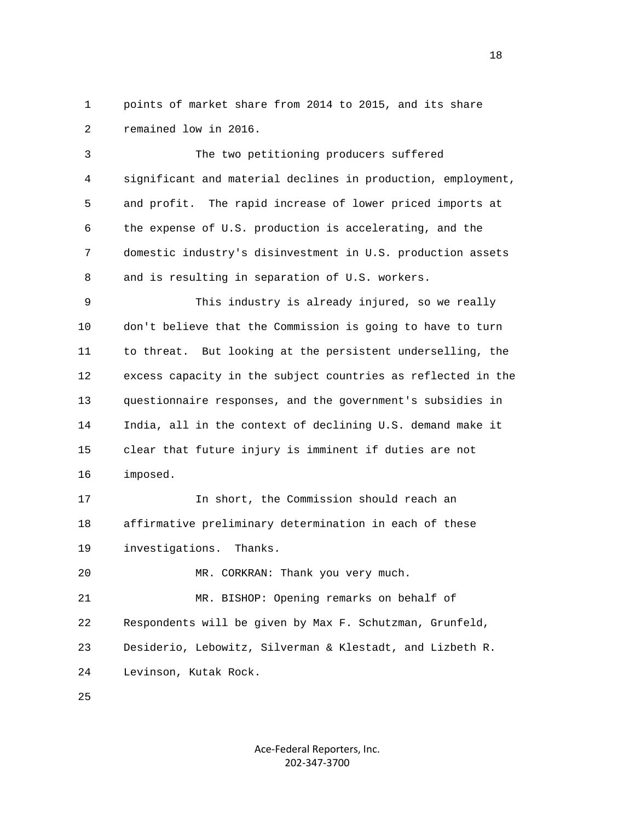1 points of market share from 2014 to 2015, and its share 2 remained low in 2016.

 3 The two petitioning producers suffered 4 significant and material declines in production, employment, 5 and profit. The rapid increase of lower priced imports at 6 the expense of U.S. production is accelerating, and the 7 domestic industry's disinvestment in U.S. production assets 8 and is resulting in separation of U.S. workers.

 9 This industry is already injured, so we really 10 don't believe that the Commission is going to have to turn 11 to threat. But looking at the persistent underselling, the 12 excess capacity in the subject countries as reflected in the 13 questionnaire responses, and the government's subsidies in 14 India, all in the context of declining U.S. demand make it 15 clear that future injury is imminent if duties are not 16 imposed.

 17 In short, the Commission should reach an 18 affirmative preliminary determination in each of these 19 investigations. Thanks.

20 MR. CORKRAN: Thank you very much.

 21 MR. BISHOP: Opening remarks on behalf of 22 Respondents will be given by Max F. Schutzman, Grunfeld, 23 Desiderio, Lebowitz, Silverman & Klestadt, and Lizbeth R. 24 Levinson, Kutak Rock.

25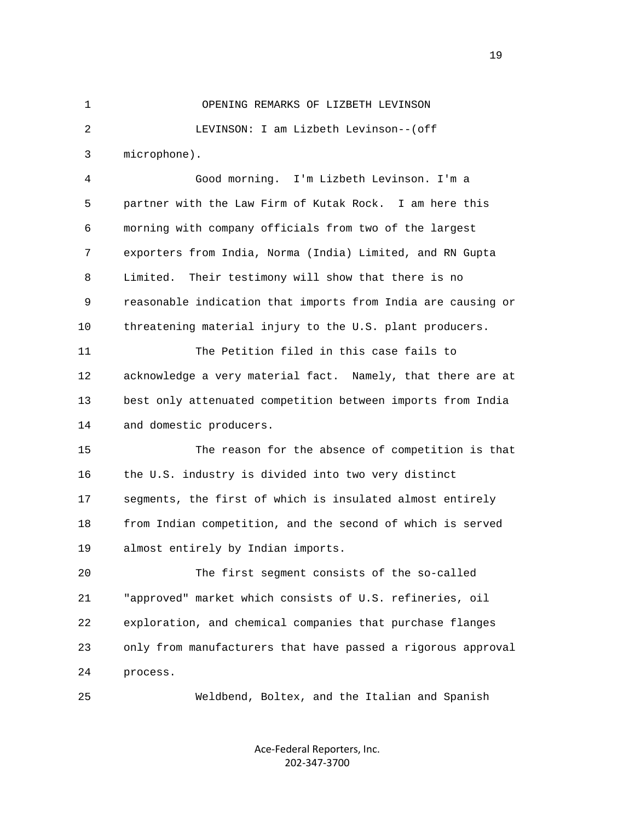1 OPENING REMARKS OF LIZBETH LEVINSON 2 LEVINSON: I am Lizbeth Levinson--(off 3 microphone). 4 Good morning. I'm Lizbeth Levinson. I'm a

 5 partner with the Law Firm of Kutak Rock. I am here this 6 morning with company officials from two of the largest 7 exporters from India, Norma (India) Limited, and RN Gupta 8 Limited. Their testimony will show that there is no 9 reasonable indication that imports from India are causing or 10 threatening material injury to the U.S. plant producers. 11 The Petition filed in this case fails to

 12 acknowledge a very material fact. Namely, that there are at 13 best only attenuated competition between imports from India 14 and domestic producers.

 15 The reason for the absence of competition is that 16 the U.S. industry is divided into two very distinct 17 segments, the first of which is insulated almost entirely 18 from Indian competition, and the second of which is served 19 almost entirely by Indian imports.

 20 The first segment consists of the so-called 21 "approved" market which consists of U.S. refineries, oil 22 exploration, and chemical companies that purchase flanges 23 only from manufacturers that have passed a rigorous approval 24 process.

25 Weldbend, Boltex, and the Italian and Spanish

Ace‐Federal Reporters, Inc. 202‐347‐3700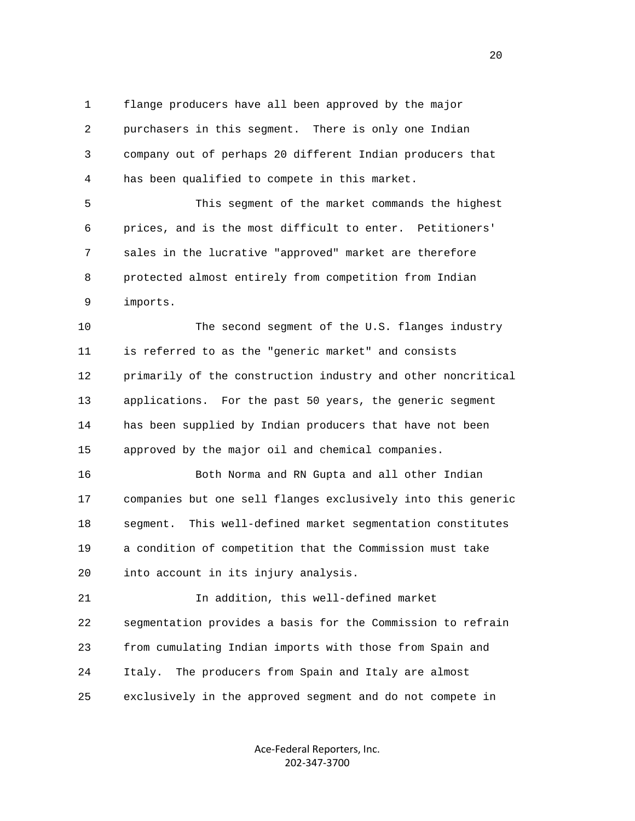1 flange producers have all been approved by the major 2 purchasers in this segment. There is only one Indian 3 company out of perhaps 20 different Indian producers that 4 has been qualified to compete in this market.

 5 This segment of the market commands the highest 6 prices, and is the most difficult to enter. Petitioners' 7 sales in the lucrative "approved" market are therefore 8 protected almost entirely from competition from Indian 9 imports.

 10 The second segment of the U.S. flanges industry 11 is referred to as the "generic market" and consists 12 primarily of the construction industry and other noncritical 13 applications. For the past 50 years, the generic segment 14 has been supplied by Indian producers that have not been 15 approved by the major oil and chemical companies.

 16 Both Norma and RN Gupta and all other Indian 17 companies but one sell flanges exclusively into this generic 18 segment. This well-defined market segmentation constitutes 19 a condition of competition that the Commission must take 20 into account in its injury analysis.

 21 In addition, this well-defined market 22 segmentation provides a basis for the Commission to refrain 23 from cumulating Indian imports with those from Spain and 24 Italy. The producers from Spain and Italy are almost 25 exclusively in the approved segment and do not compete in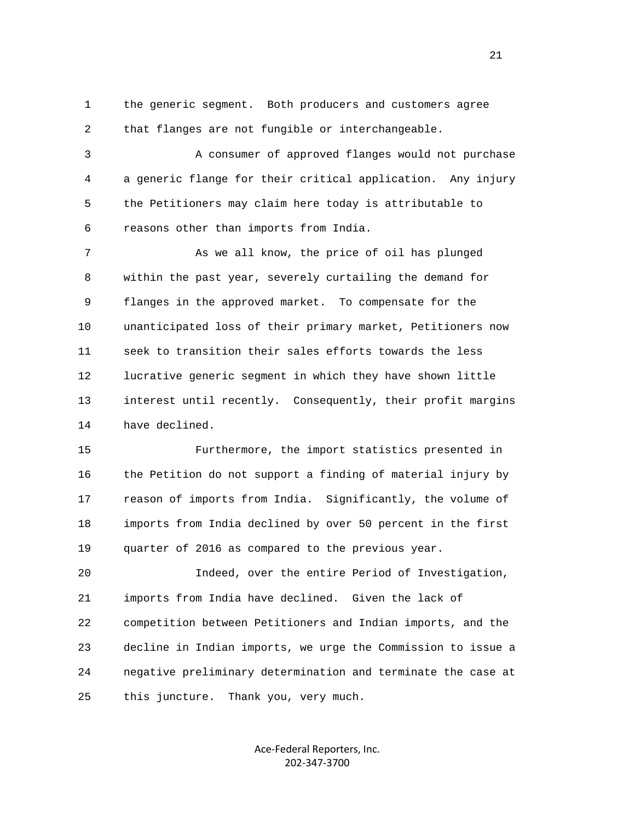1 the generic segment. Both producers and customers agree 2 that flanges are not fungible or interchangeable.

 3 A consumer of approved flanges would not purchase 4 a generic flange for their critical application. Any injury 5 the Petitioners may claim here today is attributable to 6 reasons other than imports from India.

7 As we all know, the price of oil has plunged 8 within the past year, severely curtailing the demand for 9 flanges in the approved market. To compensate for the 10 unanticipated loss of their primary market, Petitioners now 11 seek to transition their sales efforts towards the less 12 lucrative generic segment in which they have shown little 13 interest until recently. Consequently, their profit margins 14 have declined.

 15 Furthermore, the import statistics presented in 16 the Petition do not support a finding of material injury by 17 reason of imports from India. Significantly, the volume of 18 imports from India declined by over 50 percent in the first 19 quarter of 2016 as compared to the previous year.

 20 Indeed, over the entire Period of Investigation, 21 imports from India have declined. Given the lack of 22 competition between Petitioners and Indian imports, and the 23 decline in Indian imports, we urge the Commission to issue a 24 negative preliminary determination and terminate the case at 25 this juncture. Thank you, very much.

> Ace‐Federal Reporters, Inc. 202‐347‐3700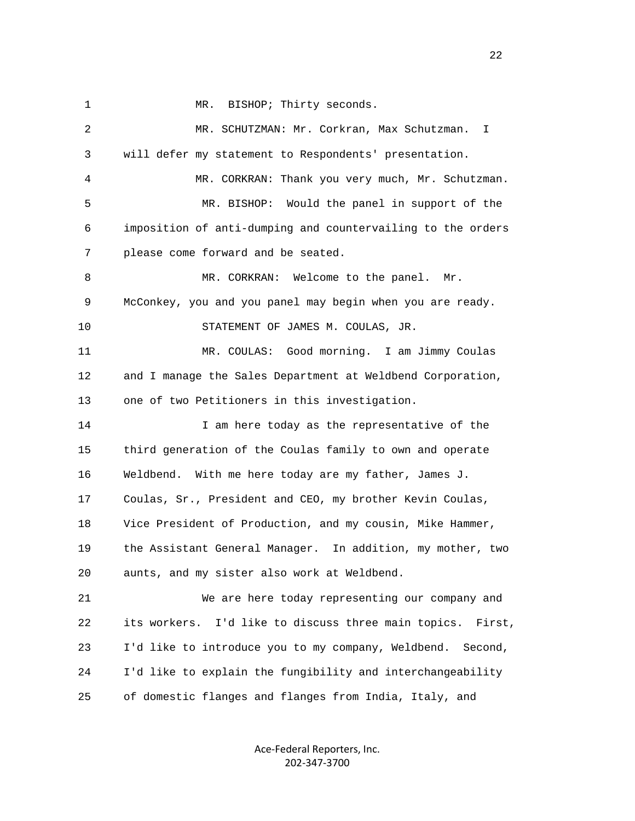1 MR. BISHOP; Thirty seconds. 2 MR. SCHUTZMAN: Mr. Corkran, Max Schutzman. I 3 will defer my statement to Respondents' presentation. 4 MR. CORKRAN: Thank you very much, Mr. Schutzman. 5 MR. BISHOP: Would the panel in support of the 6 imposition of anti-dumping and countervailing to the orders 7 please come forward and be seated. 8 MR. CORKRAN: Welcome to the panel. Mr. 9 McConkey, you and you panel may begin when you are ready. 10 STATEMENT OF JAMES M. COULAS, JR. 11 MR. COULAS: Good morning. I am Jimmy Coulas 12 and I manage the Sales Department at Weldbend Corporation, 13 one of two Petitioners in this investigation. 14 I am here today as the representative of the 15 third generation of the Coulas family to own and operate 16 Weldbend. With me here today are my father, James J. 17 Coulas, Sr., President and CEO, my brother Kevin Coulas, 18 Vice President of Production, and my cousin, Mike Hammer, 19 the Assistant General Manager. In addition, my mother, two 20 aunts, and my sister also work at Weldbend. 21 We are here today representing our company and 22 its workers. I'd like to discuss three main topics. First, 23 I'd like to introduce you to my company, Weldbend. Second, 24 I'd like to explain the fungibility and interchangeability 25 of domestic flanges and flanges from India, Italy, and

> Ace‐Federal Reporters, Inc. 202‐347‐3700

22 a set of the state of the state of the state of the state of the state of the state of the state of the state of the state of the state of the state of the state of the state of the state of the state of the state of th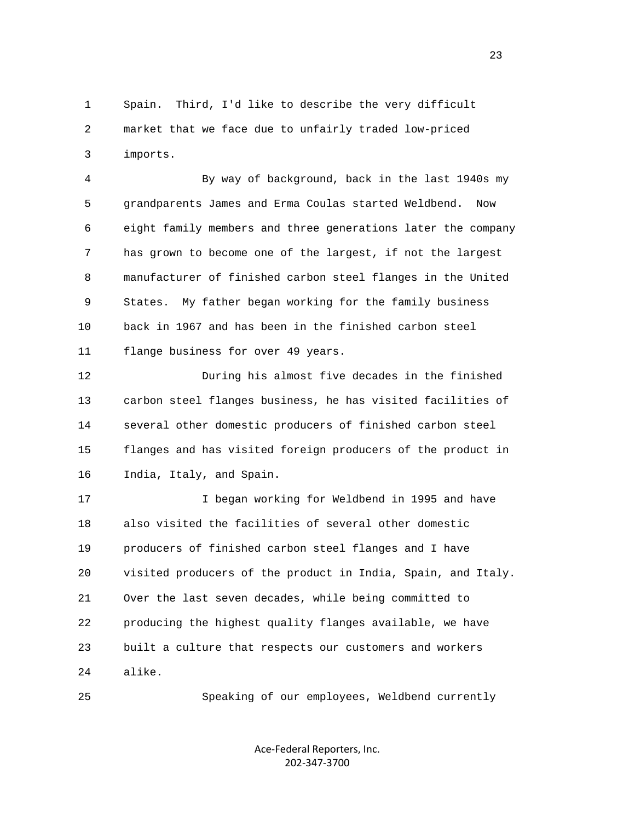1 Spain. Third, I'd like to describe the very difficult 2 market that we face due to unfairly traded low-priced 3 imports.

 4 By way of background, back in the last 1940s my 5 grandparents James and Erma Coulas started Weldbend. Now 6 eight family members and three generations later the company 7 has grown to become one of the largest, if not the largest 8 manufacturer of finished carbon steel flanges in the United 9 States. My father began working for the family business 10 back in 1967 and has been in the finished carbon steel 11 flange business for over 49 years.

 12 During his almost five decades in the finished 13 carbon steel flanges business, he has visited facilities of 14 several other domestic producers of finished carbon steel 15 flanges and has visited foreign producers of the product in 16 India, Italy, and Spain.

 17 I began working for Weldbend in 1995 and have 18 also visited the facilities of several other domestic 19 producers of finished carbon steel flanges and I have 20 visited producers of the product in India, Spain, and Italy. 21 Over the last seven decades, while being committed to 22 producing the highest quality flanges available, we have 23 built a culture that respects our customers and workers 24 alike.

25 Speaking of our employees, Weldbend currently

Ace‐Federal Reporters, Inc. 202‐347‐3700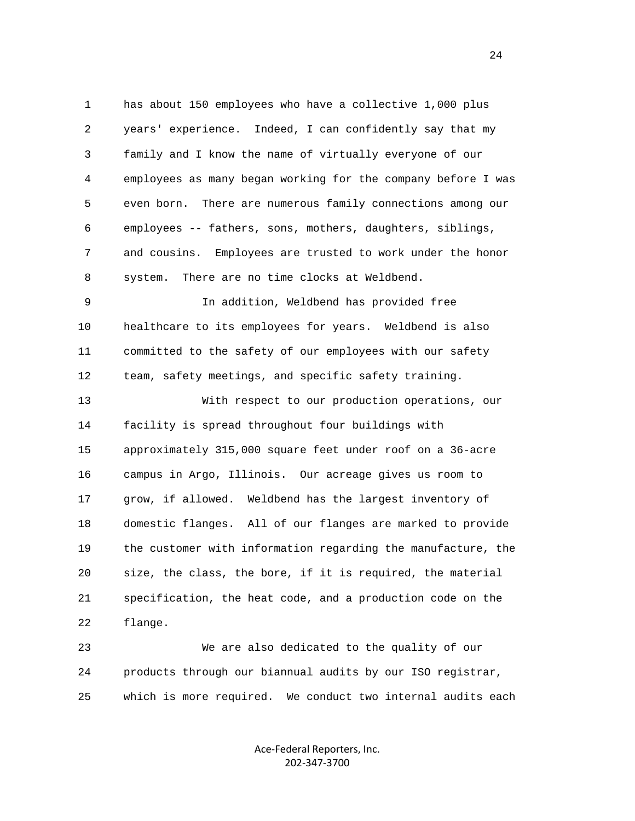1 has about 150 employees who have a collective 1,000 plus 2 years' experience. Indeed, I can confidently say that my 3 family and I know the name of virtually everyone of our 4 employees as many began working for the company before I was 5 even born. There are numerous family connections among our 6 employees -- fathers, sons, mothers, daughters, siblings, 7 and cousins. Employees are trusted to work under the honor 8 system. There are no time clocks at Weldbend. 9 In addition, Weldbend has provided free 10 healthcare to its employees for years. Weldbend is also 11 committed to the safety of our employees with our safety 12 team, safety meetings, and specific safety training. 13 With respect to our production operations, our 14 facility is spread throughout four buildings with 15 approximately 315,000 square feet under roof on a 36-acre 16 campus in Argo, Illinois. Our acreage gives us room to 17 grow, if allowed. Weldbend has the largest inventory of 18 domestic flanges. All of our flanges are marked to provide 19 the customer with information regarding the manufacture, the 20 size, the class, the bore, if it is required, the material 21 specification, the heat code, and a production code on the 22 flange.

 23 We are also dedicated to the quality of our 24 products through our biannual audits by our ISO registrar, 25 which is more required. We conduct two internal audits each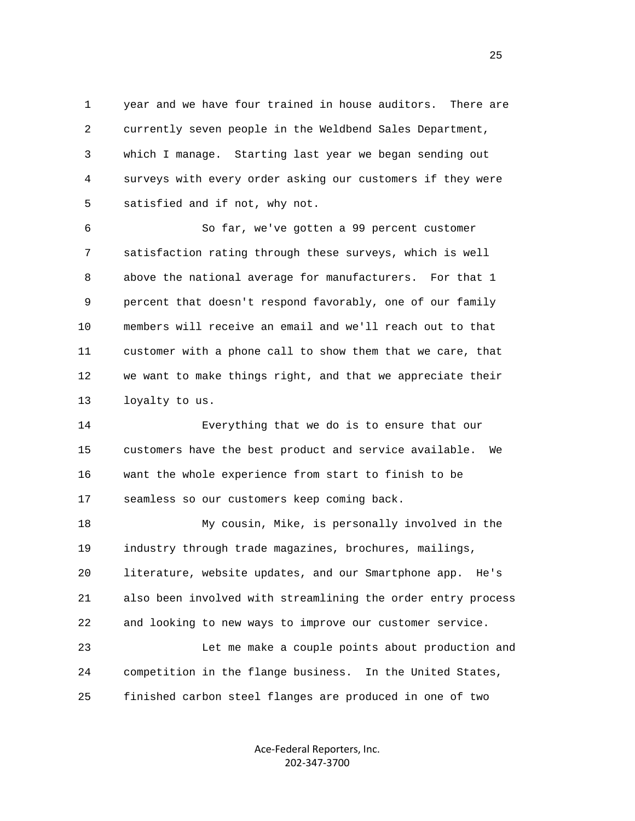1 year and we have four trained in house auditors. There are 2 currently seven people in the Weldbend Sales Department, 3 which I manage. Starting last year we began sending out 4 surveys with every order asking our customers if they were 5 satisfied and if not, why not.

 6 So far, we've gotten a 99 percent customer 7 satisfaction rating through these surveys, which is well 8 above the national average for manufacturers. For that 1 9 percent that doesn't respond favorably, one of our family 10 members will receive an email and we'll reach out to that 11 customer with a phone call to show them that we care, that 12 we want to make things right, and that we appreciate their 13 loyalty to us.

 14 Everything that we do is to ensure that our 15 customers have the best product and service available. We 16 want the whole experience from start to finish to be 17 seamless so our customers keep coming back.

 18 My cousin, Mike, is personally involved in the 19 industry through trade magazines, brochures, mailings, 20 literature, website updates, and our Smartphone app. He's 21 also been involved with streamlining the order entry process 22 and looking to new ways to improve our customer service. 23 Let me make a couple points about production and

 24 competition in the flange business. In the United States, 25 finished carbon steel flanges are produced in one of two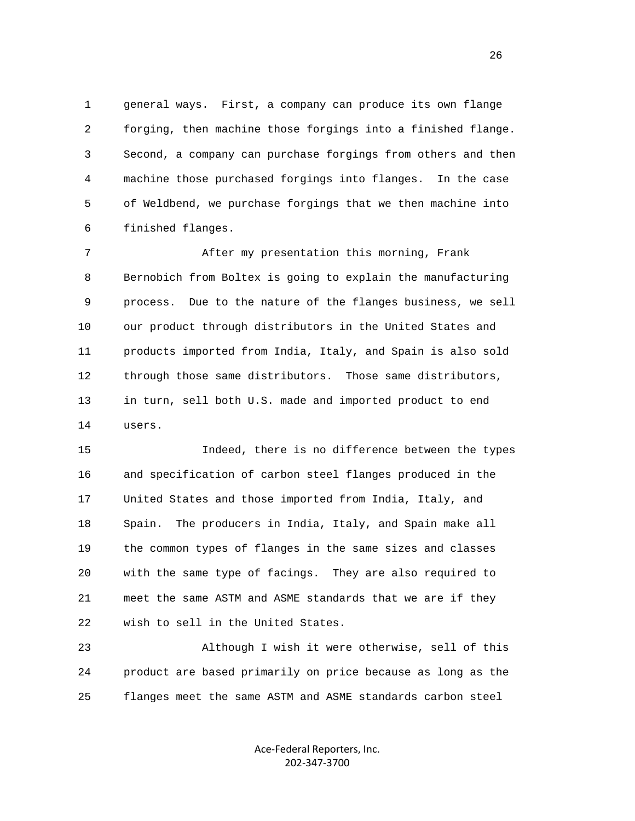1 general ways. First, a company can produce its own flange 2 forging, then machine those forgings into a finished flange. 3 Second, a company can purchase forgings from others and then 4 machine those purchased forgings into flanges. In the case 5 of Weldbend, we purchase forgings that we then machine into 6 finished flanges.

 7 After my presentation this morning, Frank 8 Bernobich from Boltex is going to explain the manufacturing 9 process. Due to the nature of the flanges business, we sell 10 our product through distributors in the United States and 11 products imported from India, Italy, and Spain is also sold 12 through those same distributors. Those same distributors, 13 in turn, sell both U.S. made and imported product to end 14 users.

 15 Indeed, there is no difference between the types 16 and specification of carbon steel flanges produced in the 17 United States and those imported from India, Italy, and 18 Spain. The producers in India, Italy, and Spain make all 19 the common types of flanges in the same sizes and classes 20 with the same type of facings. They are also required to 21 meet the same ASTM and ASME standards that we are if they 22 wish to sell in the United States.

 23 Although I wish it were otherwise, sell of this 24 product are based primarily on price because as long as the 25 flanges meet the same ASTM and ASME standards carbon steel

> Ace‐Federal Reporters, Inc. 202‐347‐3700

<u>26</u>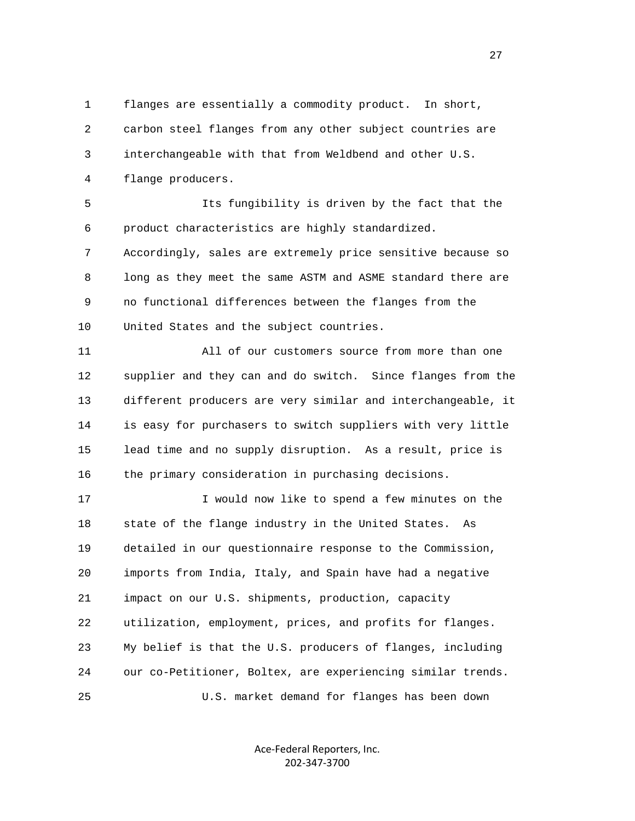1 flanges are essentially a commodity product. In short, 2 carbon steel flanges from any other subject countries are 3 interchangeable with that from Weldbend and other U.S. 4 flange producers.

 5 Its fungibility is driven by the fact that the 6 product characteristics are highly standardized.

 7 Accordingly, sales are extremely price sensitive because so 8 long as they meet the same ASTM and ASME standard there are 9 no functional differences between the flanges from the 10 United States and the subject countries.

 11 All of our customers source from more than one 12 supplier and they can and do switch. Since flanges from the 13 different producers are very similar and interchangeable, it 14 is easy for purchasers to switch suppliers with very little 15 lead time and no supply disruption. As a result, price is 16 the primary consideration in purchasing decisions.

 17 I would now like to spend a few minutes on the 18 state of the flange industry in the United States. As 19 detailed in our questionnaire response to the Commission, 20 imports from India, Italy, and Spain have had a negative 21 impact on our U.S. shipments, production, capacity 22 utilization, employment, prices, and profits for flanges. 23 My belief is that the U.S. producers of flanges, including 24 our co-Petitioner, Boltex, are experiencing similar trends. 25 U.S. market demand for flanges has been down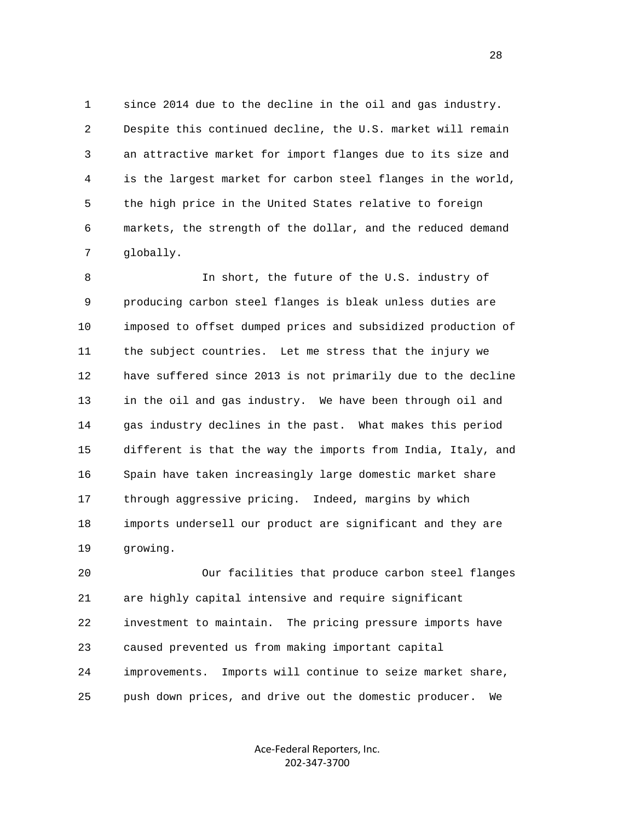1 since 2014 due to the decline in the oil and gas industry. 2 Despite this continued decline, the U.S. market will remain 3 an attractive market for import flanges due to its size and 4 is the largest market for carbon steel flanges in the world, 5 the high price in the United States relative to foreign 6 markets, the strength of the dollar, and the reduced demand 7 globally.

 8 In short, the future of the U.S. industry of 9 producing carbon steel flanges is bleak unless duties are 10 imposed to offset dumped prices and subsidized production of 11 the subject countries. Let me stress that the injury we 12 have suffered since 2013 is not primarily due to the decline 13 in the oil and gas industry. We have been through oil and 14 gas industry declines in the past. What makes this period 15 different is that the way the imports from India, Italy, and 16 Spain have taken increasingly large domestic market share 17 through aggressive pricing. Indeed, margins by which 18 imports undersell our product are significant and they are 19 growing.

 20 Our facilities that produce carbon steel flanges 21 are highly capital intensive and require significant 22 investment to maintain. The pricing pressure imports have 23 caused prevented us from making important capital 24 improvements. Imports will continue to seize market share, 25 push down prices, and drive out the domestic producer. We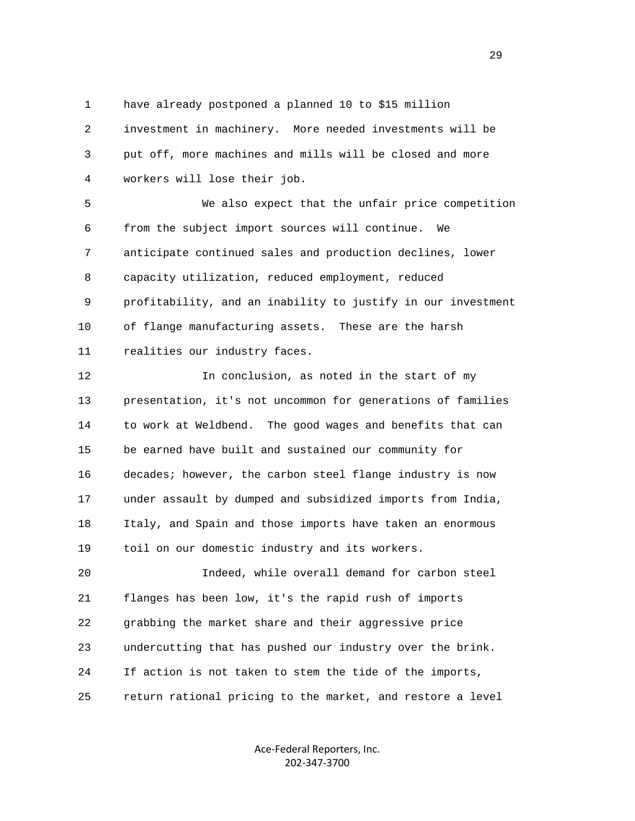1 have already postponed a planned 10 to \$15 million

 2 investment in machinery. More needed investments will be 3 put off, more machines and mills will be closed and more 4 workers will lose their job.

 5 We also expect that the unfair price competition 6 from the subject import sources will continue. We 7 anticipate continued sales and production declines, lower 8 capacity utilization, reduced employment, reduced 9 profitability, and an inability to justify in our investment 10 of flange manufacturing assets. These are the harsh 11 realities our industry faces.

 12 In conclusion, as noted in the start of my 13 presentation, it's not uncommon for generations of families 14 to work at Weldbend. The good wages and benefits that can 15 be earned have built and sustained our community for 16 decades; however, the carbon steel flange industry is now 17 under assault by dumped and subsidized imports from India, 18 Italy, and Spain and those imports have taken an enormous 19 toil on our domestic industry and its workers.

 20 Indeed, while overall demand for carbon steel 21 flanges has been low, it's the rapid rush of imports 22 grabbing the market share and their aggressive price 23 undercutting that has pushed our industry over the brink. 24 If action is not taken to stem the tide of the imports, 25 return rational pricing to the market, and restore a level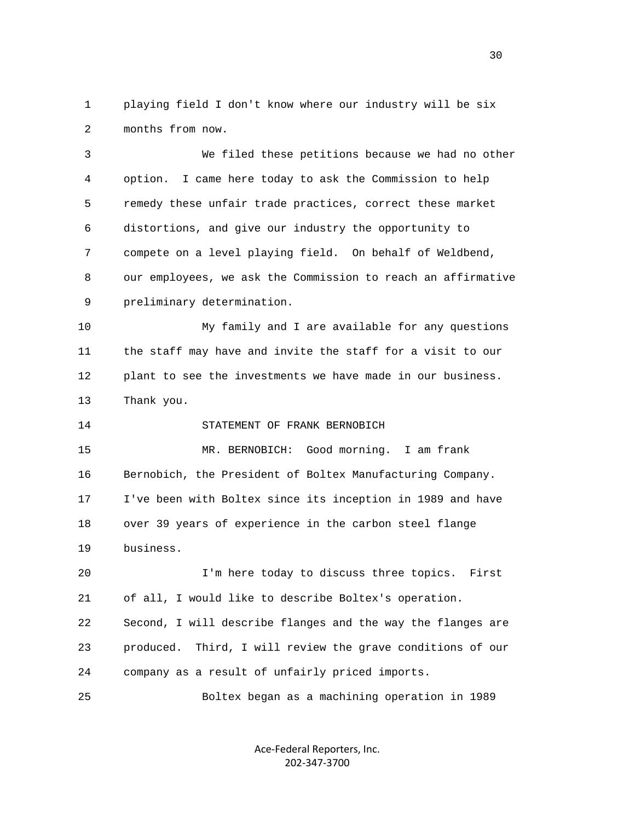1 playing field I don't know where our industry will be six 2 months from now.

 3 We filed these petitions because we had no other 4 option. I came here today to ask the Commission to help 5 remedy these unfair trade practices, correct these market 6 distortions, and give our industry the opportunity to 7 compete on a level playing field. On behalf of Weldbend, 8 our employees, we ask the Commission to reach an affirmative 9 preliminary determination.

 10 My family and I are available for any questions 11 the staff may have and invite the staff for a visit to our 12 plant to see the investments we have made in our business. 13 Thank you.

14 STATEMENT OF FRANK BERNOBICH

 15 MR. BERNOBICH: Good morning. I am frank 16 Bernobich, the President of Boltex Manufacturing Company. 17 I've been with Boltex since its inception in 1989 and have 18 over 39 years of experience in the carbon steel flange 19 business.

 20 I'm here today to discuss three topics. First 21 of all, I would like to describe Boltex's operation. 22 Second, I will describe flanges and the way the flanges are 23 produced. Third, I will review the grave conditions of our 24 company as a result of unfairly priced imports.

25 Boltex began as a machining operation in 1989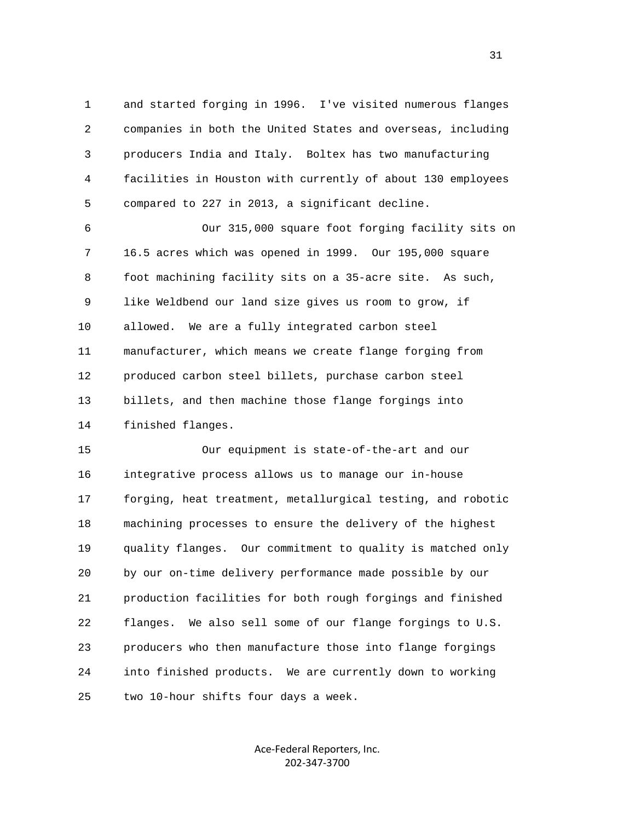1 and started forging in 1996. I've visited numerous flanges 2 companies in both the United States and overseas, including 3 producers India and Italy. Boltex has two manufacturing 4 facilities in Houston with currently of about 130 employees 5 compared to 227 in 2013, a significant decline.

 6 Our 315,000 square foot forging facility sits on 7 16.5 acres which was opened in 1999. Our 195,000 square 8 foot machining facility sits on a 35-acre site. As such, 9 like Weldbend our land size gives us room to grow, if 10 allowed. We are a fully integrated carbon steel 11 manufacturer, which means we create flange forging from 12 produced carbon steel billets, purchase carbon steel 13 billets, and then machine those flange forgings into 14 finished flanges.

 15 Our equipment is state-of-the-art and our 16 integrative process allows us to manage our in-house 17 forging, heat treatment, metallurgical testing, and robotic 18 machining processes to ensure the delivery of the highest 19 quality flanges. Our commitment to quality is matched only 20 by our on-time delivery performance made possible by our 21 production facilities for both rough forgings and finished 22 flanges. We also sell some of our flange forgings to U.S. 23 producers who then manufacture those into flange forgings 24 into finished products. We are currently down to working 25 two 10-hour shifts four days a week.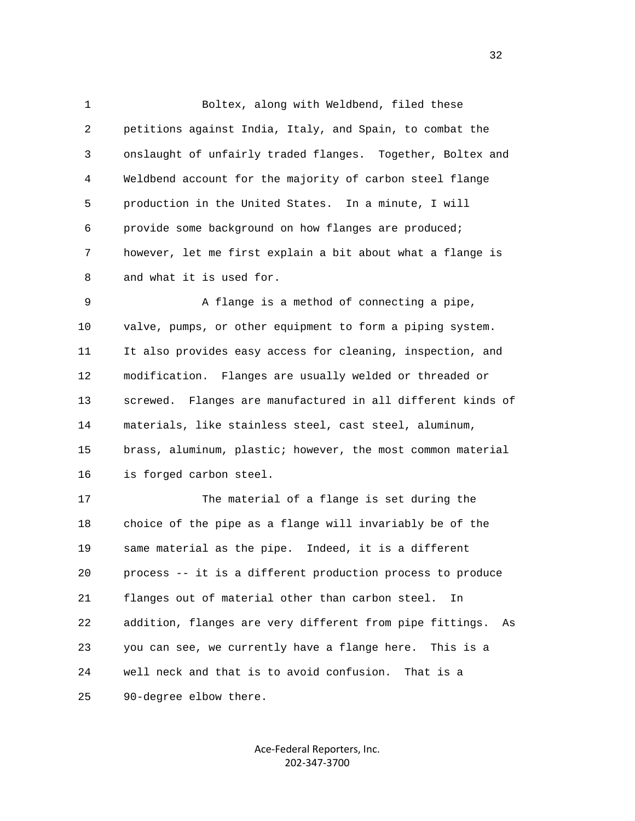1 Boltex, along with Weldbend, filed these 2 petitions against India, Italy, and Spain, to combat the 3 onslaught of unfairly traded flanges. Together, Boltex and 4 Weldbend account for the majority of carbon steel flange 5 production in the United States. In a minute, I will 6 provide some background on how flanges are produced; 7 however, let me first explain a bit about what a flange is 8 and what it is used for.

 9 A flange is a method of connecting a pipe, 10 valve, pumps, or other equipment to form a piping system. 11 It also provides easy access for cleaning, inspection, and 12 modification. Flanges are usually welded or threaded or 13 screwed. Flanges are manufactured in all different kinds of 14 materials, like stainless steel, cast steel, aluminum, 15 brass, aluminum, plastic; however, the most common material 16 is forged carbon steel.

 17 The material of a flange is set during the 18 choice of the pipe as a flange will invariably be of the 19 same material as the pipe. Indeed, it is a different 20 process -- it is a different production process to produce 21 flanges out of material other than carbon steel. In 22 addition, flanges are very different from pipe fittings. As 23 you can see, we currently have a flange here. This is a 24 well neck and that is to avoid confusion. That is a 25 90-degree elbow there.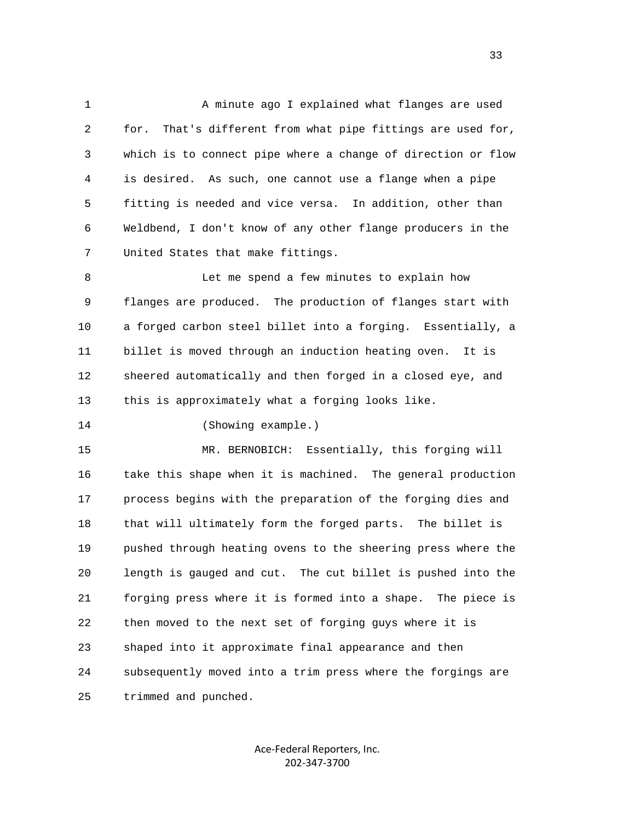1 A minute ago I explained what flanges are used 2 for. That's different from what pipe fittings are used for, 3 which is to connect pipe where a change of direction or flow 4 is desired. As such, one cannot use a flange when a pipe 5 fitting is needed and vice versa. In addition, other than 6 Weldbend, I don't know of any other flange producers in the 7 United States that make fittings.

 8 Let me spend a few minutes to explain how 9 flanges are produced. The production of flanges start with 10 a forged carbon steel billet into a forging. Essentially, a 11 billet is moved through an induction heating oven. It is 12 sheered automatically and then forged in a closed eye, and 13 this is approximately what a forging looks like.

14 (Showing example.)

 15 MR. BERNOBICH: Essentially, this forging will 16 take this shape when it is machined. The general production 17 process begins with the preparation of the forging dies and 18 that will ultimately form the forged parts. The billet is 19 pushed through heating ovens to the sheering press where the 20 length is gauged and cut. The cut billet is pushed into the 21 forging press where it is formed into a shape. The piece is 22 then moved to the next set of forging guys where it is 23 shaped into it approximate final appearance and then 24 subsequently moved into a trim press where the forgings are 25 trimmed and punched.

> Ace‐Federal Reporters, Inc. 202‐347‐3700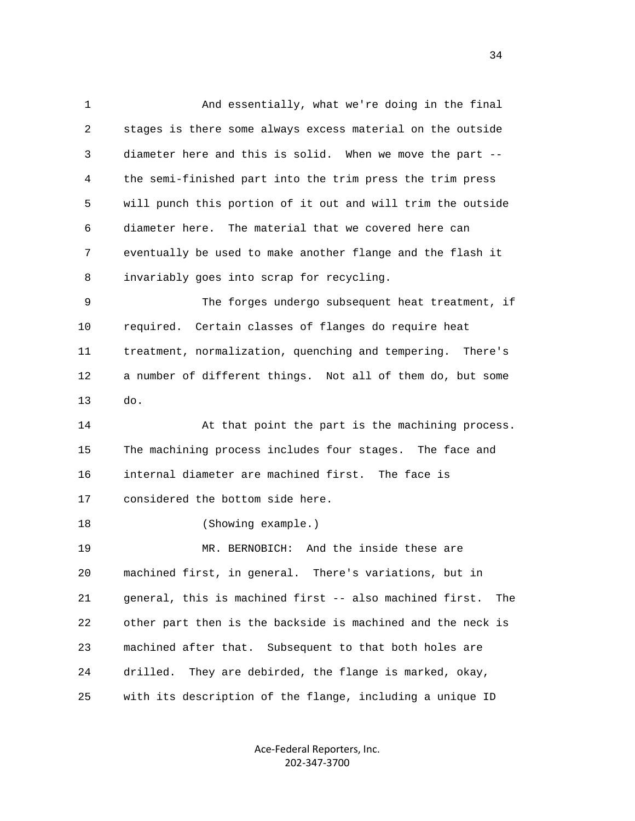1 And essentially, what we're doing in the final 2 stages is there some always excess material on the outside 3 diameter here and this is solid. When we move the part -- 4 the semi-finished part into the trim press the trim press 5 will punch this portion of it out and will trim the outside 6 diameter here. The material that we covered here can 7 eventually be used to make another flange and the flash it 8 invariably goes into scrap for recycling. 9 The forges undergo subsequent heat treatment, if 10 required. Certain classes of flanges do require heat 11 treatment, normalization, quenching and tempering. There's

 12 a number of different things. Not all of them do, but some 13 do.

14 At that point the part is the machining process. 15 The machining process includes four stages. The face and 16 internal diameter are machined first. The face is 17 considered the bottom side here.

18 (Showing example.)

 19 MR. BERNOBICH: And the inside these are 20 machined first, in general. There's variations, but in 21 general, this is machined first -- also machined first. The 22 other part then is the backside is machined and the neck is 23 machined after that. Subsequent to that both holes are 24 drilled. They are debirded, the flange is marked, okay, 25 with its description of the flange, including a unique ID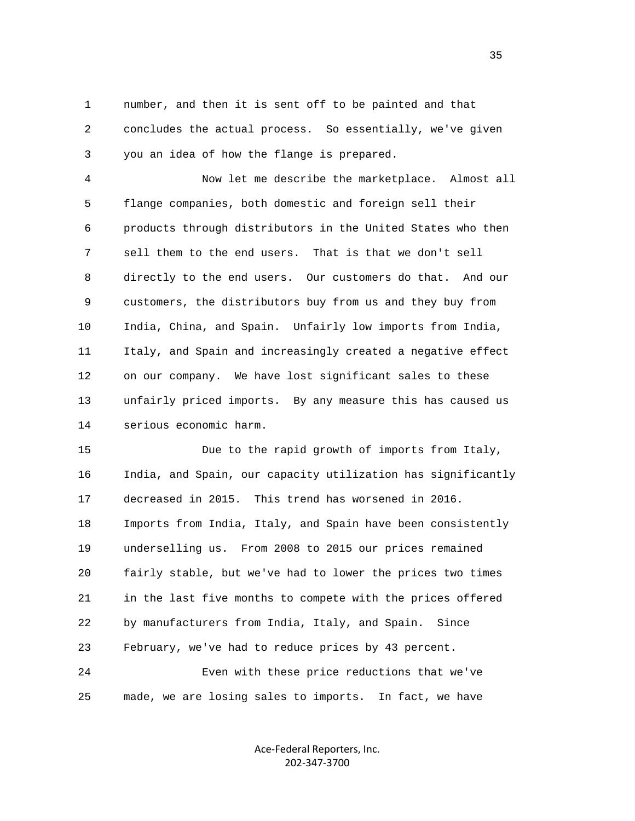1 number, and then it is sent off to be painted and that 2 concludes the actual process. So essentially, we've given 3 you an idea of how the flange is prepared.

 4 Now let me describe the marketplace. Almost all 5 flange companies, both domestic and foreign sell their 6 products through distributors in the United States who then 7 sell them to the end users. That is that we don't sell 8 directly to the end users. Our customers do that. And our 9 customers, the distributors buy from us and they buy from 10 India, China, and Spain. Unfairly low imports from India, 11 Italy, and Spain and increasingly created a negative effect 12 on our company. We have lost significant sales to these 13 unfairly priced imports. By any measure this has caused us 14 serious economic harm.

 15 Due to the rapid growth of imports from Italy, 16 India, and Spain, our capacity utilization has significantly 17 decreased in 2015. This trend has worsened in 2016. 18 Imports from India, Italy, and Spain have been consistently 19 underselling us. From 2008 to 2015 our prices remained 20 fairly stable, but we've had to lower the prices two times 21 in the last five months to compete with the prices offered 22 by manufacturers from India, Italy, and Spain. Since 23 February, we've had to reduce prices by 43 percent. 24 Even with these price reductions that we've

25 made, we are losing sales to imports. In fact, we have

Ace‐Federal Reporters, Inc. 202‐347‐3700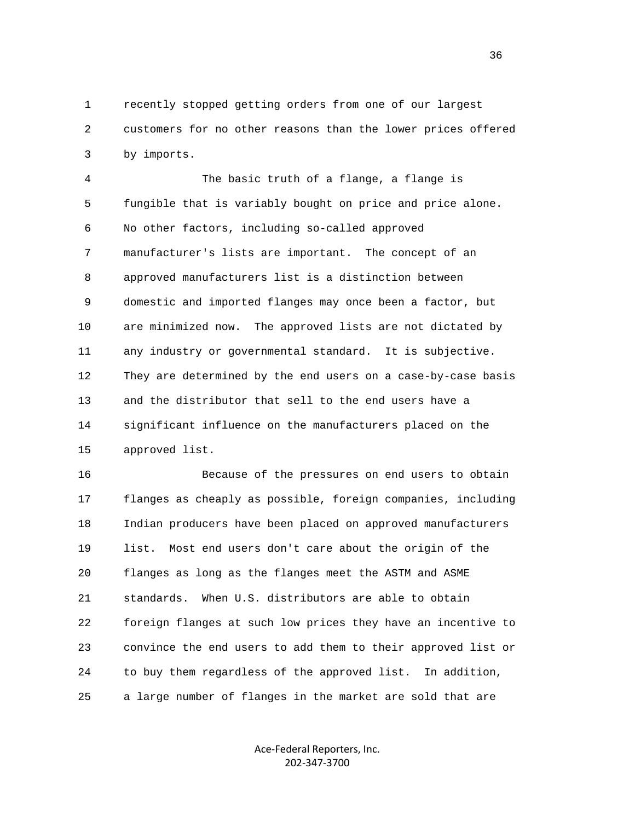1 recently stopped getting orders from one of our largest 2 customers for no other reasons than the lower prices offered 3 by imports.

 4 The basic truth of a flange, a flange is 5 fungible that is variably bought on price and price alone. 6 No other factors, including so-called approved 7 manufacturer's lists are important. The concept of an 8 approved manufacturers list is a distinction between 9 domestic and imported flanges may once been a factor, but 10 are minimized now. The approved lists are not dictated by 11 any industry or governmental standard. It is subjective. 12 They are determined by the end users on a case-by-case basis 13 and the distributor that sell to the end users have a 14 significant influence on the manufacturers placed on the 15 approved list.

 16 Because of the pressures on end users to obtain 17 flanges as cheaply as possible, foreign companies, including 18 Indian producers have been placed on approved manufacturers 19 list. Most end users don't care about the origin of the 20 flanges as long as the flanges meet the ASTM and ASME 21 standards. When U.S. distributors are able to obtain 22 foreign flanges at such low prices they have an incentive to 23 convince the end users to add them to their approved list or 24 to buy them regardless of the approved list. In addition, 25 a large number of flanges in the market are sold that are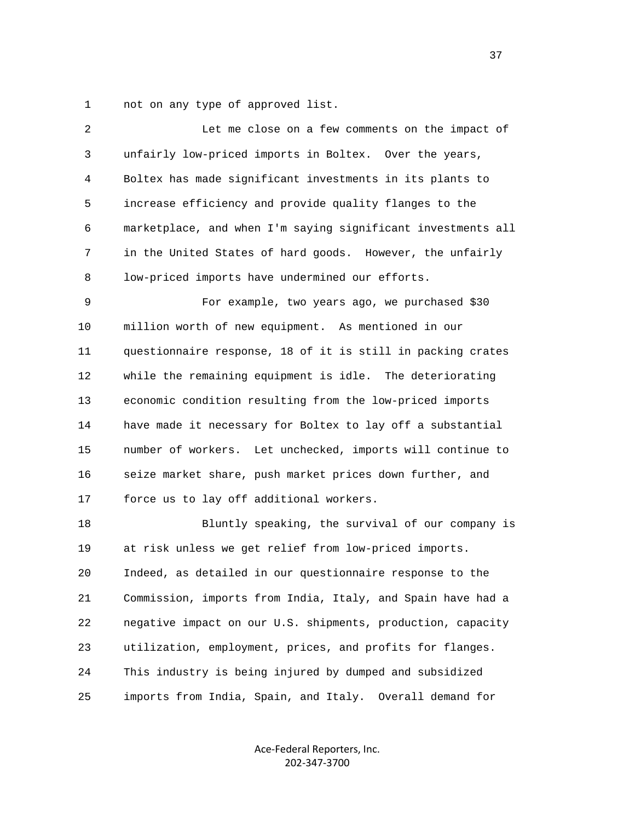1 not on any type of approved list.

| 2  | Let me close on a few comments on the impact of              |
|----|--------------------------------------------------------------|
| 3  | unfairly low-priced imports in Boltex. Over the years,       |
| 4  | Boltex has made significant investments in its plants to     |
| 5  | increase efficiency and provide quality flanges to the       |
| 6  | marketplace, and when I'm saying significant investments all |
| 7  | in the United States of hard goods. However, the unfairly    |
| 8  | low-priced imports have undermined our efforts.              |
| 9  | For example, two years ago, we purchased \$30                |
| 10 | million worth of new equipment. As mentioned in our          |
| 11 | questionnaire response, 18 of it is still in packing crates  |
| 12 | while the remaining equipment is idle. The deteriorating     |
| 13 | economic condition resulting from the low-priced imports     |
| 14 | have made it necessary for Boltex to lay off a substantial   |
| 15 | number of workers. Let unchecked, imports will continue to   |
| 16 | seize market share, push market prices down further, and     |
| 17 | force us to lay off additional workers.                      |
| 18 | Bluntly speaking, the survival of our company is             |
| 19 | at risk unless we get relief from low-priced imports.        |
| 20 | Indeed, as detailed in our questionnaire response to the     |
| 21 | Commission, imports from India, Italy, and Spain have had a  |
| 22 | negative impact on our U.S. shipments, production, capacity  |
| 23 | utilization, employment, prices, and profits for flanges.    |
| 24 | This industry is being injured by dumped and subsidized      |
| 25 | imports from India, Spain, and Italy. Overall demand for     |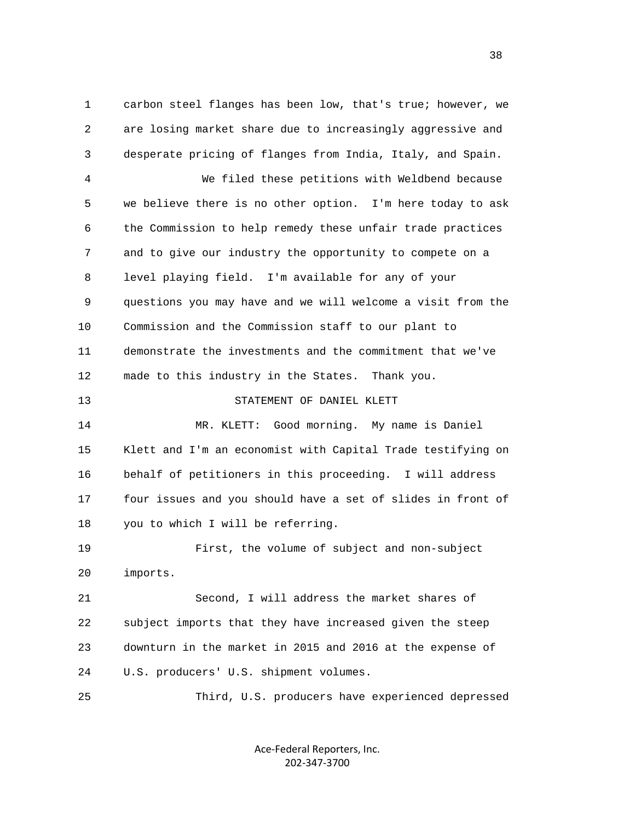1 carbon steel flanges has been low, that's true; however, we 2 are losing market share due to increasingly aggressive and 3 desperate pricing of flanges from India, Italy, and Spain. 4 We filed these petitions with Weldbend because 5 we believe there is no other option. I'm here today to ask 6 the Commission to help remedy these unfair trade practices 7 and to give our industry the opportunity to compete on a 8 level playing field. I'm available for any of your 9 questions you may have and we will welcome a visit from the 10 Commission and the Commission staff to our plant to 11 demonstrate the investments and the commitment that we've 12 made to this industry in the States. Thank you. 13 STATEMENT OF DANIEL KLETT 14 MR. KLETT: Good morning. My name is Daniel 15 Klett and I'm an economist with Capital Trade testifying on 16 behalf of petitioners in this proceeding. I will address 17 four issues and you should have a set of slides in front of 18 you to which I will be referring. 19 First, the volume of subject and non-subject 20 imports. 21 Second, I will address the market shares of 22 subject imports that they have increased given the steep 23 downturn in the market in 2015 and 2016 at the expense of 24 U.S. producers' U.S. shipment volumes.

> Ace‐Federal Reporters, Inc. 202‐347‐3700

25 Third, U.S. producers have experienced depressed

and the state of the state of the state of the state of the state of the state of the state of the state of the state of the state of the state of the state of the state of the state of the state of the state of the state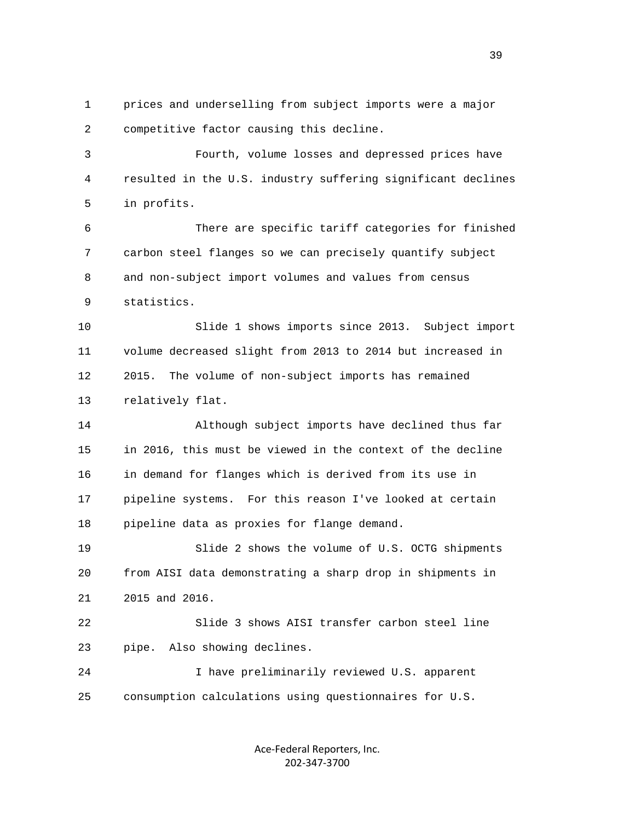1 prices and underselling from subject imports were a major 2 competitive factor causing this decline.

 3 Fourth, volume losses and depressed prices have 4 resulted in the U.S. industry suffering significant declines 5 in profits.

 6 There are specific tariff categories for finished 7 carbon steel flanges so we can precisely quantify subject 8 and non-subject import volumes and values from census 9 statistics.

 10 Slide 1 shows imports since 2013. Subject import 11 volume decreased slight from 2013 to 2014 but increased in 12 2015. The volume of non-subject imports has remained 13 relatively flat.

 14 Although subject imports have declined thus far 15 in 2016, this must be viewed in the context of the decline 16 in demand for flanges which is derived from its use in 17 pipeline systems. For this reason I've looked at certain 18 pipeline data as proxies for flange demand.

 19 Slide 2 shows the volume of U.S. OCTG shipments 20 from AISI data demonstrating a sharp drop in shipments in 21 2015 and 2016.

 22 Slide 3 shows AISI transfer carbon steel line 23 pipe. Also showing declines.

 24 I have preliminarily reviewed U.S. apparent 25 consumption calculations using questionnaires for U.S.

> Ace‐Federal Reporters, Inc. 202‐347‐3700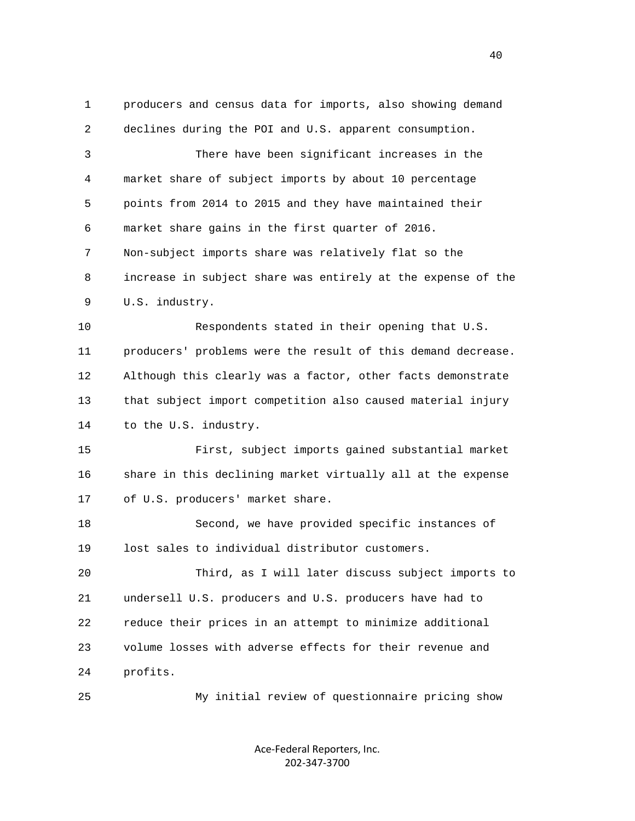1 producers and census data for imports, also showing demand 2 declines during the POI and U.S. apparent consumption. 3 There have been significant increases in the 4 market share of subject imports by about 10 percentage 5 points from 2014 to 2015 and they have maintained their 6 market share gains in the first quarter of 2016. 7 Non-subject imports share was relatively flat so the 8 increase in subject share was entirely at the expense of the 9 U.S. industry. 10 Respondents stated in their opening that U.S. 11 producers' problems were the result of this demand decrease. 12 Although this clearly was a factor, other facts demonstrate 13 that subject import competition also caused material injury 14 to the U.S. industry. 15 First, subject imports gained substantial market 16 share in this declining market virtually all at the expense 17 of U.S. producers' market share. 18 Second, we have provided specific instances of 19 lost sales to individual distributor customers. 20 Third, as I will later discuss subject imports to 21 undersell U.S. producers and U.S. producers have had to 22 reduce their prices in an attempt to minimize additional 23 volume losses with adverse effects for their revenue and 24 profits. 25 My initial review of questionnaire pricing show

> Ace‐Federal Reporters, Inc. 202‐347‐3700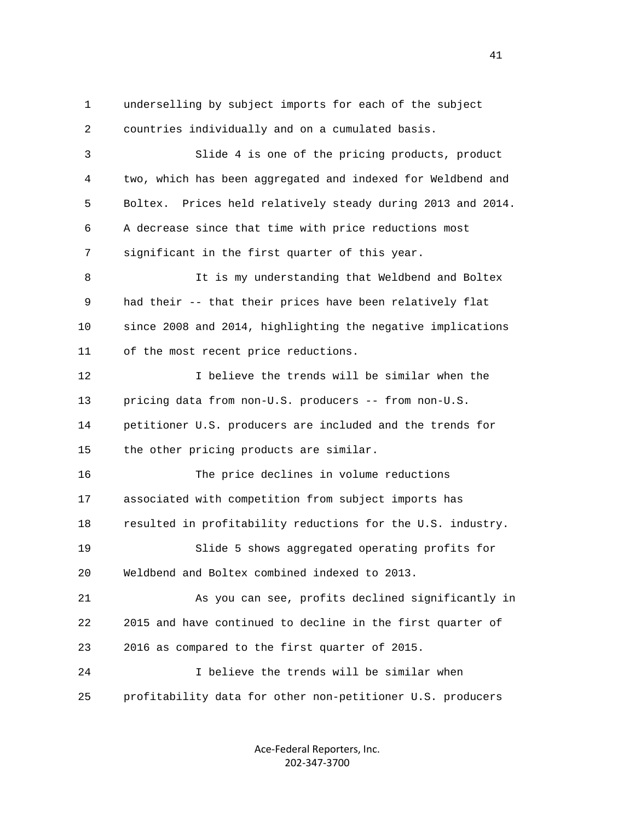1 underselling by subject imports for each of the subject 2 countries individually and on a cumulated basis. 3 Slide 4 is one of the pricing products, product 4 two, which has been aggregated and indexed for Weldbend and 5 Boltex. Prices held relatively steady during 2013 and 2014. 6 A decrease since that time with price reductions most 7 significant in the first quarter of this year. 8 It is my understanding that Weldbend and Boltex 9 had their -- that their prices have been relatively flat 10 since 2008 and 2014, highlighting the negative implications 11 of the most recent price reductions. 12 I believe the trends will be similar when the 13 pricing data from non-U.S. producers -- from non-U.S. 14 petitioner U.S. producers are included and the trends for 15 the other pricing products are similar. 16 The price declines in volume reductions 17 associated with competition from subject imports has 18 resulted in profitability reductions for the U.S. industry. 19 Slide 5 shows aggregated operating profits for 20 Weldbend and Boltex combined indexed to 2013. 21 As you can see, profits declined significantly in 22 2015 and have continued to decline in the first quarter of 23 2016 as compared to the first quarter of 2015. 24 I believe the trends will be similar when 25 profitability data for other non-petitioner U.S. producers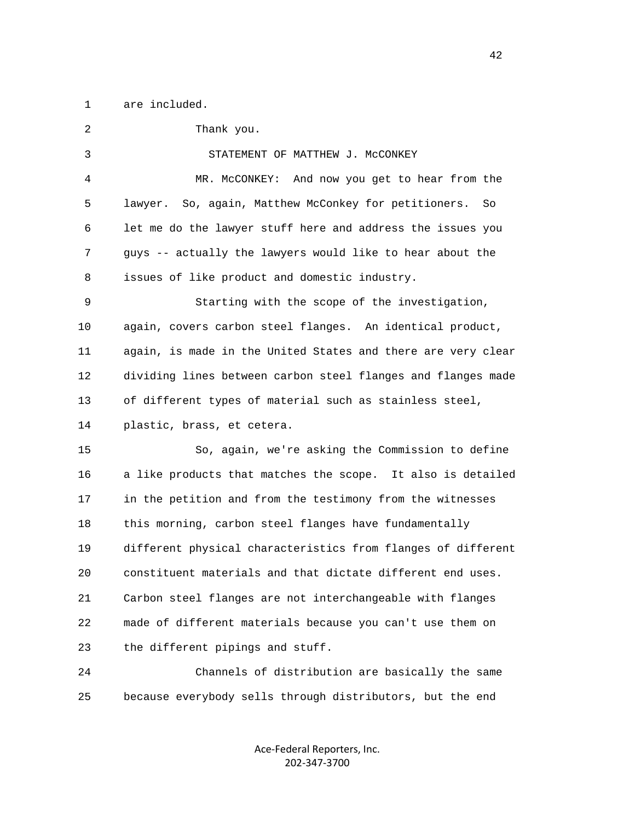1 are included.

 2 Thank you. 3 STATEMENT OF MATTHEW J. McCONKEY 4 MR. McCONKEY: And now you get to hear from the 5 lawyer. So, again, Matthew McConkey for petitioners. So 6 let me do the lawyer stuff here and address the issues you 7 guys -- actually the lawyers would like to hear about the 8 issues of like product and domestic industry. 9 Starting with the scope of the investigation, 10 again, covers carbon steel flanges. An identical product, 11 again, is made in the United States and there are very clear 12 dividing lines between carbon steel flanges and flanges made 13 of different types of material such as stainless steel, 14 plastic, brass, et cetera. 15 So, again, we're asking the Commission to define 16 a like products that matches the scope. It also is detailed 17 in the petition and from the testimony from the witnesses 18 this morning, carbon steel flanges have fundamentally 19 different physical characteristics from flanges of different 20 constituent materials and that dictate different end uses. 21 Carbon steel flanges are not interchangeable with flanges 22 made of different materials because you can't use them on 23 the different pipings and stuff. 24 Channels of distribution are basically the same

25 because everybody sells through distributors, but the end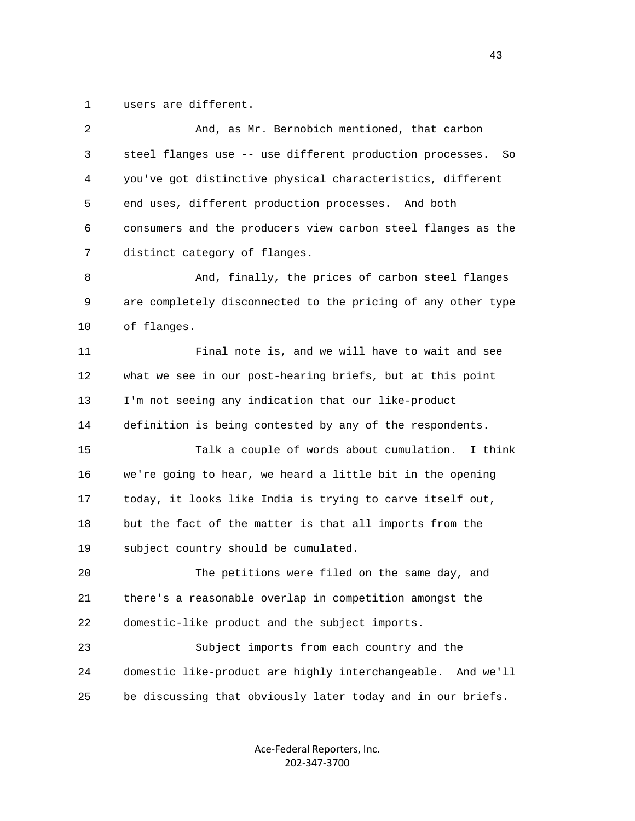1 users are different.

| $\overline{2}$ | And, as Mr. Bernobich mentioned, that carbon                   |
|----------------|----------------------------------------------------------------|
| 3              | steel flanges use -- use different production processes.<br>So |
| 4              | you've got distinctive physical characteristics, different     |
| 5              | end uses, different production processes. And both             |
| 6              | consumers and the producers view carbon steel flanges as the   |
| 7              | distinct category of flanges.                                  |
| 8              | And, finally, the prices of carbon steel flanges               |
| 9              | are completely disconnected to the pricing of any other type   |
| 10             | of flanges.                                                    |
| 11             | Final note is, and we will have to wait and see                |
| 12             | what we see in our post-hearing briefs, but at this point      |
| 13             | I'm not seeing any indication that our like-product            |
| 14             | definition is being contested by any of the respondents.       |
| 15             | Talk a couple of words about cumulation.<br>I think            |
| 16             | we're going to hear, we heard a little bit in the opening      |
| 17             | today, it looks like India is trying to carve itself out,      |
| 18             | but the fact of the matter is that all imports from the        |
| 19             | subject country should be cumulated.                           |
| 20             | The petitions were filed on the same day, and                  |
| 21             | there's a reasonable overlap in competition amongst the        |
| 22             | domestic-like product and the subject imports.                 |
| 23             | Subject imports from each country and the                      |
| 24             | domestic like-product are highly interchangeable.<br>And we'll |
| 25             | be discussing that obviously later today and in our briefs.    |
|                |                                                                |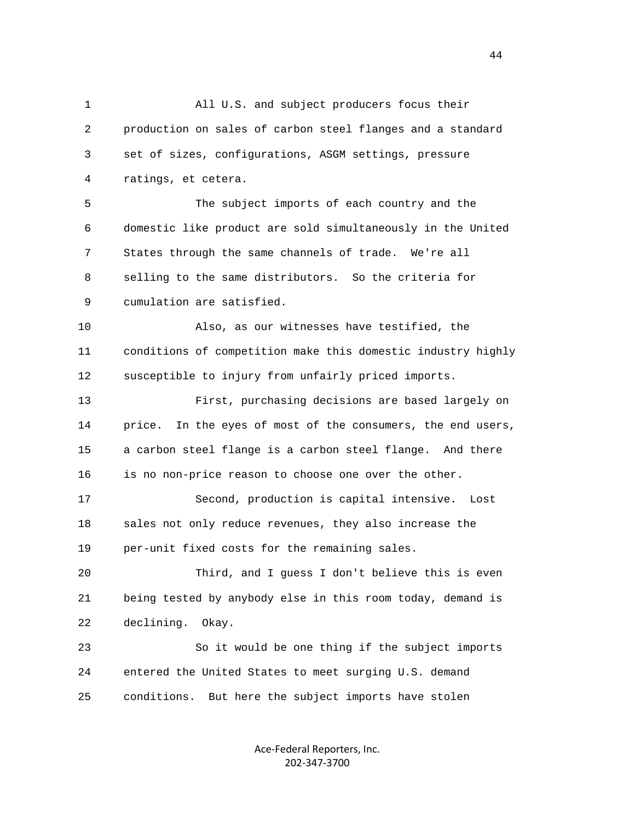1 All U.S. and subject producers focus their 2 production on sales of carbon steel flanges and a standard 3 set of sizes, configurations, ASGM settings, pressure 4 ratings, et cetera. 5 The subject imports of each country and the 6 domestic like product are sold simultaneously in the United 7 States through the same channels of trade. We're all 8 selling to the same distributors. So the criteria for 9 cumulation are satisfied. 10 Also, as our witnesses have testified, the 11 conditions of competition make this domestic industry highly 12 susceptible to injury from unfairly priced imports. 13 First, purchasing decisions are based largely on 14 price. In the eyes of most of the consumers, the end users, 15 a carbon steel flange is a carbon steel flange. And there 16 is no non-price reason to choose one over the other. 17 Second, production is capital intensive. Lost 18 sales not only reduce revenues, they also increase the 19 per-unit fixed costs for the remaining sales. 20 Third, and I guess I don't believe this is even 21 being tested by anybody else in this room today, demand is 22 declining. Okay. 23 So it would be one thing if the subject imports 24 entered the United States to meet surging U.S. demand 25 conditions. But here the subject imports have stolen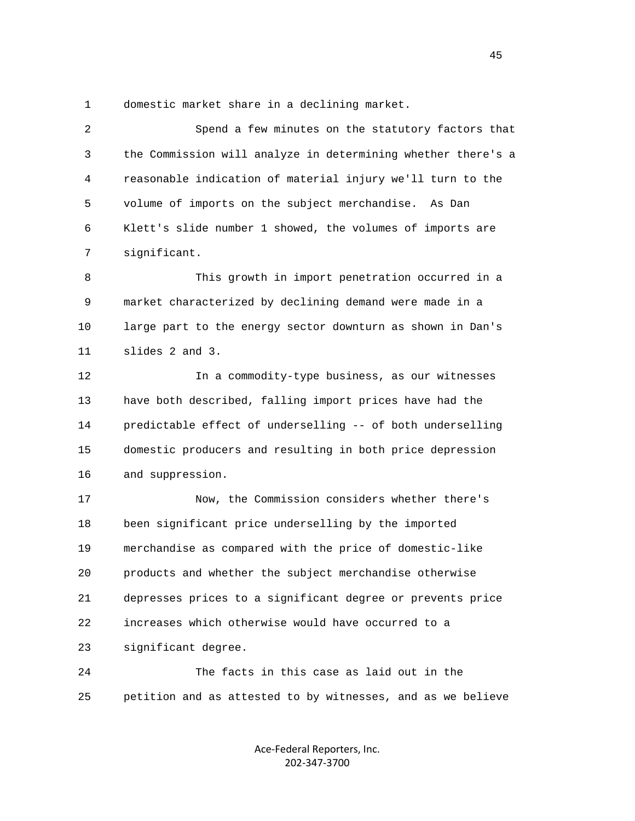1 domestic market share in a declining market.

| $\overline{2}$ | Spend a few minutes on the statutory factors that            |
|----------------|--------------------------------------------------------------|
| 3              | the Commission will analyze in determining whether there's a |
| 4              | reasonable indication of material injury we'll turn to the   |
| 5              | volume of imports on the subject merchandise.<br>As Dan      |
| 6              | Klett's slide number 1 showed, the volumes of imports are    |
| 7              | significant.                                                 |
| 8              | This growth in import penetration occurred in a              |
| 9              | market characterized by declining demand were made in a      |
| 10             | large part to the energy sector downturn as shown in Dan's   |
| 11             | slides 2 and 3.                                              |
| 12             | In a commodity-type business, as our witnesses               |
| 13             | have both described, falling import prices have had the      |
| 14             | predictable effect of underselling -- of both underselling   |
| 15             | domestic producers and resulting in both price depression    |
| 16             | and suppression.                                             |
| 17             | Now, the Commission considers whether there's                |
| 18             | been significant price underselling by the imported          |
| 19             | merchandise as compared with the price of domestic-like      |
| 20             | products and whether the subject merchandise otherwise       |
| 21             | depresses prices to a significant degree or prevents price   |
| 22             | increases which otherwise would have occurred to a           |
| 23             | significant degree.                                          |
| 24             | The facts in this case as laid out in the                    |
| 25             | petition and as attested to by witnesses, and as we believe  |

Ace‐Federal Reporters, Inc. 202‐347‐3700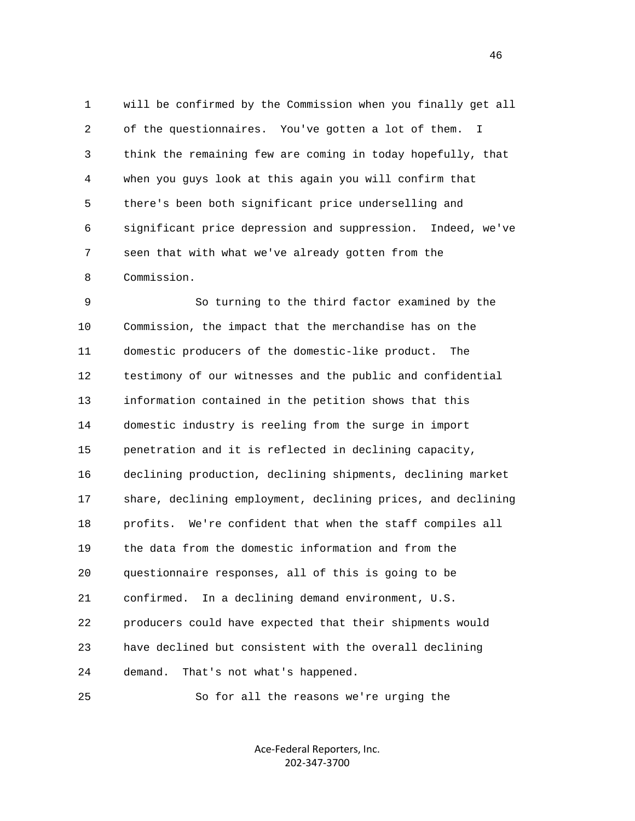1 will be confirmed by the Commission when you finally get all 2 of the questionnaires. You've gotten a lot of them. I 3 think the remaining few are coming in today hopefully, that 4 when you guys look at this again you will confirm that 5 there's been both significant price underselling and 6 significant price depression and suppression. Indeed, we've 7 seen that with what we've already gotten from the 8 Commission.

 9 So turning to the third factor examined by the 10 Commission, the impact that the merchandise has on the 11 domestic producers of the domestic-like product. The 12 testimony of our witnesses and the public and confidential 13 information contained in the petition shows that this 14 domestic industry is reeling from the surge in import 15 penetration and it is reflected in declining capacity, 16 declining production, declining shipments, declining market 17 share, declining employment, declining prices, and declining 18 profits. We're confident that when the staff compiles all 19 the data from the domestic information and from the 20 questionnaire responses, all of this is going to be 21 confirmed. In a declining demand environment, U.S. 22 producers could have expected that their shipments would 23 have declined but consistent with the overall declining 24 demand. That's not what's happened.

25 So for all the reasons we're urging the

Ace‐Federal Reporters, Inc. 202‐347‐3700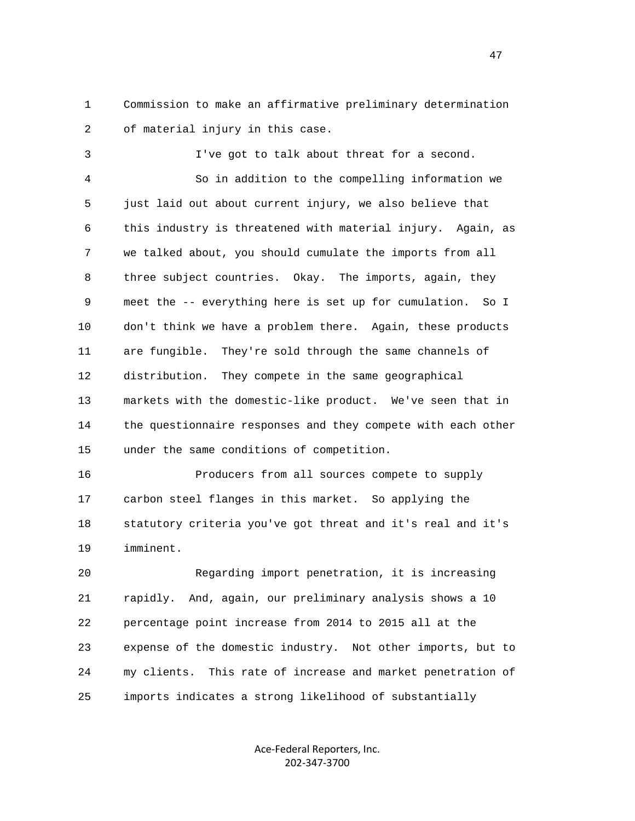1 Commission to make an affirmative preliminary determination 2 of material injury in this case.

 3 I've got to talk about threat for a second. 4 So in addition to the compelling information we 5 just laid out about current injury, we also believe that 6 this industry is threatened with material injury. Again, as 7 we talked about, you should cumulate the imports from all 8 three subject countries. Okay. The imports, again, they 9 meet the -- everything here is set up for cumulation. So I 10 don't think we have a problem there. Again, these products 11 are fungible. They're sold through the same channels of 12 distribution. They compete in the same geographical 13 markets with the domestic-like product. We've seen that in 14 the questionnaire responses and they compete with each other 15 under the same conditions of competition.

 16 Producers from all sources compete to supply 17 carbon steel flanges in this market. So applying the 18 statutory criteria you've got threat and it's real and it's 19 imminent.

 20 Regarding import penetration, it is increasing 21 rapidly. And, again, our preliminary analysis shows a 10 22 percentage point increase from 2014 to 2015 all at the 23 expense of the domestic industry. Not other imports, but to 24 my clients. This rate of increase and market penetration of 25 imports indicates a strong likelihood of substantially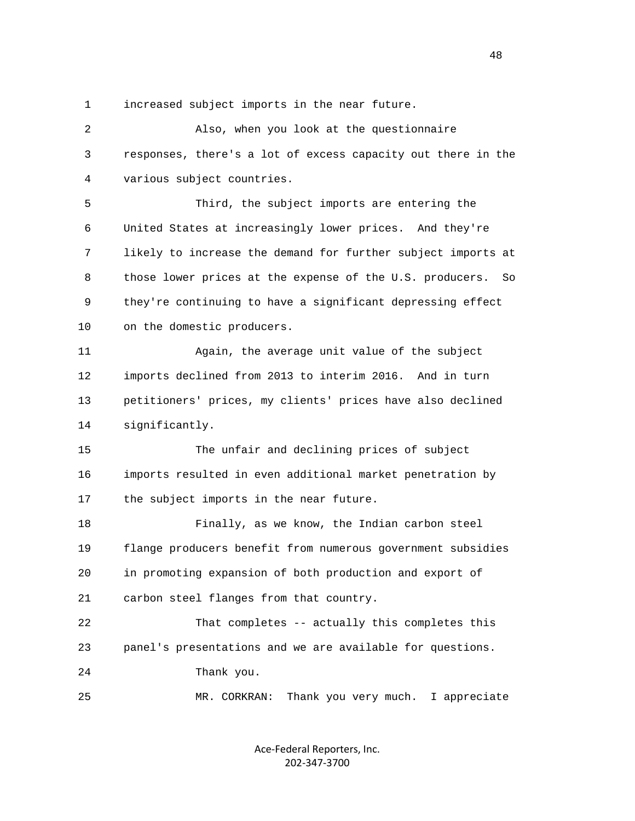1 increased subject imports in the near future.

 2 Also, when you look at the questionnaire 3 responses, there's a lot of excess capacity out there in the 4 various subject countries. 5 Third, the subject imports are entering the 6 United States at increasingly lower prices. And they're 7 likely to increase the demand for further subject imports at 8 those lower prices at the expense of the U.S. producers. So 9 they're continuing to have a significant depressing effect 10 on the domestic producers. 11 Again, the average unit value of the subject 12 imports declined from 2013 to interim 2016. And in turn 13 petitioners' prices, my clients' prices have also declined 14 significantly. 15 The unfair and declining prices of subject 16 imports resulted in even additional market penetration by 17 the subject imports in the near future. 18 Finally, as we know, the Indian carbon steel 19 flange producers benefit from numerous government subsidies 20 in promoting expansion of both production and export of 21 carbon steel flanges from that country. 22 That completes -- actually this completes this 23 panel's presentations and we are available for questions. 24 Thank you. 25 MR. CORKRAN: Thank you very much. I appreciate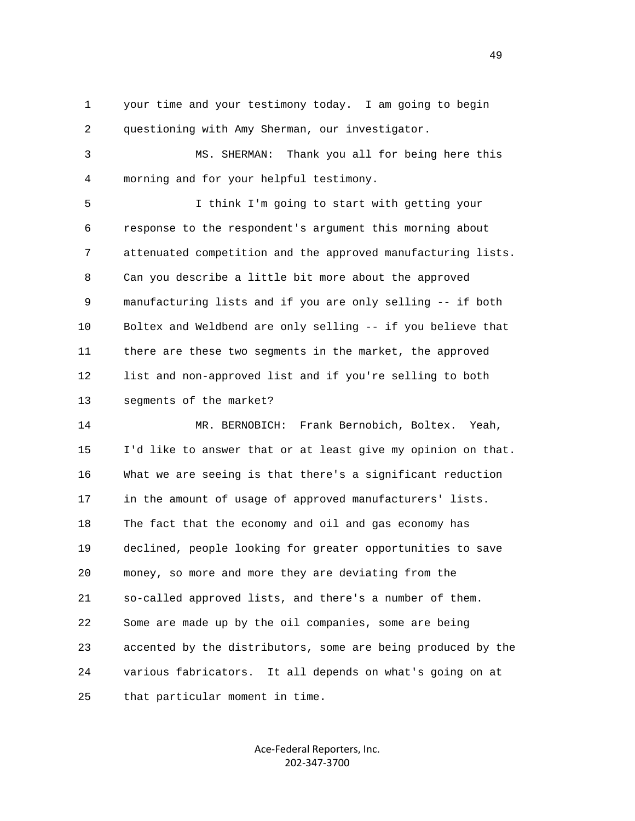1 your time and your testimony today. I am going to begin 2 questioning with Amy Sherman, our investigator.

 3 MS. SHERMAN: Thank you all for being here this 4 morning and for your helpful testimony.

 5 I think I'm going to start with getting your 6 response to the respondent's argument this morning about 7 attenuated competition and the approved manufacturing lists. 8 Can you describe a little bit more about the approved 9 manufacturing lists and if you are only selling -- if both 10 Boltex and Weldbend are only selling -- if you believe that 11 there are these two segments in the market, the approved 12 list and non-approved list and if you're selling to both 13 segments of the market?

 14 MR. BERNOBICH: Frank Bernobich, Boltex. Yeah, 15 I'd like to answer that or at least give my opinion on that. 16 What we are seeing is that there's a significant reduction 17 in the amount of usage of approved manufacturers' lists. 18 The fact that the economy and oil and gas economy has 19 declined, people looking for greater opportunities to save 20 money, so more and more they are deviating from the 21 so-called approved lists, and there's a number of them. 22 Some are made up by the oil companies, some are being 23 accented by the distributors, some are being produced by the 24 various fabricators. It all depends on what's going on at 25 that particular moment in time.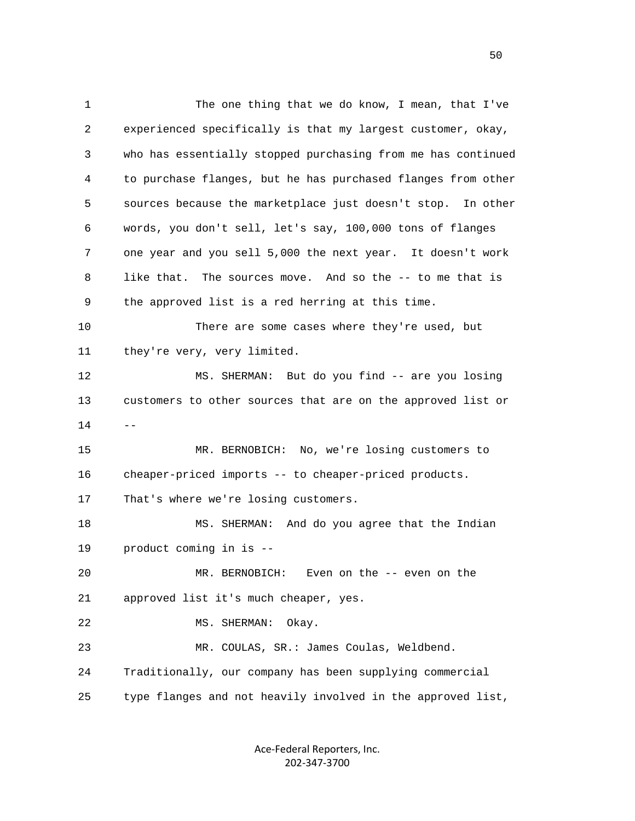1 The one thing that we do know, I mean, that I've 2 experienced specifically is that my largest customer, okay, 3 who has essentially stopped purchasing from me has continued 4 to purchase flanges, but he has purchased flanges from other 5 sources because the marketplace just doesn't stop. In other 6 words, you don't sell, let's say, 100,000 tons of flanges 7 one year and you sell 5,000 the next year. It doesn't work 8 like that. The sources move. And so the -- to me that is 9 the approved list is a red herring at this time. 10 There are some cases where they're used, but 11 they're very, very limited. 12 MS. SHERMAN: But do you find -- are you losing 13 customers to other sources that are on the approved list or  $14$  -- 15 MR. BERNOBICH: No, we're losing customers to 16 cheaper-priced imports -- to cheaper-priced products. 17 That's where we're losing customers. 18 MS. SHERMAN: And do you agree that the Indian 19 product coming in is -- 20 MR. BERNOBICH: Even on the -- even on the 21 approved list it's much cheaper, yes. 22 MS. SHERMAN: Okay. 23 MR. COULAS, SR.: James Coulas, Weldbend. 24 Traditionally, our company has been supplying commercial 25 type flanges and not heavily involved in the approved list,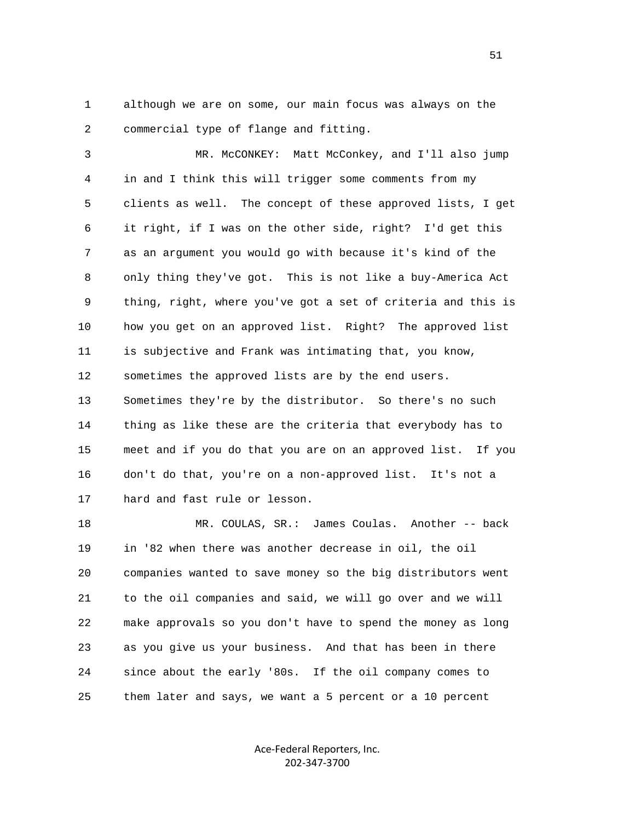1 although we are on some, our main focus was always on the 2 commercial type of flange and fitting.

 3 MR. McCONKEY: Matt McConkey, and I'll also jump 4 in and I think this will trigger some comments from my 5 clients as well. The concept of these approved lists, I get 6 it right, if I was on the other side, right? I'd get this 7 as an argument you would go with because it's kind of the 8 only thing they've got. This is not like a buy-America Act 9 thing, right, where you've got a set of criteria and this is 10 how you get on an approved list. Right? The approved list 11 is subjective and Frank was intimating that, you know, 12 sometimes the approved lists are by the end users. 13 Sometimes they're by the distributor. So there's no such 14 thing as like these are the criteria that everybody has to 15 meet and if you do that you are on an approved list. If you 16 don't do that, you're on a non-approved list. It's not a 17 hard and fast rule or lesson.

 18 MR. COULAS, SR.: James Coulas. Another -- back 19 in '82 when there was another decrease in oil, the oil 20 companies wanted to save money so the big distributors went 21 to the oil companies and said, we will go over and we will 22 make approvals so you don't have to spend the money as long 23 as you give us your business. And that has been in there 24 since about the early '80s. If the oil company comes to 25 them later and says, we want a 5 percent or a 10 percent

> Ace‐Federal Reporters, Inc. 202‐347‐3700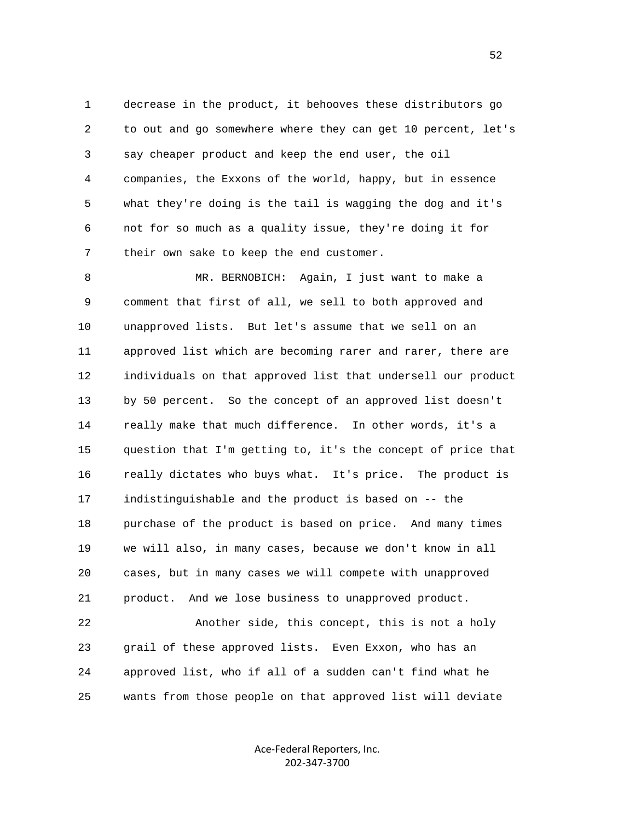1 decrease in the product, it behooves these distributors go 2 to out and go somewhere where they can get 10 percent, let's 3 say cheaper product and keep the end user, the oil 4 companies, the Exxons of the world, happy, but in essence 5 what they're doing is the tail is wagging the dog and it's 6 not for so much as a quality issue, they're doing it for 7 their own sake to keep the end customer.

 8 MR. BERNOBICH: Again, I just want to make a 9 comment that first of all, we sell to both approved and 10 unapproved lists. But let's assume that we sell on an 11 approved list which are becoming rarer and rarer, there are 12 individuals on that approved list that undersell our product 13 by 50 percent. So the concept of an approved list doesn't 14 really make that much difference. In other words, it's a 15 question that I'm getting to, it's the concept of price that 16 really dictates who buys what. It's price. The product is 17 indistinguishable and the product is based on -- the 18 purchase of the product is based on price. And many times 19 we will also, in many cases, because we don't know in all 20 cases, but in many cases we will compete with unapproved 21 product. And we lose business to unapproved product.

 22 Another side, this concept, this is not a holy 23 grail of these approved lists. Even Exxon, who has an 24 approved list, who if all of a sudden can't find what he 25 wants from those people on that approved list will deviate

> Ace‐Federal Reporters, Inc. 202‐347‐3700

 $\sim$  52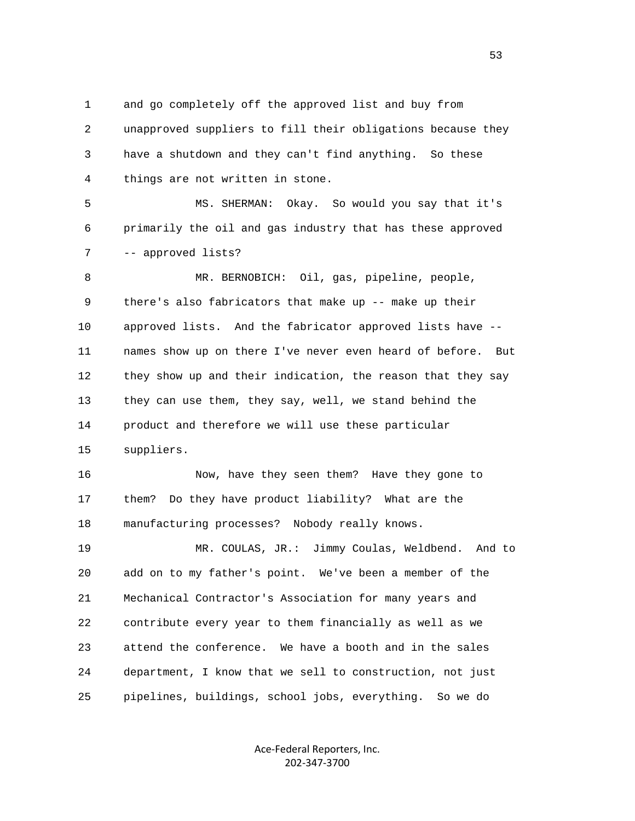1 and go completely off the approved list and buy from 2 unapproved suppliers to fill their obligations because they 3 have a shutdown and they can't find anything. So these 4 things are not written in stone.

 5 MS. SHERMAN: Okay. So would you say that it's 6 primarily the oil and gas industry that has these approved 7 -- approved lists?

 8 MR. BERNOBICH: Oil, gas, pipeline, people, 9 there's also fabricators that make up -- make up their 10 approved lists. And the fabricator approved lists have -- 11 names show up on there I've never even heard of before. But 12 they show up and their indication, the reason that they say 13 they can use them, they say, well, we stand behind the 14 product and therefore we will use these particular 15 suppliers.

 16 Now, have they seen them? Have they gone to 17 them? Do they have product liability? What are the 18 manufacturing processes? Nobody really knows.

 19 MR. COULAS, JR.: Jimmy Coulas, Weldbend. And to 20 add on to my father's point. We've been a member of the 21 Mechanical Contractor's Association for many years and 22 contribute every year to them financially as well as we 23 attend the conference. We have a booth and in the sales 24 department, I know that we sell to construction, not just 25 pipelines, buildings, school jobs, everything. So we do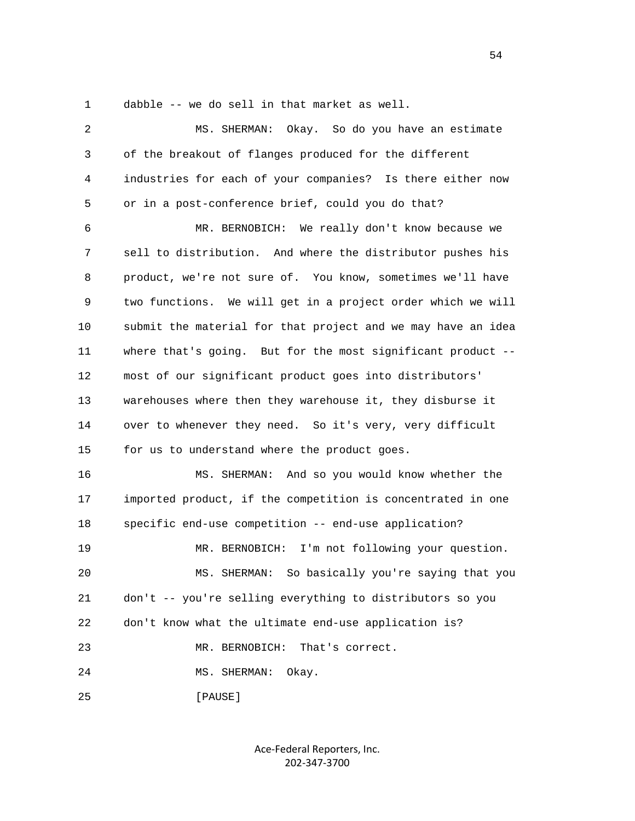1 dabble -- we do sell in that market as well.

| $\overline{2}$ | Okay. So do you have an estimate<br>MS. SHERMAN:             |
|----------------|--------------------------------------------------------------|
| 3              | of the breakout of flanges produced for the different        |
| 4              | industries for each of your companies? Is there either now   |
| 5              | or in a post-conference brief, could you do that?            |
| 6              | MR. BERNOBICH: We really don't know because we               |
| 7              | sell to distribution. And where the distributor pushes his   |
| 8              | product, we're not sure of. You know, sometimes we'll have   |
| 9              | two functions. We will get in a project order which we will  |
| 10             | submit the material for that project and we may have an idea |
| 11             | where that's going. But for the most significant product --  |
| 12             | most of our significant product goes into distributors'      |
| 13             | warehouses where then they warehouse it, they disburse it    |
| 14             | over to whenever they need. So it's very, very difficult     |
| 15             | for us to understand where the product goes.                 |
| 16             | MS. SHERMAN: And so you would know whether the               |
| 17             | imported product, if the competition is concentrated in one  |
| 18             | specific end-use competition -- end-use application?         |
| 19             | MR. BERNOBICH: I'm not following your question.              |
| 20             | So basically you're saying that you<br>MS. SHERMAN:          |
| 21             | don't -- you're selling everything to distributors so you    |
| 22             | don't know what the ultimate end-use application is?         |
| 23             | That's correct.<br>MR. BERNOBICH:                            |
| 24             | MS. SHERMAN:<br>Okay.                                        |
| 25             | [PAUSE]                                                      |

Ace‐Federal Reporters, Inc. 202‐347‐3700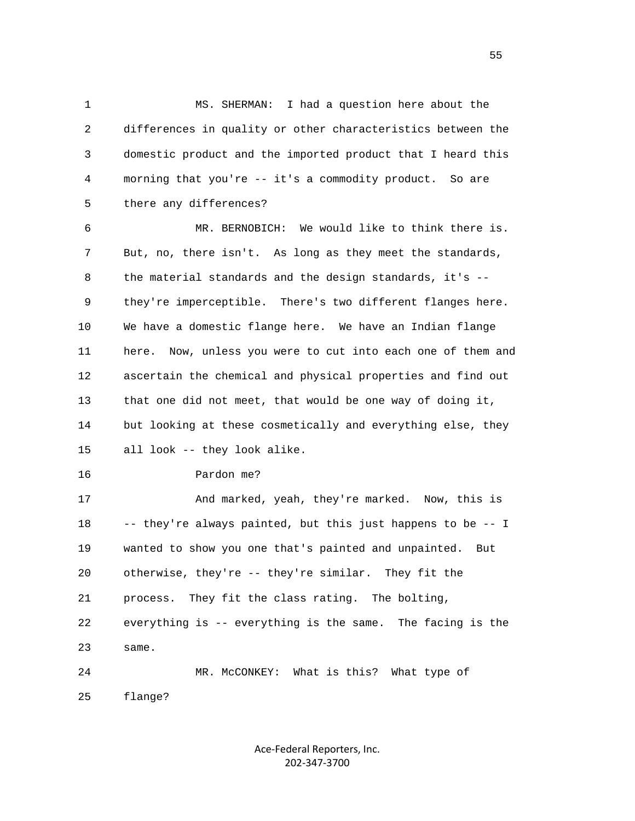1 MS. SHERMAN: I had a question here about the 2 differences in quality or other characteristics between the 3 domestic product and the imported product that I heard this 4 morning that you're -- it's a commodity product. So are 5 there any differences?

 6 MR. BERNOBICH: We would like to think there is. 7 But, no, there isn't. As long as they meet the standards, 8 the material standards and the design standards, it's -- 9 they're imperceptible. There's two different flanges here. 10 We have a domestic flange here. We have an Indian flange 11 here. Now, unless you were to cut into each one of them and 12 ascertain the chemical and physical properties and find out 13 that one did not meet, that would be one way of doing it, 14 but looking at these cosmetically and everything else, they 15 all look -- they look alike.

16 Pardon me?

 17 And marked, yeah, they're marked. Now, this is 18 -- they're always painted, but this just happens to be -- I 19 wanted to show you one that's painted and unpainted. But 20 otherwise, they're -- they're similar. They fit the 21 process. They fit the class rating. The bolting, 22 everything is -- everything is the same. The facing is the 23 same. 24 MR. McCONKEY: What is this? What type of

25 flange?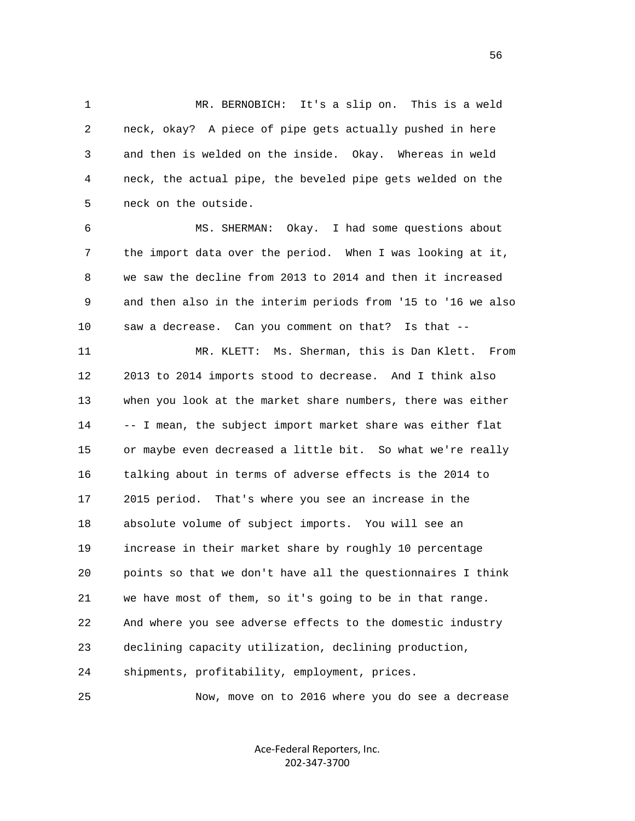1 MR. BERNOBICH: It's a slip on. This is a weld 2 neck, okay? A piece of pipe gets actually pushed in here 3 and then is welded on the inside. Okay. Whereas in weld 4 neck, the actual pipe, the beveled pipe gets welded on the 5 neck on the outside.

 6 MS. SHERMAN: Okay. I had some questions about 7 the import data over the period. When I was looking at it, 8 we saw the decline from 2013 to 2014 and then it increased 9 and then also in the interim periods from '15 to '16 we also 10 saw a decrease. Can you comment on that? Is that --

 11 MR. KLETT: Ms. Sherman, this is Dan Klett. From 12 2013 to 2014 imports stood to decrease. And I think also 13 when you look at the market share numbers, there was either 14 -- I mean, the subject import market share was either flat 15 or maybe even decreased a little bit. So what we're really 16 talking about in terms of adverse effects is the 2014 to 17 2015 period. That's where you see an increase in the 18 absolute volume of subject imports. You will see an 19 increase in their market share by roughly 10 percentage 20 points so that we don't have all the questionnaires I think 21 we have most of them, so it's going to be in that range. 22 And where you see adverse effects to the domestic industry 23 declining capacity utilization, declining production, 24 shipments, profitability, employment, prices.

25 Now, move on to 2016 where you do see a decrease

Ace‐Federal Reporters, Inc. 202‐347‐3700

 $\sim$  56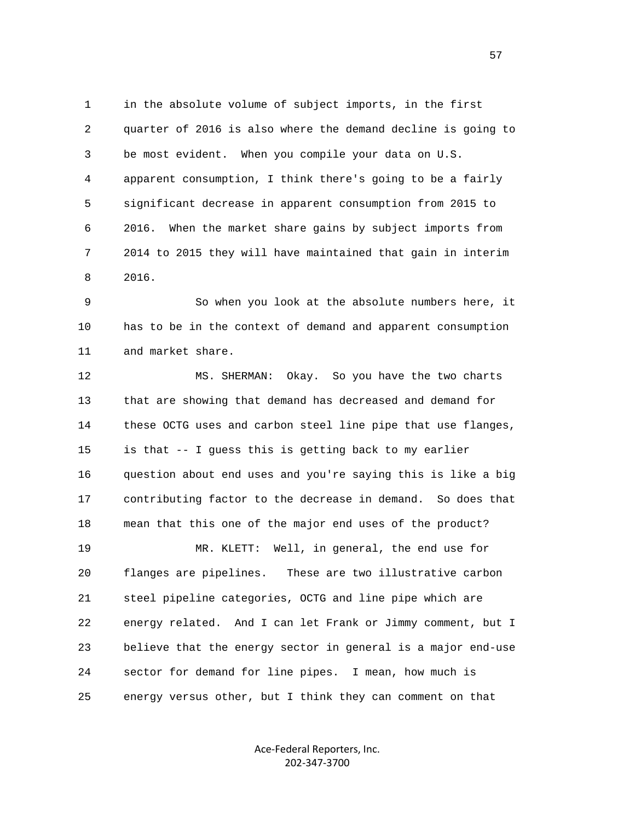1 in the absolute volume of subject imports, in the first 2 quarter of 2016 is also where the demand decline is going to 3 be most evident. When you compile your data on U.S. 4 apparent consumption, I think there's going to be a fairly 5 significant decrease in apparent consumption from 2015 to 6 2016. When the market share gains by subject imports from 7 2014 to 2015 they will have maintained that gain in interim 8 2016.

 9 So when you look at the absolute numbers here, it 10 has to be in the context of demand and apparent consumption 11 and market share.

 12 MS. SHERMAN: Okay. So you have the two charts 13 that are showing that demand has decreased and demand for 14 these OCTG uses and carbon steel line pipe that use flanges, 15 is that -- I guess this is getting back to my earlier 16 question about end uses and you're saying this is like a big 17 contributing factor to the decrease in demand. So does that 18 mean that this one of the major end uses of the product? 19 MR. KLETT: Well, in general, the end use for 20 flanges are pipelines. These are two illustrative carbon 21 steel pipeline categories, OCTG and line pipe which are 22 energy related. And I can let Frank or Jimmy comment, but I 23 believe that the energy sector in general is a major end-use 24 sector for demand for line pipes. I mean, how much is 25 energy versus other, but I think they can comment on that

> Ace‐Federal Reporters, Inc. 202‐347‐3700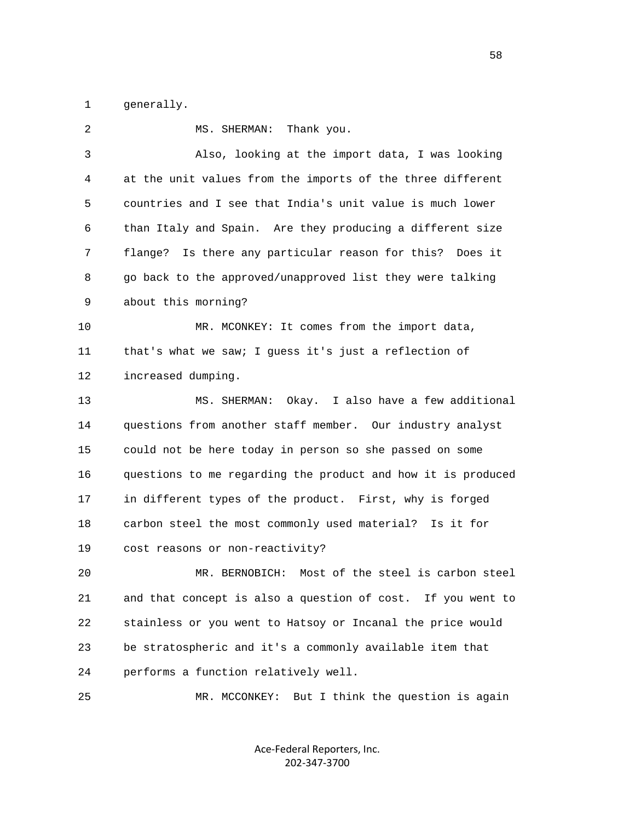1 generally.

| 2  | MS. SHERMAN:<br>Thank you.                                   |
|----|--------------------------------------------------------------|
| 3  | Also, looking at the import data, I was looking              |
| 4  | at the unit values from the imports of the three different   |
| 5  | countries and I see that India's unit value is much lower    |
| 6  | than Italy and Spain. Are they producing a different size    |
| 7  | flange? Is there any particular reason for this? Does it     |
| 8  | go back to the approved/unapproved list they were talking    |
| 9  | about this morning?                                          |
| 10 | MR. MCONKEY: It comes from the import data,                  |
| 11 | that's what we saw; I guess it's just a reflection of        |
| 12 | increased dumping.                                           |
| 13 | MS. SHERMAN: Okay. I also have a few additional              |
| 14 | questions from another staff member. Our industry analyst    |
| 15 | could not be here today in person so she passed on some      |
| 16 | questions to me regarding the product and how it is produced |
| 17 | in different types of the product. First, why is forged      |
| 18 | carbon steel the most commonly used material? Is it for      |
| 19 | cost reasons or non-reactivity?                              |
| 20 | Most of the steel is carbon steel<br>MR. BERNOBICH:          |
| 21 | and that concept is also a question of cost. If you went to  |
| 22 | stainless or you went to Hatsoy or Incanal the price would   |
| 23 | be stratospheric and it's a commonly available item that     |
| 24 | performs a function relatively well.                         |
| 25 | But I think the question is again<br>MR. MCCONKEY:           |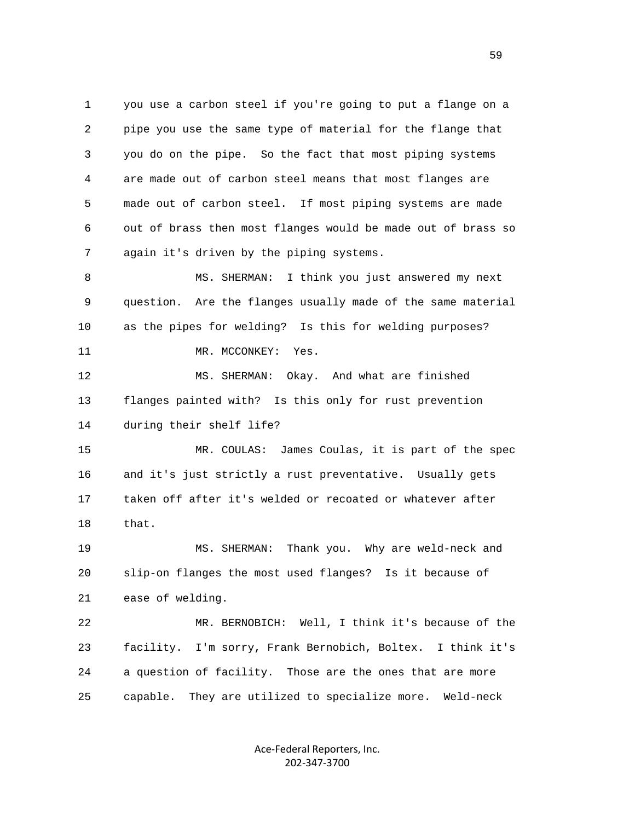1 you use a carbon steel if you're going to put a flange on a 2 pipe you use the same type of material for the flange that 3 you do on the pipe. So the fact that most piping systems 4 are made out of carbon steel means that most flanges are 5 made out of carbon steel. If most piping systems are made 6 out of brass then most flanges would be made out of brass so 7 again it's driven by the piping systems. 8 MS. SHERMAN: I think you just answered my next 9 question. Are the flanges usually made of the same material 10 as the pipes for welding? Is this for welding purposes? 11 MR. MCCONKEY: Yes.

 12 MS. SHERMAN: Okay. And what are finished 13 flanges painted with? Is this only for rust prevention 14 during their shelf life?

 15 MR. COULAS: James Coulas, it is part of the spec 16 and it's just strictly a rust preventative. Usually gets 17 taken off after it's welded or recoated or whatever after 18 that.

 19 MS. SHERMAN: Thank you. Why are weld-neck and 20 slip-on flanges the most used flanges? Is it because of 21 ease of welding.

 22 MR. BERNOBICH: Well, I think it's because of the 23 facility. I'm sorry, Frank Bernobich, Boltex. I think it's 24 a question of facility. Those are the ones that are more 25 capable. They are utilized to specialize more. Weld-neck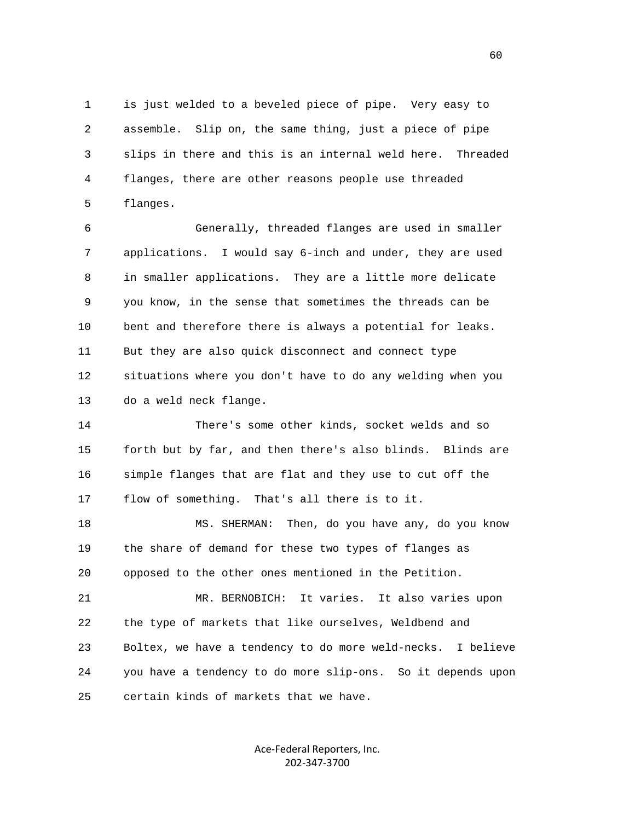1 is just welded to a beveled piece of pipe. Very easy to 2 assemble. Slip on, the same thing, just a piece of pipe 3 slips in there and this is an internal weld here. Threaded 4 flanges, there are other reasons people use threaded 5 flanges.

 6 Generally, threaded flanges are used in smaller 7 applications. I would say 6-inch and under, they are used 8 in smaller applications. They are a little more delicate 9 you know, in the sense that sometimes the threads can be 10 bent and therefore there is always a potential for leaks. 11 But they are also quick disconnect and connect type 12 situations where you don't have to do any welding when you 13 do a weld neck flange.

 14 There's some other kinds, socket welds and so 15 forth but by far, and then there's also blinds. Blinds are 16 simple flanges that are flat and they use to cut off the 17 flow of something. That's all there is to it.

 18 MS. SHERMAN: Then, do you have any, do you know 19 the share of demand for these two types of flanges as 20 opposed to the other ones mentioned in the Petition.

 21 MR. BERNOBICH: It varies. It also varies upon 22 the type of markets that like ourselves, Weldbend and 23 Boltex, we have a tendency to do more weld-necks. I believe 24 you have a tendency to do more slip-ons. So it depends upon 25 certain kinds of markets that we have.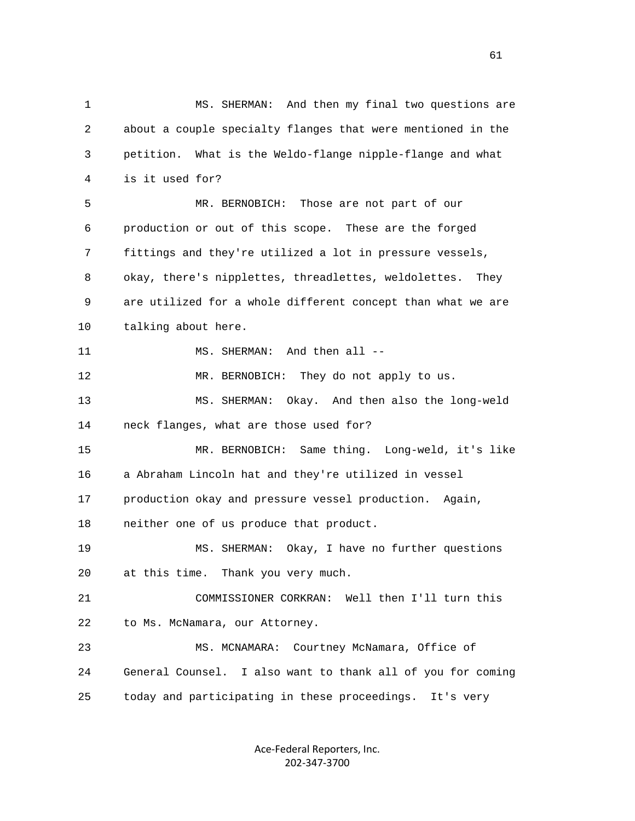1 MS. SHERMAN: And then my final two questions are 2 about a couple specialty flanges that were mentioned in the 3 petition. What is the Weldo-flange nipple-flange and what 4 is it used for? 5 MR. BERNOBICH: Those are not part of our 6 production or out of this scope. These are the forged 7 fittings and they're utilized a lot in pressure vessels, 8 okay, there's nipplettes, threadlettes, weldolettes. They 9 are utilized for a whole different concept than what we are 10 talking about here. 11 MS. SHERMAN: And then all -- 12 MR. BERNOBICH: They do not apply to us. 13 MS. SHERMAN: Okay. And then also the long-weld 14 neck flanges, what are those used for? 15 MR. BERNOBICH: Same thing. Long-weld, it's like 16 a Abraham Lincoln hat and they're utilized in vessel 17 production okay and pressure vessel production. Again, 18 neither one of us produce that product. 19 MS. SHERMAN: Okay, I have no further questions 20 at this time. Thank you very much. 21 COMMISSIONER CORKRAN: Well then I'll turn this 22 to Ms. McNamara, our Attorney. 23 MS. MCNAMARA: Courtney McNamara, Office of 24 General Counsel. I also want to thank all of you for coming 25 today and participating in these proceedings. It's very

> Ace‐Federal Reporters, Inc. 202‐347‐3700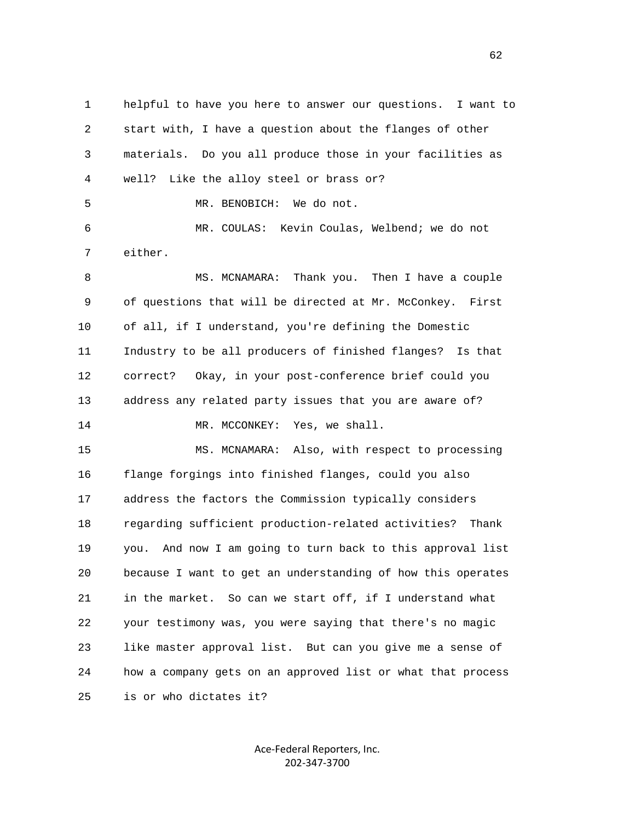1 helpful to have you here to answer our questions. I want to 2 start with, I have a question about the flanges of other 3 materials. Do you all produce those in your facilities as 4 well? Like the alloy steel or brass or? 5 MR. BENOBICH: We do not. 6 MR. COULAS: Kevin Coulas, Welbend; we do not 7 either. 8 MS. MCNAMARA: Thank you. Then I have a couple 9 of questions that will be directed at Mr. McConkey. First 10 of all, if I understand, you're defining the Domestic 11 Industry to be all producers of finished flanges? Is that 12 correct? Okay, in your post-conference brief could you 13 address any related party issues that you are aware of? 14 MR. MCCONKEY: Yes, we shall. 15 MS. MCNAMARA: Also, with respect to processing 16 flange forgings into finished flanges, could you also 17 address the factors the Commission typically considers 18 regarding sufficient production-related activities? Thank 19 you. And now I am going to turn back to this approval list 20 because I want to get an understanding of how this operates 21 in the market. So can we start off, if I understand what 22 your testimony was, you were saying that there's no magic 23 like master approval list. But can you give me a sense of 24 how a company gets on an approved list or what that process 25 is or who dictates it?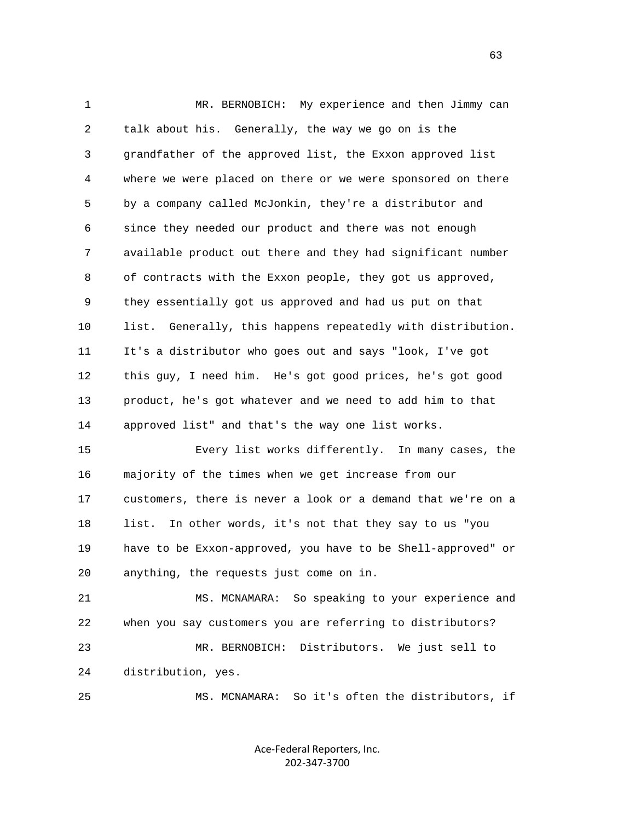1 MR. BERNOBICH: My experience and then Jimmy can 2 talk about his. Generally, the way we go on is the 3 grandfather of the approved list, the Exxon approved list 4 where we were placed on there or we were sponsored on there 5 by a company called McJonkin, they're a distributor and 6 since they needed our product and there was not enough 7 available product out there and they had significant number 8 of contracts with the Exxon people, they got us approved, 9 they essentially got us approved and had us put on that 10 list. Generally, this happens repeatedly with distribution. 11 It's a distributor who goes out and says "look, I've got 12 this guy, I need him. He's got good prices, he's got good 13 product, he's got whatever and we need to add him to that 14 approved list" and that's the way one list works. 15 Every list works differently. In many cases, the 16 majority of the times when we get increase from our 17 customers, there is never a look or a demand that we're on a 18 list. In other words, it's not that they say to us "you 19 have to be Exxon-approved, you have to be Shell-approved" or 20 anything, the requests just come on in. 21 MS. MCNAMARA: So speaking to your experience and 22 when you say customers you are referring to distributors? 23 MR. BERNOBICH: Distributors. We just sell to 24 distribution, yes.

25 MS. MCNAMARA: So it's often the distributors, if

Ace‐Federal Reporters, Inc. 202‐347‐3700

 $\sim$  63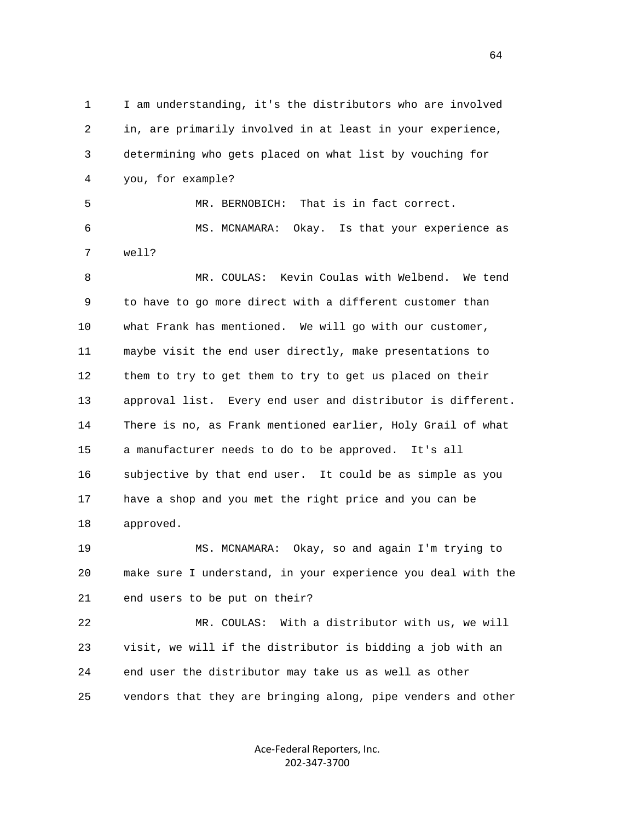1 I am understanding, it's the distributors who are involved 2 in, are primarily involved in at least in your experience, 3 determining who gets placed on what list by vouching for 4 you, for example? 5 MR. BERNOBICH: That is in fact correct. 6 MS. MCNAMARA: Okay. Is that your experience as 7 well? 8 MR. COULAS: Kevin Coulas with Welbend. We tend 9 to have to go more direct with a different customer than 10 what Frank has mentioned. We will go with our customer, 11 maybe visit the end user directly, make presentations to 12 them to try to get them to try to get us placed on their 13 approval list. Every end user and distributor is different. 14 There is no, as Frank mentioned earlier, Holy Grail of what 15 a manufacturer needs to do to be approved. It's all 16 subjective by that end user. It could be as simple as you 17 have a shop and you met the right price and you can be 18 approved. 19 MS. MCNAMARA: Okay, so and again I'm trying to 20 make sure I understand, in your experience you deal with the 21 end users to be put on their? 22 MR. COULAS: With a distributor with us, we will 23 visit, we will if the distributor is bidding a job with an 24 end user the distributor may take us as well as other 25 vendors that they are bringing along, pipe venders and other

> Ace‐Federal Reporters, Inc. 202‐347‐3700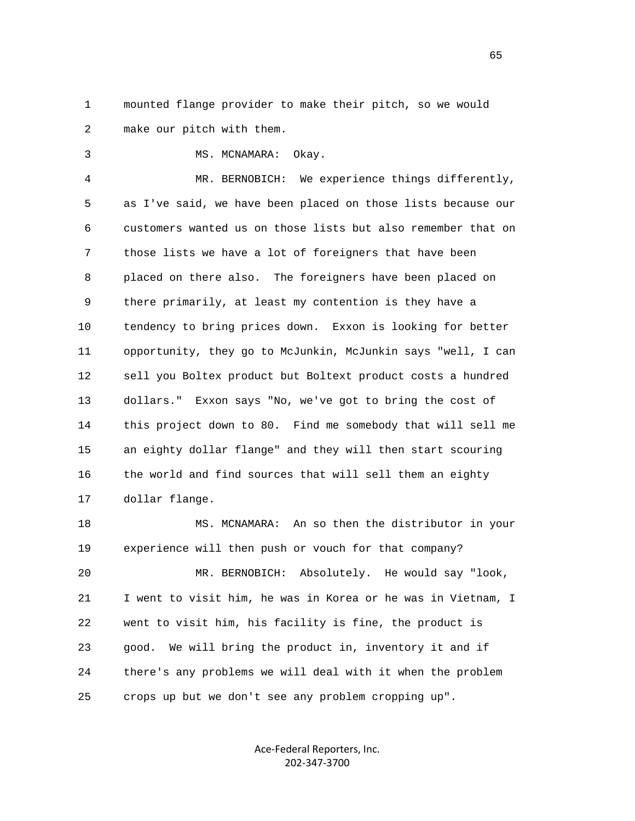1 mounted flange provider to make their pitch, so we would 2 make our pitch with them.

3 MS. MCNAMARA: Okay.

 4 MR. BERNOBICH: We experience things differently, 5 as I've said, we have been placed on those lists because our 6 customers wanted us on those lists but also remember that on 7 those lists we have a lot of foreigners that have been 8 placed on there also. The foreigners have been placed on 9 there primarily, at least my contention is they have a 10 tendency to bring prices down. Exxon is looking for better 11 opportunity, they go to McJunkin, McJunkin says "well, I can 12 sell you Boltex product but Boltext product costs a hundred 13 dollars." Exxon says "No, we've got to bring the cost of 14 this project down to 80. Find me somebody that will sell me 15 an eighty dollar flange" and they will then start scouring 16 the world and find sources that will sell them an eighty 17 dollar flange.

 18 MS. MCNAMARA: An so then the distributor in your 19 experience will then push or vouch for that company? 20 MR. BERNOBICH: Absolutely. He would say "look, 21 I went to visit him, he was in Korea or he was in Vietnam, I 22 went to visit him, his facility is fine, the product is 23 good. We will bring the product in, inventory it and if 24 there's any problems we will deal with it when the problem 25 crops up but we don't see any problem cropping up".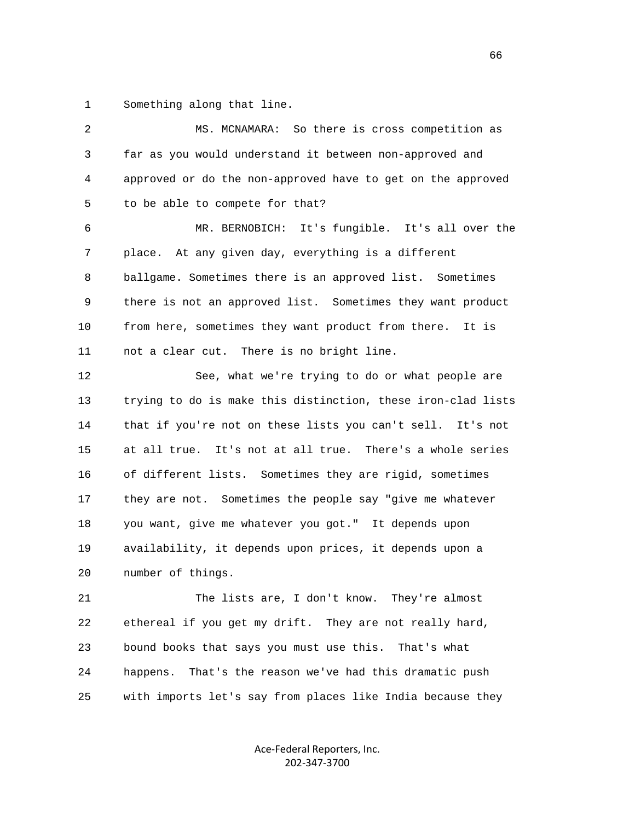1 Something along that line.

| 2  | MS. MCNAMARA: So there is cross competition as               |
|----|--------------------------------------------------------------|
| 3  | far as you would understand it between non-approved and      |
| 4  | approved or do the non-approved have to get on the approved  |
| 5  | to be able to compete for that?                              |
| 6  | MR. BERNOBICH: It's fungible. It's all over the              |
| 7  | place. At any given day, everything is a different           |
| 8  | ballgame. Sometimes there is an approved list. Sometimes     |
| 9  | there is not an approved list. Sometimes they want product   |
| 10 | from here, sometimes they want product from there. It is     |
| 11 | not a clear cut. There is no bright line.                    |
| 12 | See, what we're trying to do or what people are              |
| 13 | trying to do is make this distinction, these iron-clad lists |
| 14 | that if you're not on these lists you can't sell. It's not   |
| 15 | at all true. It's not at all true. There's a whole series    |
| 16 | of different lists. Sometimes they are rigid, sometimes      |
| 17 | they are not. Sometimes the people say "give me whatever     |
| 18 | you want, give me whatever you got." It depends upon         |
| 19 | availability, it depends upon prices, it depends upon a      |
| 20 | number of things.                                            |
| 21 | The lists are, I don't know. They're almost                  |
| 22 | ethereal if you get my drift. They are not really hard,      |
| 23 | bound books that says you must use this. That's what         |
| 24 | That's the reason we've had this dramatic push<br>happens.   |
| 25 | with imports let's say from places like India because they   |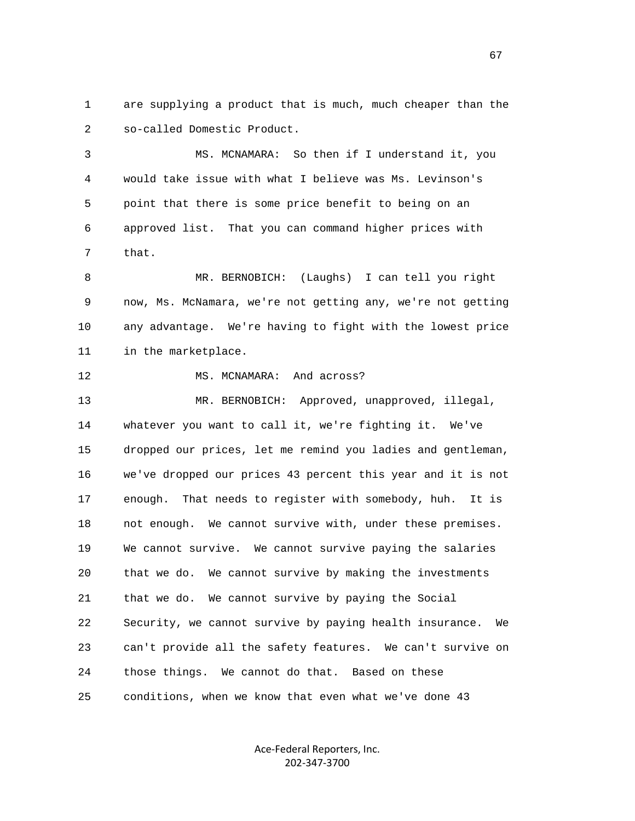1 are supplying a product that is much, much cheaper than the 2 so-called Domestic Product.

 3 MS. MCNAMARA: So then if I understand it, you 4 would take issue with what I believe was Ms. Levinson's 5 point that there is some price benefit to being on an 6 approved list. That you can command higher prices with 7 that.

 8 MR. BERNOBICH: (Laughs) I can tell you right 9 now, Ms. McNamara, we're not getting any, we're not getting 10 any advantage. We're having to fight with the lowest price 11 in the marketplace.

12 MS. MCNAMARA: And across?

 13 MR. BERNOBICH: Approved, unapproved, illegal, 14 whatever you want to call it, we're fighting it. We've 15 dropped our prices, let me remind you ladies and gentleman, 16 we've dropped our prices 43 percent this year and it is not 17 enough. That needs to register with somebody, huh. It is 18 not enough. We cannot survive with, under these premises. 19 We cannot survive. We cannot survive paying the salaries 20 that we do. We cannot survive by making the investments 21 that we do. We cannot survive by paying the Social 22 Security, we cannot survive by paying health insurance. We 23 can't provide all the safety features. We can't survive on 24 those things. We cannot do that. Based on these 25 conditions, when we know that even what we've done 43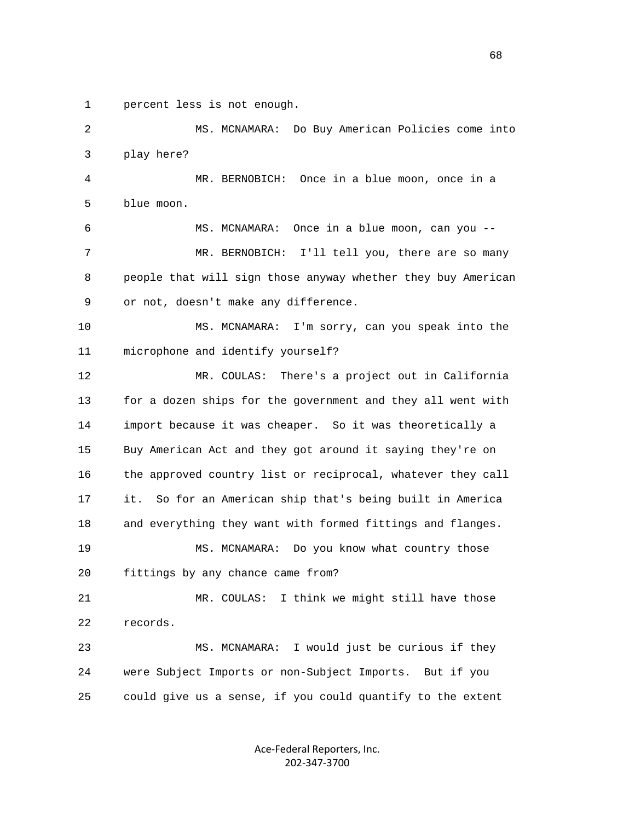1 percent less is not enough.

 2 MS. MCNAMARA: Do Buy American Policies come into 3 play here? 4 MR. BERNOBICH: Once in a blue moon, once in a 5 blue moon. 6 MS. MCNAMARA: Once in a blue moon, can you -- 7 MR. BERNOBICH: I'll tell you, there are so many 8 people that will sign those anyway whether they buy American 9 or not, doesn't make any difference. 10 MS. MCNAMARA: I'm sorry, can you speak into the 11 microphone and identify yourself? 12 MR. COULAS: There's a project out in California 13 for a dozen ships for the government and they all went with 14 import because it was cheaper. So it was theoretically a 15 Buy American Act and they got around it saying they're on 16 the approved country list or reciprocal, whatever they call 17 it. So for an American ship that's being built in America 18 and everything they want with formed fittings and flanges. 19 MS. MCNAMARA: Do you know what country those 20 fittings by any chance came from? 21 MR. COULAS: I think we might still have those 22 records. 23 MS. MCNAMARA: I would just be curious if they 24 were Subject Imports or non-Subject Imports. But if you 25 could give us a sense, if you could quantify to the extent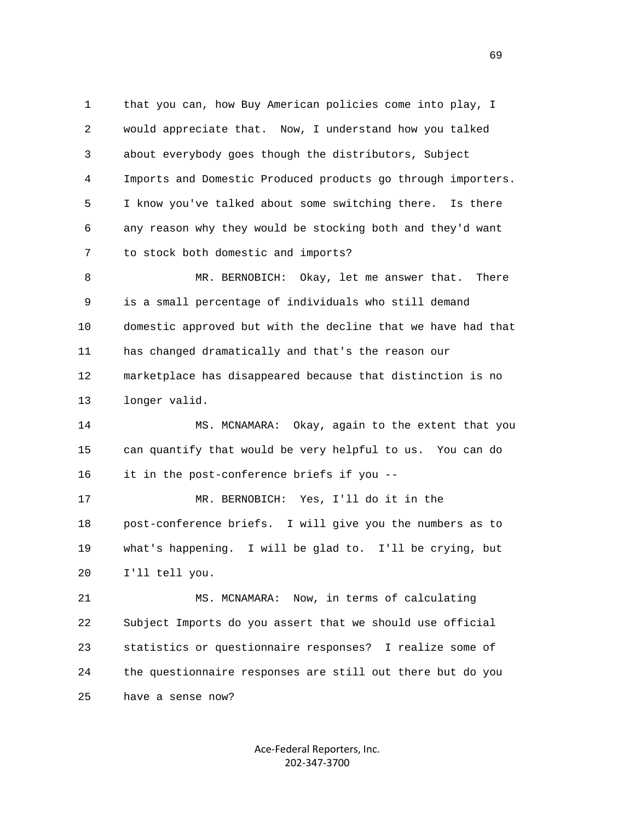1 that you can, how Buy American policies come into play, I 2 would appreciate that. Now, I understand how you talked 3 about everybody goes though the distributors, Subject 4 Imports and Domestic Produced products go through importers. 5 I know you've talked about some switching there. Is there 6 any reason why they would be stocking both and they'd want 7 to stock both domestic and imports?

 8 MR. BERNOBICH: Okay, let me answer that. There 9 is a small percentage of individuals who still demand 10 domestic approved but with the decline that we have had that 11 has changed dramatically and that's the reason our 12 marketplace has disappeared because that distinction is no 13 longer valid.

 14 MS. MCNAMARA: Okay, again to the extent that you 15 can quantify that would be very helpful to us. You can do 16 it in the post-conference briefs if you --

 17 MR. BERNOBICH: Yes, I'll do it in the 18 post-conference briefs. I will give you the numbers as to 19 what's happening. I will be glad to. I'll be crying, but 20 I'll tell you.

 21 MS. MCNAMARA: Now, in terms of calculating 22 Subject Imports do you assert that we should use official 23 statistics or questionnaire responses? I realize some of 24 the questionnaire responses are still out there but do you 25 have a sense now?

> Ace‐Federal Reporters, Inc. 202‐347‐3700

 $\sim$  69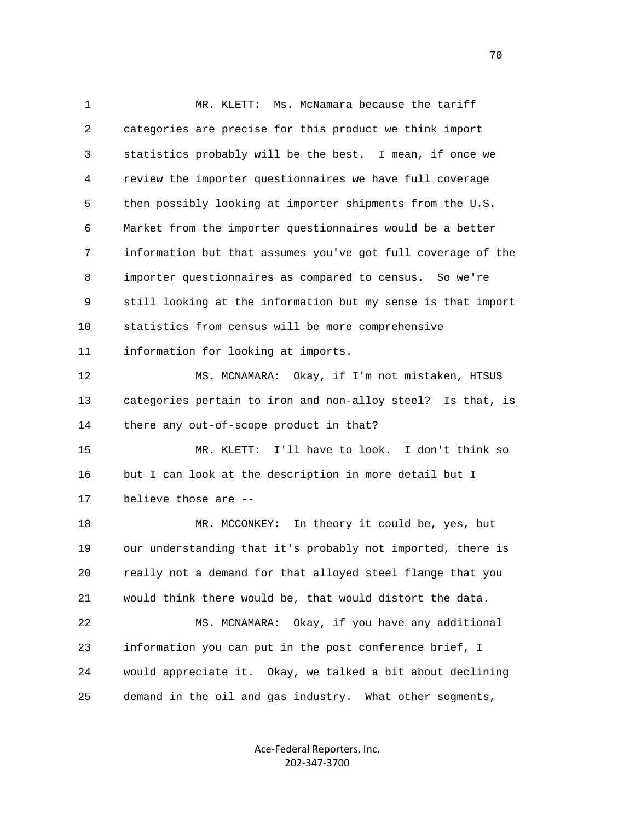1 MR. KLETT: Ms. McNamara because the tariff 2 categories are precise for this product we think import 3 statistics probably will be the best. I mean, if once we 4 review the importer questionnaires we have full coverage 5 then possibly looking at importer shipments from the U.S. 6 Market from the importer questionnaires would be a better 7 information but that assumes you've got full coverage of the 8 importer questionnaires as compared to census. So we're 9 still looking at the information but my sense is that import 10 statistics from census will be more comprehensive 11 information for looking at imports. 12 MS. MCNAMARA: Okay, if I'm not mistaken, HTSUS 13 categories pertain to iron and non-alloy steel? Is that, is 14 there any out-of-scope product in that? 15 MR. KLETT: I'll have to look. I don't think so 16 but I can look at the description in more detail but I 17 believe those are -- 18 MR. MCCONKEY: In theory it could be, yes, but 19 our understanding that it's probably not imported, there is 20 really not a demand for that alloyed steel flange that you 21 would think there would be, that would distort the data. 22 MS. MCNAMARA: Okay, if you have any additional 23 information you can put in the post conference brief, I 24 would appreciate it. Okay, we talked a bit about declining 25 demand in the oil and gas industry. What other segments,

> Ace‐Federal Reporters, Inc. 202‐347‐3700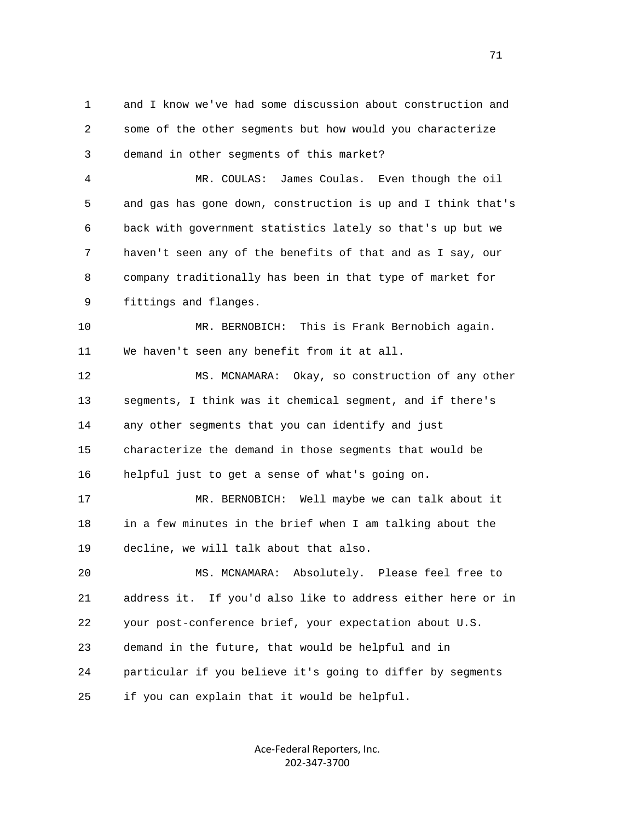1 and I know we've had some discussion about construction and 2 some of the other segments but how would you characterize 3 demand in other segments of this market?

 4 MR. COULAS: James Coulas. Even though the oil 5 and gas has gone down, construction is up and I think that's 6 back with government statistics lately so that's up but we 7 haven't seen any of the benefits of that and as I say, our 8 company traditionally has been in that type of market for 9 fittings and flanges.

 10 MR. BERNOBICH: This is Frank Bernobich again. 11 We haven't seen any benefit from it at all.

 12 MS. MCNAMARA: Okay, so construction of any other 13 segments, I think was it chemical segment, and if there's 14 any other segments that you can identify and just 15 characterize the demand in those segments that would be 16 helpful just to get a sense of what's going on.

 17 MR. BERNOBICH: Well maybe we can talk about it 18 in a few minutes in the brief when I am talking about the 19 decline, we will talk about that also.

 20 MS. MCNAMARA: Absolutely. Please feel free to 21 address it. If you'd also like to address either here or in 22 your post-conference brief, your expectation about U.S. 23 demand in the future, that would be helpful and in 24 particular if you believe it's going to differ by segments 25 if you can explain that it would be helpful.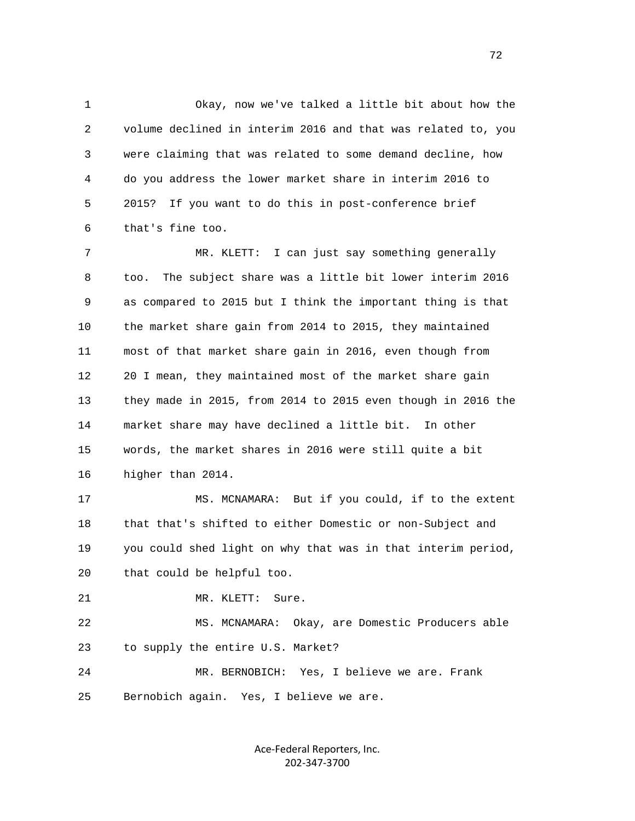1 Okay, now we've talked a little bit about how the 2 volume declined in interim 2016 and that was related to, you 3 were claiming that was related to some demand decline, how 4 do you address the lower market share in interim 2016 to 5 2015? If you want to do this in post-conference brief 6 that's fine too.

 7 MR. KLETT: I can just say something generally 8 too. The subject share was a little bit lower interim 2016 9 as compared to 2015 but I think the important thing is that 10 the market share gain from 2014 to 2015, they maintained 11 most of that market share gain in 2016, even though from 12 20 I mean, they maintained most of the market share gain 13 they made in 2015, from 2014 to 2015 even though in 2016 the 14 market share may have declined a little bit. In other 15 words, the market shares in 2016 were still quite a bit 16 higher than 2014.

 17 MS. MCNAMARA: But if you could, if to the extent 18 that that's shifted to either Domestic or non-Subject and 19 you could shed light on why that was in that interim period, 20 that could be helpful too.

21 MR. KLETT: Sure.

 22 MS. MCNAMARA: Okay, are Domestic Producers able 23 to supply the entire U.S. Market?

 24 MR. BERNOBICH: Yes, I believe we are. Frank 25 Bernobich again. Yes, I believe we are.

> Ace‐Federal Reporters, Inc. 202‐347‐3700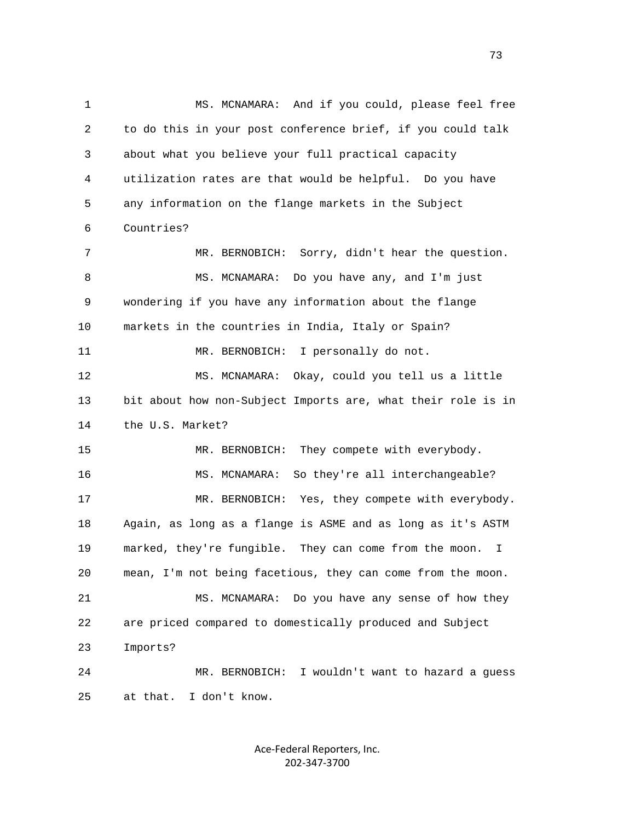1 MS. MCNAMARA: And if you could, please feel free 2 to do this in your post conference brief, if you could talk 3 about what you believe your full practical capacity 4 utilization rates are that would be helpful. Do you have 5 any information on the flange markets in the Subject 6 Countries? 7 MR. BERNOBICH: Sorry, didn't hear the question. 8 MS. MCNAMARA: Do you have any, and I'm just 9 wondering if you have any information about the flange 10 markets in the countries in India, Italy or Spain? 11 MR. BERNOBICH: I personally do not. 12 MS. MCNAMARA: Okay, could you tell us a little 13 bit about how non-Subject Imports are, what their role is in 14 the U.S. Market? 15 MR. BERNOBICH: They compete with everybody. 16 MS. MCNAMARA: So they're all interchangeable? 17 MR. BERNOBICH: Yes, they compete with everybody. 18 Again, as long as a flange is ASME and as long as it's ASTM 19 marked, they're fungible. They can come from the moon. I 20 mean, I'm not being facetious, they can come from the moon. 21 MS. MCNAMARA: Do you have any sense of how they 22 are priced compared to domestically produced and Subject 23 Imports? 24 MR. BERNOBICH: I wouldn't want to hazard a guess 25 at that. I don't know.

> Ace‐Federal Reporters, Inc. 202‐347‐3700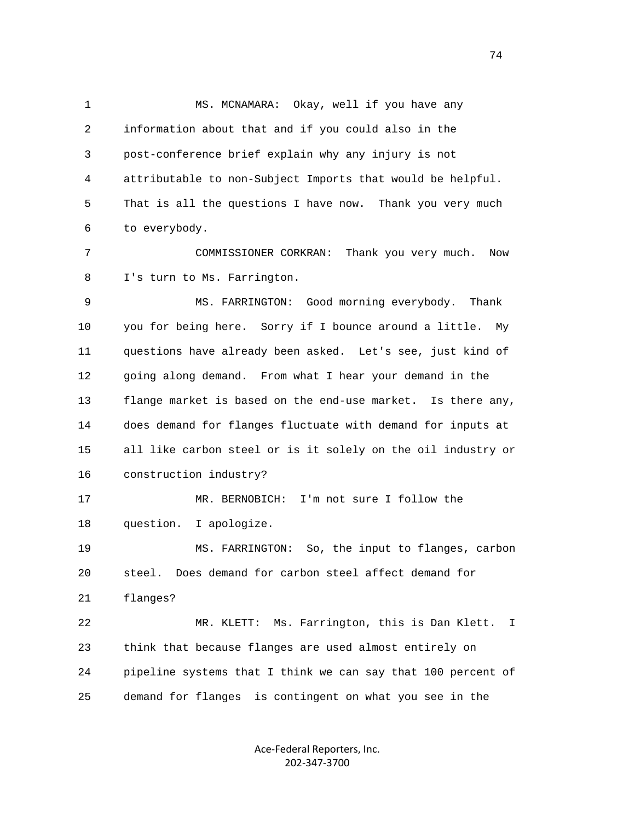1 MS. MCNAMARA: Okay, well if you have any 2 information about that and if you could also in the 3 post-conference brief explain why any injury is not 4 attributable to non-Subject Imports that would be helpful. 5 That is all the questions I have now. Thank you very much 6 to everybody. 7 COMMISSIONER CORKRAN: Thank you very much. Now 8 I's turn to Ms. Farrington. 9 MS. FARRINGTON: Good morning everybody. Thank 10 you for being here. Sorry if I bounce around a little. My 11 questions have already been asked. Let's see, just kind of 12 going along demand. From what I hear your demand in the 13 flange market is based on the end-use market. Is there any, 14 does demand for flanges fluctuate with demand for inputs at 15 all like carbon steel or is it solely on the oil industry or 16 construction industry? 17 MR. BERNOBICH: I'm not sure I follow the 18 question. I apologize. 19 MS. FARRINGTON: So, the input to flanges, carbon 20 steel. Does demand for carbon steel affect demand for 21 flanges? 22 MR. KLETT: Ms. Farrington, this is Dan Klett. I 23 think that because flanges are used almost entirely on 24 pipeline systems that I think we can say that 100 percent of 25 demand for flanges is contingent on what you see in the

> Ace‐Federal Reporters, Inc. 202‐347‐3700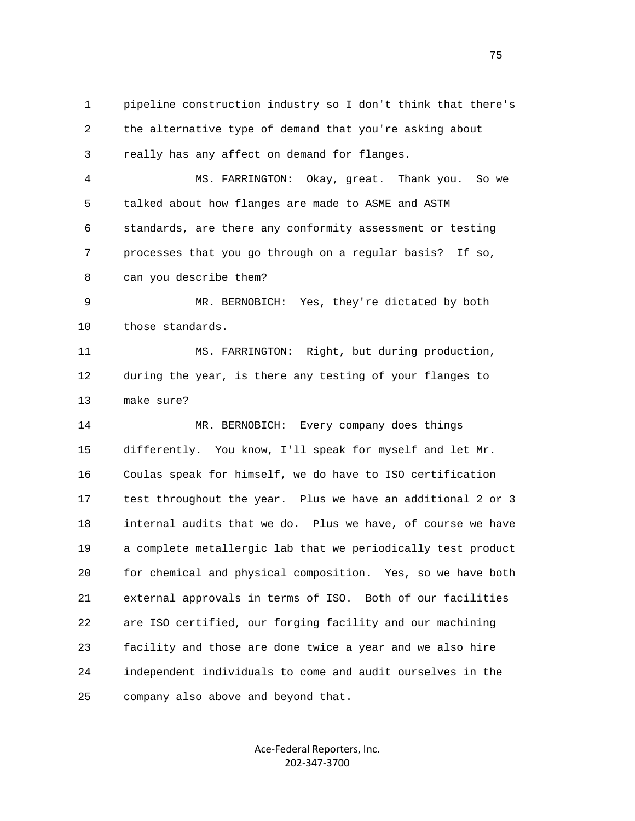1 pipeline construction industry so I don't think that there's 2 the alternative type of demand that you're asking about 3 really has any affect on demand for flanges.

 4 MS. FARRINGTON: Okay, great. Thank you. So we 5 talked about how flanges are made to ASME and ASTM 6 standards, are there any conformity assessment or testing 7 processes that you go through on a regular basis? If so, 8 can you describe them?

 9 MR. BERNOBICH: Yes, they're dictated by both 10 those standards.

 11 MS. FARRINGTON: Right, but during production, 12 during the year, is there any testing of your flanges to 13 make sure?

 14 MR. BERNOBICH: Every company does things 15 differently. You know, I'll speak for myself and let Mr. 16 Coulas speak for himself, we do have to ISO certification 17 test throughout the year. Plus we have an additional 2 or 3 18 internal audits that we do. Plus we have, of course we have 19 a complete metallergic lab that we periodically test product 20 for chemical and physical composition. Yes, so we have both 21 external approvals in terms of ISO. Both of our facilities 22 are ISO certified, our forging facility and our machining 23 facility and those are done twice a year and we also hire 24 independent individuals to come and audit ourselves in the 25 company also above and beyond that.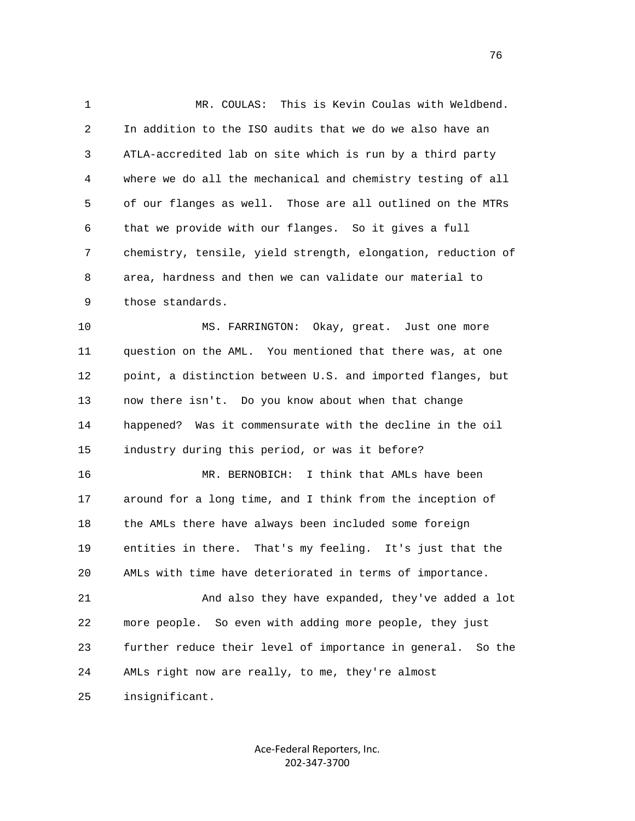1 MR. COULAS: This is Kevin Coulas with Weldbend. 2 In addition to the ISO audits that we do we also have an 3 ATLA-accredited lab on site which is run by a third party 4 where we do all the mechanical and chemistry testing of all 5 of our flanges as well. Those are all outlined on the MTRs 6 that we provide with our flanges. So it gives a full 7 chemistry, tensile, yield strength, elongation, reduction of 8 area, hardness and then we can validate our material to 9 those standards.

 10 MS. FARRINGTON: Okay, great. Just one more 11 question on the AML. You mentioned that there was, at one 12 point, a distinction between U.S. and imported flanges, but 13 now there isn't. Do you know about when that change 14 happened? Was it commensurate with the decline in the oil 15 industry during this period, or was it before?

 16 MR. BERNOBICH: I think that AMLs have been 17 around for a long time, and I think from the inception of 18 the AMLs there have always been included some foreign 19 entities in there. That's my feeling. It's just that the 20 AMLs with time have deteriorated in terms of importance.

 21 And also they have expanded, they've added a lot 22 more people. So even with adding more people, they just 23 further reduce their level of importance in general. So the 24 AMLs right now are really, to me, they're almost

25 insignificant.

Ace‐Federal Reporters, Inc. 202‐347‐3700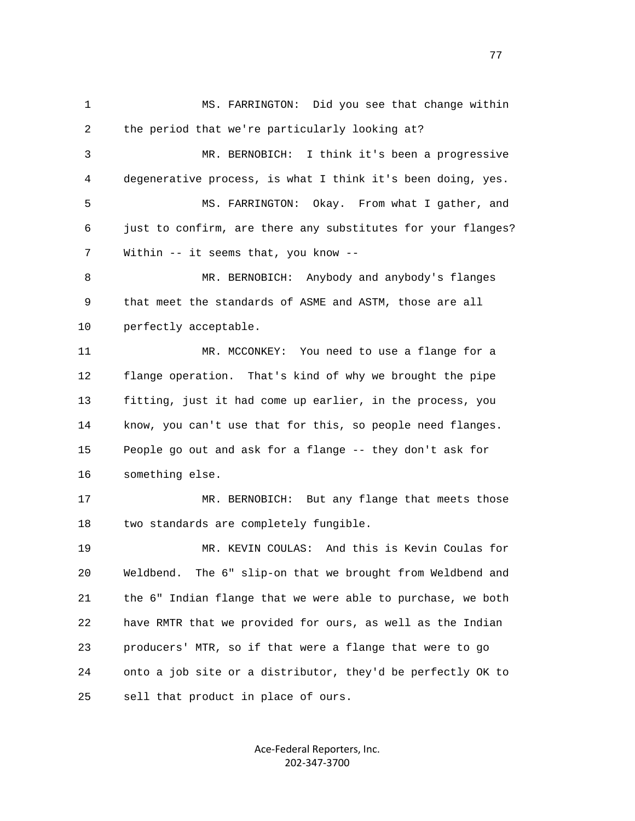1 MS. FARRINGTON: Did you see that change within 2 the period that we're particularly looking at? 3 MR. BERNOBICH: I think it's been a progressive 4 degenerative process, is what I think it's been doing, yes. 5 MS. FARRINGTON: Okay. From what I gather, and 6 just to confirm, are there any substitutes for your flanges? 7 Within -- it seems that, you know -- 8 MR. BERNOBICH: Anybody and anybody's flanges 9 that meet the standards of ASME and ASTM, those are all 10 perfectly acceptable. 11 MR. MCCONKEY: You need to use a flange for a 12 flange operation. That's kind of why we brought the pipe 13 fitting, just it had come up earlier, in the process, you 14 know, you can't use that for this, so people need flanges. 15 People go out and ask for a flange -- they don't ask for 16 something else. 17 MR. BERNOBICH: But any flange that meets those 18 two standards are completely fungible. 19 MR. KEVIN COULAS: And this is Kevin Coulas for 20 Weldbend. The 6" slip-on that we brought from Weldbend and 21 the 6" Indian flange that we were able to purchase, we both 22 have RMTR that we provided for ours, as well as the Indian 23 producers' MTR, so if that were a flange that were to go 24 onto a job site or a distributor, they'd be perfectly OK to 25 sell that product in place of ours.

> Ace‐Federal Reporters, Inc. 202‐347‐3700

na na matsay na matsay na matsay na matsay na matsay na matsay na matsay na matsay na matsay na matsay na mats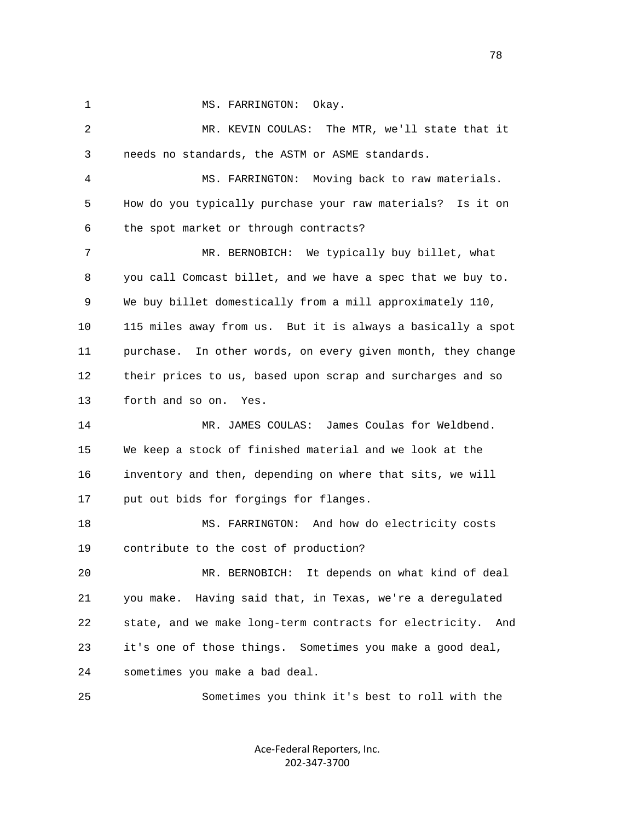1 MS. FARRINGTON: Okay.

 2 MR. KEVIN COULAS: The MTR, we'll state that it 3 needs no standards, the ASTM or ASME standards. 4 MS. FARRINGTON: Moving back to raw materials. 5 How do you typically purchase your raw materials? Is it on 6 the spot market or through contracts? 7 MR. BERNOBICH: We typically buy billet, what 8 you call Comcast billet, and we have a spec that we buy to. 9 We buy billet domestically from a mill approximately 110, 10 115 miles away from us. But it is always a basically a spot 11 purchase. In other words, on every given month, they change 12 their prices to us, based upon scrap and surcharges and so 13 forth and so on. Yes. 14 MR. JAMES COULAS: James Coulas for Weldbend. 15 We keep a stock of finished material and we look at the 16 inventory and then, depending on where that sits, we will 17 put out bids for forgings for flanges. 18 MS. FARRINGTON: And how do electricity costs 19 contribute to the cost of production? 20 MR. BERNOBICH: It depends on what kind of deal 21 you make. Having said that, in Texas, we're a deregulated 22 state, and we make long-term contracts for electricity. And 23 it's one of those things. Sometimes you make a good deal, 24 sometimes you make a bad deal.

25 Sometimes you think it's best to roll with the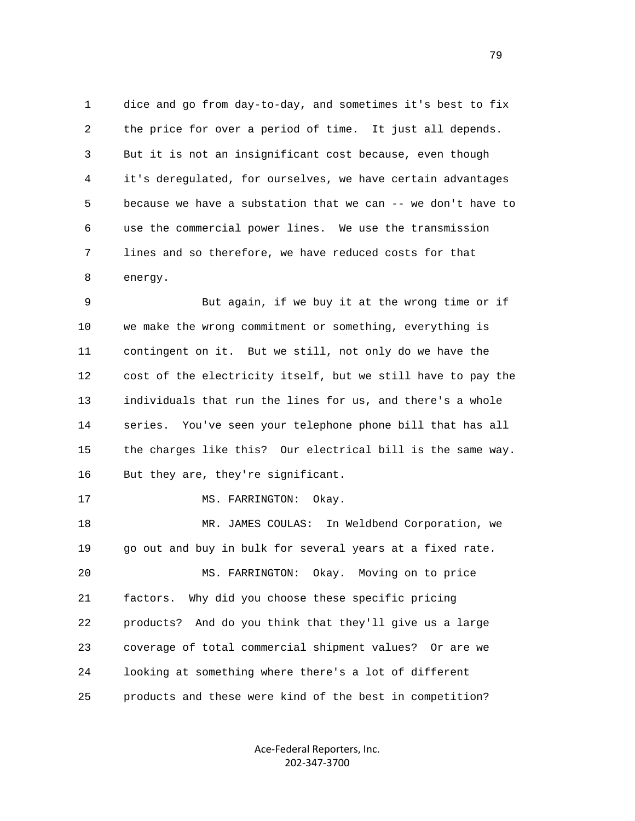1 dice and go from day-to-day, and sometimes it's best to fix 2 the price for over a period of time. It just all depends. 3 But it is not an insignificant cost because, even though 4 it's deregulated, for ourselves, we have certain advantages 5 because we have a substation that we can -- we don't have to 6 use the commercial power lines. We use the transmission 7 lines and so therefore, we have reduced costs for that 8 energy.

 9 But again, if we buy it at the wrong time or if 10 we make the wrong commitment or something, everything is 11 contingent on it. But we still, not only do we have the 12 cost of the electricity itself, but we still have to pay the 13 individuals that run the lines for us, and there's a whole 14 series. You've seen your telephone phone bill that has all 15 the charges like this? Our electrical bill is the same way. 16 But they are, they're significant.

17 MS. FARRINGTON: Okay.

 18 MR. JAMES COULAS: In Weldbend Corporation, we 19 go out and buy in bulk for several years at a fixed rate. 20 MS. FARRINGTON: Okay. Moving on to price 21 factors. Why did you choose these specific pricing 22 products? And do you think that they'll give us a large 23 coverage of total commercial shipment values? Or are we 24 looking at something where there's a lot of different 25 products and these were kind of the best in competition?

> Ace‐Federal Reporters, Inc. 202‐347‐3700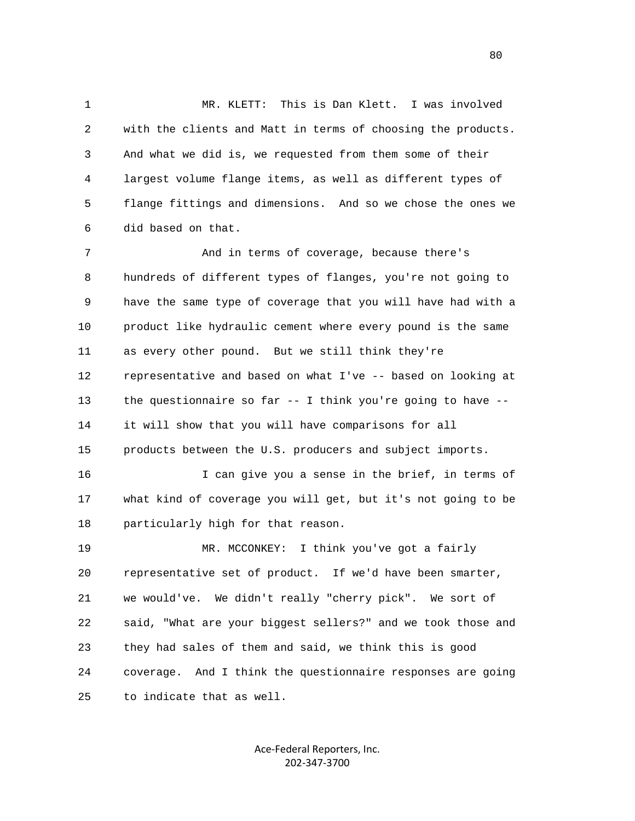1 MR. KLETT: This is Dan Klett. I was involved 2 with the clients and Matt in terms of choosing the products. 3 And what we did is, we requested from them some of their 4 largest volume flange items, as well as different types of 5 flange fittings and dimensions. And so we chose the ones we 6 did based on that.

7 And in terms of coverage, because there's 8 hundreds of different types of flanges, you're not going to 9 have the same type of coverage that you will have had with a 10 product like hydraulic cement where every pound is the same 11 as every other pound. But we still think they're 12 representative and based on what I've -- based on looking at 13 the questionnaire so far -- I think you're going to have -- 14 it will show that you will have comparisons for all 15 products between the U.S. producers and subject imports. 16 I can give you a sense in the brief, in terms of 17 what kind of coverage you will get, but it's not going to be 18 particularly high for that reason. 19 MR. MCCONKEY: I think you've got a fairly 20 representative set of product. If we'd have been smarter, 21 we would've. We didn't really "cherry pick". We sort of

 22 said, "What are your biggest sellers?" and we took those and 23 they had sales of them and said, we think this is good 24 coverage. And I think the questionnaire responses are going 25 to indicate that as well.

> Ace‐Federal Reporters, Inc. 202‐347‐3700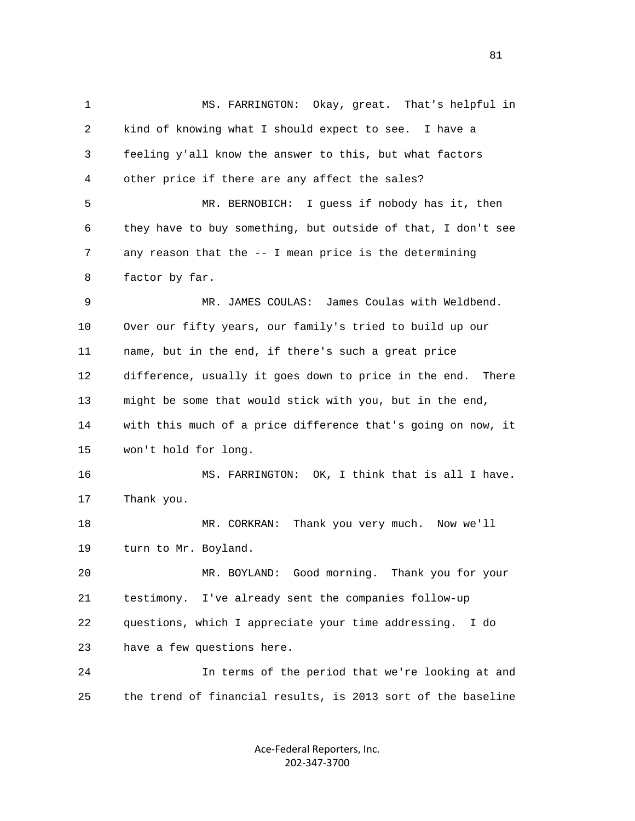1 MS. FARRINGTON: Okay, great. That's helpful in 2 kind of knowing what I should expect to see. I have a 3 feeling y'all know the answer to this, but what factors 4 other price if there are any affect the sales? 5 MR. BERNOBICH: I guess if nobody has it, then 6 they have to buy something, but outside of that, I don't see 7 any reason that the -- I mean price is the determining 8 factor by far. 9 MR. JAMES COULAS: James Coulas with Weldbend. 10 Over our fifty years, our family's tried to build up our 11 name, but in the end, if there's such a great price 12 difference, usually it goes down to price in the end. There 13 might be some that would stick with you, but in the end, 14 with this much of a price difference that's going on now, it 15 won't hold for long. 16 MS. FARRINGTON: OK, I think that is all I have. 17 Thank you. 18 MR. CORKRAN: Thank you very much. Now we'll 19 turn to Mr. Boyland. 20 MR. BOYLAND: Good morning. Thank you for your 21 testimony. I've already sent the companies follow-up 22 questions, which I appreciate your time addressing. I do 23 have a few questions here. 24 In terms of the period that we're looking at and 25 the trend of financial results, is 2013 sort of the baseline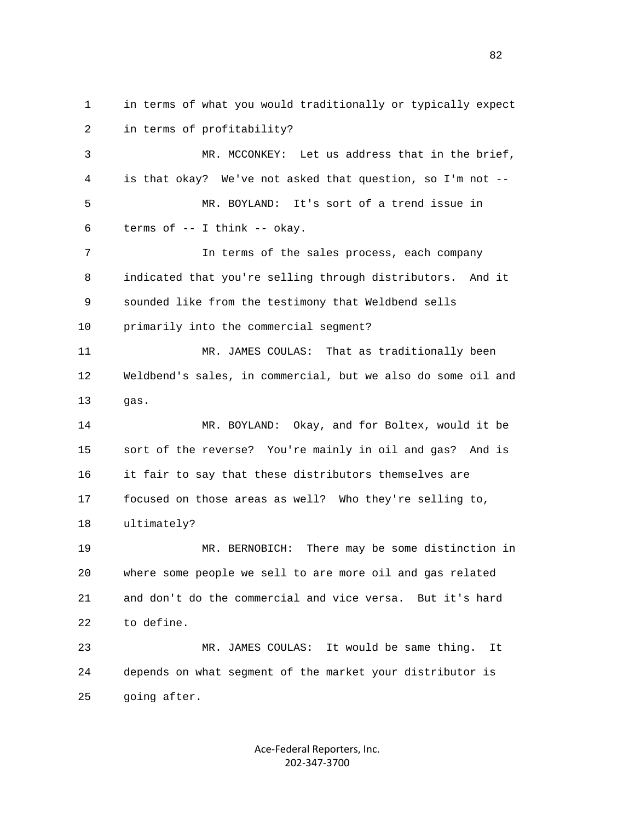1 in terms of what you would traditionally or typically expect 2 in terms of profitability? 3 MR. MCCONKEY: Let us address that in the brief, 4 is that okay? We've not asked that question, so I'm not -- 5 MR. BOYLAND: It's sort of a trend issue in 6 terms of -- I think -- okay. 7 In terms of the sales process, each company 8 indicated that you're selling through distributors. And it 9 sounded like from the testimony that Weldbend sells 10 primarily into the commercial segment? 11 MR. JAMES COULAS: That as traditionally been 12 Weldbend's sales, in commercial, but we also do some oil and 13 gas. 14 MR. BOYLAND: Okay, and for Boltex, would it be 15 sort of the reverse? You're mainly in oil and gas? And is 16 it fair to say that these distributors themselves are 17 focused on those areas as well? Who they're selling to, 18 ultimately? 19 MR. BERNOBICH: There may be some distinction in 20 where some people we sell to are more oil and gas related 21 and don't do the commercial and vice versa. But it's hard 22 to define. 23 MR. JAMES COULAS: It would be same thing. It 24 depends on what segment of the market your distributor is 25 going after.

> Ace‐Federal Reporters, Inc. 202‐347‐3700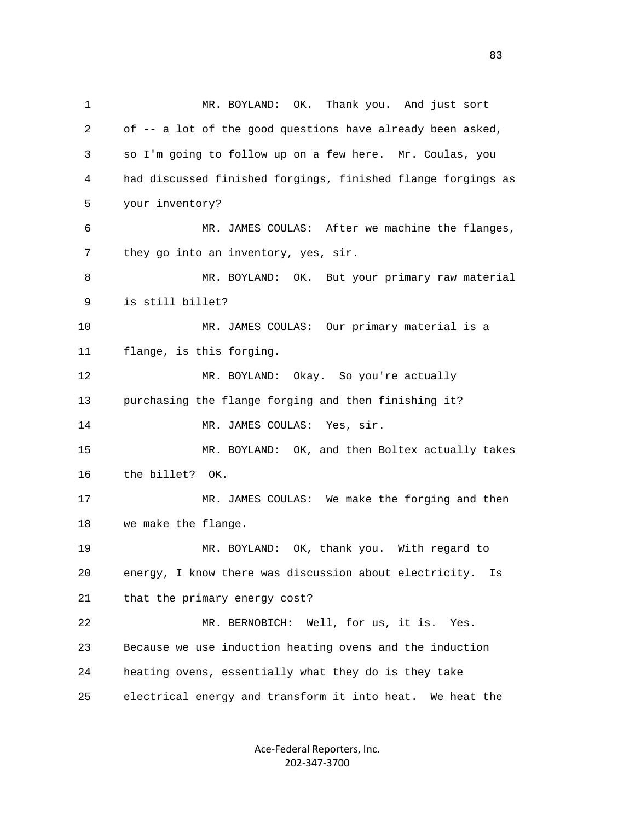1 MR. BOYLAND: OK. Thank you. And just sort 2 of -- a lot of the good questions have already been asked, 3 so I'm going to follow up on a few here. Mr. Coulas, you 4 had discussed finished forgings, finished flange forgings as 5 your inventory? 6 MR. JAMES COULAS: After we machine the flanges, 7 they go into an inventory, yes, sir. 8 MR. BOYLAND: OK. But your primary raw material 9 is still billet? 10 MR. JAMES COULAS: Our primary material is a 11 flange, is this forging. 12 MR. BOYLAND: Okay. So you're actually 13 purchasing the flange forging and then finishing it? 14 MR. JAMES COULAS: Yes, sir. 15 MR. BOYLAND: OK, and then Boltex actually takes 16 the billet? OK. 17 MR. JAMES COULAS: We make the forging and then 18 we make the flange. 19 MR. BOYLAND: OK, thank you. With regard to 20 energy, I know there was discussion about electricity. Is 21 that the primary energy cost? 22 MR. BERNOBICH: Well, for us, it is. Yes. 23 Because we use induction heating ovens and the induction 24 heating ovens, essentially what they do is they take 25 electrical energy and transform it into heat. We heat the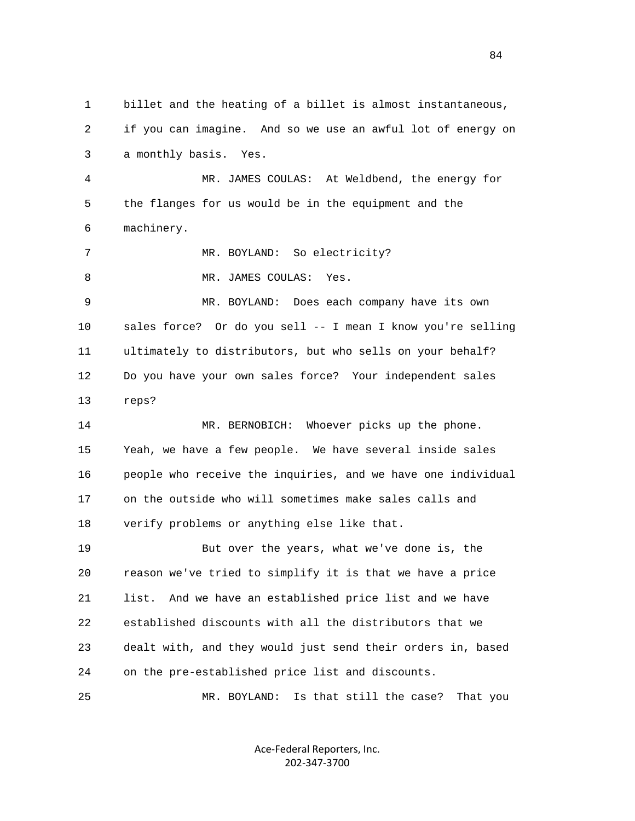1 billet and the heating of a billet is almost instantaneous, 2 if you can imagine. And so we use an awful lot of energy on 3 a monthly basis. Yes. 4 MR. JAMES COULAS: At Weldbend, the energy for 5 the flanges for us would be in the equipment and the 6 machinery. 7 MR. BOYLAND: So electricity? 8 MR. JAMES COULAS: Yes. 9 MR. BOYLAND: Does each company have its own 10 sales force? Or do you sell -- I mean I know you're selling 11 ultimately to distributors, but who sells on your behalf? 12 Do you have your own sales force? Your independent sales 13 reps? 14 MR. BERNOBICH: Whoever picks up the phone. 15 Yeah, we have a few people. We have several inside sales 16 people who receive the inquiries, and we have one individual 17 on the outside who will sometimes make sales calls and 18 verify problems or anything else like that. 19 But over the years, what we've done is, the 20 reason we've tried to simplify it is that we have a price 21 list. And we have an established price list and we have 22 established discounts with all the distributors that we 23 dealt with, and they would just send their orders in, based 24 on the pre-established price list and discounts. 25 MR. BOYLAND: Is that still the case? That you

> Ace‐Federal Reporters, Inc. 202‐347‐3700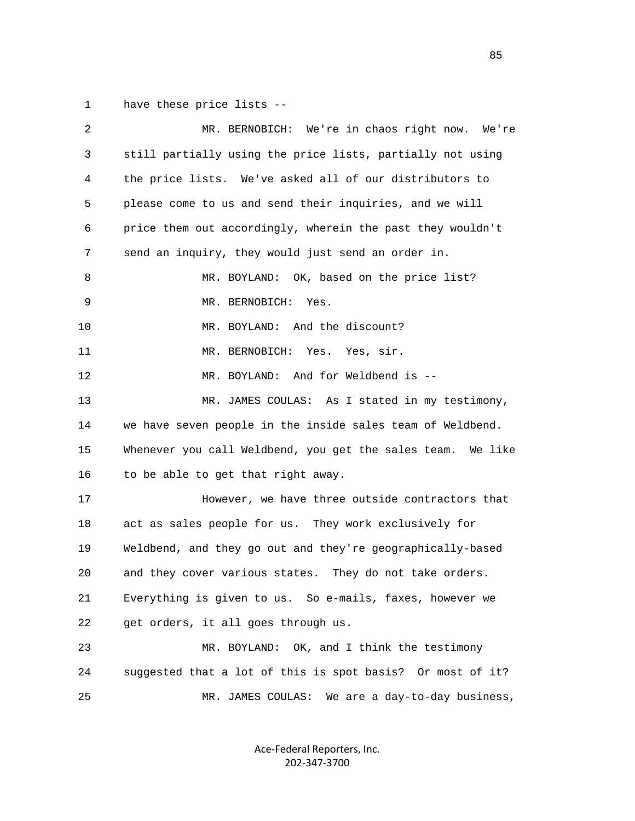1 have these price lists --

| $\sqrt{2}$ | MR. BERNOBICH: We're in chaos right now. We're              |
|------------|-------------------------------------------------------------|
| 3          | still partially using the price lists, partially not using  |
| 4          | the price lists. We've asked all of our distributors to     |
| 5          | please come to us and send their inquiries, and we will     |
| 6          | price them out accordingly, wherein the past they wouldn't  |
| 7          | send an inquiry, they would just send an order in.          |
| 8          | MR. BOYLAND: OK, based on the price list?                   |
| 9          | MR. BERNOBICH:<br>Yes.                                      |
| 10         | MR. BOYLAND: And the discount?                              |
| 11         | MR. BERNOBICH: Yes. Yes, sir.                               |
| 12         | MR. BOYLAND: And for Weldbend is --                         |
| 13         | MR. JAMES COULAS: As I stated in my testimony,              |
| 14         | we have seven people in the inside sales team of Weldbend.  |
| 15         | Whenever you call Weldbend, you get the sales team. We like |
| 16         | to be able to get that right away.                          |
| 17         | However, we have three outside contractors that             |
| 18         | act as sales people for us. They work exclusively for       |
| 19         | Weldbend, and they go out and they're geographically-based  |
| 20         | and they cover various states. They do not take orders.     |
| 21         | Everything is given to us. So e-mails, faxes, however we    |
| 22         | get orders, it all goes through us.                         |
| 23         | MR. BOYLAND: OK, and I think the testimony                  |
| 24         | suggested that a lot of this is spot basis? Or most of it?  |
| 25         | MR. JAMES COULAS: We are a day-to-day business,             |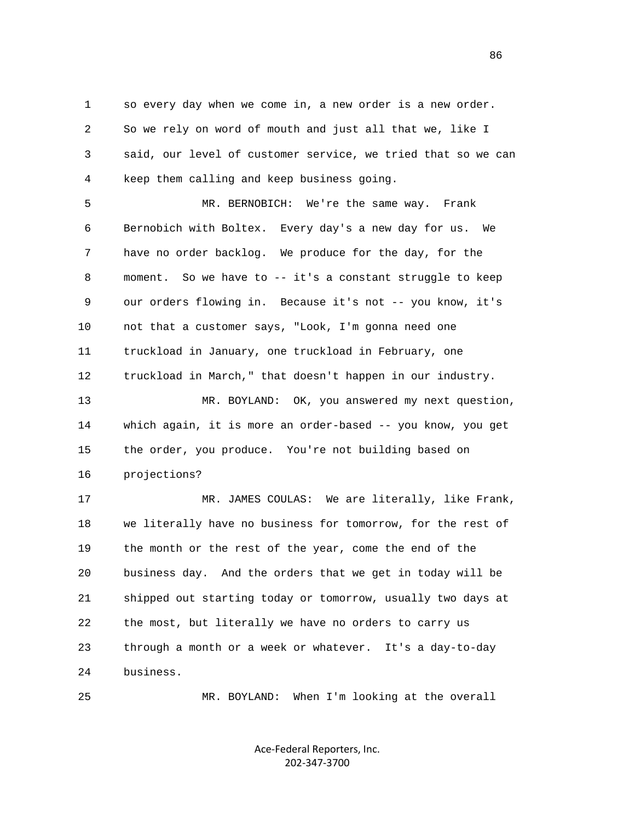1 so every day when we come in, a new order is a new order. 2 So we rely on word of mouth and just all that we, like I 3 said, our level of customer service, we tried that so we can 4 keep them calling and keep business going.

 5 MR. BERNOBICH: We're the same way. Frank 6 Bernobich with Boltex. Every day's a new day for us. We 7 have no order backlog. We produce for the day, for the 8 moment. So we have to -- it's a constant struggle to keep 9 our orders flowing in. Because it's not -- you know, it's 10 not that a customer says, "Look, I'm gonna need one 11 truckload in January, one truckload in February, one 12 truckload in March," that doesn't happen in our industry.

 13 MR. BOYLAND: OK, you answered my next question, 14 which again, it is more an order-based -- you know, you get 15 the order, you produce. You're not building based on 16 projections?

 17 MR. JAMES COULAS: We are literally, like Frank, 18 we literally have no business for tomorrow, for the rest of 19 the month or the rest of the year, come the end of the 20 business day. And the orders that we get in today will be 21 shipped out starting today or tomorrow, usually two days at 22 the most, but literally we have no orders to carry us 23 through a month or a week or whatever. It's a day-to-day 24 business.

25 MR. BOYLAND: When I'm looking at the overall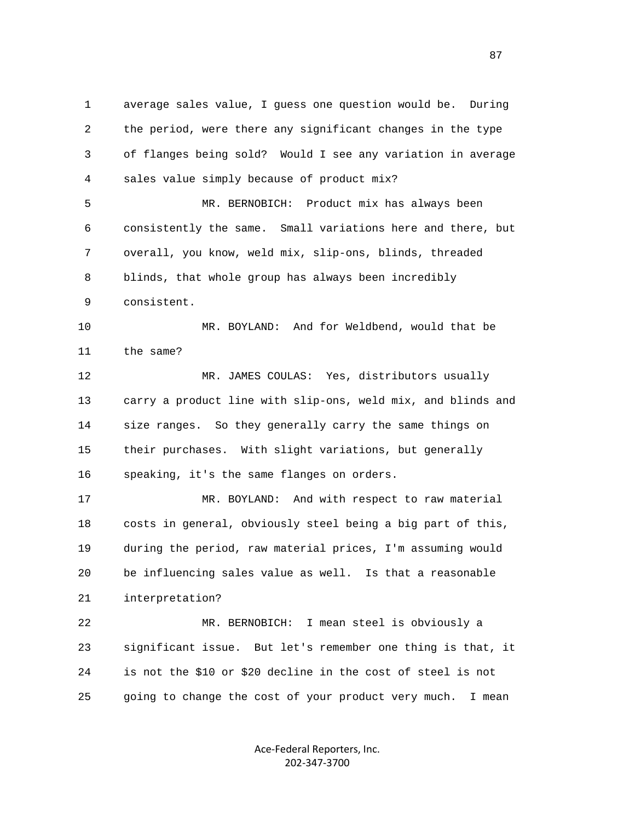1 average sales value, I guess one question would be. During 2 the period, were there any significant changes in the type 3 of flanges being sold? Would I see any variation in average 4 sales value simply because of product mix? 5 MR. BERNOBICH: Product mix has always been

 6 consistently the same. Small variations here and there, but 7 overall, you know, weld mix, slip-ons, blinds, threaded 8 blinds, that whole group has always been incredibly 9 consistent.

 10 MR. BOYLAND: And for Weldbend, would that be 11 the same?

 12 MR. JAMES COULAS: Yes, distributors usually 13 carry a product line with slip-ons, weld mix, and blinds and 14 size ranges. So they generally carry the same things on 15 their purchases. With slight variations, but generally 16 speaking, it's the same flanges on orders.

 17 MR. BOYLAND: And with respect to raw material 18 costs in general, obviously steel being a big part of this, 19 during the period, raw material prices, I'm assuming would 20 be influencing sales value as well. Is that a reasonable 21 interpretation?

 22 MR. BERNOBICH: I mean steel is obviously a 23 significant issue. But let's remember one thing is that, it 24 is not the \$10 or \$20 decline in the cost of steel is not 25 going to change the cost of your product very much. I mean

> Ace‐Federal Reporters, Inc. 202‐347‐3700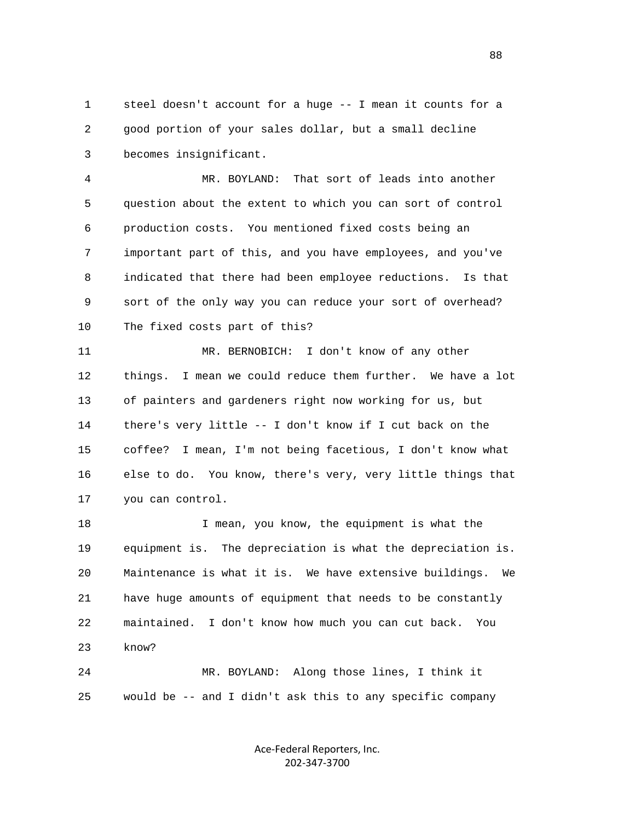1 steel doesn't account for a huge -- I mean it counts for a 2 good portion of your sales dollar, but a small decline 3 becomes insignificant.

 4 MR. BOYLAND: That sort of leads into another 5 question about the extent to which you can sort of control 6 production costs. You mentioned fixed costs being an 7 important part of this, and you have employees, and you've 8 indicated that there had been employee reductions. Is that 9 sort of the only way you can reduce your sort of overhead? 10 The fixed costs part of this?

 11 MR. BERNOBICH: I don't know of any other 12 things. I mean we could reduce them further. We have a lot 13 of painters and gardeners right now working for us, but 14 there's very little -- I don't know if I cut back on the 15 coffee? I mean, I'm not being facetious, I don't know what 16 else to do. You know, there's very, very little things that 17 you can control.

 18 I mean, you know, the equipment is what the 19 equipment is. The depreciation is what the depreciation is. 20 Maintenance is what it is. We have extensive buildings. We 21 have huge amounts of equipment that needs to be constantly 22 maintained. I don't know how much you can cut back. You 23 know?

 24 MR. BOYLAND: Along those lines, I think it 25 would be -- and I didn't ask this to any specific company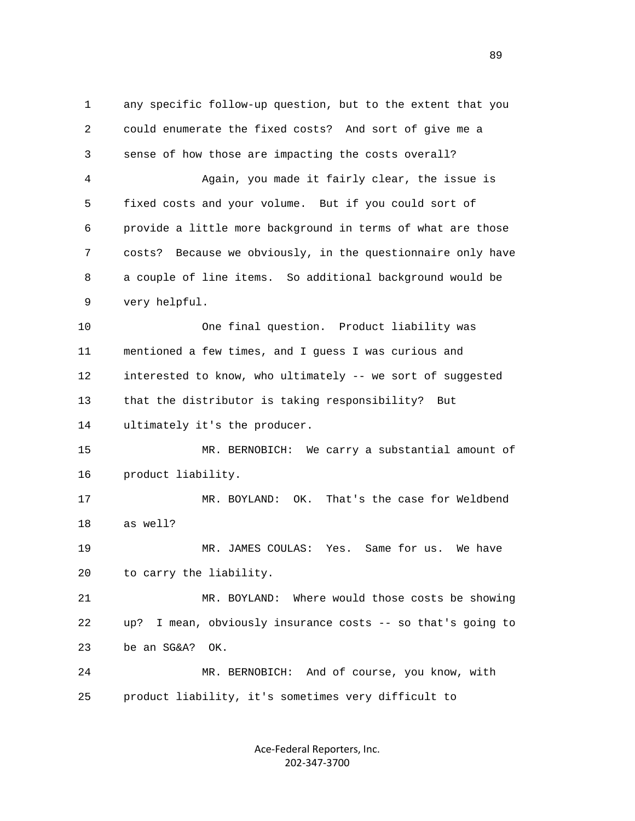1 any specific follow-up question, but to the extent that you 2 could enumerate the fixed costs? And sort of give me a 3 sense of how those are impacting the costs overall? 4 Again, you made it fairly clear, the issue is 5 fixed costs and your volume. But if you could sort of 6 provide a little more background in terms of what are those 7 costs? Because we obviously, in the questionnaire only have 8 a couple of line items. So additional background would be 9 very helpful. 10 One final question. Product liability was 11 mentioned a few times, and I guess I was curious and 12 interested to know, who ultimately -- we sort of suggested 13 that the distributor is taking responsibility? But 14 ultimately it's the producer. 15 MR. BERNOBICH: We carry a substantial amount of 16 product liability. 17 MR. BOYLAND: OK. That's the case for Weldbend 18 as well? 19 MR. JAMES COULAS: Yes. Same for us. We have 20 to carry the liability. 21 MR. BOYLAND: Where would those costs be showing 22 up? I mean, obviously insurance costs -- so that's going to 23 be an SG&A? OK. 24 MR. BERNOBICH: And of course, you know, with 25 product liability, it's sometimes very difficult to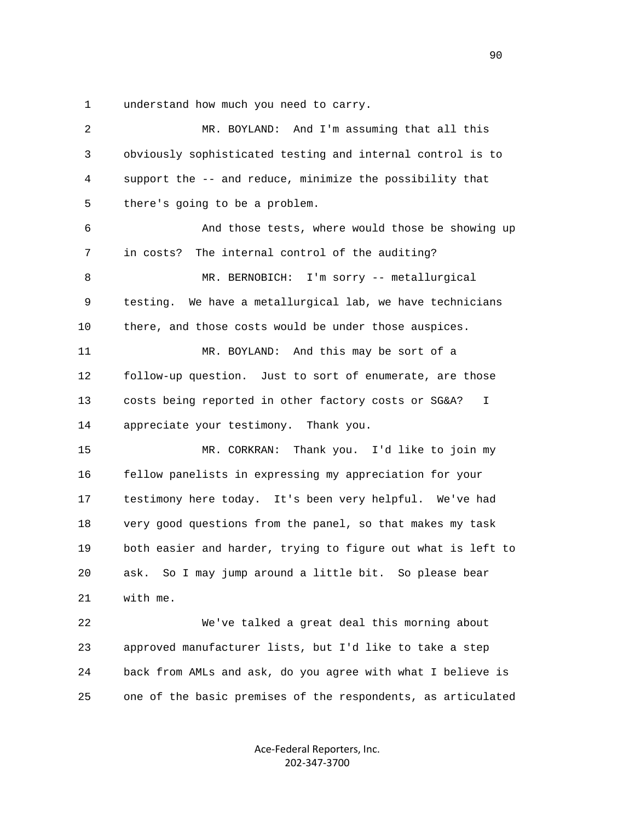1 understand how much you need to carry.

| 2  | MR. BOYLAND: And I'm assuming that all this                  |
|----|--------------------------------------------------------------|
| 3  | obviously sophisticated testing and internal control is to   |
| 4  | support the -- and reduce, minimize the possibility that     |
| 5  | there's going to be a problem.                               |
| 6  | And those tests, where would those be showing up             |
| 7  | in costs? The internal control of the auditing?              |
| 8  | MR. BERNOBICH: I'm sorry -- metallurgical                    |
| 9  | testing. We have a metallurgical lab, we have technicians    |
| 10 | there, and those costs would be under those auspices.        |
| 11 | MR. BOYLAND: And this may be sort of a                       |
| 12 | follow-up question. Just to sort of enumerate, are those     |
| 13 | costs being reported in other factory costs or SG&A?<br>I.   |
| 14 | appreciate your testimony. Thank you.                        |
| 15 | MR. CORKRAN:<br>Thank you. I'd like to join my               |
| 16 | fellow panelists in expressing my appreciation for your      |
| 17 | testimony here today. It's been very helpful. We've had      |
| 18 | very good questions from the panel, so that makes my task    |
| 19 | both easier and harder, trying to figure out what is left to |
| 20 | So I may jump around a little bit. So please bear<br>ask.    |
| 21 | with me.                                                     |
| 22 | We've talked a great deal this morning about                 |
| 23 | approved manufacturer lists, but I'd like to take a step     |
| 24 | back from AMLs and ask, do you agree with what I believe is  |
| 25 | one of the basic premises of the respondents, as articulated |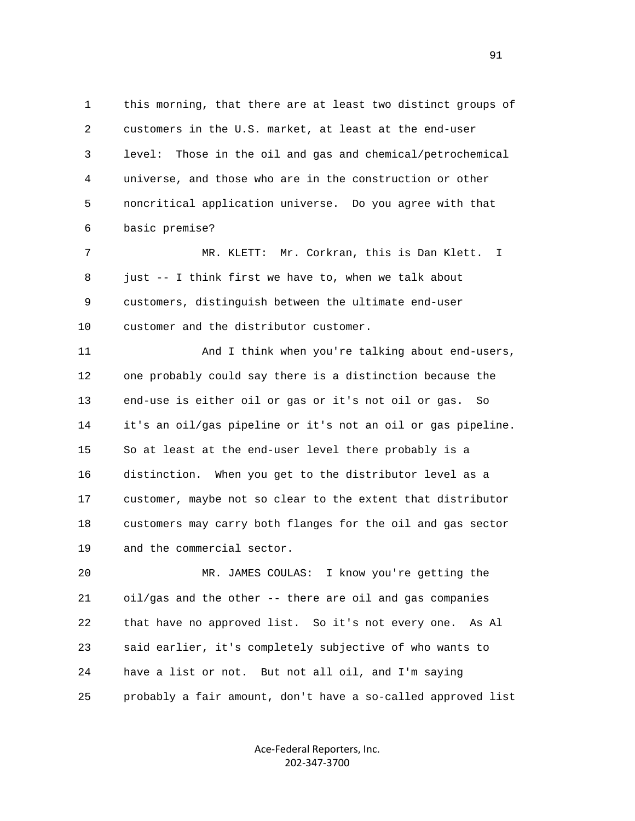1 this morning, that there are at least two distinct groups of 2 customers in the U.S. market, at least at the end-user 3 level: Those in the oil and gas and chemical/petrochemical 4 universe, and those who are in the construction or other 5 noncritical application universe. Do you agree with that 6 basic premise?

 7 MR. KLETT: Mr. Corkran, this is Dan Klett. I 8 just -- I think first we have to, when we talk about 9 customers, distinguish between the ultimate end-user 10 customer and the distributor customer.

 11 And I think when you're talking about end-users, 12 one probably could say there is a distinction because the 13 end-use is either oil or gas or it's not oil or gas. So 14 it's an oil/gas pipeline or it's not an oil or gas pipeline. 15 So at least at the end-user level there probably is a 16 distinction. When you get to the distributor level as a 17 customer, maybe not so clear to the extent that distributor 18 customers may carry both flanges for the oil and gas sector 19 and the commercial sector.

 20 MR. JAMES COULAS: I know you're getting the 21 oil/gas and the other -- there are oil and gas companies 22 that have no approved list. So it's not every one. As Al 23 said earlier, it's completely subjective of who wants to 24 have a list or not. But not all oil, and I'm saying 25 probably a fair amount, don't have a so-called approved list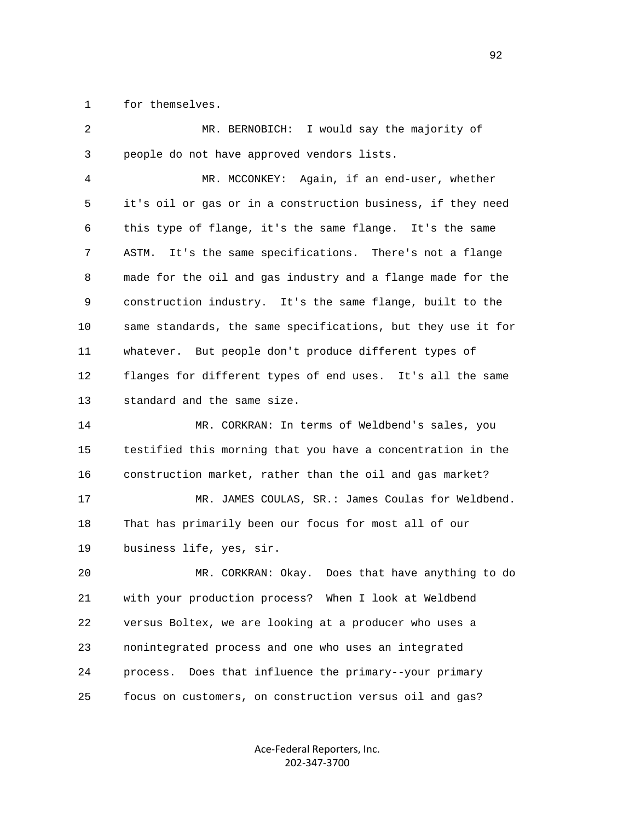1 for themselves.

 2 MR. BERNOBICH: I would say the majority of 3 people do not have approved vendors lists. 4 MR. MCCONKEY: Again, if an end-user, whether 5 it's oil or gas or in a construction business, if they need 6 this type of flange, it's the same flange. It's the same 7 ASTM. It's the same specifications. There's not a flange 8 made for the oil and gas industry and a flange made for the 9 construction industry. It's the same flange, built to the 10 same standards, the same specifications, but they use it for 11 whatever. But people don't produce different types of 12 flanges for different types of end uses. It's all the same 13 standard and the same size. 14 MR. CORKRAN: In terms of Weldbend's sales, you 15 testified this morning that you have a concentration in the 16 construction market, rather than the oil and gas market? 17 MR. JAMES COULAS, SR.: James Coulas for Weldbend. 18 That has primarily been our focus for most all of our 19 business life, yes, sir. 20 MR. CORKRAN: Okay. Does that have anything to do 21 with your production process? When I look at Weldbend 22 versus Boltex, we are looking at a producer who uses a 23 nonintegrated process and one who uses an integrated 24 process. Does that influence the primary--your primary

> Ace‐Federal Reporters, Inc. 202‐347‐3700

25 focus on customers, on construction versus oil and gas?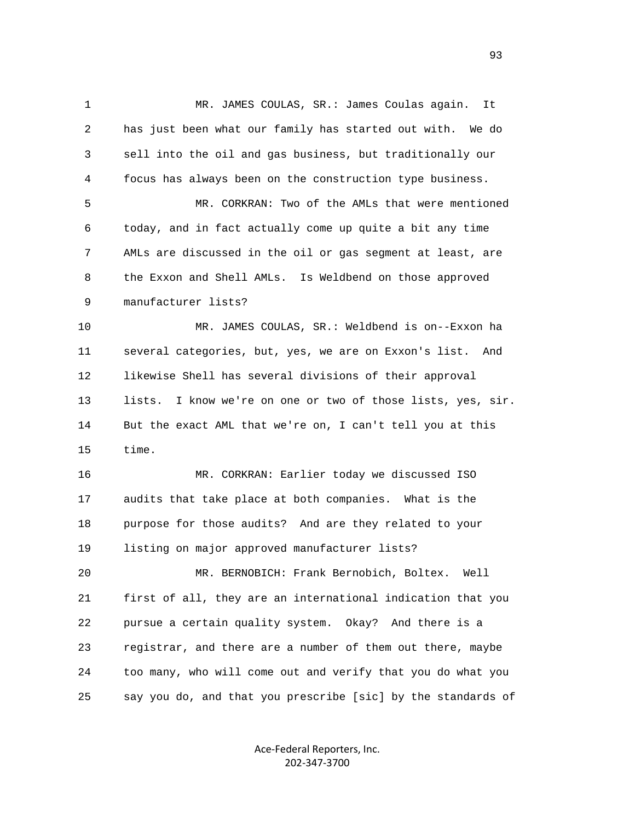1 MR. JAMES COULAS, SR.: James Coulas again. It 2 has just been what our family has started out with. We do 3 sell into the oil and gas business, but traditionally our 4 focus has always been on the construction type business. 5 MR. CORKRAN: Two of the AMLs that were mentioned 6 today, and in fact actually come up quite a bit any time 7 AMLs are discussed in the oil or gas segment at least, are 8 the Exxon and Shell AMLs. Is Weldbend on those approved 9 manufacturer lists? 10 MR. JAMES COULAS, SR.: Weldbend is on--Exxon ha 11 several categories, but, yes, we are on Exxon's list. And 12 likewise Shell has several divisions of their approval 13 lists. I know we're on one or two of those lists, yes, sir. 14 But the exact AML that we're on, I can't tell you at this 15 time. 16 MR. CORKRAN: Earlier today we discussed ISO 17 audits that take place at both companies. What is the 18 purpose for those audits? And are they related to your 19 listing on major approved manufacturer lists? 20 MR. BERNOBICH: Frank Bernobich, Boltex. Well 21 first of all, they are an international indication that you 22 pursue a certain quality system. Okay? And there is a 23 registrar, and there are a number of them out there, maybe 24 too many, who will come out and verify that you do what you 25 say you do, and that you prescribe [sic] by the standards of

> Ace‐Federal Reporters, Inc. 202‐347‐3700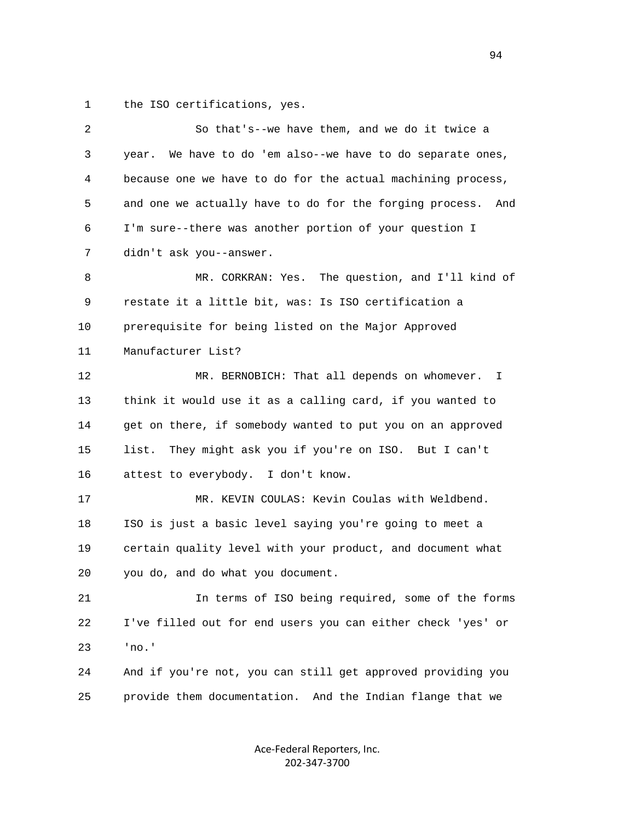1 the ISO certifications, yes.

| 2  | So that's--we have them, and we do it twice a                  |
|----|----------------------------------------------------------------|
| 3  | We have to do 'em also--we have to do separate ones,<br>year.  |
| 4  | because one we have to do for the actual machining process,    |
| 5  | and one we actually have to do for the forging process.<br>And |
| 6  | I'm sure--there was another portion of your question I         |
| 7  | didn't ask you--answer.                                        |
| 8  | MR. CORKRAN: Yes. The question, and I'll kind of               |
| 9  | restate it a little bit, was: Is ISO certification a           |
| 10 | prerequisite for being listed on the Major Approved            |
| 11 | Manufacturer List?                                             |
| 12 | MR. BERNOBICH: That all depends on whomever.<br>$\mathbf{I}$   |
| 13 | think it would use it as a calling card, if you wanted to      |
| 14 | get on there, if somebody wanted to put you on an approved     |
| 15 | list.<br>They might ask you if you're on ISO. But I can't      |
| 16 | attest to everybody. I don't know.                             |
| 17 | MR. KEVIN COULAS: Kevin Coulas with Weldbend.                  |
| 18 | ISO is just a basic level saying you're going to meet a        |
| 19 | certain quality level with your product, and document what     |
| 20 | you do, and do what you document.                              |
| 21 | In terms of ISO being required, some of the forms              |
| 22 | I've filled out for end users you can either check 'yes' or    |
| 23 | 'no.'                                                          |
| 24 | And if you're not, you can still get approved providing you    |
| 25 | provide them documentation. And the Indian flange that we      |
|    |                                                                |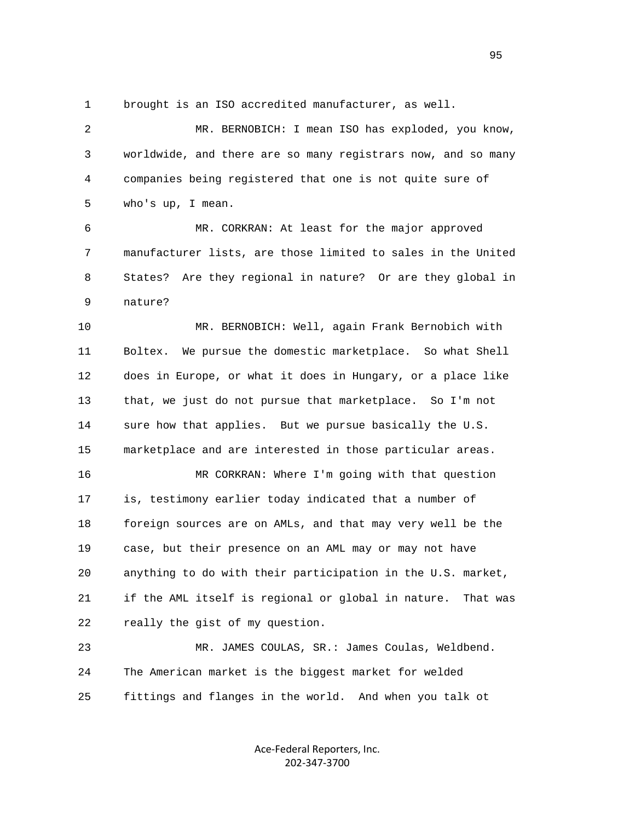1 brought is an ISO accredited manufacturer, as well.

 2 MR. BERNOBICH: I mean ISO has exploded, you know, 3 worldwide, and there are so many registrars now, and so many 4 companies being registered that one is not quite sure of 5 who's up, I mean.

 6 MR. CORKRAN: At least for the major approved 7 manufacturer lists, are those limited to sales in the United 8 States? Are they regional in nature? Or are they global in 9 nature?

 10 MR. BERNOBICH: Well, again Frank Bernobich with 11 Boltex. We pursue the domestic marketplace. So what Shell 12 does in Europe, or what it does in Hungary, or a place like 13 that, we just do not pursue that marketplace. So I'm not 14 sure how that applies. But we pursue basically the U.S. 15 marketplace and are interested in those particular areas.

 16 MR CORKRAN: Where I'm going with that question 17 is, testimony earlier today indicated that a number of 18 foreign sources are on AMLs, and that may very well be the 19 case, but their presence on an AML may or may not have 20 anything to do with their participation in the U.S. market, 21 if the AML itself is regional or global in nature. That was 22 really the gist of my question.

 23 MR. JAMES COULAS, SR.: James Coulas, Weldbend. 24 The American market is the biggest market for welded 25 fittings and flanges in the world. And when you talk ot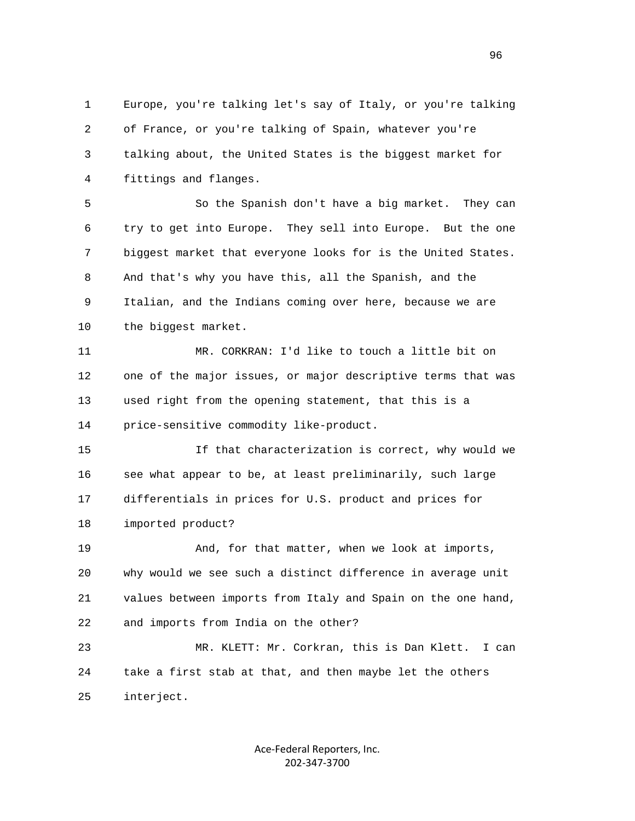1 Europe, you're talking let's say of Italy, or you're talking 2 of France, or you're talking of Spain, whatever you're 3 talking about, the United States is the biggest market for 4 fittings and flanges.

 5 So the Spanish don't have a big market. They can 6 try to get into Europe. They sell into Europe. But the one 7 biggest market that everyone looks for is the United States. 8 And that's why you have this, all the Spanish, and the 9 Italian, and the Indians coming over here, because we are 10 the biggest market.

 11 MR. CORKRAN: I'd like to touch a little bit on 12 one of the major issues, or major descriptive terms that was 13 used right from the opening statement, that this is a 14 price-sensitive commodity like-product.

 15 If that characterization is correct, why would we 16 see what appear to be, at least preliminarily, such large 17 differentials in prices for U.S. product and prices for 18 imported product?

 19 And, for that matter, when we look at imports, 20 why would we see such a distinct difference in average unit 21 values between imports from Italy and Spain on the one hand, 22 and imports from India on the other?

 23 MR. KLETT: Mr. Corkran, this is Dan Klett. I can 24 take a first stab at that, and then maybe let the others 25 interject.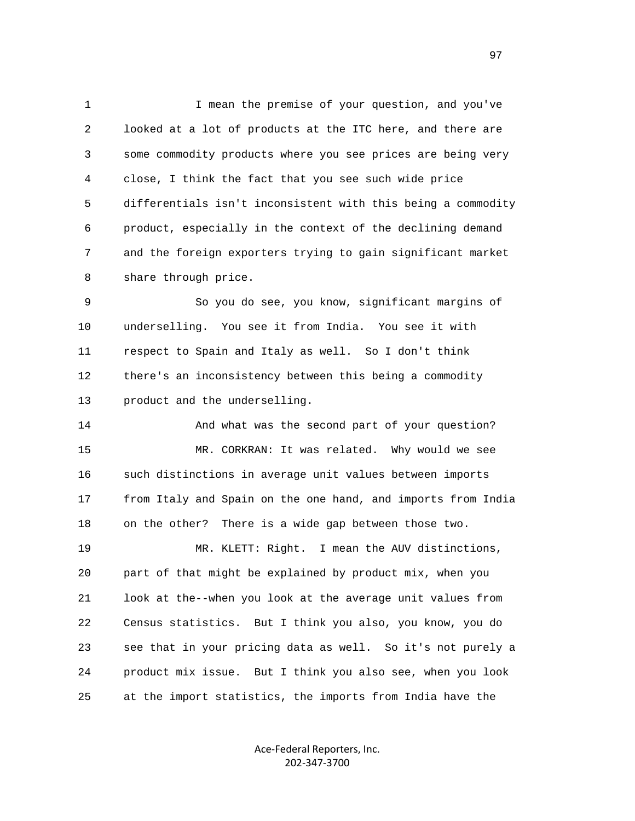1 I mean the premise of your question, and you've 2 looked at a lot of products at the ITC here, and there are 3 some commodity products where you see prices are being very 4 close, I think the fact that you see such wide price 5 differentials isn't inconsistent with this being a commodity 6 product, especially in the context of the declining demand 7 and the foreign exporters trying to gain significant market 8 share through price.

 9 So you do see, you know, significant margins of 10 underselling. You see it from India. You see it with 11 respect to Spain and Italy as well. So I don't think 12 there's an inconsistency between this being a commodity 13 product and the underselling.

 14 And what was the second part of your question? 15 MR. CORKRAN: It was related. Why would we see 16 such distinctions in average unit values between imports 17 from Italy and Spain on the one hand, and imports from India 18 on the other? There is a wide gap between those two. 19 MR. KLETT: Right. I mean the AUV distinctions, 20 part of that might be explained by product mix, when you 21 look at the--when you look at the average unit values from 22 Census statistics. But I think you also, you know, you do 23 see that in your pricing data as well. So it's not purely a 24 product mix issue. But I think you also see, when you look 25 at the import statistics, the imports from India have the

> Ace‐Federal Reporters, Inc. 202‐347‐3700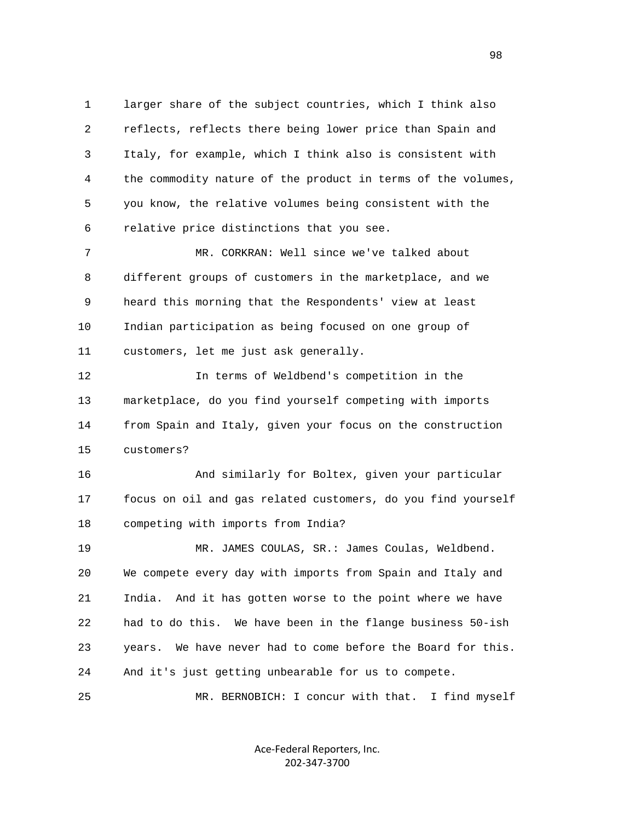1 larger share of the subject countries, which I think also 2 reflects, reflects there being lower price than Spain and 3 Italy, for example, which I think also is consistent with 4 the commodity nature of the product in terms of the volumes, 5 you know, the relative volumes being consistent with the 6 relative price distinctions that you see.

 7 MR. CORKRAN: Well since we've talked about 8 different groups of customers in the marketplace, and we 9 heard this morning that the Respondents' view at least 10 Indian participation as being focused on one group of 11 customers, let me just ask generally.

 12 In terms of Weldbend's competition in the 13 marketplace, do you find yourself competing with imports 14 from Spain and Italy, given your focus on the construction 15 customers?

 16 And similarly for Boltex, given your particular 17 focus on oil and gas related customers, do you find yourself 18 competing with imports from India?

 19 MR. JAMES COULAS, SR.: James Coulas, Weldbend. 20 We compete every day with imports from Spain and Italy and 21 India. And it has gotten worse to the point where we have 22 had to do this. We have been in the flange business 50-ish 23 years. We have never had to come before the Board for this. 24 And it's just getting unbearable for us to compete.

25 MR. BERNOBICH: I concur with that. I find myself

Ace‐Federal Reporters, Inc. 202‐347‐3700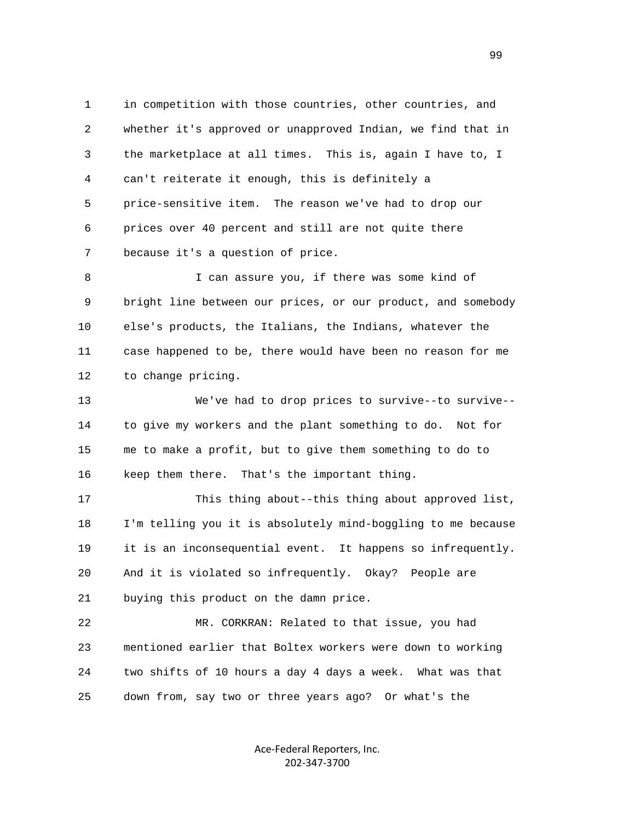1 in competition with those countries, other countries, and 2 whether it's approved or unapproved Indian, we find that in 3 the marketplace at all times. This is, again I have to, I 4 can't reiterate it enough, this is definitely a 5 price-sensitive item. The reason we've had to drop our 6 prices over 40 percent and still are not quite there 7 because it's a question of price.

 8 I can assure you, if there was some kind of 9 bright line between our prices, or our product, and somebody 10 else's products, the Italians, the Indians, whatever the 11 case happened to be, there would have been no reason for me 12 to change pricing.

 13 We've had to drop prices to survive--to survive-- 14 to give my workers and the plant something to do. Not for 15 me to make a profit, but to give them something to do to 16 keep them there. That's the important thing.

 17 This thing about--this thing about approved list, 18 I'm telling you it is absolutely mind-boggling to me because 19 it is an inconsequential event. It happens so infrequently. 20 And it is violated so infrequently. Okay? People are 21 buying this product on the damn price.

 22 MR. CORKRAN: Related to that issue, you had 23 mentioned earlier that Boltex workers were down to working 24 two shifts of 10 hours a day 4 days a week. What was that 25 down from, say two or three years ago? Or what's the

> Ace‐Federal Reporters, Inc. 202‐347‐3700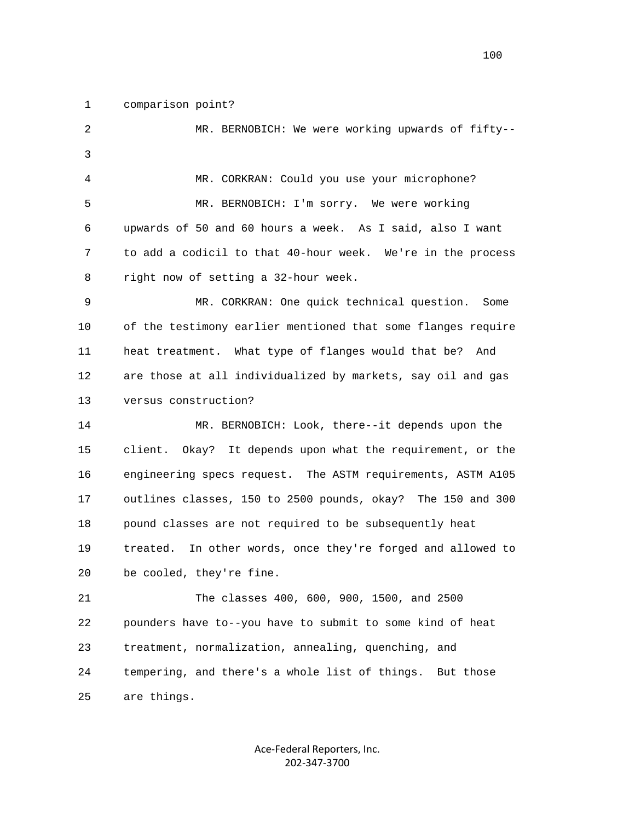1 comparison point?

 2 MR. BERNOBICH: We were working upwards of fifty-- 3 4 MR. CORKRAN: Could you use your microphone? 5 MR. BERNOBICH: I'm sorry. We were working 6 upwards of 50 and 60 hours a week. As I said, also I want 7 to add a codicil to that 40-hour week. We're in the process 8 right now of setting a 32-hour week. 9 MR. CORKRAN: One quick technical question. Some 10 of the testimony earlier mentioned that some flanges require 11 heat treatment. What type of flanges would that be? And 12 are those at all individualized by markets, say oil and gas 13 versus construction? 14 MR. BERNOBICH: Look, there--it depends upon the 15 client. Okay? It depends upon what the requirement, or the 16 engineering specs request. The ASTM requirements, ASTM A105 17 outlines classes, 150 to 2500 pounds, okay? The 150 and 300 18 pound classes are not required to be subsequently heat 19 treated. In other words, once they're forged and allowed to 20 be cooled, they're fine. 21 The classes 400, 600, 900, 1500, and 2500 22 pounders have to--you have to submit to some kind of heat 23 treatment, normalization, annealing, quenching, and 24 tempering, and there's a whole list of things. But those 25 are things.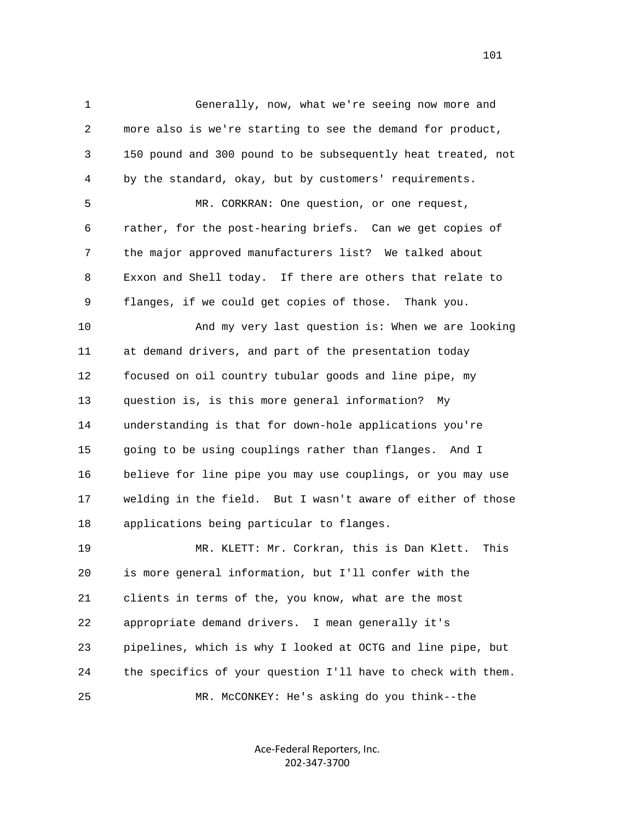1 Generally, now, what we're seeing now more and 2 more also is we're starting to see the demand for product, 3 150 pound and 300 pound to be subsequently heat treated, not 4 by the standard, okay, but by customers' requirements.

 5 MR. CORKRAN: One question, or one request, 6 rather, for the post-hearing briefs. Can we get copies of 7 the major approved manufacturers list? We talked about 8 Exxon and Shell today. If there are others that relate to 9 flanges, if we could get copies of those. Thank you.

 10 And my very last question is: When we are looking 11 at demand drivers, and part of the presentation today 12 focused on oil country tubular goods and line pipe, my 13 question is, is this more general information? My 14 understanding is that for down-hole applications you're 15 going to be using couplings rather than flanges. And I 16 believe for line pipe you may use couplings, or you may use 17 welding in the field. But I wasn't aware of either of those 18 applications being particular to flanges.

 19 MR. KLETT: Mr. Corkran, this is Dan Klett. This 20 is more general information, but I'll confer with the 21 clients in terms of the, you know, what are the most 22 appropriate demand drivers. I mean generally it's 23 pipelines, which is why I looked at OCTG and line pipe, but 24 the specifics of your question I'll have to check with them. 25 MR. McCONKEY: He's asking do you think--the

> Ace‐Federal Reporters, Inc. 202‐347‐3700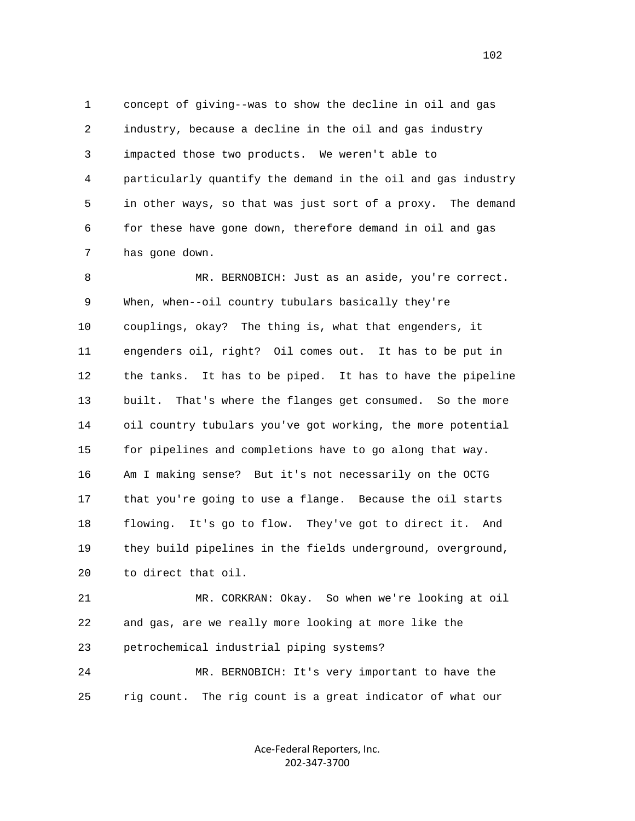1 concept of giving--was to show the decline in oil and gas 2 industry, because a decline in the oil and gas industry 3 impacted those two products. We weren't able to 4 particularly quantify the demand in the oil and gas industry 5 in other ways, so that was just sort of a proxy. The demand 6 for these have gone down, therefore demand in oil and gas 7 has gone down.

 8 MR. BERNOBICH: Just as an aside, you're correct. 9 When, when--oil country tubulars basically they're 10 couplings, okay? The thing is, what that engenders, it 11 engenders oil, right? Oil comes out. It has to be put in 12 the tanks. It has to be piped. It has to have the pipeline 13 built. That's where the flanges get consumed. So the more 14 oil country tubulars you've got working, the more potential 15 for pipelines and completions have to go along that way. 16 Am I making sense? But it's not necessarily on the OCTG 17 that you're going to use a flange. Because the oil starts 18 flowing. It's go to flow. They've got to direct it. And 19 they build pipelines in the fields underground, overground, 20 to direct that oil.

 21 MR. CORKRAN: Okay. So when we're looking at oil 22 and gas, are we really more looking at more like the 23 petrochemical industrial piping systems?

 24 MR. BERNOBICH: It's very important to have the 25 rig count. The rig count is a great indicator of what our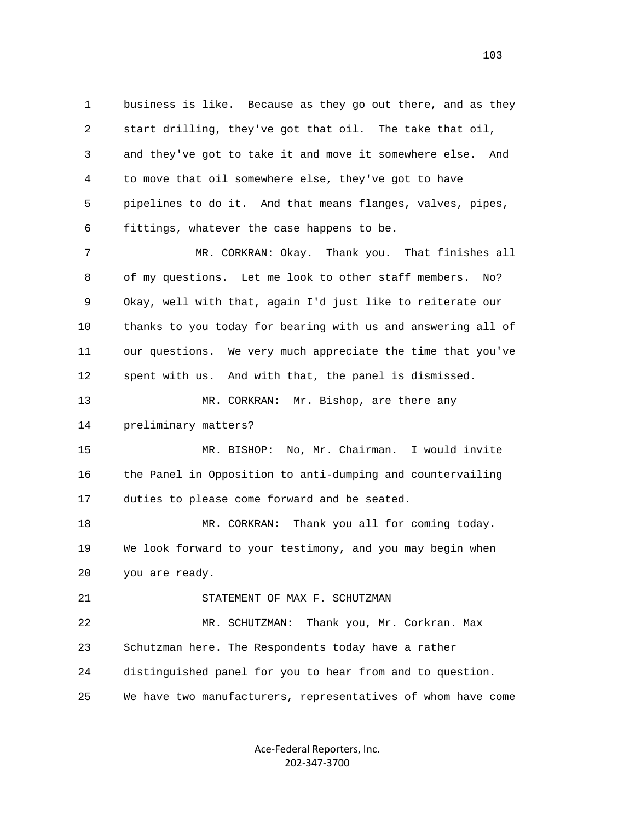1 business is like. Because as they go out there, and as they 2 start drilling, they've got that oil. The take that oil, 3 and they've got to take it and move it somewhere else. And 4 to move that oil somewhere else, they've got to have 5 pipelines to do it. And that means flanges, valves, pipes, 6 fittings, whatever the case happens to be.

 7 MR. CORKRAN: Okay. Thank you. That finishes all 8 of my questions. Let me look to other staff members. No? 9 Okay, well with that, again I'd just like to reiterate our 10 thanks to you today for bearing with us and answering all of 11 our questions. We very much appreciate the time that you've 12 spent with us. And with that, the panel is dismissed.

 13 MR. CORKRAN: Mr. Bishop, are there any 14 preliminary matters?

 15 MR. BISHOP: No, Mr. Chairman. I would invite 16 the Panel in Opposition to anti-dumping and countervailing 17 duties to please come forward and be seated.

18 MR. CORKRAN: Thank you all for coming today. 19 We look forward to your testimony, and you may begin when 20 you are ready.

21 STATEMENT OF MAX F. SCHUTZMAN

 22 MR. SCHUTZMAN: Thank you, Mr. Corkran. Max 23 Schutzman here. The Respondents today have a rather 24 distinguished panel for you to hear from and to question. 25 We have two manufacturers, representatives of whom have come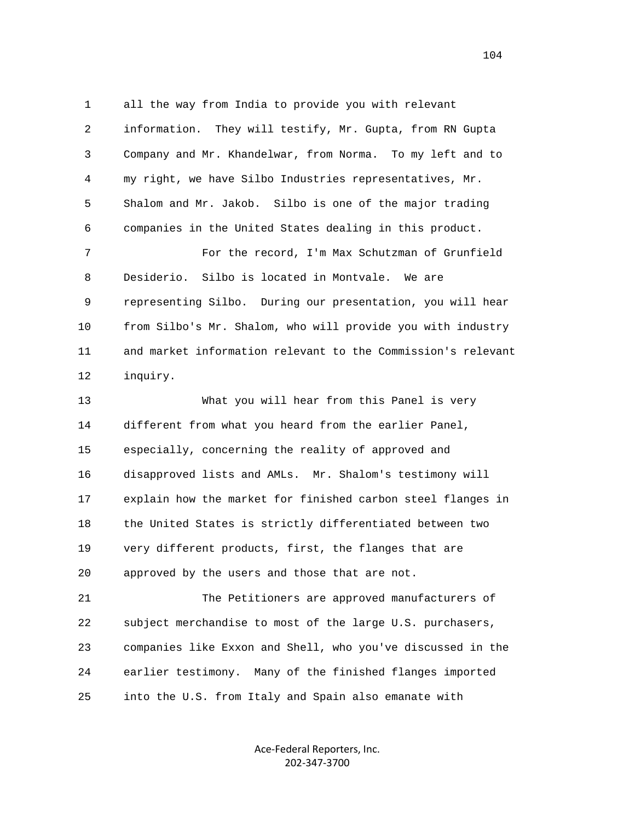1 all the way from India to provide you with relevant 2 information. They will testify, Mr. Gupta, from RN Gupta 3 Company and Mr. Khandelwar, from Norma. To my left and to 4 my right, we have Silbo Industries representatives, Mr. 5 Shalom and Mr. Jakob. Silbo is one of the major trading 6 companies in the United States dealing in this product. 7 For the record, I'm Max Schutzman of Grunfield 8 Desiderio. Silbo is located in Montvale. We are 9 representing Silbo. During our presentation, you will hear 10 from Silbo's Mr. Shalom, who will provide you with industry 11 and market information relevant to the Commission's relevant

12 inquiry.

 13 What you will hear from this Panel is very 14 different from what you heard from the earlier Panel, 15 especially, concerning the reality of approved and 16 disapproved lists and AMLs. Mr. Shalom's testimony will 17 explain how the market for finished carbon steel flanges in 18 the United States is strictly differentiated between two 19 very different products, first, the flanges that are 20 approved by the users and those that are not.

 21 The Petitioners are approved manufacturers of 22 subject merchandise to most of the large U.S. purchasers, 23 companies like Exxon and Shell, who you've discussed in the 24 earlier testimony. Many of the finished flanges imported 25 into the U.S. from Italy and Spain also emanate with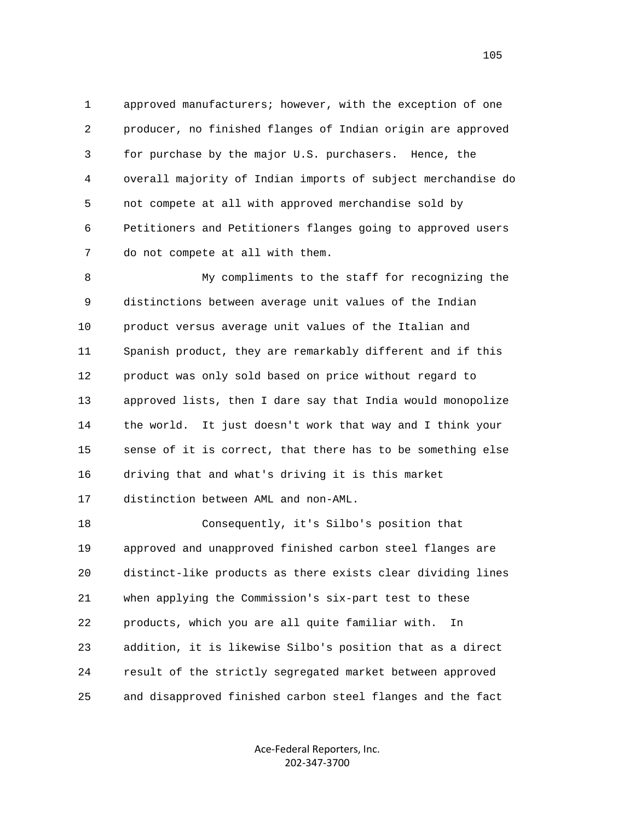1 approved manufacturers; however, with the exception of one 2 producer, no finished flanges of Indian origin are approved 3 for purchase by the major U.S. purchasers. Hence, the 4 overall majority of Indian imports of subject merchandise do 5 not compete at all with approved merchandise sold by 6 Petitioners and Petitioners flanges going to approved users 7 do not compete at all with them.

 8 My compliments to the staff for recognizing the 9 distinctions between average unit values of the Indian 10 product versus average unit values of the Italian and 11 Spanish product, they are remarkably different and if this 12 product was only sold based on price without regard to 13 approved lists, then I dare say that India would monopolize 14 the world. It just doesn't work that way and I think your 15 sense of it is correct, that there has to be something else 16 driving that and what's driving it is this market 17 distinction between AML and non-AML.

 18 Consequently, it's Silbo's position that 19 approved and unapproved finished carbon steel flanges are 20 distinct-like products as there exists clear dividing lines 21 when applying the Commission's six-part test to these 22 products, which you are all quite familiar with. In 23 addition, it is likewise Silbo's position that as a direct 24 result of the strictly segregated market between approved 25 and disapproved finished carbon steel flanges and the fact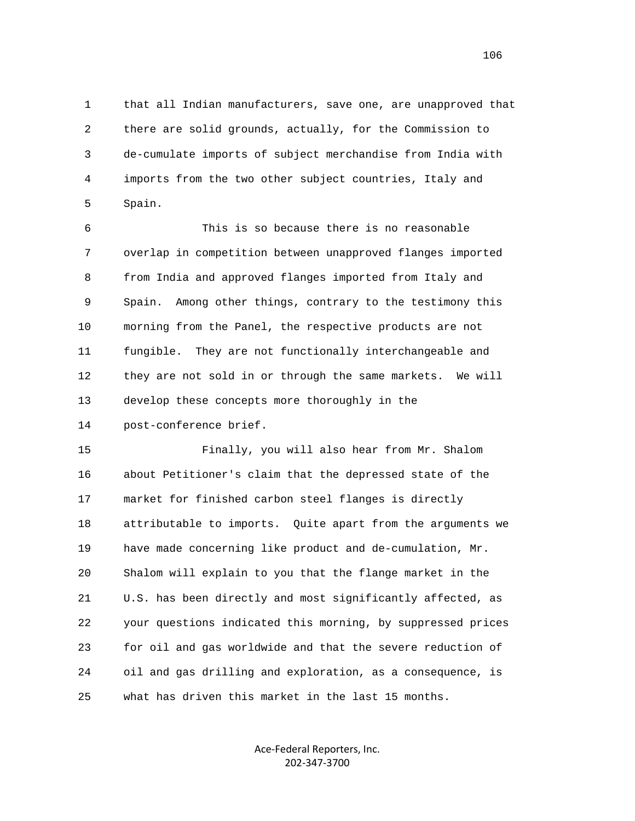1 that all Indian manufacturers, save one, are unapproved that 2 there are solid grounds, actually, for the Commission to 3 de-cumulate imports of subject merchandise from India with 4 imports from the two other subject countries, Italy and 5 Spain.

 6 This is so because there is no reasonable 7 overlap in competition between unapproved flanges imported 8 from India and approved flanges imported from Italy and 9 Spain. Among other things, contrary to the testimony this 10 morning from the Panel, the respective products are not 11 fungible. They are not functionally interchangeable and 12 they are not sold in or through the same markets. We will 13 develop these concepts more thoroughly in the 14 post-conference brief.

 15 Finally, you will also hear from Mr. Shalom 16 about Petitioner's claim that the depressed state of the 17 market for finished carbon steel flanges is directly 18 attributable to imports. Quite apart from the arguments we 19 have made concerning like product and de-cumulation, Mr. 20 Shalom will explain to you that the flange market in the 21 U.S. has been directly and most significantly affected, as 22 your questions indicated this morning, by suppressed prices 23 for oil and gas worldwide and that the severe reduction of 24 oil and gas drilling and exploration, as a consequence, is 25 what has driven this market in the last 15 months.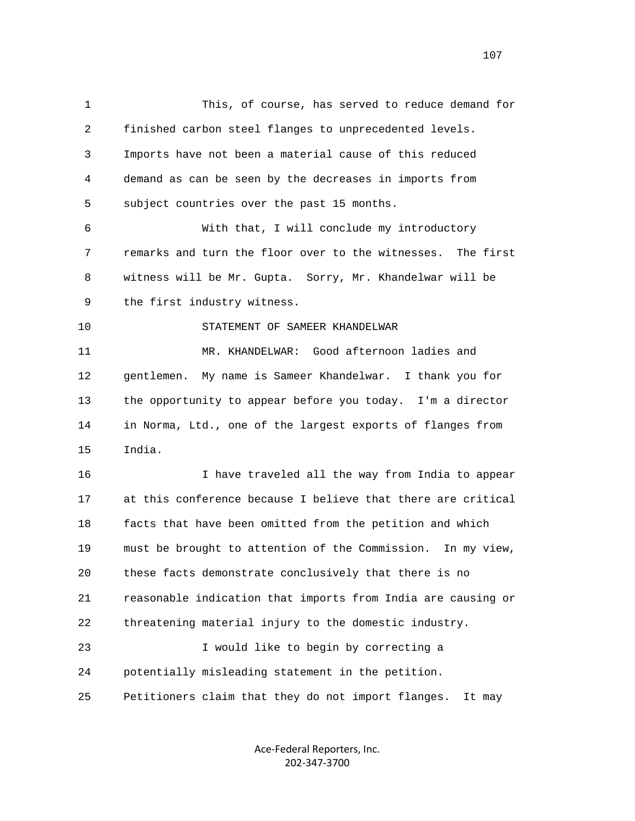1 This, of course, has served to reduce demand for 2 finished carbon steel flanges to unprecedented levels. 3 Imports have not been a material cause of this reduced 4 demand as can be seen by the decreases in imports from 5 subject countries over the past 15 months. 6 With that, I will conclude my introductory 7 remarks and turn the floor over to the witnesses. The first 8 witness will be Mr. Gupta. Sorry, Mr. Khandelwar will be 9 the first industry witness. 10 STATEMENT OF SAMEER KHANDELWAR 11 MR. KHANDELWAR: Good afternoon ladies and 12 gentlemen. My name is Sameer Khandelwar. I thank you for 13 the opportunity to appear before you today. I'm a director 14 in Norma, Ltd., one of the largest exports of flanges from 15 India. 16 I have traveled all the way from India to appear 17 at this conference because I believe that there are critical 18 facts that have been omitted from the petition and which 19 must be brought to attention of the Commission. In my view, 20 these facts demonstrate conclusively that there is no 21 reasonable indication that imports from India are causing or 22 threatening material injury to the domestic industry. 23 I would like to begin by correcting a 24 potentially misleading statement in the petition. 25 Petitioners claim that they do not import flanges. It may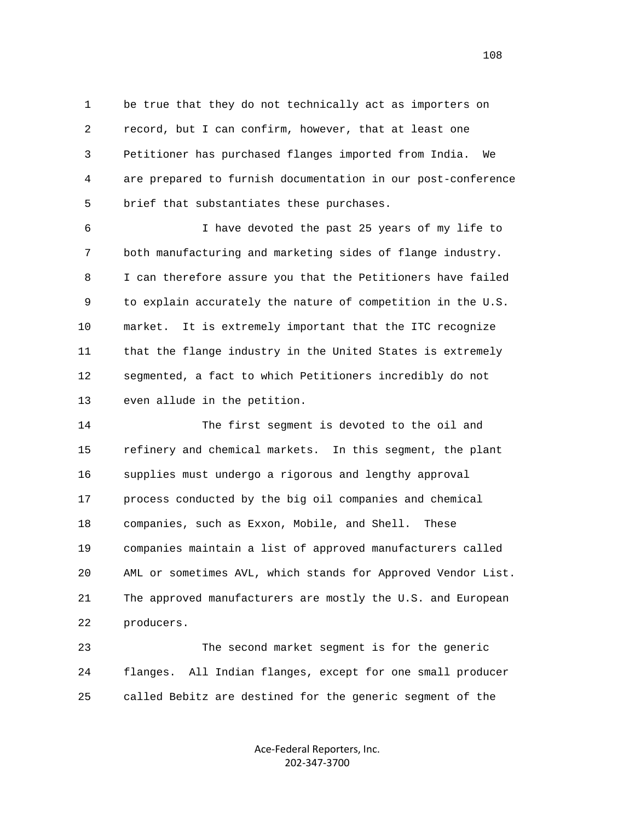1 be true that they do not technically act as importers on 2 record, but I can confirm, however, that at least one 3 Petitioner has purchased flanges imported from India. We 4 are prepared to furnish documentation in our post-conference 5 brief that substantiates these purchases.

 6 I have devoted the past 25 years of my life to 7 both manufacturing and marketing sides of flange industry. 8 I can therefore assure you that the Petitioners have failed 9 to explain accurately the nature of competition in the U.S. 10 market. It is extremely important that the ITC recognize 11 that the flange industry in the United States is extremely 12 segmented, a fact to which Petitioners incredibly do not 13 even allude in the petition.

 14 The first segment is devoted to the oil and 15 refinery and chemical markets. In this segment, the plant 16 supplies must undergo a rigorous and lengthy approval 17 process conducted by the big oil companies and chemical 18 companies, such as Exxon, Mobile, and Shell. These 19 companies maintain a list of approved manufacturers called 20 AML or sometimes AVL, which stands for Approved Vendor List. 21 The approved manufacturers are mostly the U.S. and European 22 producers.

 23 The second market segment is for the generic 24 flanges. All Indian flanges, except for one small producer 25 called Bebitz are destined for the generic segment of the

> Ace‐Federal Reporters, Inc. 202‐347‐3700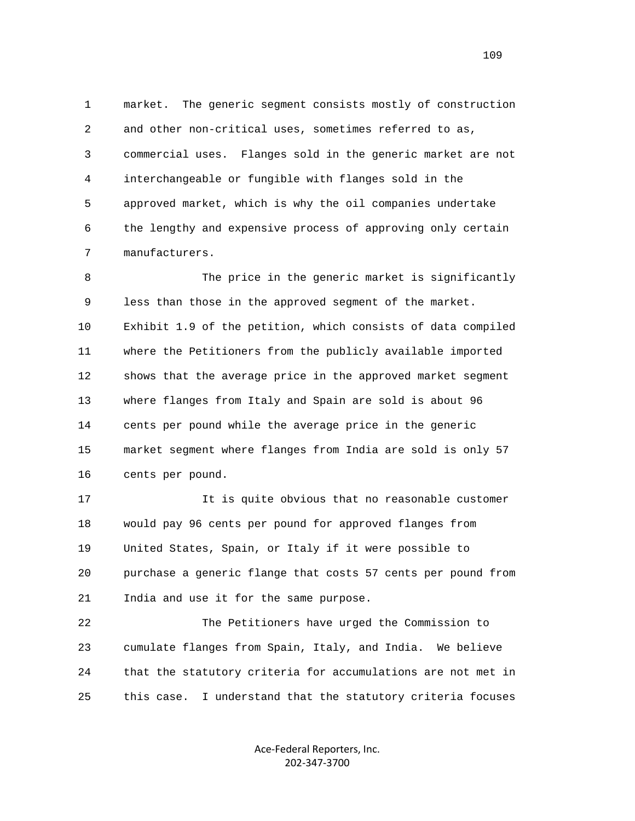1 market. The generic segment consists mostly of construction 2 and other non-critical uses, sometimes referred to as, 3 commercial uses. Flanges sold in the generic market are not 4 interchangeable or fungible with flanges sold in the 5 approved market, which is why the oil companies undertake 6 the lengthy and expensive process of approving only certain 7 manufacturers.

 8 The price in the generic market is significantly 9 less than those in the approved segment of the market. 10 Exhibit 1.9 of the petition, which consists of data compiled 11 where the Petitioners from the publicly available imported 12 shows that the average price in the approved market segment 13 where flanges from Italy and Spain are sold is about 96 14 cents per pound while the average price in the generic 15 market segment where flanges from India are sold is only 57 16 cents per pound.

 17 It is quite obvious that no reasonable customer 18 would pay 96 cents per pound for approved flanges from 19 United States, Spain, or Italy if it were possible to 20 purchase a generic flange that costs 57 cents per pound from 21 India and use it for the same purpose.

 22 The Petitioners have urged the Commission to 23 cumulate flanges from Spain, Italy, and India. We believe 24 that the statutory criteria for accumulations are not met in 25 this case. I understand that the statutory criteria focuses

> Ace‐Federal Reporters, Inc. 202‐347‐3700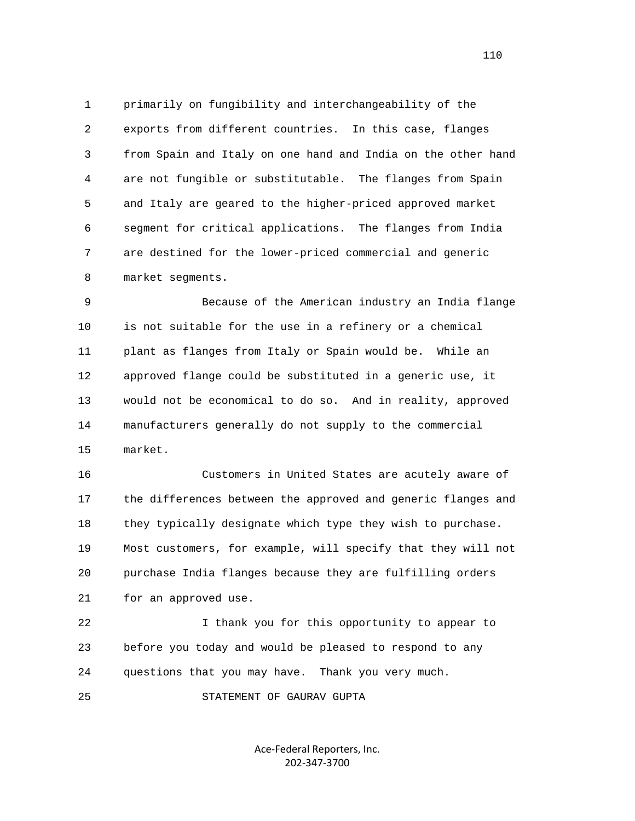1 primarily on fungibility and interchangeability of the 2 exports from different countries. In this case, flanges 3 from Spain and Italy on one hand and India on the other hand 4 are not fungible or substitutable. The flanges from Spain 5 and Italy are geared to the higher-priced approved market 6 segment for critical applications. The flanges from India 7 are destined for the lower-priced commercial and generic 8 market segments.

 9 Because of the American industry an India flange 10 is not suitable for the use in a refinery or a chemical 11 plant as flanges from Italy or Spain would be. While an 12 approved flange could be substituted in a generic use, it 13 would not be economical to do so. And in reality, approved 14 manufacturers generally do not supply to the commercial 15 market.

 16 Customers in United States are acutely aware of 17 the differences between the approved and generic flanges and 18 they typically designate which type they wish to purchase. 19 Most customers, for example, will specify that they will not 20 purchase India flanges because they are fulfilling orders 21 for an approved use.

 22 I thank you for this opportunity to appear to 23 before you today and would be pleased to respond to any 24 questions that you may have. Thank you very much.

25 STATEMENT OF GAURAV GUPTA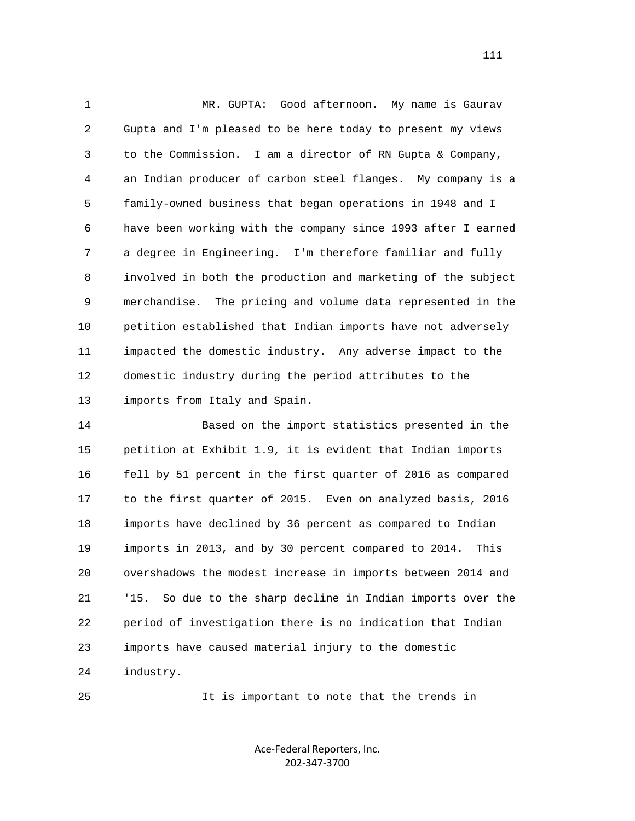1 MR. GUPTA: Good afternoon. My name is Gaurav 2 Gupta and I'm pleased to be here today to present my views 3 to the Commission. I am a director of RN Gupta & Company, 4 an Indian producer of carbon steel flanges. My company is a 5 family-owned business that began operations in 1948 and I 6 have been working with the company since 1993 after I earned 7 a degree in Engineering. I'm therefore familiar and fully 8 involved in both the production and marketing of the subject 9 merchandise. The pricing and volume data represented in the 10 petition established that Indian imports have not adversely 11 impacted the domestic industry. Any adverse impact to the 12 domestic industry during the period attributes to the 13 imports from Italy and Spain.

 14 Based on the import statistics presented in the 15 petition at Exhibit 1.9, it is evident that Indian imports 16 fell by 51 percent in the first quarter of 2016 as compared 17 to the first quarter of 2015. Even on analyzed basis, 2016 18 imports have declined by 36 percent as compared to Indian 19 imports in 2013, and by 30 percent compared to 2014. This 20 overshadows the modest increase in imports between 2014 and 21 '15. So due to the sharp decline in Indian imports over the 22 period of investigation there is no indication that Indian 23 imports have caused material injury to the domestic 24 industry.

25 It is important to note that the trends in

Ace‐Federal Reporters, Inc. 202‐347‐3700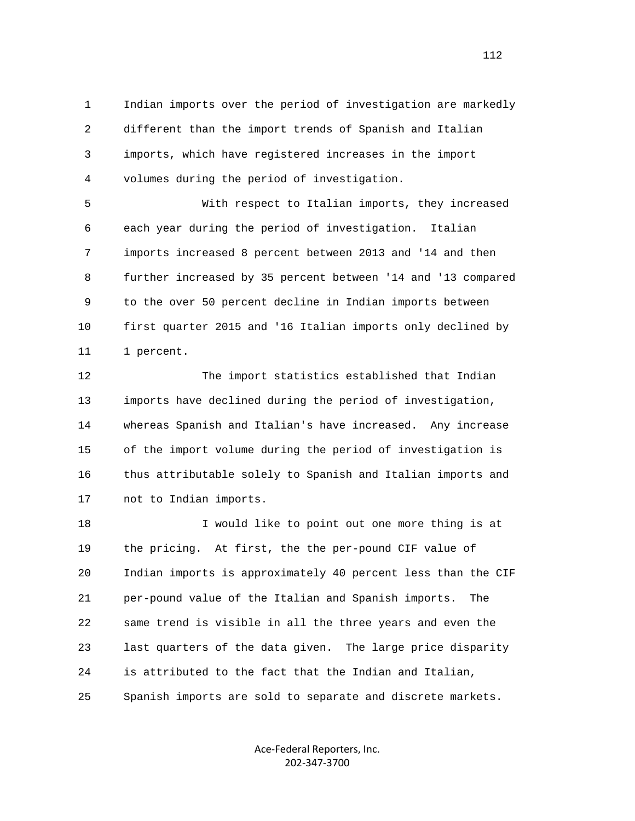1 Indian imports over the period of investigation are markedly 2 different than the import trends of Spanish and Italian 3 imports, which have registered increases in the import 4 volumes during the period of investigation.

 5 With respect to Italian imports, they increased 6 each year during the period of investigation. Italian 7 imports increased 8 percent between 2013 and '14 and then 8 further increased by 35 percent between '14 and '13 compared 9 to the over 50 percent decline in Indian imports between 10 first quarter 2015 and '16 Italian imports only declined by 11 1 percent.

 12 The import statistics established that Indian 13 imports have declined during the period of investigation, 14 whereas Spanish and Italian's have increased. Any increase 15 of the import volume during the period of investigation is 16 thus attributable solely to Spanish and Italian imports and 17 not to Indian imports.

 18 I would like to point out one more thing is at 19 the pricing. At first, the the per-pound CIF value of 20 Indian imports is approximately 40 percent less than the CIF 21 per-pound value of the Italian and Spanish imports. The 22 same trend is visible in all the three years and even the 23 last quarters of the data given. The large price disparity 24 is attributed to the fact that the Indian and Italian, 25 Spanish imports are sold to separate and discrete markets.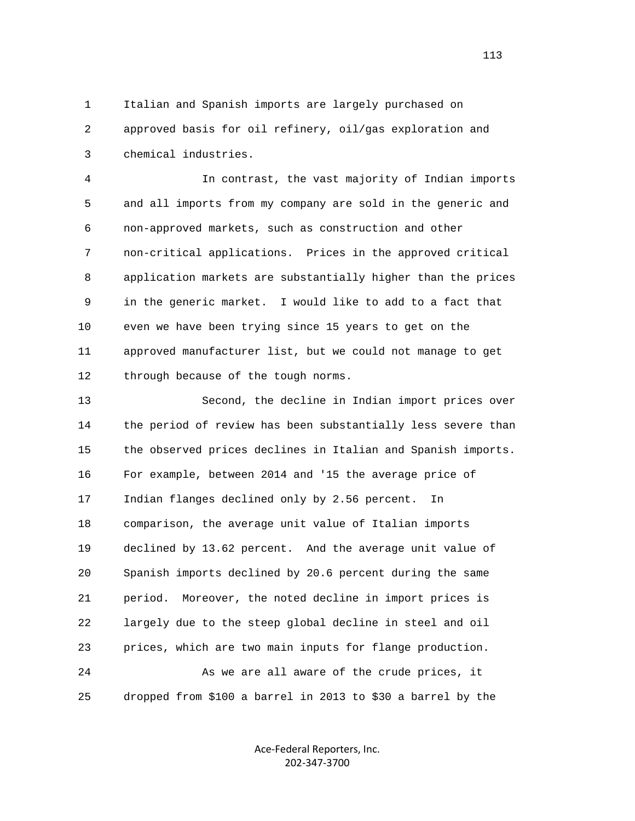1 Italian and Spanish imports are largely purchased on 2 approved basis for oil refinery, oil/gas exploration and 3 chemical industries.

 4 In contrast, the vast majority of Indian imports 5 and all imports from my company are sold in the generic and 6 non-approved markets, such as construction and other 7 non-critical applications. Prices in the approved critical 8 application markets are substantially higher than the prices 9 in the generic market. I would like to add to a fact that 10 even we have been trying since 15 years to get on the 11 approved manufacturer list, but we could not manage to get 12 through because of the tough norms.

 13 Second, the decline in Indian import prices over 14 the period of review has been substantially less severe than 15 the observed prices declines in Italian and Spanish imports. 16 For example, between 2014 and '15 the average price of 17 Indian flanges declined only by 2.56 percent. In 18 comparison, the average unit value of Italian imports 19 declined by 13.62 percent. And the average unit value of 20 Spanish imports declined by 20.6 percent during the same 21 period. Moreover, the noted decline in import prices is 22 largely due to the steep global decline in steel and oil 23 prices, which are two main inputs for flange production. 24 As we are all aware of the crude prices, it 25 dropped from \$100 a barrel in 2013 to \$30 a barrel by the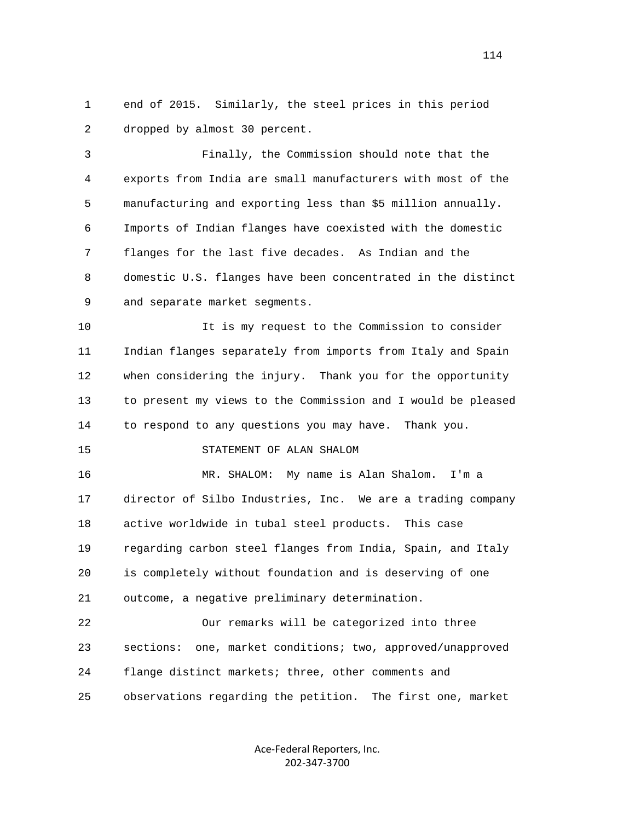1 end of 2015. Similarly, the steel prices in this period 2 dropped by almost 30 percent.

 3 Finally, the Commission should note that the 4 exports from India are small manufacturers with most of the 5 manufacturing and exporting less than \$5 million annually. 6 Imports of Indian flanges have coexisted with the domestic 7 flanges for the last five decades. As Indian and the 8 domestic U.S. flanges have been concentrated in the distinct 9 and separate market segments.

 10 It is my request to the Commission to consider 11 Indian flanges separately from imports from Italy and Spain 12 when considering the injury. Thank you for the opportunity 13 to present my views to the Commission and I would be pleased 14 to respond to any questions you may have. Thank you.

## 15 STATEMENT OF ALAN SHALOM

 16 MR. SHALOM: My name is Alan Shalom. I'm a 17 director of Silbo Industries, Inc. We are a trading company 18 active worldwide in tubal steel products. This case 19 regarding carbon steel flanges from India, Spain, and Italy 20 is completely without foundation and is deserving of one 21 outcome, a negative preliminary determination.

 22 Our remarks will be categorized into three 23 sections: one, market conditions; two, approved/unapproved 24 flange distinct markets; three, other comments and 25 observations regarding the petition. The first one, market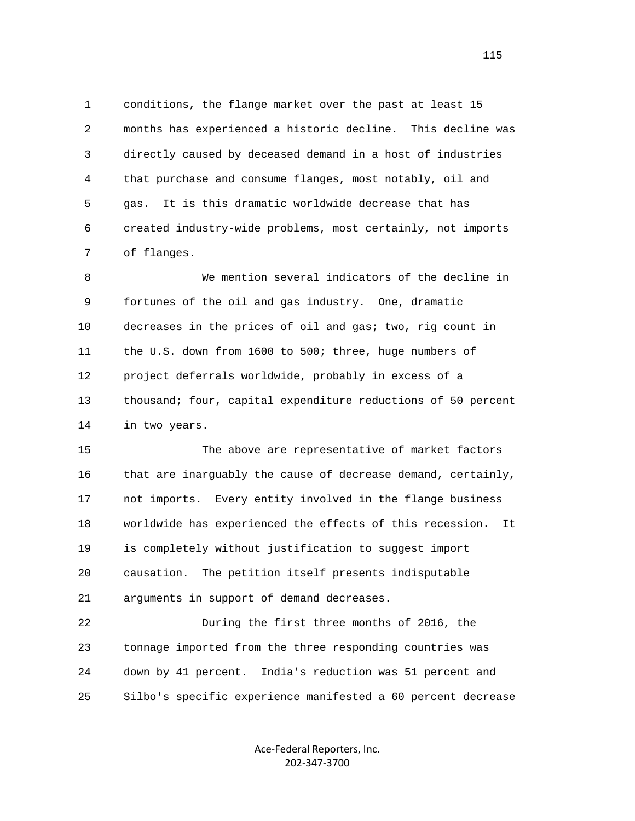1 conditions, the flange market over the past at least 15 2 months has experienced a historic decline. This decline was 3 directly caused by deceased demand in a host of industries 4 that purchase and consume flanges, most notably, oil and 5 gas. It is this dramatic worldwide decrease that has 6 created industry-wide problems, most certainly, not imports 7 of flanges.

 8 We mention several indicators of the decline in 9 fortunes of the oil and gas industry. One, dramatic 10 decreases in the prices of oil and gas; two, rig count in 11 the U.S. down from 1600 to 500; three, huge numbers of 12 project deferrals worldwide, probably in excess of a 13 thousand; four, capital expenditure reductions of 50 percent 14 in two years.

 15 The above are representative of market factors 16 that are inarguably the cause of decrease demand, certainly, 17 not imports. Every entity involved in the flange business 18 worldwide has experienced the effects of this recession. It 19 is completely without justification to suggest import 20 causation. The petition itself presents indisputable 21 arguments in support of demand decreases.

 22 During the first three months of 2016, the 23 tonnage imported from the three responding countries was 24 down by 41 percent. India's reduction was 51 percent and 25 Silbo's specific experience manifested a 60 percent decrease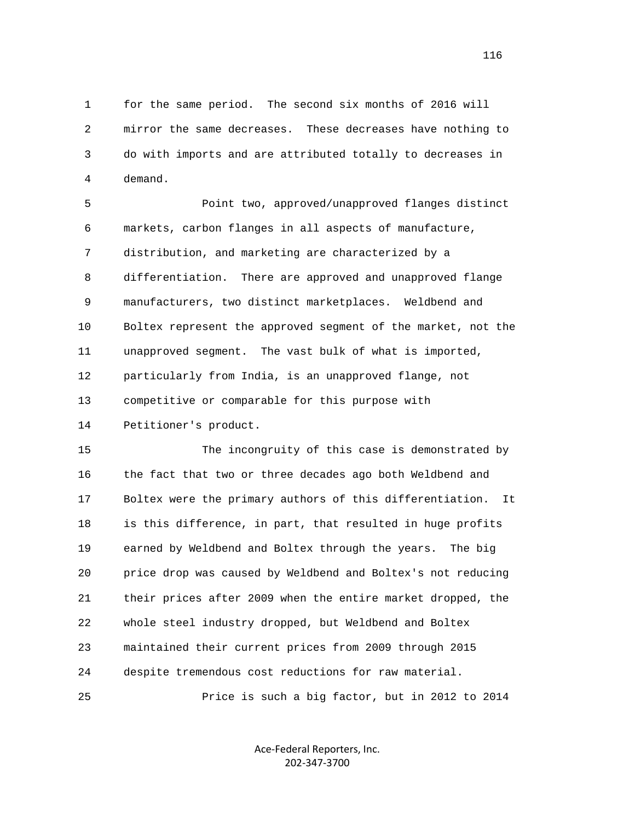1 for the same period. The second six months of 2016 will 2 mirror the same decreases. These decreases have nothing to 3 do with imports and are attributed totally to decreases in 4 demand.

 5 Point two, approved/unapproved flanges distinct 6 markets, carbon flanges in all aspects of manufacture, 7 distribution, and marketing are characterized by a 8 differentiation. There are approved and unapproved flange 9 manufacturers, two distinct marketplaces. Weldbend and 10 Boltex represent the approved segment of the market, not the 11 unapproved segment. The vast bulk of what is imported, 12 particularly from India, is an unapproved flange, not 13 competitive or comparable for this purpose with 14 Petitioner's product.

 15 The incongruity of this case is demonstrated by 16 the fact that two or three decades ago both Weldbend and 17 Boltex were the primary authors of this differentiation. It 18 is this difference, in part, that resulted in huge profits 19 earned by Weldbend and Boltex through the years. The big 20 price drop was caused by Weldbend and Boltex's not reducing 21 their prices after 2009 when the entire market dropped, the 22 whole steel industry dropped, but Weldbend and Boltex 23 maintained their current prices from 2009 through 2015 24 despite tremendous cost reductions for raw material. 25 Price is such a big factor, but in 2012 to 2014

> Ace‐Federal Reporters, Inc. 202‐347‐3700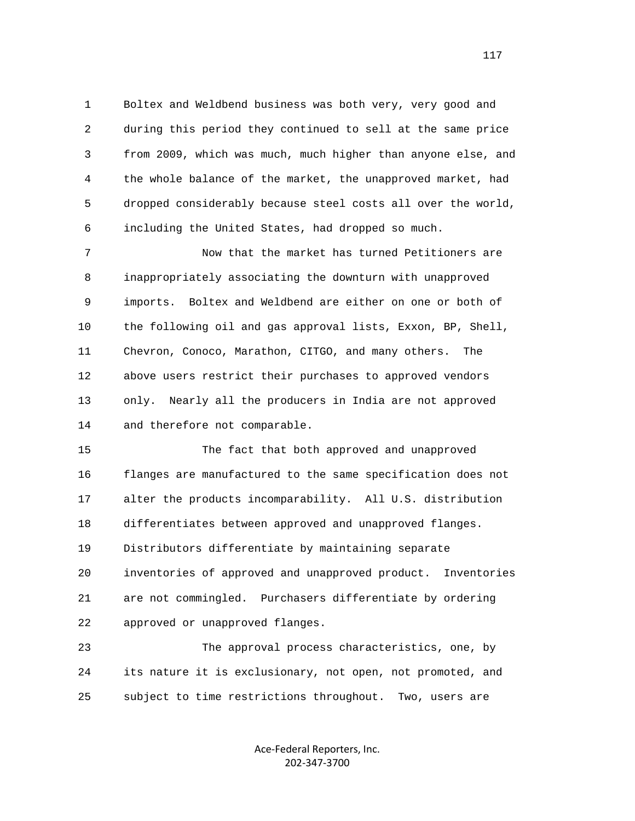1 Boltex and Weldbend business was both very, very good and 2 during this period they continued to sell at the same price 3 from 2009, which was much, much higher than anyone else, and 4 the whole balance of the market, the unapproved market, had 5 dropped considerably because steel costs all over the world, 6 including the United States, had dropped so much.

 7 Now that the market has turned Petitioners are 8 inappropriately associating the downturn with unapproved 9 imports. Boltex and Weldbend are either on one or both of 10 the following oil and gas approval lists, Exxon, BP, Shell, 11 Chevron, Conoco, Marathon, CITGO, and many others. The 12 above users restrict their purchases to approved vendors 13 only. Nearly all the producers in India are not approved 14 and therefore not comparable.

 15 The fact that both approved and unapproved 16 flanges are manufactured to the same specification does not 17 alter the products incomparability. All U.S. distribution 18 differentiates between approved and unapproved flanges. 19 Distributors differentiate by maintaining separate 20 inventories of approved and unapproved product. Inventories 21 are not commingled. Purchasers differentiate by ordering 22 approved or unapproved flanges.

 23 The approval process characteristics, one, by 24 its nature it is exclusionary, not open, not promoted, and 25 subject to time restrictions throughout. Two, users are

> Ace‐Federal Reporters, Inc. 202‐347‐3700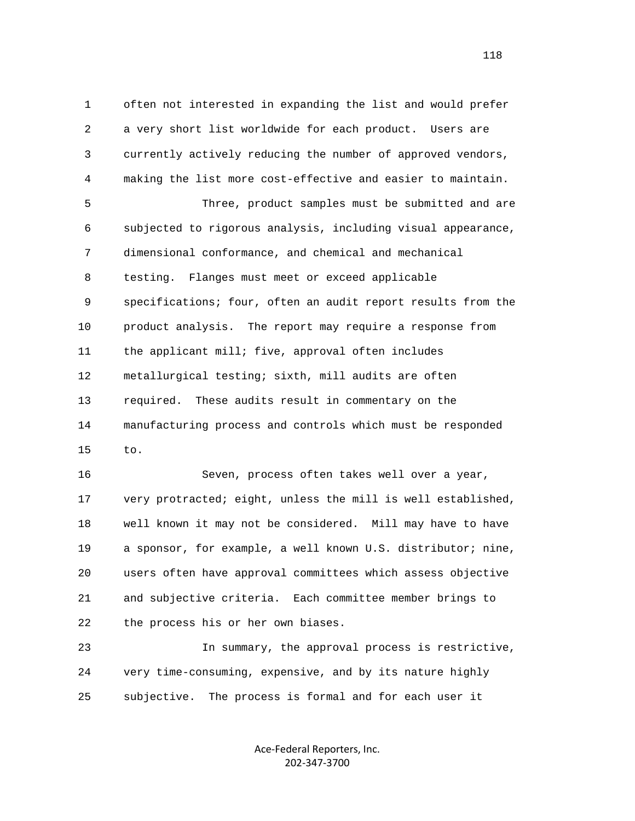1 often not interested in expanding the list and would prefer 2 a very short list worldwide for each product. Users are 3 currently actively reducing the number of approved vendors, 4 making the list more cost-effective and easier to maintain.

 5 Three, product samples must be submitted and are 6 subjected to rigorous analysis, including visual appearance, 7 dimensional conformance, and chemical and mechanical 8 testing. Flanges must meet or exceed applicable 9 specifications; four, often an audit report results from the 10 product analysis. The report may require a response from 11 the applicant mill; five, approval often includes 12 metallurgical testing; sixth, mill audits are often 13 required. These audits result in commentary on the 14 manufacturing process and controls which must be responded 15 to.

 16 Seven, process often takes well over a year, 17 very protracted; eight, unless the mill is well established, 18 well known it may not be considered. Mill may have to have 19 a sponsor, for example, a well known U.S. distributor; nine, 20 users often have approval committees which assess objective 21 and subjective criteria. Each committee member brings to 22 the process his or her own biases.

 23 In summary, the approval process is restrictive, 24 very time-consuming, expensive, and by its nature highly 25 subjective. The process is formal and for each user it

> Ace‐Federal Reporters, Inc. 202‐347‐3700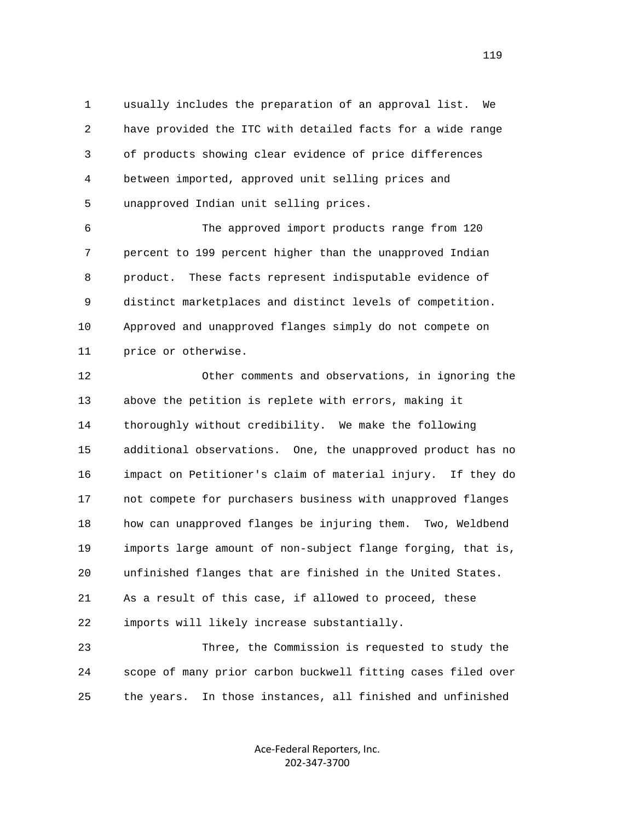1 usually includes the preparation of an approval list. We 2 have provided the ITC with detailed facts for a wide range 3 of products showing clear evidence of price differences 4 between imported, approved unit selling prices and 5 unapproved Indian unit selling prices.

 6 The approved import products range from 120 7 percent to 199 percent higher than the unapproved Indian 8 product. These facts represent indisputable evidence of 9 distinct marketplaces and distinct levels of competition. 10 Approved and unapproved flanges simply do not compete on 11 price or otherwise.

 12 Other comments and observations, in ignoring the 13 above the petition is replete with errors, making it 14 thoroughly without credibility. We make the following 15 additional observations. One, the unapproved product has no 16 impact on Petitioner's claim of material injury. If they do 17 not compete for purchasers business with unapproved flanges 18 how can unapproved flanges be injuring them. Two, Weldbend 19 imports large amount of non-subject flange forging, that is, 20 unfinished flanges that are finished in the United States. 21 As a result of this case, if allowed to proceed, these 22 imports will likely increase substantially.

 23 Three, the Commission is requested to study the 24 scope of many prior carbon buckwell fitting cases filed over 25 the years. In those instances, all finished and unfinished

> Ace‐Federal Reporters, Inc. 202‐347‐3700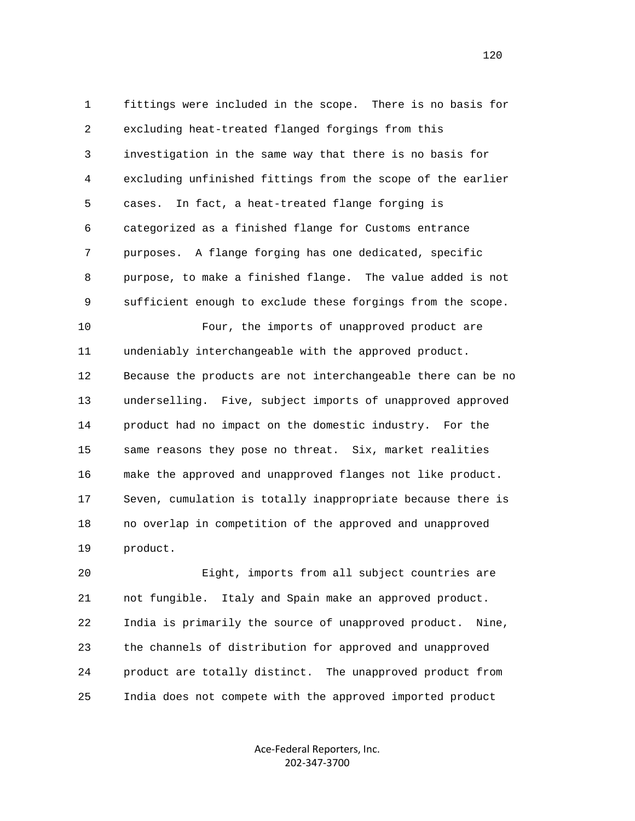1 fittings were included in the scope. There is no basis for 2 excluding heat-treated flanged forgings from this 3 investigation in the same way that there is no basis for 4 excluding unfinished fittings from the scope of the earlier 5 cases. In fact, a heat-treated flange forging is 6 categorized as a finished flange for Customs entrance 7 purposes. A flange forging has one dedicated, specific 8 purpose, to make a finished flange. The value added is not 9 sufficient enough to exclude these forgings from the scope. 10 Four, the imports of unapproved product are 11 undeniably interchangeable with the approved product. 12 Because the products are not interchangeable there can be no 13 underselling. Five, subject imports of unapproved approved 14 product had no impact on the domestic industry. For the 15 same reasons they pose no threat. Six, market realities 16 make the approved and unapproved flanges not like product. 17 Seven, cumulation is totally inappropriate because there is 18 no overlap in competition of the approved and unapproved 19 product.

 20 Eight, imports from all subject countries are 21 not fungible. Italy and Spain make an approved product. 22 India is primarily the source of unapproved product. Nine, 23 the channels of distribution for approved and unapproved 24 product are totally distinct. The unapproved product from 25 India does not compete with the approved imported product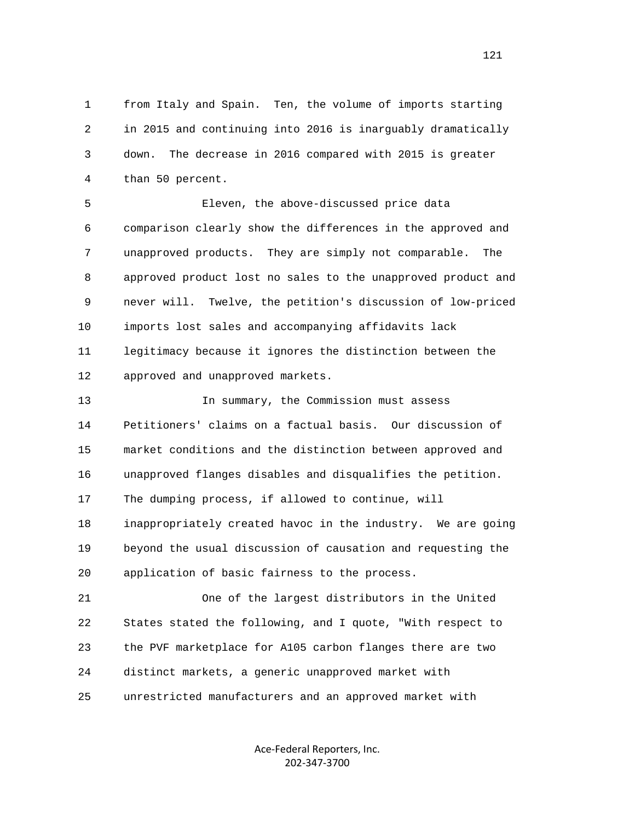1 from Italy and Spain. Ten, the volume of imports starting 2 in 2015 and continuing into 2016 is inarguably dramatically 3 down. The decrease in 2016 compared with 2015 is greater 4 than 50 percent.

 5 Eleven, the above-discussed price data 6 comparison clearly show the differences in the approved and 7 unapproved products. They are simply not comparable. The 8 approved product lost no sales to the unapproved product and 9 never will. Twelve, the petition's discussion of low-priced 10 imports lost sales and accompanying affidavits lack 11 legitimacy because it ignores the distinction between the 12 approved and unapproved markets.

 13 In summary, the Commission must assess 14 Petitioners' claims on a factual basis. Our discussion of 15 market conditions and the distinction between approved and 16 unapproved flanges disables and disqualifies the petition. 17 The dumping process, if allowed to continue, will 18 inappropriately created havoc in the industry. We are going 19 beyond the usual discussion of causation and requesting the 20 application of basic fairness to the process.

 21 One of the largest distributors in the United 22 States stated the following, and I quote, "With respect to 23 the PVF marketplace for A105 carbon flanges there are two 24 distinct markets, a generic unapproved market with 25 unrestricted manufacturers and an approved market with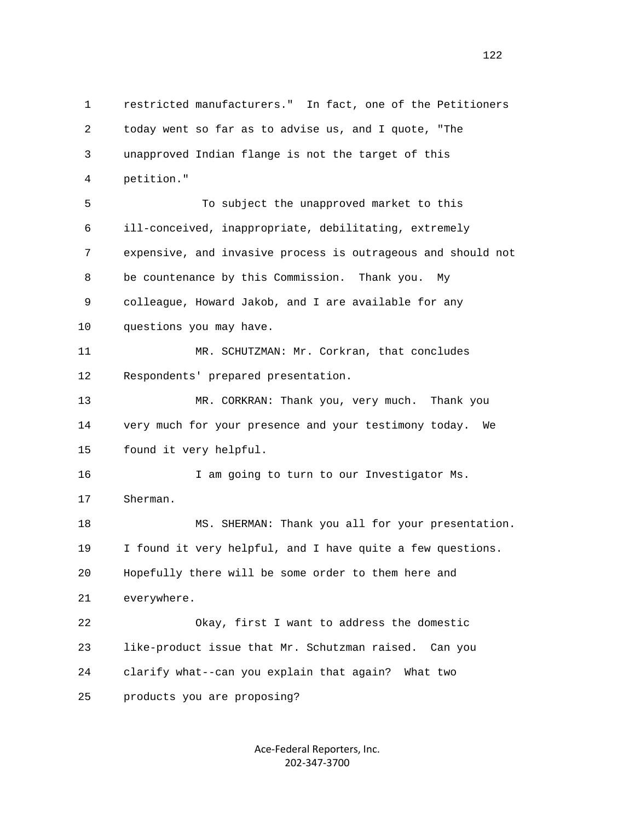1 restricted manufacturers." In fact, one of the Petitioners 2 today went so far as to advise us, and I quote, "The 3 unapproved Indian flange is not the target of this 4 petition." 5 To subject the unapproved market to this 6 ill-conceived, inappropriate, debilitating, extremely 7 expensive, and invasive process is outrageous and should not 8 be countenance by this Commission. Thank you. My 9 colleague, Howard Jakob, and I are available for any 10 questions you may have. 11 MR. SCHUTZMAN: Mr. Corkran, that concludes 12 Respondents' prepared presentation. 13 MR. CORKRAN: Thank you, very much. Thank you 14 very much for your presence and your testimony today. We 15 found it very helpful. 16 I am going to turn to our Investigator Ms. 17 Sherman. 18 MS. SHERMAN: Thank you all for your presentation. 19 I found it very helpful, and I have quite a few questions. 20 Hopefully there will be some order to them here and 21 everywhere. 22 Okay, first I want to address the domestic 23 like-product issue that Mr. Schutzman raised. Can you 24 clarify what--can you explain that again? What two 25 products you are proposing?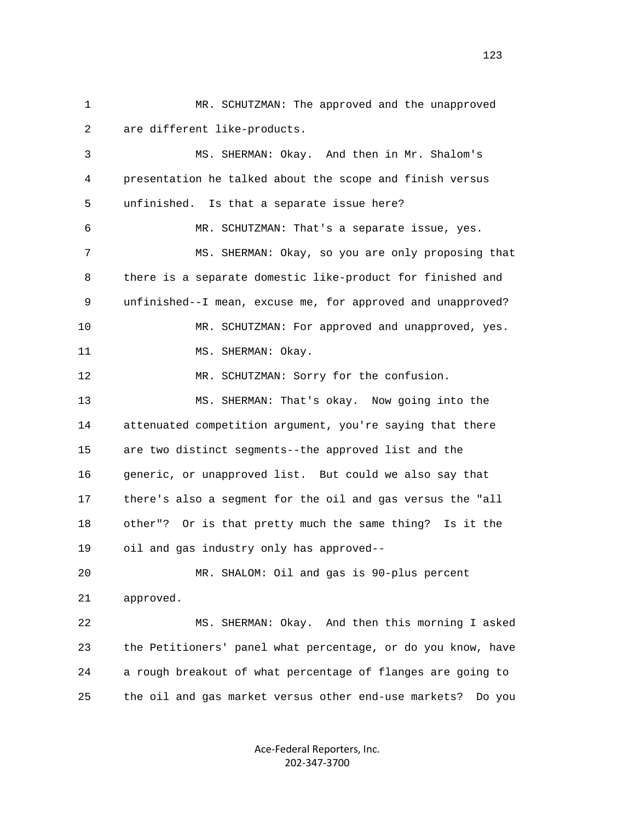1 MR. SCHUTZMAN: The approved and the unapproved 2 are different like-products. 3 MS. SHERMAN: Okay. And then in Mr. Shalom's 4 presentation he talked about the scope and finish versus 5 unfinished. Is that a separate issue here? 6 MR. SCHUTZMAN: That's a separate issue, yes. 7 MS. SHERMAN: Okay, so you are only proposing that 8 there is a separate domestic like-product for finished and 9 unfinished--I mean, excuse me, for approved and unapproved? 10 MR. SCHUTZMAN: For approved and unapproved, yes. 11 MS. SHERMAN: Okay. 12 MR. SCHUTZMAN: Sorry for the confusion. 13 MS. SHERMAN: That's okay. Now going into the 14 attenuated competition argument, you're saying that there 15 are two distinct segments--the approved list and the 16 generic, or unapproved list. But could we also say that 17 there's also a segment for the oil and gas versus the "all 18 other"? Or is that pretty much the same thing? Is it the 19 oil and gas industry only has approved-- 20 MR. SHALOM: Oil and gas is 90-plus percent 21 approved. 22 MS. SHERMAN: Okay. And then this morning I asked 23 the Petitioners' panel what percentage, or do you know, have 24 a rough breakout of what percentage of flanges are going to 25 the oil and gas market versus other end-use markets? Do you

> Ace‐Federal Reporters, Inc. 202‐347‐3700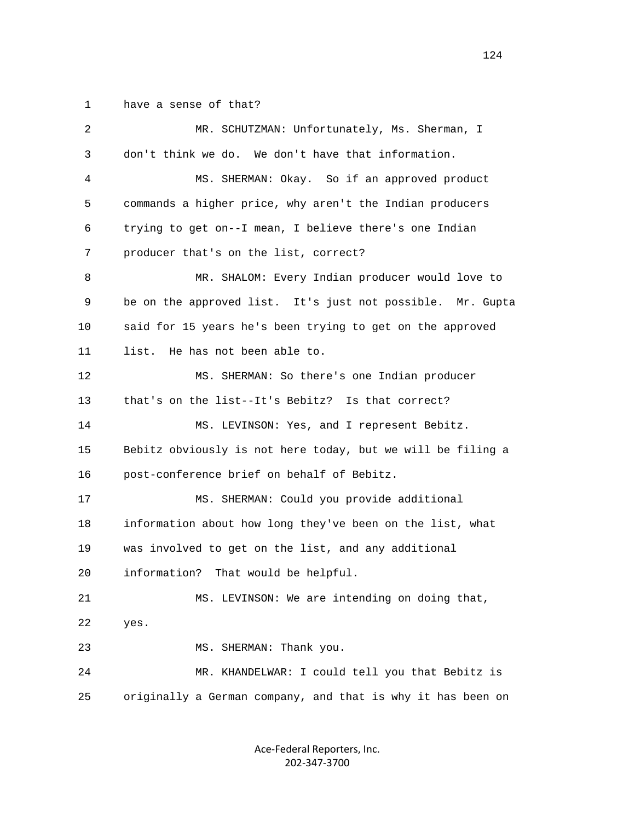1 have a sense of that?

| 2  | MR. SCHUTZMAN: Unfortunately, Ms. Sherman, I                |
|----|-------------------------------------------------------------|
| 3  | don't think we do. We don't have that information.          |
| 4  | MS. SHERMAN: Okay. So if an approved product                |
| 5  | commands a higher price, why aren't the Indian producers    |
| 6  | trying to get on--I mean, I believe there's one Indian      |
| 7  | producer that's on the list, correct?                       |
| 8  | MR. SHALOM: Every Indian producer would love to             |
| 9  | be on the approved list. It's just not possible. Mr. Gupta  |
| 10 | said for 15 years he's been trying to get on the approved   |
| 11 | He has not been able to.<br>list.                           |
| 12 | MS. SHERMAN: So there's one Indian producer                 |
| 13 | that's on the list--It's Bebitz? Is that correct?           |
| 14 | MS. LEVINSON: Yes, and I represent Bebitz.                  |
| 15 | Bebitz obviously is not here today, but we will be filing a |
| 16 | post-conference brief on behalf of Bebitz.                  |
| 17 | MS. SHERMAN: Could you provide additional                   |
| 18 | information about how long they've been on the list, what   |
| 19 | was involved to get on the list, and any additional         |
| 20 | information?<br>That would be helpful.                      |
| 21 | MS. LEVINSON: We are intending on doing that,               |
| 22 | yes.                                                        |
| 23 | MS. SHERMAN: Thank you.                                     |
| 24 | MR. KHANDELWAR: I could tell you that Bebitz is             |
| 25 | originally a German company, and that is why it has been on |
|    |                                                             |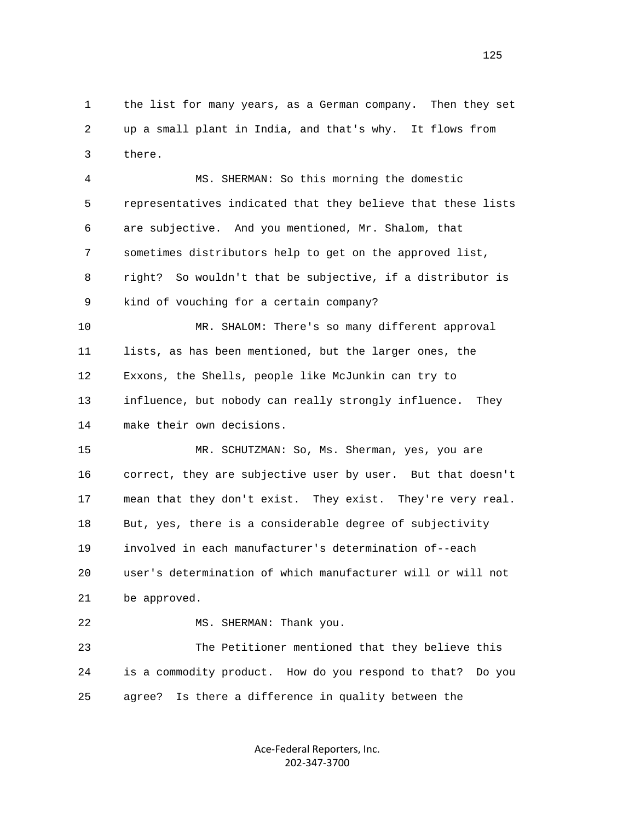1 the list for many years, as a German company. Then they set 2 up a small plant in India, and that's why. It flows from 3 there.

 4 MS. SHERMAN: So this morning the domestic 5 representatives indicated that they believe that these lists 6 are subjective. And you mentioned, Mr. Shalom, that 7 sometimes distributors help to get on the approved list, 8 right? So wouldn't that be subjective, if a distributor is 9 kind of vouching for a certain company? 10 MR. SHALOM: There's so many different approval 11 lists, as has been mentioned, but the larger ones, the 12 Exxons, the Shells, people like McJunkin can try to 13 influence, but nobody can really strongly influence. They 14 make their own decisions.

 15 MR. SCHUTZMAN: So, Ms. Sherman, yes, you are 16 correct, they are subjective user by user. But that doesn't 17 mean that they don't exist. They exist. They're very real. 18 But, yes, there is a considerable degree of subjectivity 19 involved in each manufacturer's determination of--each 20 user's determination of which manufacturer will or will not 21 be approved.

 22 MS. SHERMAN: Thank you. 23 The Petitioner mentioned that they believe this 24 is a commodity product. How do you respond to that? Do you 25 agree? Is there a difference in quality between the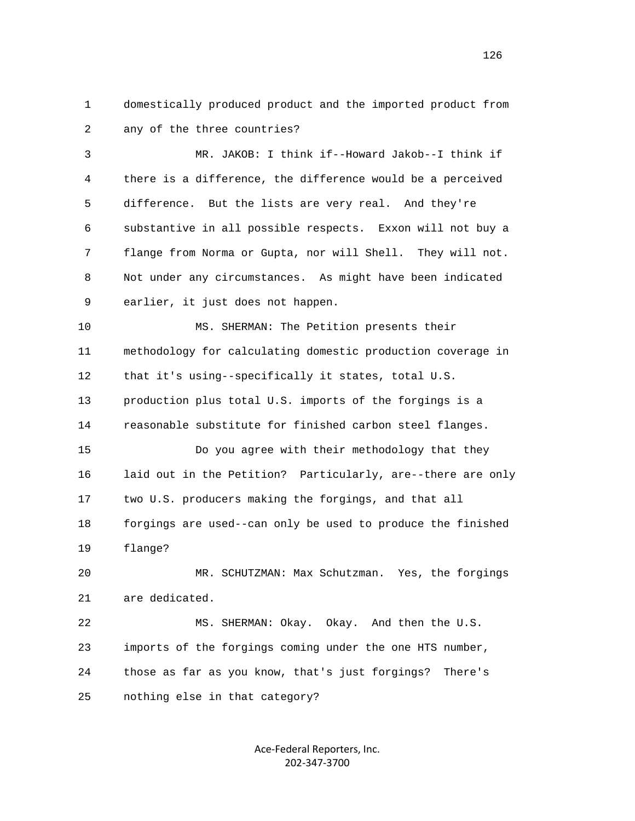1 domestically produced product and the imported product from 2 any of the three countries?

 3 MR. JAKOB: I think if--Howard Jakob--I think if 4 there is a difference, the difference would be a perceived 5 difference. But the lists are very real. And they're 6 substantive in all possible respects. Exxon will not buy a 7 flange from Norma or Gupta, nor will Shell. They will not. 8 Not under any circumstances. As might have been indicated 9 earlier, it just does not happen.

 10 MS. SHERMAN: The Petition presents their 11 methodology for calculating domestic production coverage in 12 that it's using--specifically it states, total U.S. 13 production plus total U.S. imports of the forgings is a 14 reasonable substitute for finished carbon steel flanges. 15 Do you agree with their methodology that they 16 laid out in the Petition? Particularly, are--there are only 17 two U.S. producers making the forgings, and that all 18 forgings are used--can only be used to produce the finished

19 flange?

 20 MR. SCHUTZMAN: Max Schutzman. Yes, the forgings 21 are dedicated.

 22 MS. SHERMAN: Okay. Okay. And then the U.S. 23 imports of the forgings coming under the one HTS number, 24 those as far as you know, that's just forgings? There's 25 nothing else in that category?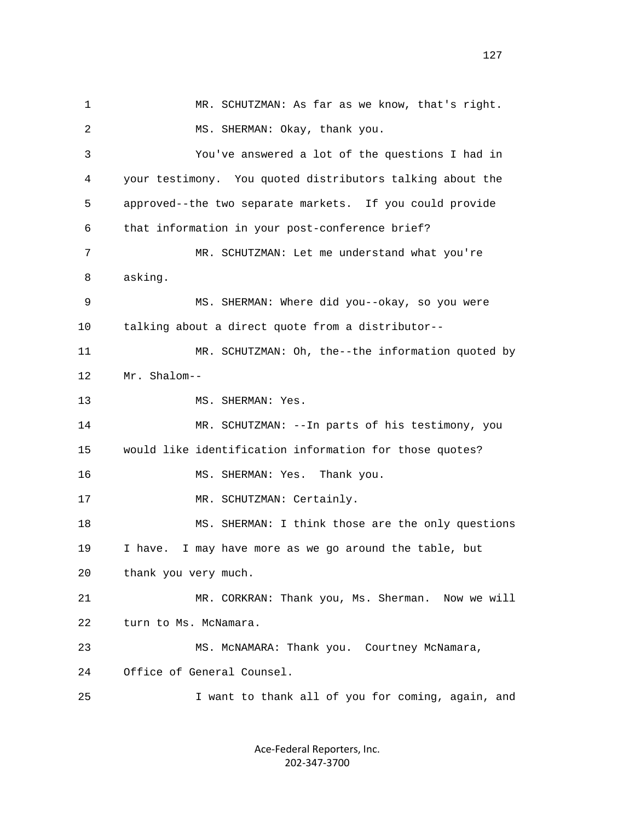1 MR. SCHUTZMAN: As far as we know, that's right. 2 MS. SHERMAN: Okay, thank you. 3 You've answered a lot of the questions I had in 4 your testimony. You quoted distributors talking about the 5 approved--the two separate markets. If you could provide 6 that information in your post-conference brief? 7 MR. SCHUTZMAN: Let me understand what you're 8 asking. 9 MS. SHERMAN: Where did you--okay, so you were 10 talking about a direct quote from a distributor-- 11 MR. SCHUTZMAN: Oh, the--the information quoted by 12 Mr. Shalom-- 13 MS. SHERMAN: Yes. 14 MR. SCHUTZMAN: --In parts of his testimony, you 15 would like identification information for those quotes? 16 MS. SHERMAN: Yes. Thank you. 17 MR. SCHUTZMAN: Certainly. 18 MS. SHERMAN: I think those are the only questions 19 I have. I may have more as we go around the table, but 20 thank you very much. 21 MR. CORKRAN: Thank you, Ms. Sherman. Now we will 22 turn to Ms. McNamara. 23 MS. McNAMARA: Thank you. Courtney McNamara, 24 Office of General Counsel. 25 I want to thank all of you for coming, again, and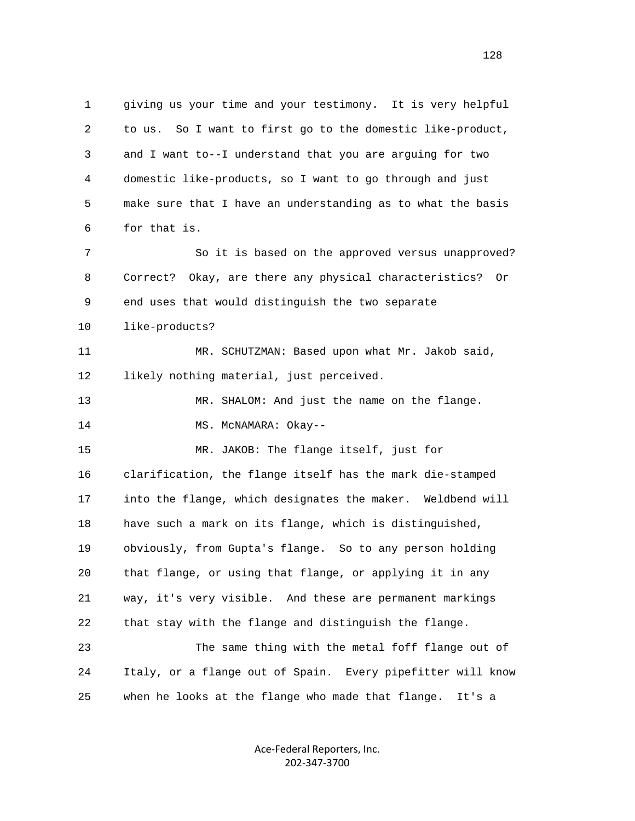1 giving us your time and your testimony. It is very helpful 2 to us. So I want to first go to the domestic like-product, 3 and I want to--I understand that you are arguing for two 4 domestic like-products, so I want to go through and just 5 make sure that I have an understanding as to what the basis 6 for that is. 7 So it is based on the approved versus unapproved? 8 Correct? Okay, are there any physical characteristics? Or 9 end uses that would distinguish the two separate 10 like-products? 11 MR. SCHUTZMAN: Based upon what Mr. Jakob said, 12 likely nothing material, just perceived. 13 MR. SHALOM: And just the name on the flange. 14 MS. McNAMARA: Okay-- 15 MR. JAKOB: The flange itself, just for 16 clarification, the flange itself has the mark die-stamped 17 into the flange, which designates the maker. Weldbend will 18 have such a mark on its flange, which is distinguished, 19 obviously, from Gupta's flange. So to any person holding 20 that flange, or using that flange, or applying it in any 21 way, it's very visible. And these are permanent markings 22 that stay with the flange and distinguish the flange. 23 The same thing with the metal foff flange out of 24 Italy, or a flange out of Spain. Every pipefitter will know 25 when he looks at the flange who made that flange. It's a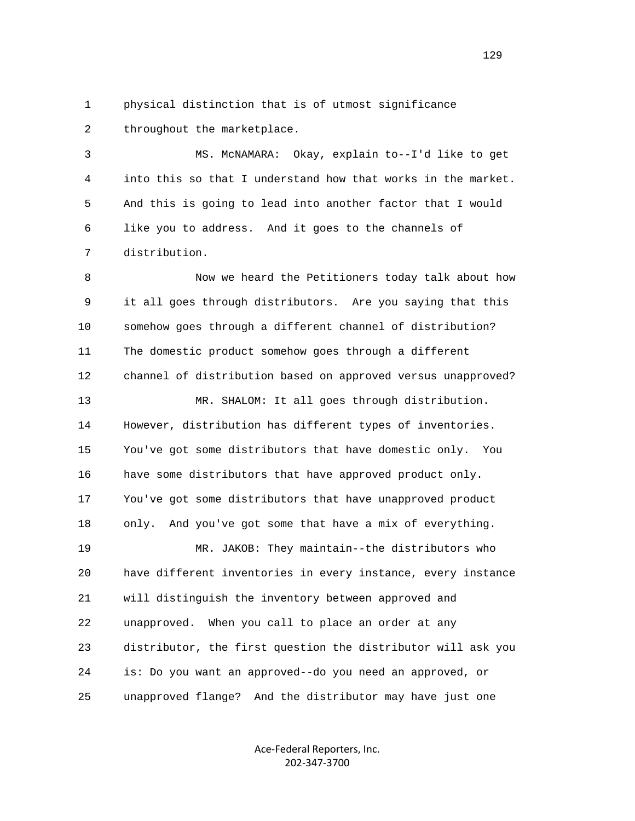1 physical distinction that is of utmost significance 2 throughout the marketplace.

 3 MS. McNAMARA: Okay, explain to--I'd like to get 4 into this so that I understand how that works in the market. 5 And this is going to lead into another factor that I would 6 like you to address. And it goes to the channels of 7 distribution.

 8 Now we heard the Petitioners today talk about how 9 it all goes through distributors. Are you saying that this 10 somehow goes through a different channel of distribution? 11 The domestic product somehow goes through a different 12 channel of distribution based on approved versus unapproved? 13 MR. SHALOM: It all goes through distribution. 14 However, distribution has different types of inventories. 15 You've got some distributors that have domestic only. You 16 have some distributors that have approved product only. 17 You've got some distributors that have unapproved product 18 only. And you've got some that have a mix of everything. 19 MR. JAKOB: They maintain--the distributors who 20 have different inventories in every instance, every instance 21 will distinguish the inventory between approved and 22 unapproved. When you call to place an order at any 23 distributor, the first question the distributor will ask you 24 is: Do you want an approved--do you need an approved, or 25 unapproved flange? And the distributor may have just one

> Ace‐Federal Reporters, Inc. 202‐347‐3700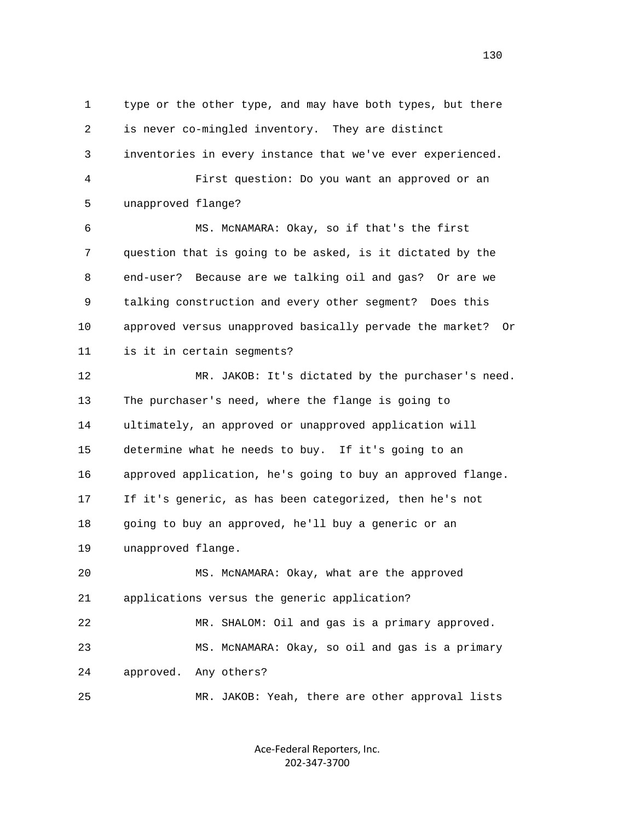1 type or the other type, and may have both types, but there 2 is never co-mingled inventory. They are distinct 3 inventories in every instance that we've ever experienced. 4 First question: Do you want an approved or an 5 unapproved flange? 6 MS. McNAMARA: Okay, so if that's the first 7 question that is going to be asked, is it dictated by the 8 end-user? Because are we talking oil and gas? Or are we 9 talking construction and every other segment? Does this 10 approved versus unapproved basically pervade the market? Or 11 is it in certain segments? 12 MR. JAKOB: It's dictated by the purchaser's need. 13 The purchaser's need, where the flange is going to 14 ultimately, an approved or unapproved application will 15 determine what he needs to buy. If it's going to an 16 approved application, he's going to buy an approved flange. 17 If it's generic, as has been categorized, then he's not 18 going to buy an approved, he'll buy a generic or an 19 unapproved flange. 20 MS. McNAMARA: Okay, what are the approved 21 applications versus the generic application? 22 MR. SHALOM: Oil and gas is a primary approved. 23 MS. McNAMARA: Okay, so oil and gas is a primary 24 approved. Any others? 25 MR. JAKOB: Yeah, there are other approval lists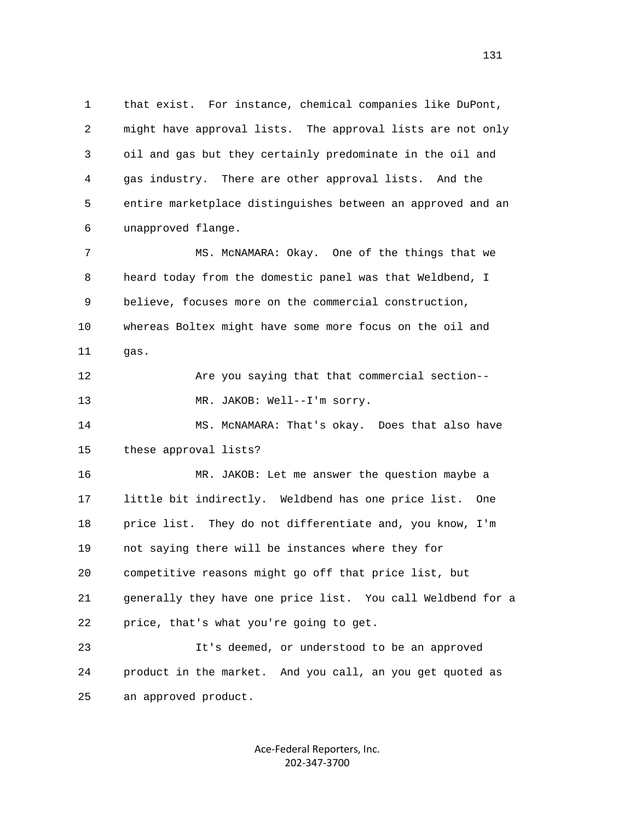1 that exist. For instance, chemical companies like DuPont, 2 might have approval lists. The approval lists are not only 3 oil and gas but they certainly predominate in the oil and 4 gas industry. There are other approval lists. And the 5 entire marketplace distinguishes between an approved and an 6 unapproved flange. 7 MS. McNAMARA: Okay. One of the things that we 8 heard today from the domestic panel was that Weldbend, I 9 believe, focuses more on the commercial construction, 10 whereas Boltex might have some more focus on the oil and 11 gas. 12 Are you saying that that commercial section-- 13 MR. JAKOB: Well--I'm sorry. 14 MS. McNAMARA: That's okay. Does that also have 15 these approval lists? 16 MR. JAKOB: Let me answer the question maybe a

 17 little bit indirectly. Weldbend has one price list. One 18 price list. They do not differentiate and, you know, I'm 19 not saying there will be instances where they for 20 competitive reasons might go off that price list, but 21 generally they have one price list. You call Weldbend for a 22 price, that's what you're going to get.

 23 It's deemed, or understood to be an approved 24 product in the market. And you call, an you get quoted as 25 an approved product.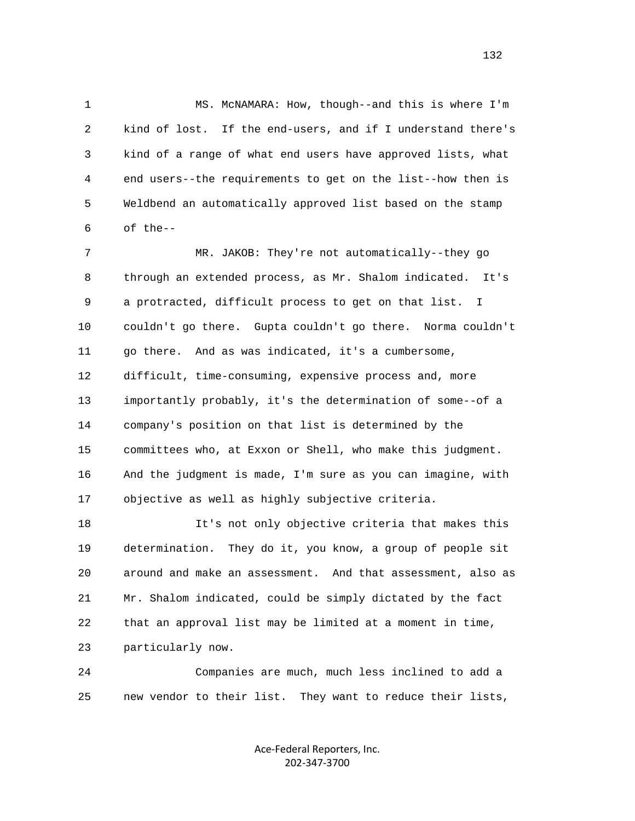1 MS. McNAMARA: How, though--and this is where I'm 2 kind of lost. If the end-users, and if I understand there's 3 kind of a range of what end users have approved lists, what 4 end users--the requirements to get on the list--how then is 5 Weldbend an automatically approved list based on the stamp 6 of the--

7 MR. JAKOB: They're not automatically--they go 8 through an extended process, as Mr. Shalom indicated. It's 9 a protracted, difficult process to get on that list. I 10 couldn't go there. Gupta couldn't go there. Norma couldn't 11 go there. And as was indicated, it's a cumbersome, 12 difficult, time-consuming, expensive process and, more 13 importantly probably, it's the determination of some--of a 14 company's position on that list is determined by the 15 committees who, at Exxon or Shell, who make this judgment. 16 And the judgment is made, I'm sure as you can imagine, with 17 objective as well as highly subjective criteria.

 18 It's not only objective criteria that makes this 19 determination. They do it, you know, a group of people sit 20 around and make an assessment. And that assessment, also as 21 Mr. Shalom indicated, could be simply dictated by the fact 22 that an approval list may be limited at a moment in time, 23 particularly now.

 24 Companies are much, much less inclined to add a 25 new vendor to their list. They want to reduce their lists,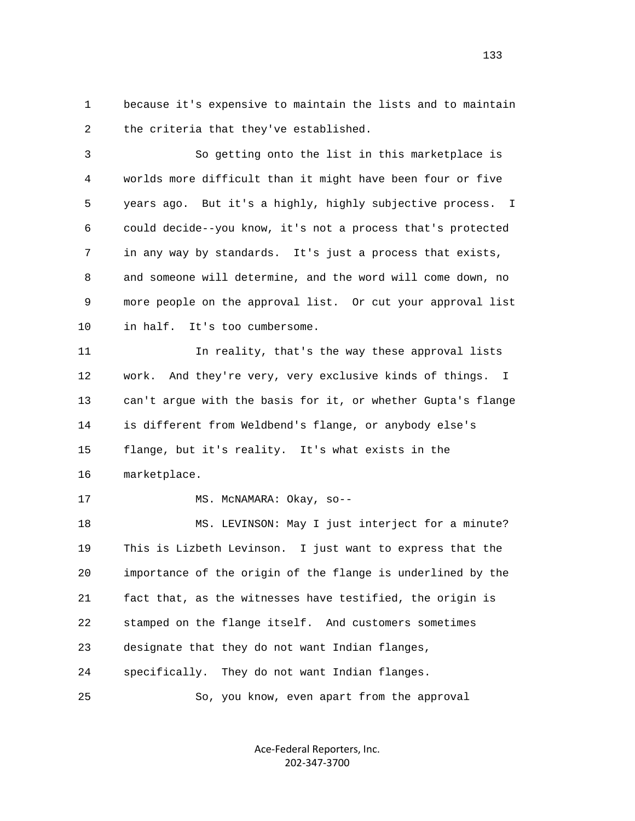1 because it's expensive to maintain the lists and to maintain 2 the criteria that they've established.

 3 So getting onto the list in this marketplace is 4 worlds more difficult than it might have been four or five 5 years ago. But it's a highly, highly subjective process. I 6 could decide--you know, it's not a process that's protected 7 in any way by standards. It's just a process that exists, 8 and someone will determine, and the word will come down, no 9 more people on the approval list. Or cut your approval list 10 in half. It's too cumbersome.

 11 In reality, that's the way these approval lists 12 work. And they're very, very exclusive kinds of things. I 13 can't argue with the basis for it, or whether Gupta's flange 14 is different from Weldbend's flange, or anybody else's 15 flange, but it's reality. It's what exists in the 16 marketplace.

17 MS. McNAMARA: Okay, so--

18 MS. LEVINSON: May I just interject for a minute? 19 This is Lizbeth Levinson. I just want to express that the 20 importance of the origin of the flange is underlined by the 21 fact that, as the witnesses have testified, the origin is 22 stamped on the flange itself. And customers sometimes 23 designate that they do not want Indian flanges, 24 specifically. They do not want Indian flanges.

25 So, you know, even apart from the approval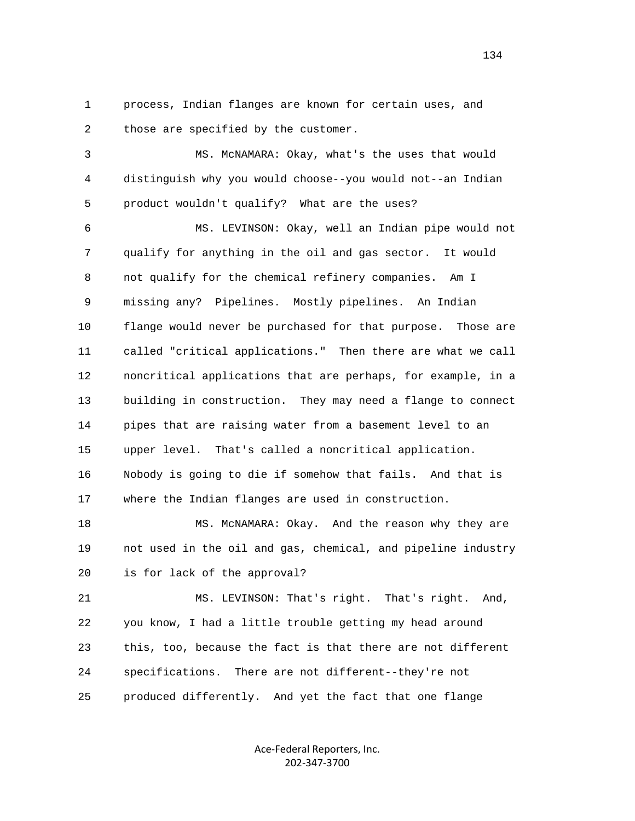1 process, Indian flanges are known for certain uses, and 2 those are specified by the customer.

 3 MS. McNAMARA: Okay, what's the uses that would 4 distinguish why you would choose--you would not--an Indian 5 product wouldn't qualify? What are the uses?

 6 MS. LEVINSON: Okay, well an Indian pipe would not 7 qualify for anything in the oil and gas sector. It would 8 not qualify for the chemical refinery companies. Am I 9 missing any? Pipelines. Mostly pipelines. An Indian 10 flange would never be purchased for that purpose. Those are 11 called "critical applications." Then there are what we call 12 noncritical applications that are perhaps, for example, in a 13 building in construction. They may need a flange to connect 14 pipes that are raising water from a basement level to an 15 upper level. That's called a noncritical application. 16 Nobody is going to die if somehow that fails. And that is 17 where the Indian flanges are used in construction.

 18 MS. McNAMARA: Okay. And the reason why they are 19 not used in the oil and gas, chemical, and pipeline industry 20 is for lack of the approval?

 21 MS. LEVINSON: That's right. That's right. And, 22 you know, I had a little trouble getting my head around 23 this, too, because the fact is that there are not different 24 specifications. There are not different--they're not 25 produced differently. And yet the fact that one flange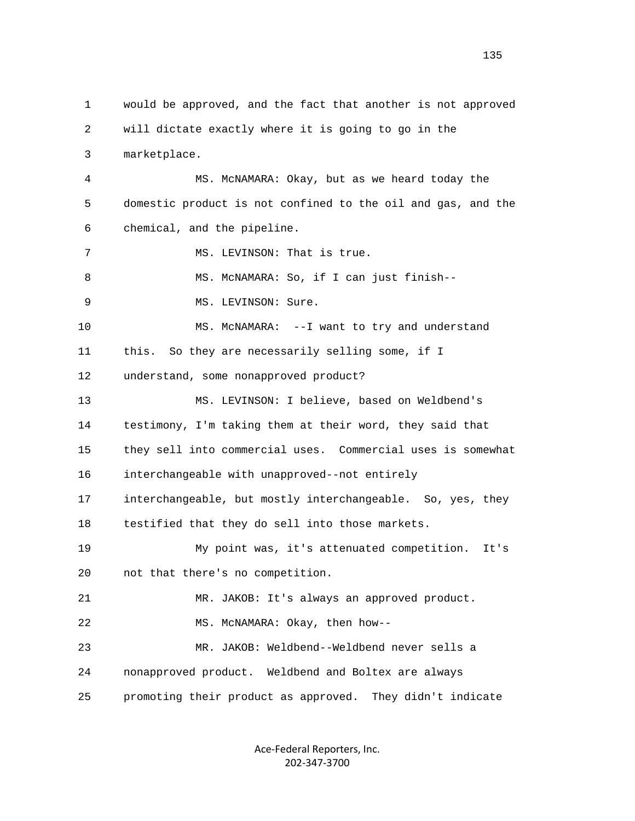1 would be approved, and the fact that another is not approved 2 will dictate exactly where it is going to go in the 3 marketplace. 4 MS. McNAMARA: Okay, but as we heard today the 5 domestic product is not confined to the oil and gas, and the 6 chemical, and the pipeline. 7 MS. LEVINSON: That is true. 8 MS. McNAMARA: So, if I can just finish--9 MS. LEVINSON: Sure. 10 MS. McNAMARA: --I want to try and understand 11 this. So they are necessarily selling some, if I 12 understand, some nonapproved product? 13 MS. LEVINSON: I believe, based on Weldbend's 14 testimony, I'm taking them at their word, they said that 15 they sell into commercial uses. Commercial uses is somewhat 16 interchangeable with unapproved--not entirely 17 interchangeable, but mostly interchangeable. So, yes, they 18 testified that they do sell into those markets. 19 My point was, it's attenuated competition. It's 20 not that there's no competition. 21 MR. JAKOB: It's always an approved product. 22 MS. McNAMARA: Okay, then how-- 23 MR. JAKOB: Weldbend--Weldbend never sells a 24 nonapproved product. Weldbend and Boltex are always 25 promoting their product as approved. They didn't indicate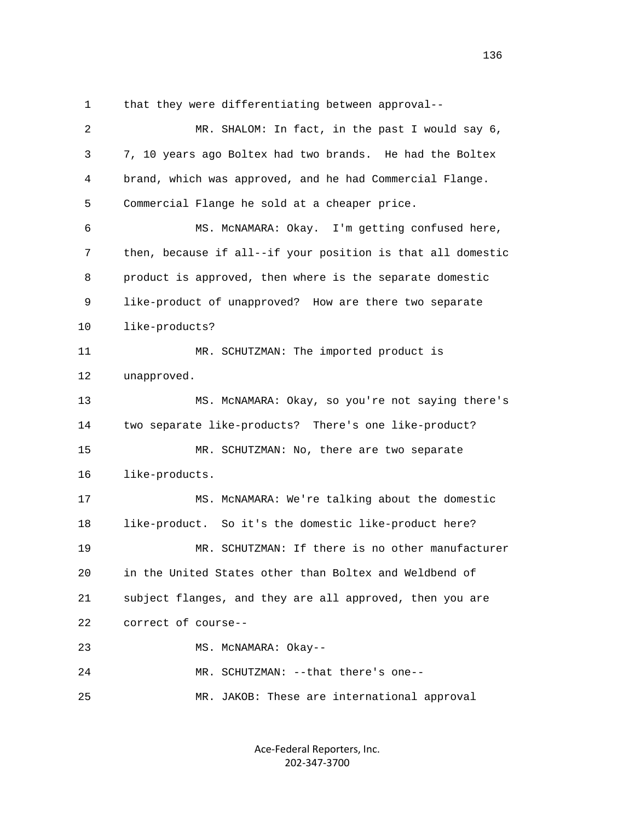1 that they were differentiating between approval--

| 2  | MR. SHALOM: In fact, in the past I would say 6,             |
|----|-------------------------------------------------------------|
| 3  | 7, 10 years ago Boltex had two brands. He had the Boltex    |
| 4  | brand, which was approved, and he had Commercial Flange.    |
| 5  | Commercial Flange he sold at a cheaper price.               |
| 6  | MS. MCNAMARA: Okay. I'm getting confused here,              |
| 7  | then, because if all--if your position is that all domestic |
| 8  | product is approved, then where is the separate domestic    |
| 9  | like-product of unapproved? How are there two separate      |
| 10 | like-products?                                              |
| 11 | MR. SCHUTZMAN: The imported product is                      |
| 12 | unapproved.                                                 |
| 13 | MS. MCNAMARA: Okay, so you're not saying there's            |
| 14 | two separate like-products? There's one like-product?       |
| 15 | MR. SCHUTZMAN: No, there are two separate                   |
| 16 | like-products.                                              |
| 17 | MS. MCNAMARA: We're talking about the domestic              |
| 18 | like-product. So it's the domestic like-product here?       |
| 19 | MR. SCHUTZMAN: If there is no other manufacturer            |
| 20 | in the United States other than Boltex and Weldbend of      |
| 21 | subject flanges, and they are all approved, then you are    |
| 22 | correct of course--                                         |
| 23 | MS. MCNAMARA: Okay--                                        |
| 24 | MR. SCHUTZMAN: --that there's one--                         |
| 25 | MR. JAKOB: These are international approval                 |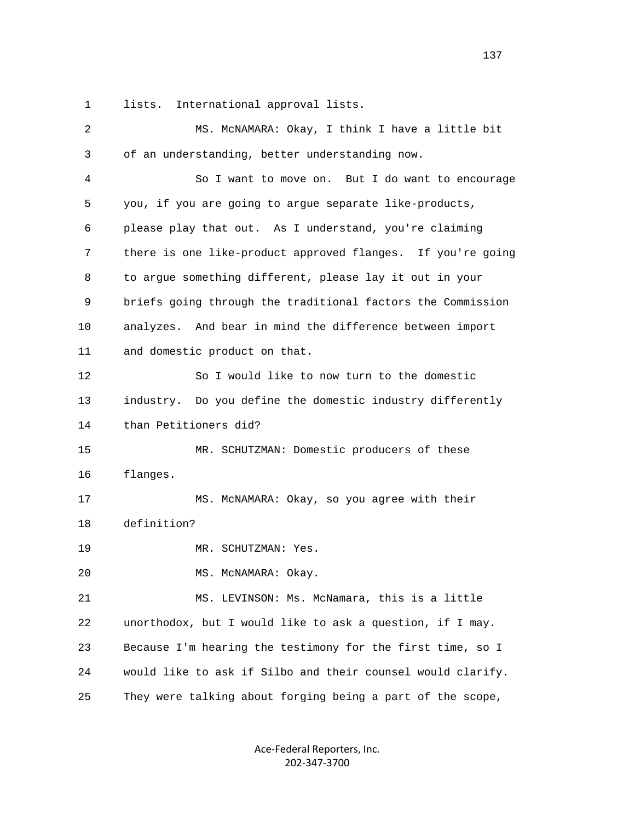1 lists. International approval lists.

 2 MS. McNAMARA: Okay, I think I have a little bit 3 of an understanding, better understanding now. 4 So I want to move on. But I do want to encourage 5 you, if you are going to argue separate like-products, 6 please play that out. As I understand, you're claiming 7 there is one like-product approved flanges. If you're going 8 to argue something different, please lay it out in your 9 briefs going through the traditional factors the Commission 10 analyzes. And bear in mind the difference between import 11 and domestic product on that. 12 So I would like to now turn to the domestic 13 industry. Do you define the domestic industry differently 14 than Petitioners did? 15 MR. SCHUTZMAN: Domestic producers of these 16 flanges. 17 MS. McNAMARA: Okay, so you agree with their 18 definition? 19 MR. SCHUTZMAN: Yes. 20 MS. McNAMARA: Okay. 21 MS. LEVINSON: Ms. McNamara, this is a little 22 unorthodox, but I would like to ask a question, if I may. 23 Because I'm hearing the testimony for the first time, so I 24 would like to ask if Silbo and their counsel would clarify. 25 They were talking about forging being a part of the scope,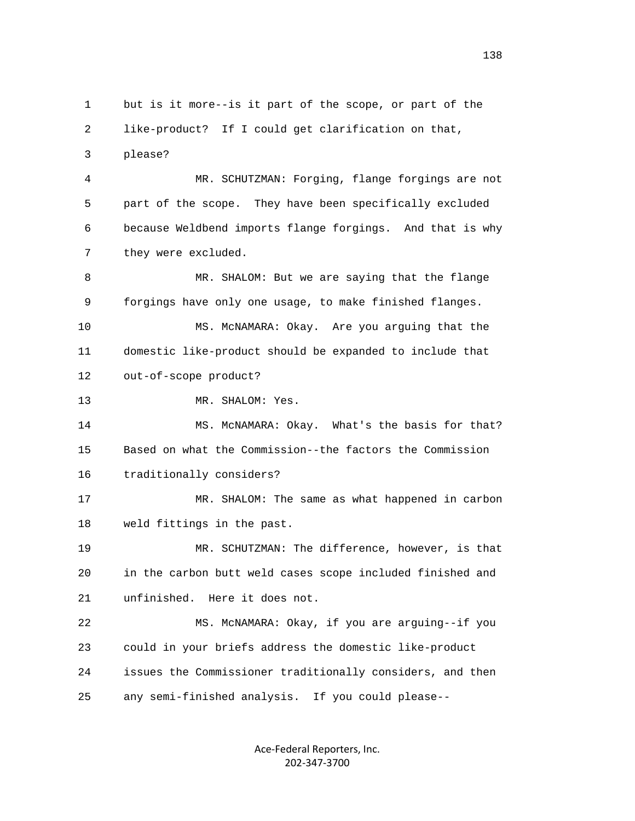1 but is it more--is it part of the scope, or part of the 2 like-product? If I could get clarification on that, 3 please? 4 MR. SCHUTZMAN: Forging, flange forgings are not 5 part of the scope. They have been specifically excluded 6 because Weldbend imports flange forgings. And that is why 7 they were excluded. 8 MR. SHALOM: But we are saying that the flange 9 forgings have only one usage, to make finished flanges. 10 MS. McNAMARA: Okay. Are you arguing that the 11 domestic like-product should be expanded to include that 12 out-of-scope product? 13 MR. SHALOM: Yes. 14 MS. McNAMARA: Okay. What's the basis for that? 15 Based on what the Commission--the factors the Commission 16 traditionally considers? 17 MR. SHALOM: The same as what happened in carbon 18 weld fittings in the past. 19 MR. SCHUTZMAN: The difference, however, is that 20 in the carbon butt weld cases scope included finished and 21 unfinished. Here it does not. 22 MS. McNAMARA: Okay, if you are arguing--if you 23 could in your briefs address the domestic like-product 24 issues the Commissioner traditionally considers, and then 25 any semi-finished analysis. If you could please--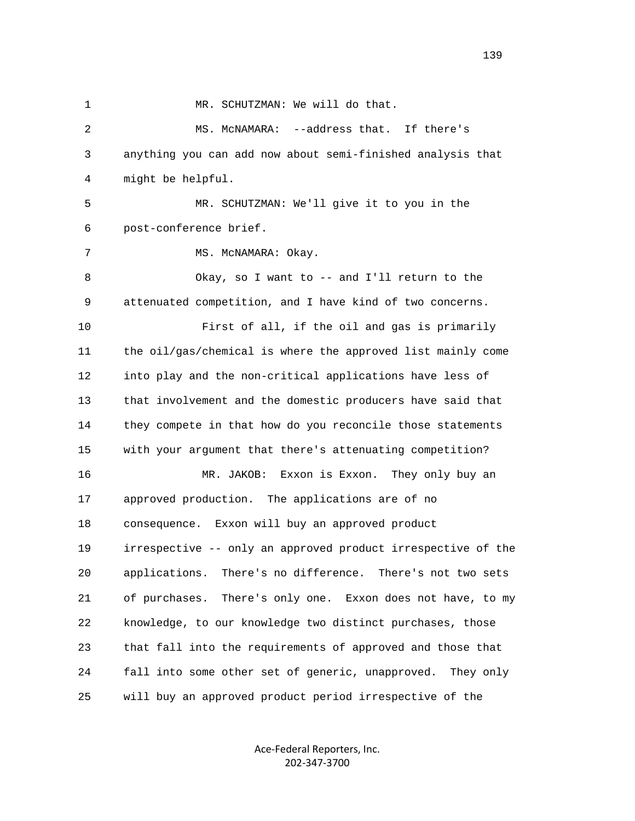1 MR. SCHUTZMAN: We will do that. 2 MS. McNAMARA: --address that. If there's 3 anything you can add now about semi-finished analysis that 4 might be helpful. 5 MR. SCHUTZMAN: We'll give it to you in the 6 post-conference brief. 7 MS. McNAMARA: Okay. 8 Okay, so I want to -- and I'll return to the 9 attenuated competition, and I have kind of two concerns. 10 First of all, if the oil and gas is primarily 11 the oil/gas/chemical is where the approved list mainly come 12 into play and the non-critical applications have less of 13 that involvement and the domestic producers have said that 14 they compete in that how do you reconcile those statements 15 with your argument that there's attenuating competition? 16 MR. JAKOB: Exxon is Exxon. They only buy an 17 approved production. The applications are of no 18 consequence. Exxon will buy an approved product 19 irrespective -- only an approved product irrespective of the 20 applications. There's no difference. There's not two sets 21 of purchases. There's only one. Exxon does not have, to my 22 knowledge, to our knowledge two distinct purchases, those 23 that fall into the requirements of approved and those that 24 fall into some other set of generic, unapproved. They only 25 will buy an approved product period irrespective of the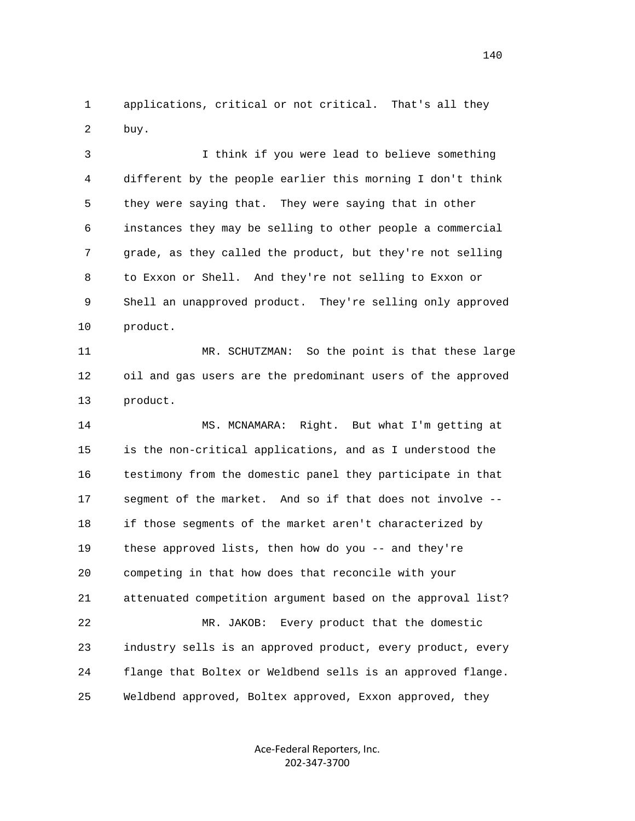1 applications, critical or not critical. That's all they 2 buy.

 3 I think if you were lead to believe something 4 different by the people earlier this morning I don't think 5 they were saying that. They were saying that in other 6 instances they may be selling to other people a commercial 7 grade, as they called the product, but they're not selling 8 to Exxon or Shell. And they're not selling to Exxon or 9 Shell an unapproved product. They're selling only approved 10 product.

 11 MR. SCHUTZMAN: So the point is that these large 12 oil and gas users are the predominant users of the approved 13 product.

 14 MS. MCNAMARA: Right. But what I'm getting at 15 is the non-critical applications, and as I understood the 16 testimony from the domestic panel they participate in that 17 segment of the market. And so if that does not involve -- 18 if those segments of the market aren't characterized by 19 these approved lists, then how do you -- and they're 20 competing in that how does that reconcile with your 21 attenuated competition argument based on the approval list? 22 MR. JAKOB: Every product that the domestic 23 industry sells is an approved product, every product, every 24 flange that Boltex or Weldbend sells is an approved flange. 25 Weldbend approved, Boltex approved, Exxon approved, they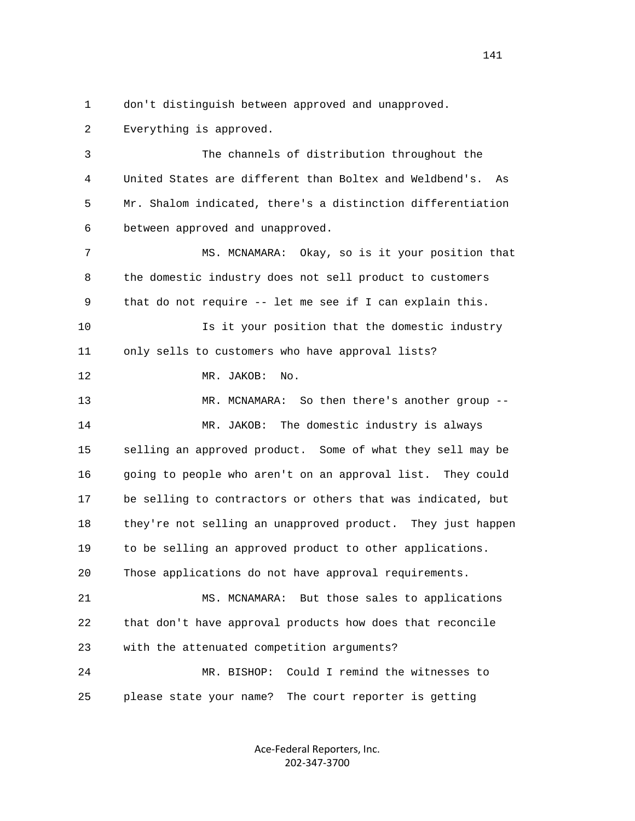1 don't distinguish between approved and unapproved.

2 Everything is approved.

 3 The channels of distribution throughout the 4 United States are different than Boltex and Weldbend's. As 5 Mr. Shalom indicated, there's a distinction differentiation 6 between approved and unapproved.

 7 MS. MCNAMARA: Okay, so is it your position that 8 the domestic industry does not sell product to customers 9 that do not require -- let me see if I can explain this.

 10 Is it your position that the domestic industry 11 only sells to customers who have approval lists?

12 MR. JAKOB: No.

 13 MR. MCNAMARA: So then there's another group -- 14 MR. JAKOB: The domestic industry is always 15 selling an approved product. Some of what they sell may be 16 going to people who aren't on an approval list. They could 17 be selling to contractors or others that was indicated, but 18 they're not selling an unapproved product. They just happen 19 to be selling an approved product to other applications. 20 Those applications do not have approval requirements.

 21 MS. MCNAMARA: But those sales to applications 22 that don't have approval products how does that reconcile 23 with the attenuated competition arguments?

 24 MR. BISHOP: Could I remind the witnesses to 25 please state your name? The court reporter is getting

> Ace‐Federal Reporters, Inc. 202‐347‐3700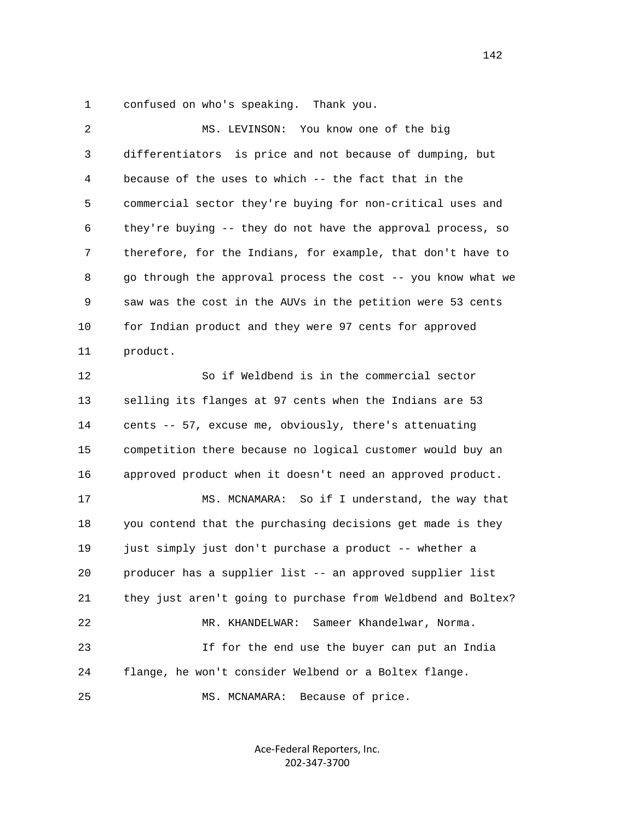1 confused on who's speaking. Thank you.

| $\overline{c}$ | MS. LEVINSON: You know one of the big                        |
|----------------|--------------------------------------------------------------|
| 3              | differentiators is price and not because of dumping, but     |
| 4              | because of the uses to which -- the fact that in the         |
| 5              | commercial sector they're buying for non-critical uses and   |
| 6              | they're buying -- they do not have the approval process, so  |
| 7              | therefore, for the Indians, for example, that don't have to  |
| 8              | go through the approval process the cost -- you know what we |
| 9              | saw was the cost in the AUVs in the petition were 53 cents   |
| 10             | for Indian product and they were 97 cents for approved       |
| 11             | product.                                                     |
| 12             | So if Weldbend is in the commercial sector                   |
| 13             | selling its flanges at 97 cents when the Indians are 53      |
| 14             | cents -- 57, excuse me, obviously, there's attenuating       |
| 15             | competition there because no logical customer would buy an   |
| 16             | approved product when it doesn't need an approved product.   |
| 17             | MS. MCNAMARA: So if I understand, the way that               |
| 18             | you contend that the purchasing decisions get made is they   |
| 19             | just simply just don't purchase a product -- whether a       |
| 20             | producer has a supplier list -- an approved supplier list    |
| 21             | they just aren't going to purchase from Weldbend and Boltex? |
| 22             | Sameer Khandelwar, Norma.<br>MR. KHANDELWAR:                 |
| 23             | If for the end use the buyer can put an India                |
| 24             | flange, he won't consider Welbend or a Boltex flange.        |
| 25             | MS. MCNAMARA:<br>Because of price.                           |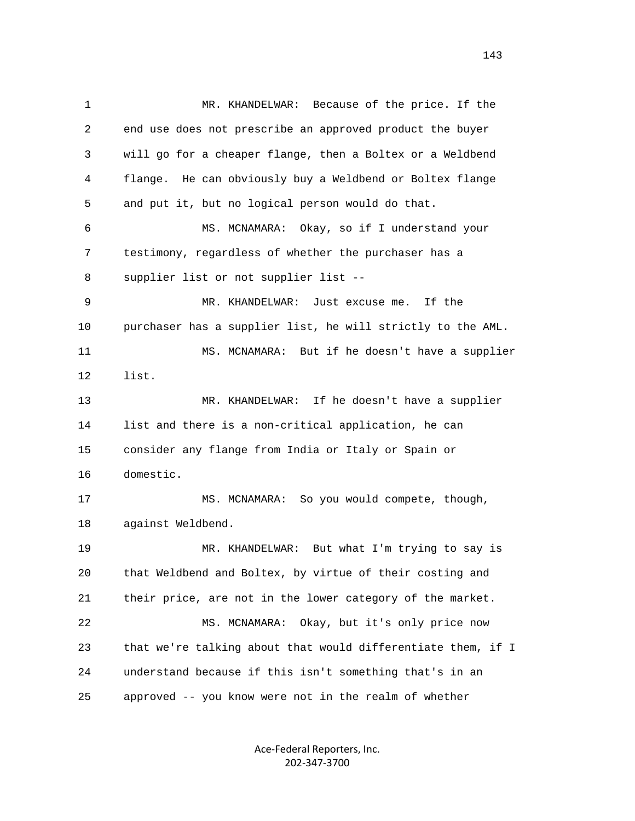1 MR. KHANDELWAR: Because of the price. If the 2 end use does not prescribe an approved product the buyer 3 will go for a cheaper flange, then a Boltex or a Weldbend 4 flange. He can obviously buy a Weldbend or Boltex flange 5 and put it, but no logical person would do that. 6 MS. MCNAMARA: Okay, so if I understand your 7 testimony, regardless of whether the purchaser has a 8 supplier list or not supplier list -- 9 MR. KHANDELWAR: Just excuse me. If the 10 purchaser has a supplier list, he will strictly to the AML. 11 MS. MCNAMARA: But if he doesn't have a supplier 12 list. 13 MR. KHANDELWAR: If he doesn't have a supplier 14 list and there is a non-critical application, he can 15 consider any flange from India or Italy or Spain or 16 domestic. 17 MS. MCNAMARA: So you would compete, though, 18 against Weldbend. 19 MR. KHANDELWAR: But what I'm trying to say is 20 that Weldbend and Boltex, by virtue of their costing and 21 their price, are not in the lower category of the market. 22 MS. MCNAMARA: Okay, but it's only price now 23 that we're talking about that would differentiate them, if I 24 understand because if this isn't something that's in an 25 approved -- you know were not in the realm of whether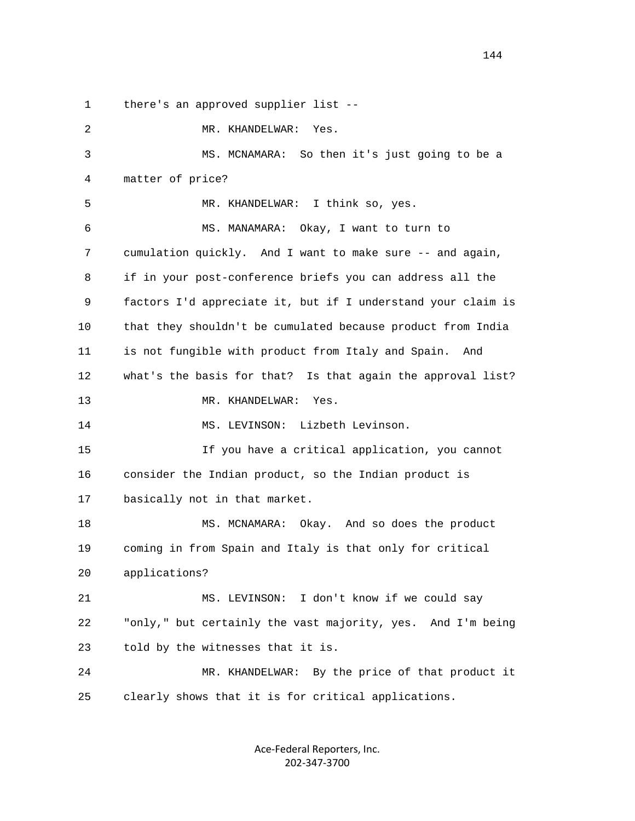1 there's an approved supplier list --

 2 MR. KHANDELWAR: Yes. 3 MS. MCNAMARA: So then it's just going to be a 4 matter of price? 5 MR. KHANDELWAR: I think so, yes. 6 MS. MANAMARA: Okay, I want to turn to 7 cumulation quickly. And I want to make sure -- and again, 8 if in your post-conference briefs you can address all the 9 factors I'd appreciate it, but if I understand your claim is 10 that they shouldn't be cumulated because product from India 11 is not fungible with product from Italy and Spain. And 12 what's the basis for that? Is that again the approval list? 13 MR. KHANDELWAR: Yes. 14 MS. LEVINSON: Lizbeth Levinson. 15 If you have a critical application, you cannot 16 consider the Indian product, so the Indian product is 17 basically not in that market. 18 MS. MCNAMARA: Okay. And so does the product 19 coming in from Spain and Italy is that only for critical 20 applications? 21 MS. LEVINSON: I don't know if we could say 22 "only," but certainly the vast majority, yes. And I'm being 23 told by the witnesses that it is. 24 MR. KHANDELWAR: By the price of that product it 25 clearly shows that it is for critical applications.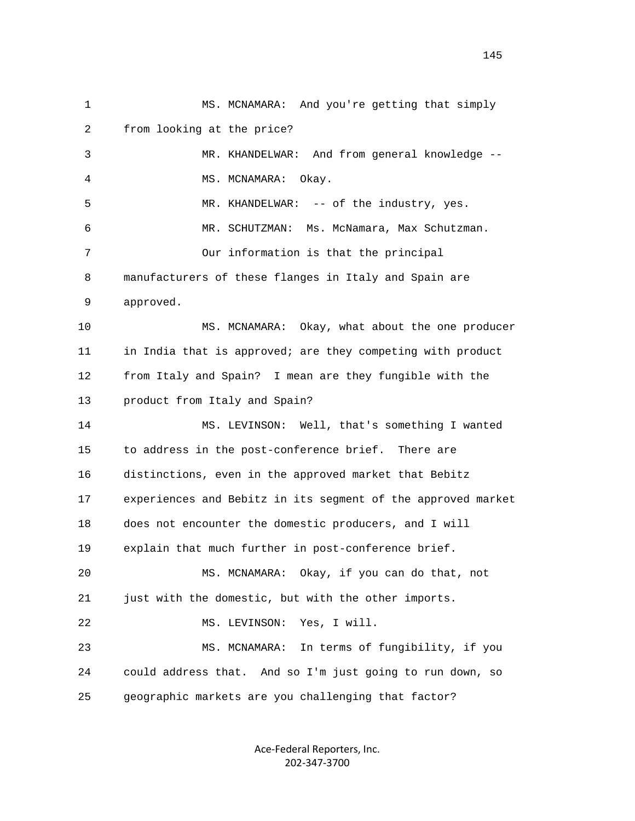1 MS. MCNAMARA: And you're getting that simply 2 from looking at the price? 3 MR. KHANDELWAR: And from general knowledge -- 4 MS. MCNAMARA: Okay. 5 MR. KHANDELWAR: -- of the industry, yes. 6 MR. SCHUTZMAN: Ms. McNamara, Max Schutzman. 7 Our information is that the principal 8 manufacturers of these flanges in Italy and Spain are 9 approved. 10 MS. MCNAMARA: Okay, what about the one producer 11 in India that is approved; are they competing with product 12 from Italy and Spain? I mean are they fungible with the 13 product from Italy and Spain? 14 MS. LEVINSON: Well, that's something I wanted 15 to address in the post-conference brief. There are 16 distinctions, even in the approved market that Bebitz 17 experiences and Bebitz in its segment of the approved market 18 does not encounter the domestic producers, and I will 19 explain that much further in post-conference brief. 20 MS. MCNAMARA: Okay, if you can do that, not 21 just with the domestic, but with the other imports. 22 MS. LEVINSON: Yes, I will. 23 MS. MCNAMARA: In terms of fungibility, if you 24 could address that. And so I'm just going to run down, so 25 geographic markets are you challenging that factor?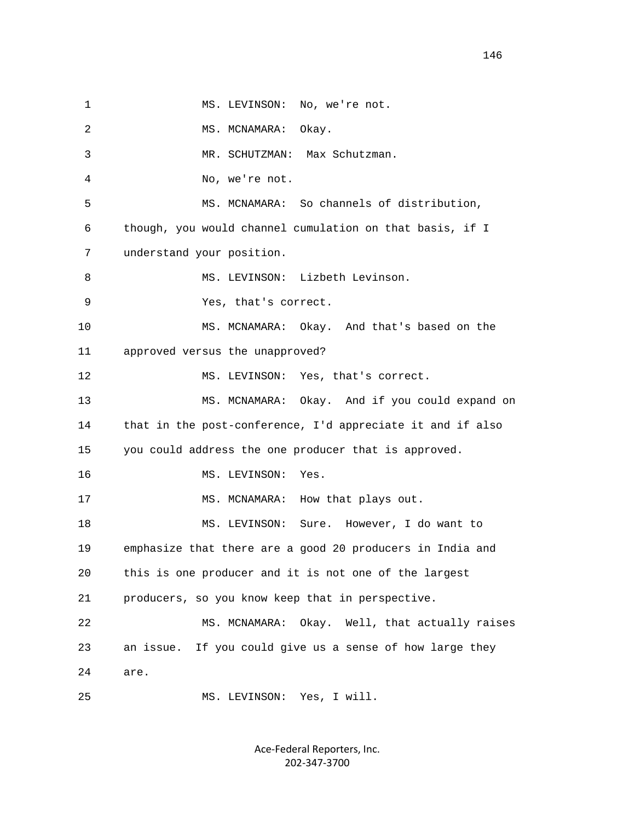1 MS. LEVINSON: No, we're not. 2 MS. MCNAMARA: Okay. 3 MR. SCHUTZMAN: Max Schutzman. 4 No, we're not. 5 MS. MCNAMARA: So channels of distribution, 6 though, you would channel cumulation on that basis, if I 7 understand your position. 8 MS. LEVINSON: Lizbeth Levinson. 9 Yes, that's correct. 10 MS. MCNAMARA: Okay. And that's based on the 11 approved versus the unapproved? 12 MS. LEVINSON: Yes, that's correct. 13 MS. MCNAMARA: Okay. And if you could expand on 14 that in the post-conference, I'd appreciate it and if also 15 you could address the one producer that is approved. 16 MS. LEVINSON: Yes. 17 MS. MCNAMARA: How that plays out. 18 MS. LEVINSON: Sure. However, I do want to 19 emphasize that there are a good 20 producers in India and 20 this is one producer and it is not one of the largest 21 producers, so you know keep that in perspective. 22 MS. MCNAMARA: Okay. Well, that actually raises 23 an issue. If you could give us a sense of how large they 24 are. 25 MS. LEVINSON: Yes, I will.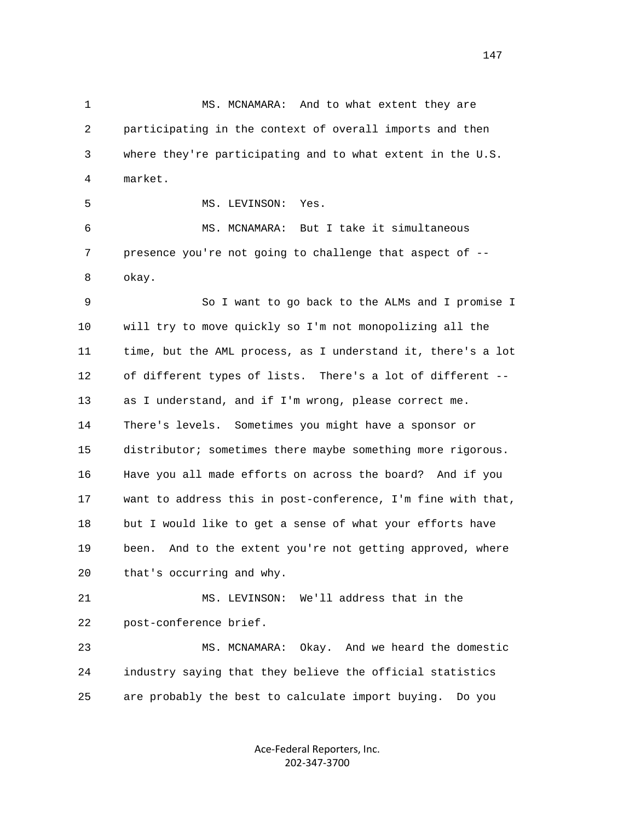1 MS. MCNAMARA: And to what extent they are 2 participating in the context of overall imports and then 3 where they're participating and to what extent in the U.S. 4 market. 5 MS. LEVINSON: Yes. 6 MS. MCNAMARA: But I take it simultaneous 7 presence you're not going to challenge that aspect of -- 8 okay. 9 So I want to go back to the ALMs and I promise I 10 will try to move quickly so I'm not monopolizing all the 11 time, but the AML process, as I understand it, there's a lot 12 of different types of lists. There's a lot of different -- 13 as I understand, and if I'm wrong, please correct me. 14 There's levels. Sometimes you might have a sponsor or 15 distributor; sometimes there maybe something more rigorous. 16 Have you all made efforts on across the board? And if you 17 want to address this in post-conference, I'm fine with that, 18 but I would like to get a sense of what your efforts have 19 been. And to the extent you're not getting approved, where

20 that's occurring and why.

 21 MS. LEVINSON: We'll address that in the 22 post-conference brief.

 23 MS. MCNAMARA: Okay. And we heard the domestic 24 industry saying that they believe the official statistics 25 are probably the best to calculate import buying. Do you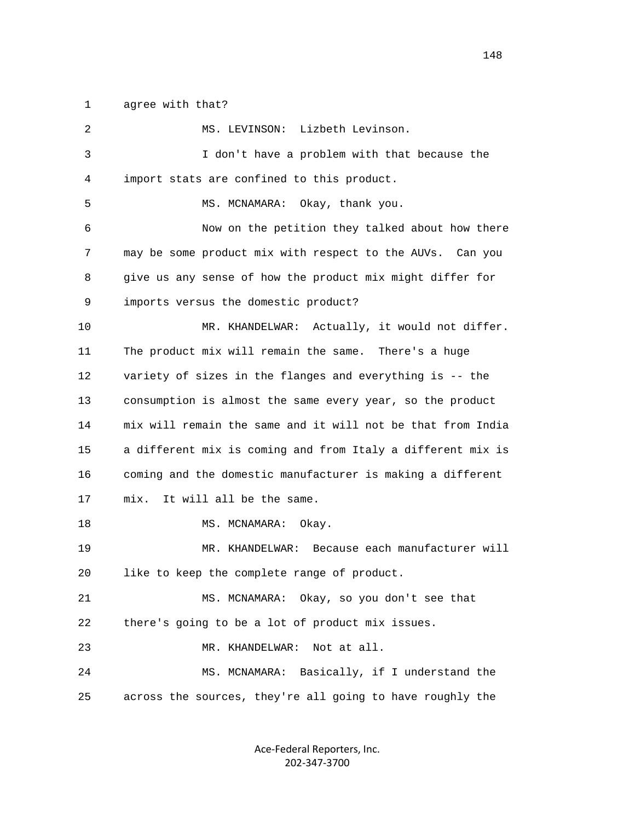1 agree with that?

| $\overline{2}$ | MS. LEVINSON: Lizbeth Levinson.                             |
|----------------|-------------------------------------------------------------|
| 3              | I don't have a problem with that because the                |
| 4              | import stats are confined to this product.                  |
| 5              | MS. MCNAMARA: Okay, thank you.                              |
| 6              | Now on the petition they talked about how there             |
| 7              | may be some product mix with respect to the AUVs. Can you   |
| 8              | give us any sense of how the product mix might differ for   |
| 9              | imports versus the domestic product?                        |
| 10             | MR. KHANDELWAR: Actually, it would not differ.              |
| 11             | The product mix will remain the same. There's a huge        |
| 12             | variety of sizes in the flanges and everything is -- the    |
| 13             | consumption is almost the same every year, so the product   |
| 14             | mix will remain the same and it will not be that from India |
| 15             | a different mix is coming and from Italy a different mix is |
| 16             | coming and the domestic manufacturer is making a different  |
| 17             | It will all be the same.<br>mix.                            |
| 18             | MS. MCNAMARA:<br>Okay.                                      |
| 19             | MR. KHANDELWAR: Because each manufacturer will              |
| 20             | like to keep the complete range of product.                 |
| 21             | MS. MCNAMARA: Okay, so you don't see that                   |
| 22             | there's going to be a lot of product mix issues.            |
| 23             | Not at all.<br>MR. KHANDELWAR:                              |
| 24             | Basically, if I understand the<br>MS. MCNAMARA:             |
| 25             | across the sources, they're all going to have roughly the   |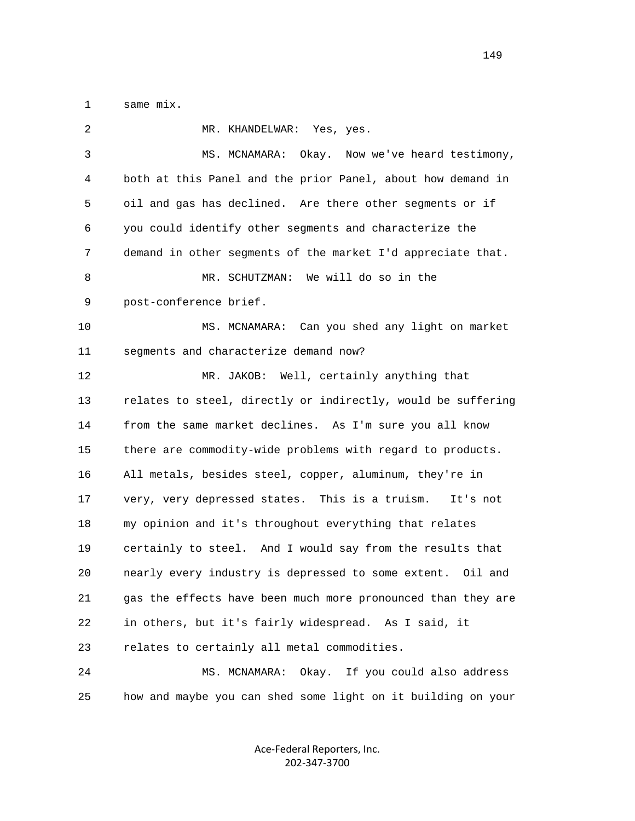1 same mix.

| 2  | MR. KHANDELWAR:<br>Yes, yes.                                 |
|----|--------------------------------------------------------------|
| 3  | MS. MCNAMARA: Okay. Now we've heard testimony,               |
| 4  | both at this Panel and the prior Panel, about how demand in  |
| 5  | oil and gas has declined. Are there other segments or if     |
| 6  | you could identify other segments and characterize the       |
| 7  | demand in other segments of the market I'd appreciate that.  |
| 8  | MR. SCHUTZMAN: We will do so in the                          |
| 9  | post-conference brief.                                       |
| 10 | MS. MCNAMARA: Can you shed any light on market               |
| 11 | segments and characterize demand now?                        |
| 12 | MR. JAKOB: Well, certainly anything that                     |
| 13 | relates to steel, directly or indirectly, would be suffering |
| 14 | from the same market declines. As I'm sure you all know      |
| 15 | there are commodity-wide problems with regard to products.   |
| 16 | All metals, besides steel, copper, aluminum, they're in      |
| 17 | very, very depressed states. This is a truism.<br>It's not   |
| 18 | my opinion and it's throughout everything that relates       |
| 19 | certainly to steel. And I would say from the results that    |
| 20 | nearly every industry is depressed to some extent. Oil and   |
| 21 | gas the effects have been much more pronounced than they are |
| 22 | in others, but it's fairly widespread. As I said, it         |
| 23 | relates to certainly all metal commodities.                  |
| 24 | MS. MCNAMARA:<br>Okay.<br>If you could also address          |
| 25 | how and maybe you can shed some light on it building on your |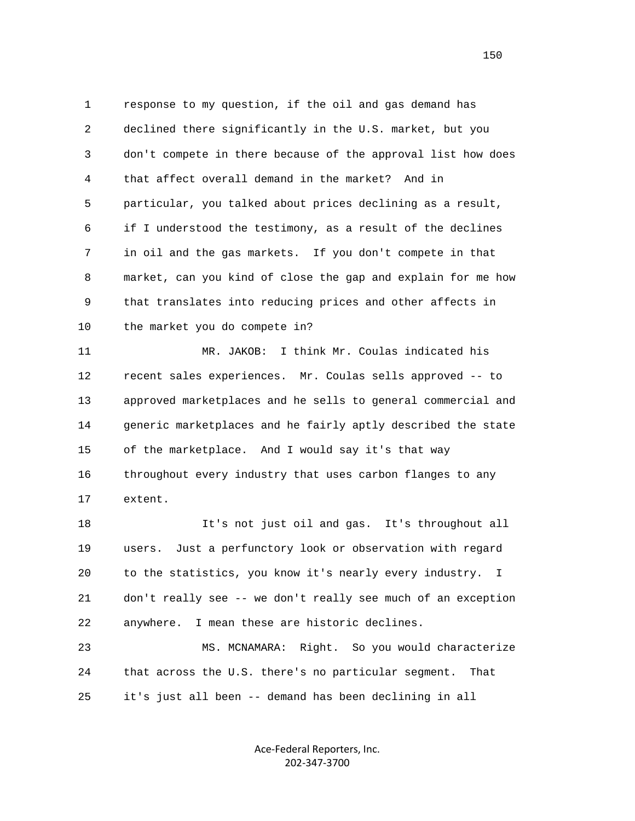1 response to my question, if the oil and gas demand has 2 declined there significantly in the U.S. market, but you 3 don't compete in there because of the approval list how does 4 that affect overall demand in the market? And in 5 particular, you talked about prices declining as a result, 6 if I understood the testimony, as a result of the declines 7 in oil and the gas markets. If you don't compete in that 8 market, can you kind of close the gap and explain for me how 9 that translates into reducing prices and other affects in 10 the market you do compete in? 11 MR. JAKOB: I think Mr. Coulas indicated his

 12 recent sales experiences. Mr. Coulas sells approved -- to 13 approved marketplaces and he sells to general commercial and 14 generic marketplaces and he fairly aptly described the state 15 of the marketplace. And I would say it's that way 16 throughout every industry that uses carbon flanges to any 17 extent.

 18 It's not just oil and gas. It's throughout all 19 users. Just a perfunctory look or observation with regard 20 to the statistics, you know it's nearly every industry. I 21 don't really see -- we don't really see much of an exception 22 anywhere. I mean these are historic declines.

 23 MS. MCNAMARA: Right. So you would characterize 24 that across the U.S. there's no particular segment. That 25 it's just all been -- demand has been declining in all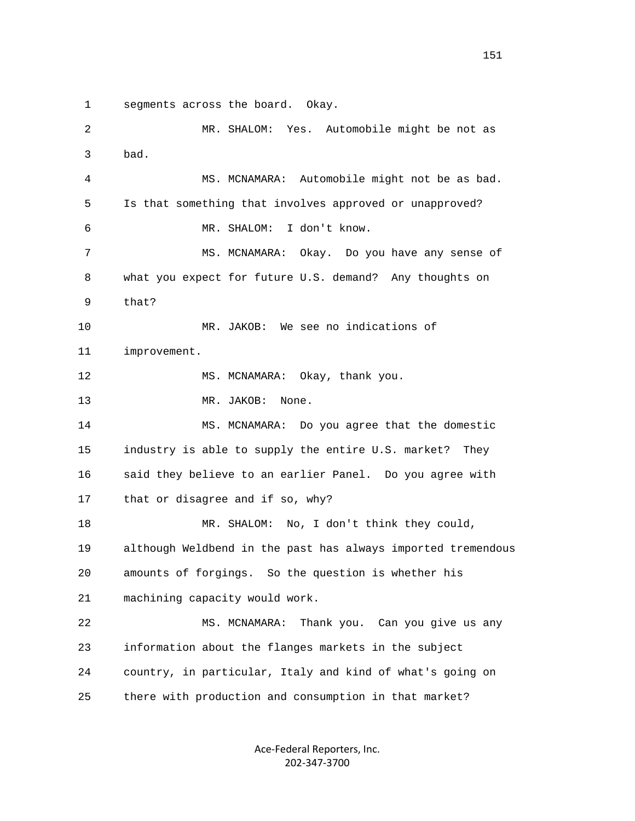1 segments across the board. Okay.

 2 MR. SHALOM: Yes. Automobile might be not as 3 bad. 4 MS. MCNAMARA: Automobile might not be as bad. 5 Is that something that involves approved or unapproved? 6 MR. SHALOM: I don't know. 7 MS. MCNAMARA: Okay. Do you have any sense of 8 what you expect for future U.S. demand? Any thoughts on 9 that? 10 MR. JAKOB: We see no indications of 11 improvement. 12 MS. MCNAMARA: Okay, thank you. 13 MR. JAKOB: None. 14 MS. MCNAMARA: Do you agree that the domestic 15 industry is able to supply the entire U.S. market? They 16 said they believe to an earlier Panel. Do you agree with 17 that or disagree and if so, why? 18 MR. SHALOM: No, I don't think they could, 19 although Weldbend in the past has always imported tremendous 20 amounts of forgings. So the question is whether his 21 machining capacity would work. 22 MS. MCNAMARA: Thank you. Can you give us any 23 information about the flanges markets in the subject 24 country, in particular, Italy and kind of what's going on 25 there with production and consumption in that market?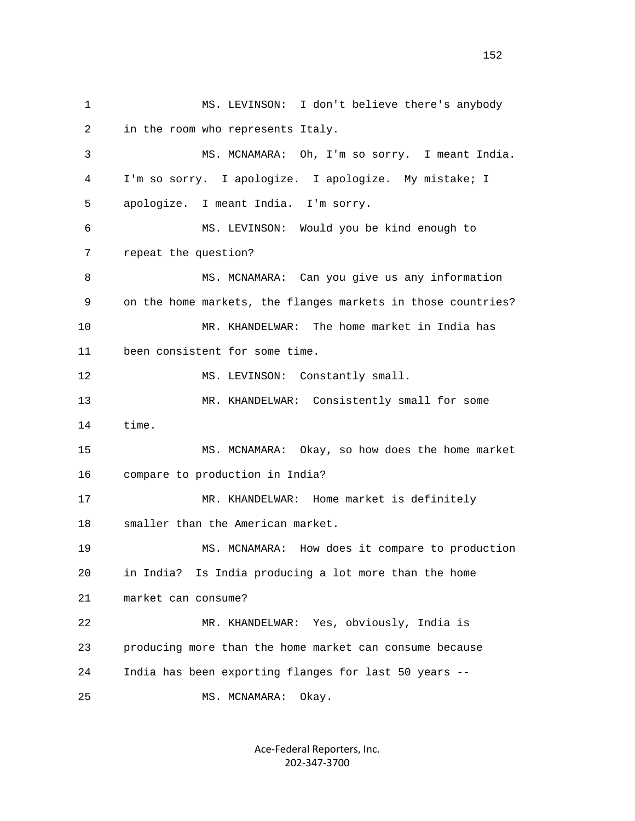1 MS. LEVINSON: I don't believe there's anybody 2 in the room who represents Italy. 3 MS. MCNAMARA: Oh, I'm so sorry. I meant India. 4 I'm so sorry. I apologize. I apologize. My mistake; I 5 apologize. I meant India. I'm sorry. 6 MS. LEVINSON: Would you be kind enough to 7 repeat the question? 8 MS. MCNAMARA: Can you give us any information 9 on the home markets, the flanges markets in those countries? 10 MR. KHANDELWAR: The home market in India has 11 been consistent for some time. 12 MS. LEVINSON: Constantly small. 13 MR. KHANDELWAR: Consistently small for some 14 time. 15 MS. MCNAMARA: Okay, so how does the home market 16 compare to production in India? 17 MR. KHANDELWAR: Home market is definitely 18 smaller than the American market. 19 MS. MCNAMARA: How does it compare to production 20 in India? Is India producing a lot more than the home 21 market can consume? 22 MR. KHANDELWAR: Yes, obviously, India is 23 producing more than the home market can consume because 24 India has been exporting flanges for last 50 years -- 25 MS. MCNAMARA: Okay.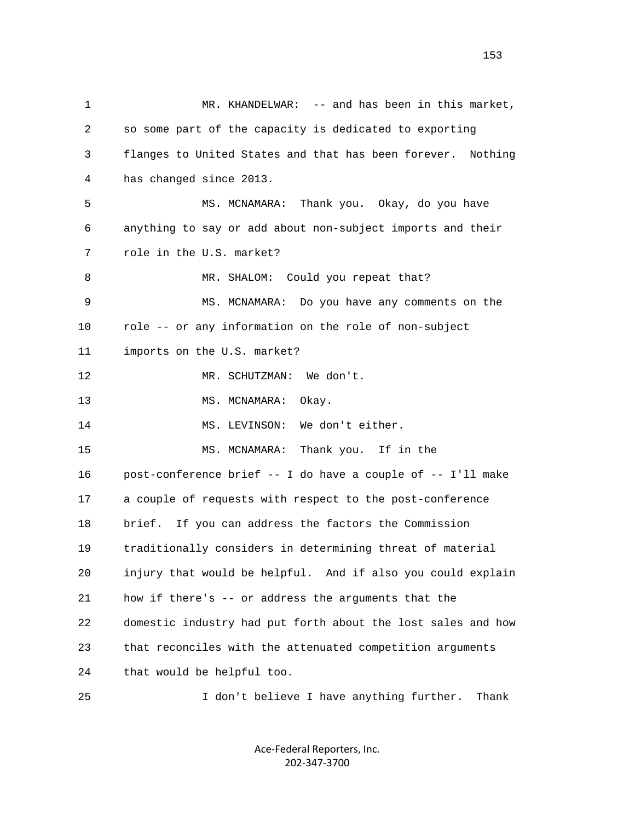1 MR. KHANDELWAR: -- and has been in this market, 2 so some part of the capacity is dedicated to exporting 3 flanges to United States and that has been forever. Nothing 4 has changed since 2013. 5 MS. MCNAMARA: Thank you. Okay, do you have 6 anything to say or add about non-subject imports and their 7 role in the U.S. market? 8 MR. SHALOM: Could you repeat that? 9 MS. MCNAMARA: Do you have any comments on the 10 role -- or any information on the role of non-subject 11 imports on the U.S. market? 12 MR. SCHUTZMAN: We don't. 13 MS. MCNAMARA: Okay. 14 MS. LEVINSON: We don't either. 15 MS. MCNAMARA: Thank you. If in the 16 post-conference brief -- I do have a couple of -- I'll make 17 a couple of requests with respect to the post-conference 18 brief. If you can address the factors the Commission 19 traditionally considers in determining threat of material 20 injury that would be helpful. And if also you could explain 21 how if there's -- or address the arguments that the 22 domestic industry had put forth about the lost sales and how 23 that reconciles with the attenuated competition arguments 24 that would be helpful too.

25 I don't believe I have anything further. Thank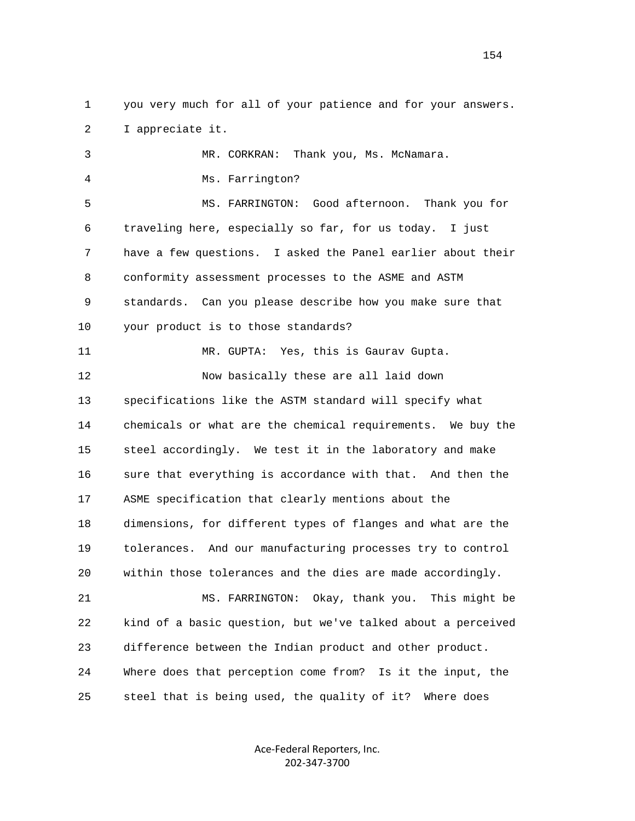1 you very much for all of your patience and for your answers. 2 I appreciate it.

 3 MR. CORKRAN: Thank you, Ms. McNamara. 4 Ms. Farrington? 5 MS. FARRINGTON: Good afternoon. Thank you for 6 traveling here, especially so far, for us today. I just 7 have a few questions. I asked the Panel earlier about their 8 conformity assessment processes to the ASME and ASTM 9 standards. Can you please describe how you make sure that 10 your product is to those standards? 11 MR. GUPTA: Yes, this is Gaurav Gupta. 12 Now basically these are all laid down 13 specifications like the ASTM standard will specify what 14 chemicals or what are the chemical requirements. We buy the 15 steel accordingly. We test it in the laboratory and make 16 sure that everything is accordance with that. And then the 17 ASME specification that clearly mentions about the 18 dimensions, for different types of flanges and what are the 19 tolerances. And our manufacturing processes try to control 20 within those tolerances and the dies are made accordingly. 21 MS. FARRINGTON: Okay, thank you. This might be 22 kind of a basic question, but we've talked about a perceived 23 difference between the Indian product and other product. 24 Where does that perception come from? Is it the input, the

25 steel that is being used, the quality of it? Where does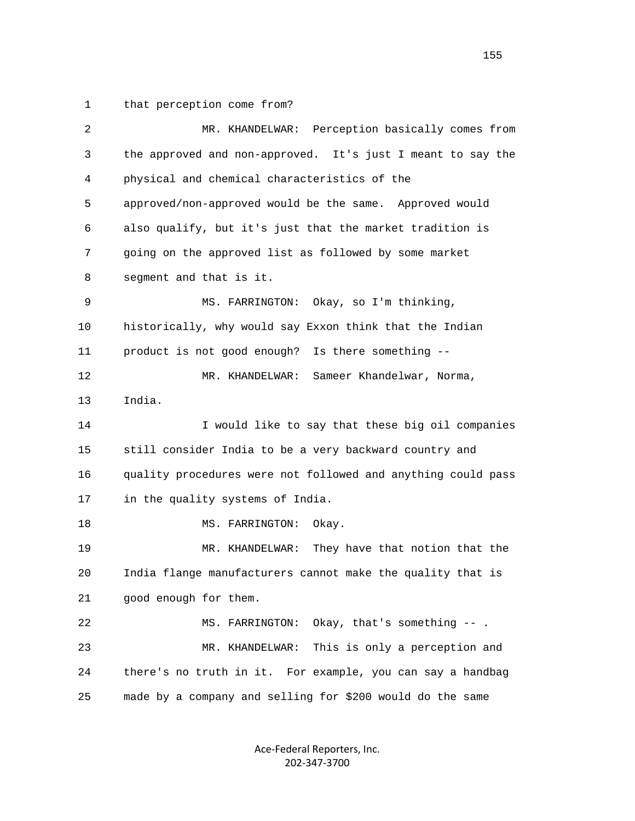1 that perception come from?

| $\overline{2}$ | MR. KHANDELWAR: Perception basically comes from              |
|----------------|--------------------------------------------------------------|
| 3              | the approved and non-approved. It's just I meant to say the  |
| 4              | physical and chemical characteristics of the                 |
| 5              | approved/non-approved would be the same. Approved would      |
| 6              | also qualify, but it's just that the market tradition is     |
| 7              | going on the approved list as followed by some market        |
| 8              | segment and that is it.                                      |
| 9              | MS. FARRINGTON: Okay, so I'm thinking,                       |
| 10             | historically, why would say Exxon think that the Indian      |
| 11             | product is not good enough? Is there something --            |
| 12             | Sameer Khandelwar, Norma,<br>MR. KHANDELWAR:                 |
| 13             | India.                                                       |
| 14             | I would like to say that these big oil companies             |
| 15             | still consider India to be a very backward country and       |
| 16             | quality procedures were not followed and anything could pass |
| 17             | in the quality systems of India.                             |
| 18             | Okay.<br>MS. FARRINGTON:                                     |
| 19             | They have that notion that the<br>MR. KHANDELWAR:            |
| 20             | India flange manufacturers cannot make the quality that is   |
| 21             | good enough for them.                                        |
| 22             | Okay, that's something $--$ .<br>MS. FARRINGTON:             |
| 23             | This is only a perception and<br>MR. KHANDELWAR:             |
| 24             | there's no truth in it. For example, you can say a handbag   |
| 25             | made by a company and selling for \$200 would do the same    |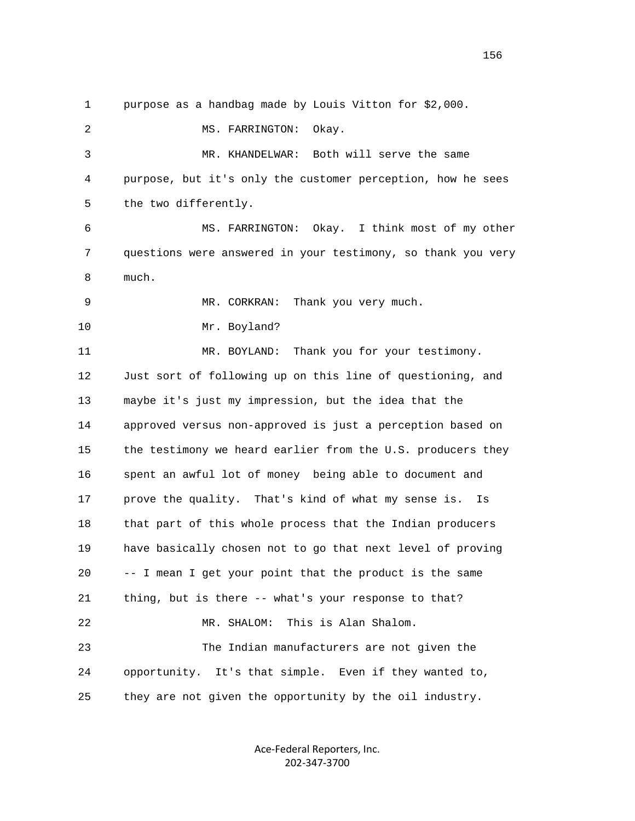1 purpose as a handbag made by Louis Vitton for \$2,000. 2 MS. FARRINGTON: Okay. 3 MR. KHANDELWAR: Both will serve the same 4 purpose, but it's only the customer perception, how he sees 5 the two differently. 6 MS. FARRINGTON: Okay. I think most of my other 7 questions were answered in your testimony, so thank you very 8 much. 9 MR. CORKRAN: Thank you very much. 10 Mr. Boyland? 11 MR. BOYLAND: Thank you for your testimony. 12 Just sort of following up on this line of questioning, and 13 maybe it's just my impression, but the idea that the 14 approved versus non-approved is just a perception based on 15 the testimony we heard earlier from the U.S. producers they 16 spent an awful lot of money being able to document and 17 prove the quality. That's kind of what my sense is. Is 18 that part of this whole process that the Indian producers 19 have basically chosen not to go that next level of proving 20 -- I mean I get your point that the product is the same 21 thing, but is there -- what's your response to that? 22 MR. SHALOM: This is Alan Shalom. 23 The Indian manufacturers are not given the 24 opportunity. It's that simple. Even if they wanted to, 25 they are not given the opportunity by the oil industry.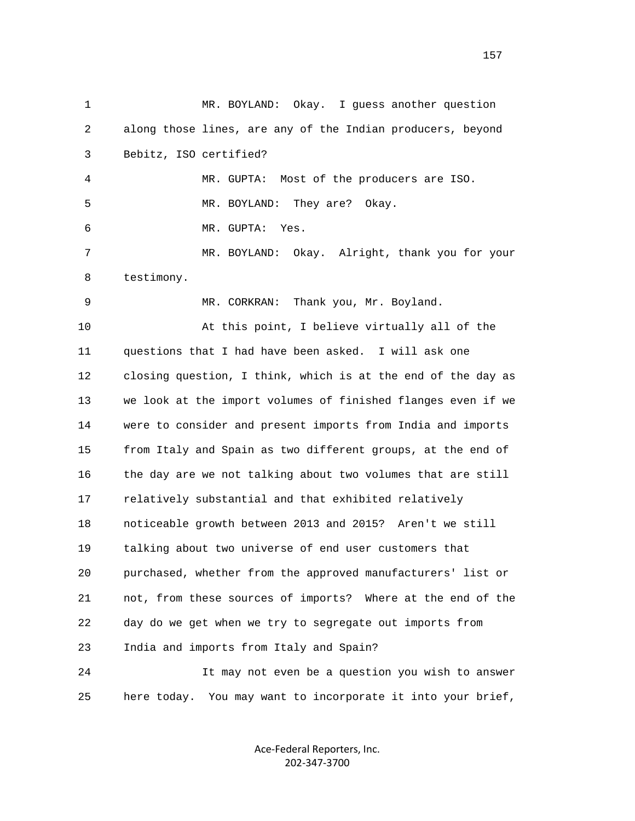| $\mathbf{1}$ | Okay.<br>I guess another question<br>MR. BOYLAND:            |
|--------------|--------------------------------------------------------------|
| 2            | along those lines, are any of the Indian producers, beyond   |
| 3            | Bebitz, ISO certified?                                       |
| 4            | MR. GUPTA: Most of the producers are ISO.                    |
| 5            | MR. BOYLAND: They are?<br>Okay.                              |
| 6            | MR. GUPTA:<br>Yes.                                           |
| 7            | MR. BOYLAND: Okay. Alright, thank you for your               |
| 8            | testimony.                                                   |
| 9            | MR. CORKRAN: Thank you, Mr. Boyland.                         |
| 10           | At this point, I believe virtually all of the                |
| 11           | questions that I had have been asked. I will ask one         |
| 12           | closing question, I think, which is at the end of the day as |
| 13           | we look at the import volumes of finished flanges even if we |
| 14           | were to consider and present imports from India and imports  |
| 15           | from Italy and Spain as two different groups, at the end of  |
| 16           | the day are we not talking about two volumes that are still  |
| 17           | relatively substantial and that exhibited relatively         |
| 18           | noticeable growth between 2013 and 2015? Aren't we still     |
| 19           | talking about two universe of end user customers that        |
| 20           | purchased, whether from the approved manufacturers' list or  |
| 21           | not, from these sources of imports? Where at the end of the  |
| 22           | day do we get when we try to segregate out imports from      |
| 23           | India and imports from Italy and Spain?                      |
| 24           | It may not even be a question you wish to answer             |
| 25           | here today. You may want to incorporate it into your brief,  |

Ace‐Federal Reporters, Inc. 202‐347‐3700

157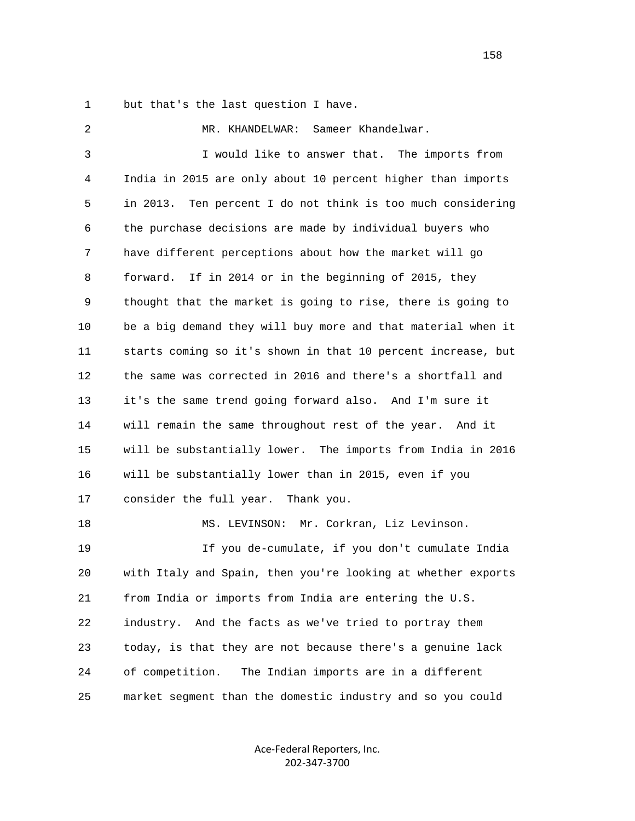1 but that's the last question I have.

 2 MR. KHANDELWAR: Sameer Khandelwar. 3 I would like to answer that. The imports from 4 India in 2015 are only about 10 percent higher than imports 5 in 2013. Ten percent I do not think is too much considering 6 the purchase decisions are made by individual buyers who 7 have different perceptions about how the market will go 8 forward. If in 2014 or in the beginning of 2015, they 9 thought that the market is going to rise, there is going to 10 be a big demand they will buy more and that material when it 11 starts coming so it's shown in that 10 percent increase, but 12 the same was corrected in 2016 and there's a shortfall and 13 it's the same trend going forward also. And I'm sure it 14 will remain the same throughout rest of the year. And it 15 will be substantially lower. The imports from India in 2016 16 will be substantially lower than in 2015, even if you 17 consider the full year. Thank you. 18 MS. LEVINSON: Mr. Corkran, Liz Levinson. 19 If you de-cumulate, if you don't cumulate India 20 with Italy and Spain, then you're looking at whether exports 21 from India or imports from India are entering the U.S. 22 industry. And the facts as we've tried to portray them 23 today, is that they are not because there's a genuine lack 24 of competition. The Indian imports are in a different 25 market segment than the domestic industry and so you could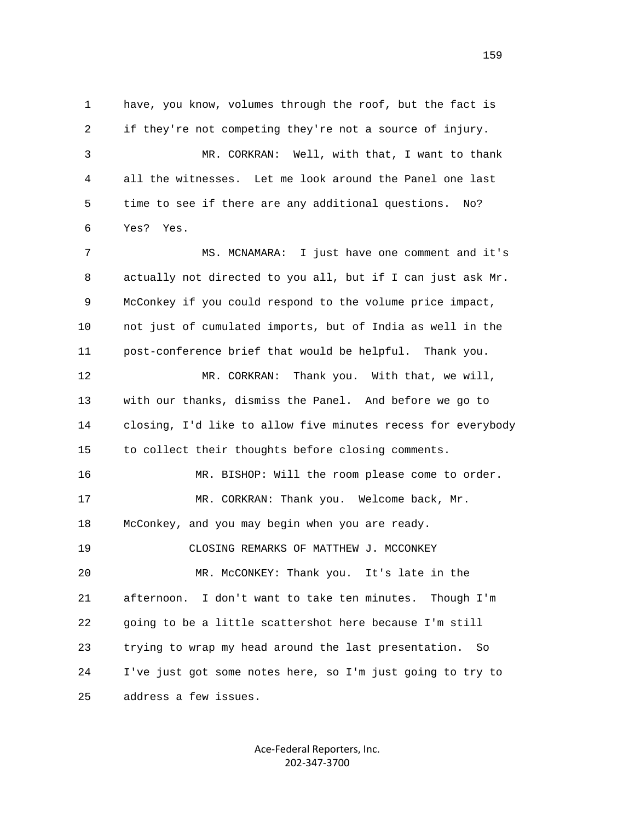1 have, you know, volumes through the roof, but the fact is 2 if they're not competing they're not a source of injury. 3 MR. CORKRAN: Well, with that, I want to thank 4 all the witnesses. Let me look around the Panel one last 5 time to see if there are any additional questions. No? 6 Yes? Yes. 7 MS. MCNAMARA: I just have one comment and it's 8 actually not directed to you all, but if I can just ask Mr. 9 McConkey if you could respond to the volume price impact, 10 not just of cumulated imports, but of India as well in the 11 post-conference brief that would be helpful. Thank you. 12 MR. CORKRAN: Thank you. With that, we will, 13 with our thanks, dismiss the Panel. And before we go to 14 closing, I'd like to allow five minutes recess for everybody 15 to collect their thoughts before closing comments. 16 MR. BISHOP: Will the room please come to order. 17 MR. CORKRAN: Thank you. Welcome back, Mr. 18 McConkey, and you may begin when you are ready. 19 CLOSING REMARKS OF MATTHEW J. MCCONKEY 20 MR. McCONKEY: Thank you. It's late in the 21 afternoon. I don't want to take ten minutes. Though I'm 22 going to be a little scattershot here because I'm still 23 trying to wrap my head around the last presentation. So 24 I've just got some notes here, so I'm just going to try to 25 address a few issues.

> Ace‐Federal Reporters, Inc. 202‐347‐3700

159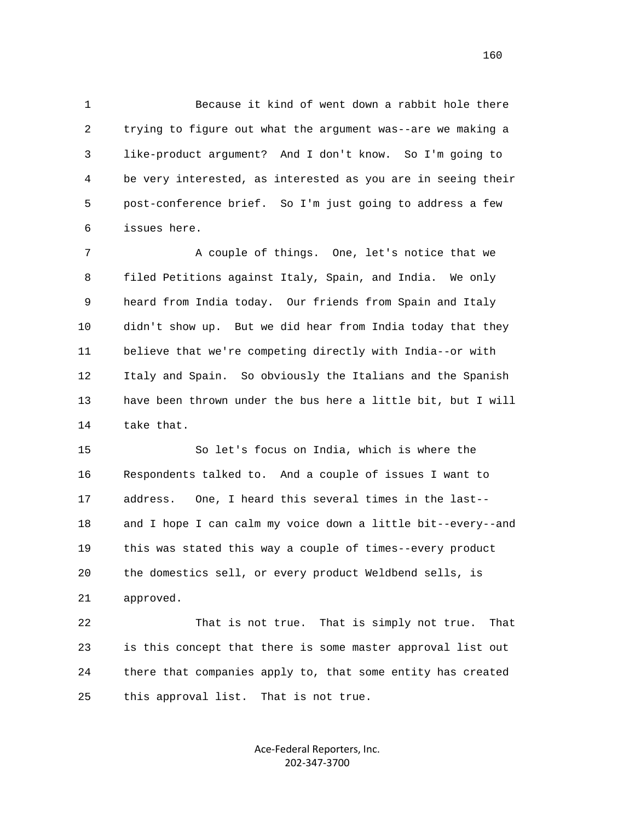1 Because it kind of went down a rabbit hole there 2 trying to figure out what the argument was--are we making a 3 like-product argument? And I don't know. So I'm going to 4 be very interested, as interested as you are in seeing their 5 post-conference brief. So I'm just going to address a few 6 issues here.

7 A couple of things. One, let's notice that we 8 filed Petitions against Italy, Spain, and India. We only 9 heard from India today. Our friends from Spain and Italy 10 didn't show up. But we did hear from India today that they 11 believe that we're competing directly with India--or with 12 Italy and Spain. So obviously the Italians and the Spanish 13 have been thrown under the bus here a little bit, but I will 14 take that.

 15 So let's focus on India, which is where the 16 Respondents talked to. And a couple of issues I want to 17 address. One, I heard this several times in the last-- 18 and I hope I can calm my voice down a little bit--every--and 19 this was stated this way a couple of times--every product 20 the domestics sell, or every product Weldbend sells, is 21 approved.

 22 That is not true. That is simply not true. That 23 is this concept that there is some master approval list out 24 there that companies apply to, that some entity has created 25 this approval list. That is not true.

> Ace‐Federal Reporters, Inc. 202‐347‐3700

160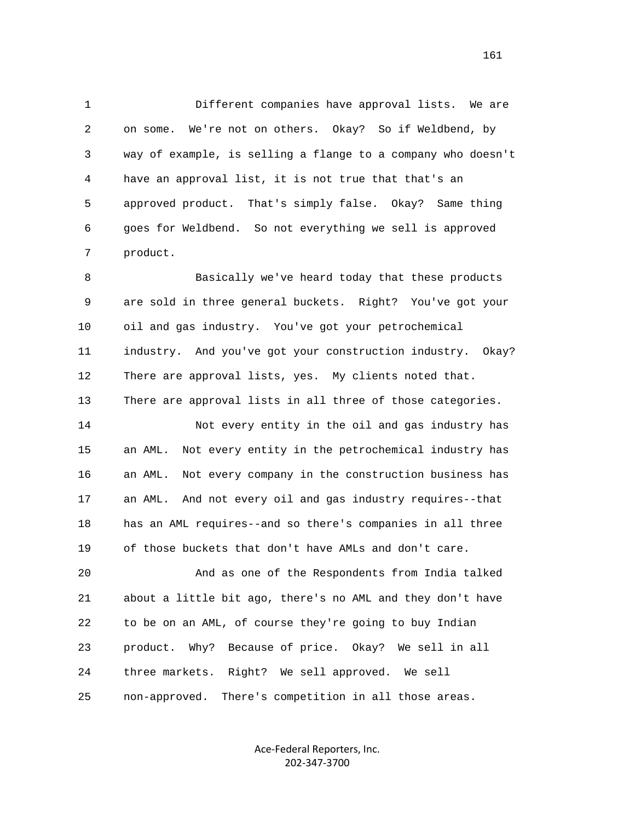1 Different companies have approval lists. We are 2 on some. We're not on others. Okay? So if Weldbend, by 3 way of example, is selling a flange to a company who doesn't 4 have an approval list, it is not true that that's an 5 approved product. That's simply false. Okay? Same thing 6 goes for Weldbend. So not everything we sell is approved 7 product.

 8 Basically we've heard today that these products 9 are sold in three general buckets. Right? You've got your 10 oil and gas industry. You've got your petrochemical 11 industry. And you've got your construction industry. Okay? 12 There are approval lists, yes. My clients noted that. 13 There are approval lists in all three of those categories.

 14 Not every entity in the oil and gas industry has 15 an AML. Not every entity in the petrochemical industry has 16 an AML. Not every company in the construction business has 17 an AML. And not every oil and gas industry requires--that 18 has an AML requires--and so there's companies in all three 19 of those buckets that don't have AMLs and don't care.

 20 And as one of the Respondents from India talked 21 about a little bit ago, there's no AML and they don't have 22 to be on an AML, of course they're going to buy Indian 23 product. Why? Because of price. Okay? We sell in all 24 three markets. Right? We sell approved. We sell 25 non-approved. There's competition in all those areas.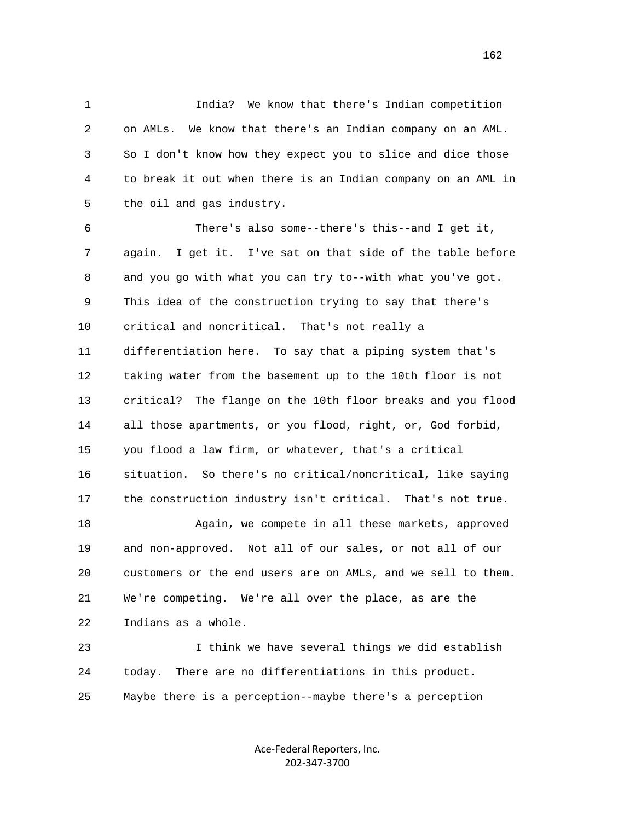1 India? We know that there's Indian competition 2 on AMLs. We know that there's an Indian company on an AML. 3 So I don't know how they expect you to slice and dice those 4 to break it out when there is an Indian company on an AML in 5 the oil and gas industry.

 6 There's also some--there's this--and I get it, 7 again. I get it. I've sat on that side of the table before 8 and you go with what you can try to--with what you've got. 9 This idea of the construction trying to say that there's 10 critical and noncritical. That's not really a 11 differentiation here. To say that a piping system that's 12 taking water from the basement up to the 10th floor is not 13 critical? The flange on the 10th floor breaks and you flood 14 all those apartments, or you flood, right, or, God forbid, 15 you flood a law firm, or whatever, that's a critical 16 situation. So there's no critical/noncritical, like saying 17 the construction industry isn't critical. That's not true. 18 Again, we compete in all these markets, approved 19 and non-approved. Not all of our sales, or not all of our 20 customers or the end users are on AMLs, and we sell to them. 21 We're competing. We're all over the place, as are the 22 Indians as a whole. 23 I think we have several things we did establish

 24 today. There are no differentiations in this product. 25 Maybe there is a perception--maybe there's a perception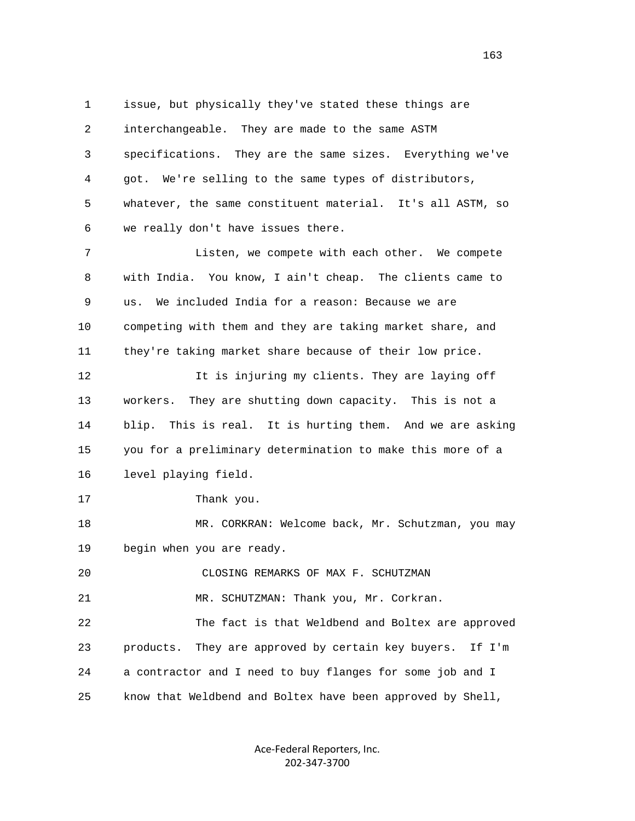1 issue, but physically they've stated these things are 2 interchangeable. They are made to the same ASTM 3 specifications. They are the same sizes. Everything we've 4 got. We're selling to the same types of distributors, 5 whatever, the same constituent material. It's all ASTM, so 6 we really don't have issues there. 7 Listen, we compete with each other. We compete 8 with India. You know, I ain't cheap. The clients came to 9 us. We included India for a reason: Because we are 10 competing with them and they are taking market share, and 11 they're taking market share because of their low price. 12 12 It is injuring my clients. They are laying off 13 workers. They are shutting down capacity. This is not a 14 blip. This is real. It is hurting them. And we are asking 15 you for a preliminary determination to make this more of a 16 level playing field. 17 Thank you. 18 MR. CORKRAN: Welcome back, Mr. Schutzman, you may 19 begin when you are ready. 20 CLOSING REMARKS OF MAX F. SCHUTZMAN 21 MR. SCHUTZMAN: Thank you, Mr. Corkran. 22 The fact is that Weldbend and Boltex are approved 23 products. They are approved by certain key buyers. If I'm 24 a contractor and I need to buy flanges for some job and I 25 know that Weldbend and Boltex have been approved by Shell,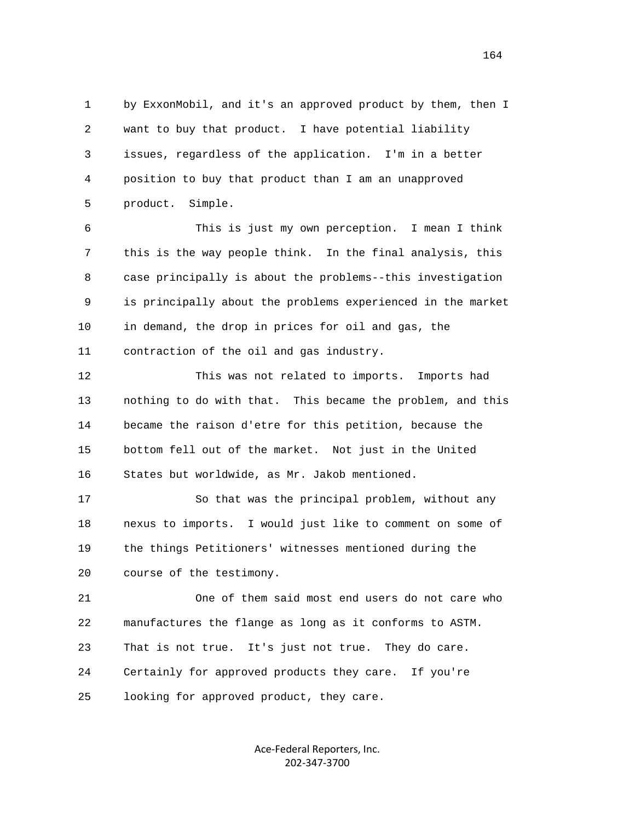1 by ExxonMobil, and it's an approved product by them, then I 2 want to buy that product. I have potential liability 3 issues, regardless of the application. I'm in a better 4 position to buy that product than I am an unapproved 5 product. Simple.

 6 This is just my own perception. I mean I think 7 this is the way people think. In the final analysis, this 8 case principally is about the problems--this investigation 9 is principally about the problems experienced in the market 10 in demand, the drop in prices for oil and gas, the 11 contraction of the oil and gas industry.

 12 This was not related to imports. Imports had 13 nothing to do with that. This became the problem, and this 14 became the raison d'etre for this petition, because the 15 bottom fell out of the market. Not just in the United 16 States but worldwide, as Mr. Jakob mentioned.

 17 So that was the principal problem, without any 18 nexus to imports. I would just like to comment on some of 19 the things Petitioners' witnesses mentioned during the 20 course of the testimony.

 21 One of them said most end users do not care who 22 manufactures the flange as long as it conforms to ASTM. 23 That is not true. It's just not true. They do care. 24 Certainly for approved products they care. If you're 25 looking for approved product, they care.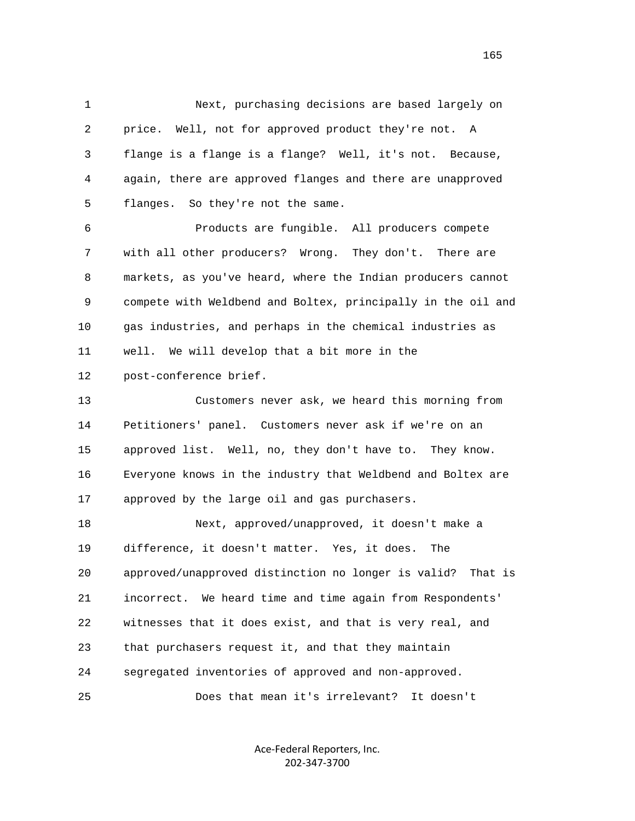1 Next, purchasing decisions are based largely on 2 price. Well, not for approved product they're not. A 3 flange is a flange is a flange? Well, it's not. Because, 4 again, there are approved flanges and there are unapproved 5 flanges. So they're not the same. 6 Products are fungible. All producers compete 7 with all other producers? Wrong. They don't. There are 8 markets, as you've heard, where the Indian producers cannot 9 compete with Weldbend and Boltex, principally in the oil and 10 gas industries, and perhaps in the chemical industries as 11 well. We will develop that a bit more in the 12 post-conference brief.

 13 Customers never ask, we heard this morning from 14 Petitioners' panel. Customers never ask if we're on an 15 approved list. Well, no, they don't have to. They know. 16 Everyone knows in the industry that Weldbend and Boltex are 17 approved by the large oil and gas purchasers.

 18 Next, approved/unapproved, it doesn't make a 19 difference, it doesn't matter. Yes, it does. The 20 approved/unapproved distinction no longer is valid? That is 21 incorrect. We heard time and time again from Respondents' 22 witnesses that it does exist, and that is very real, and 23 that purchasers request it, and that they maintain 24 segregated inventories of approved and non-approved. 25 Does that mean it's irrelevant? It doesn't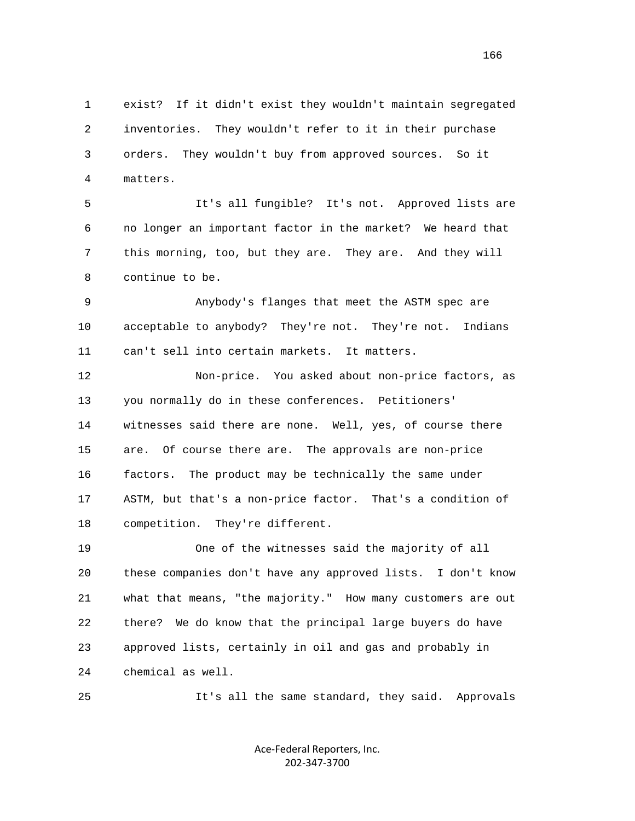1 exist? If it didn't exist they wouldn't maintain segregated 2 inventories. They wouldn't refer to it in their purchase 3 orders. They wouldn't buy from approved sources. So it 4 matters.

 5 It's all fungible? It's not. Approved lists are 6 no longer an important factor in the market? We heard that 7 this morning, too, but they are. They are. And they will 8 continue to be.

 9 Anybody's flanges that meet the ASTM spec are 10 acceptable to anybody? They're not. They're not. Indians 11 can't sell into certain markets. It matters.

 12 Non-price. You asked about non-price factors, as 13 you normally do in these conferences. Petitioners' 14 witnesses said there are none. Well, yes, of course there 15 are. Of course there are. The approvals are non-price 16 factors. The product may be technically the same under 17 ASTM, but that's a non-price factor. That's a condition of 18 competition. They're different.

 19 One of the witnesses said the majority of all 20 these companies don't have any approved lists. I don't know 21 what that means, "the majority." How many customers are out 22 there? We do know that the principal large buyers do have 23 approved lists, certainly in oil and gas and probably in 24 chemical as well.

25 It's all the same standard, they said. Approvals

Ace‐Federal Reporters, Inc. 202‐347‐3700

166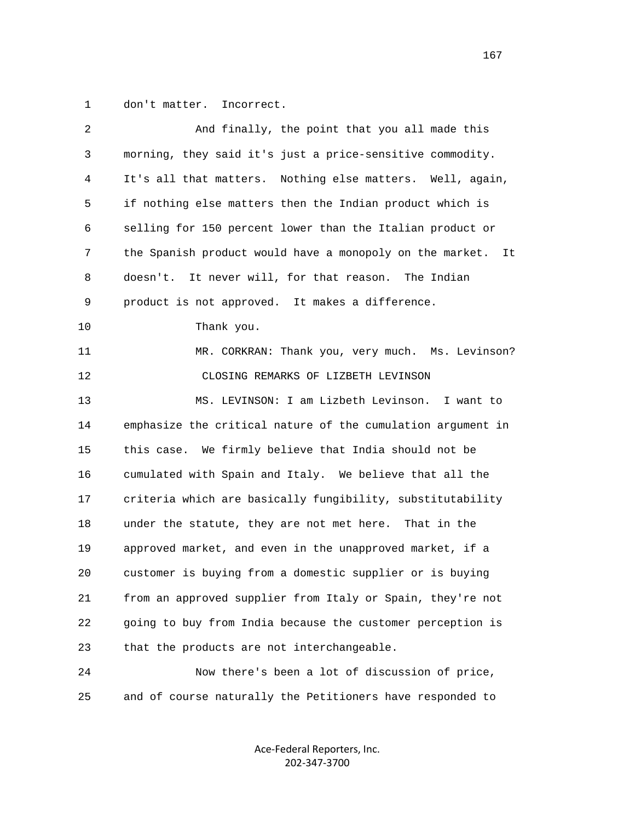1 don't matter. Incorrect.

| 2  | And finally, the point that you all made this                  |
|----|----------------------------------------------------------------|
| 3  | morning, they said it's just a price-sensitive commodity.      |
| 4  | It's all that matters. Nothing else matters. Well, again,      |
| 5  | if nothing else matters then the Indian product which is       |
| 6  | selling for 150 percent lower than the Italian product or      |
| 7  | the Spanish product would have a monopoly on the market.<br>It |
| 8  | It never will, for that reason. The Indian<br>doesn't.         |
| 9  | product is not approved. It makes a difference.                |
| 10 | Thank you.                                                     |
| 11 | MR. CORKRAN: Thank you, very much. Ms. Levinson?               |
| 12 | CLOSING REMARKS OF LIZBETH LEVINSON                            |
| 13 | MS. LEVINSON: I am Lizbeth Levinson. I want to                 |
| 14 | emphasize the critical nature of the cumulation argument in    |
| 15 | We firmly believe that India should not be<br>this case.       |
| 16 | cumulated with Spain and Italy. We believe that all the        |
| 17 | criteria which are basically fungibility, substitutability     |
| 18 | under the statute, they are not met here. That in the          |
| 19 | approved market, and even in the unapproved market, if a       |
| 20 | customer is buying from a domestic supplier or is buying       |
| 21 | from an approved supplier from Italy or Spain, they're not     |
| 22 | going to buy from India because the customer perception is     |
| 23 | that the products are not interchangeable.                     |
| 24 | Now there's been a lot of discussion of price,                 |
| 25 | and of course naturally the Petitioners have responded to      |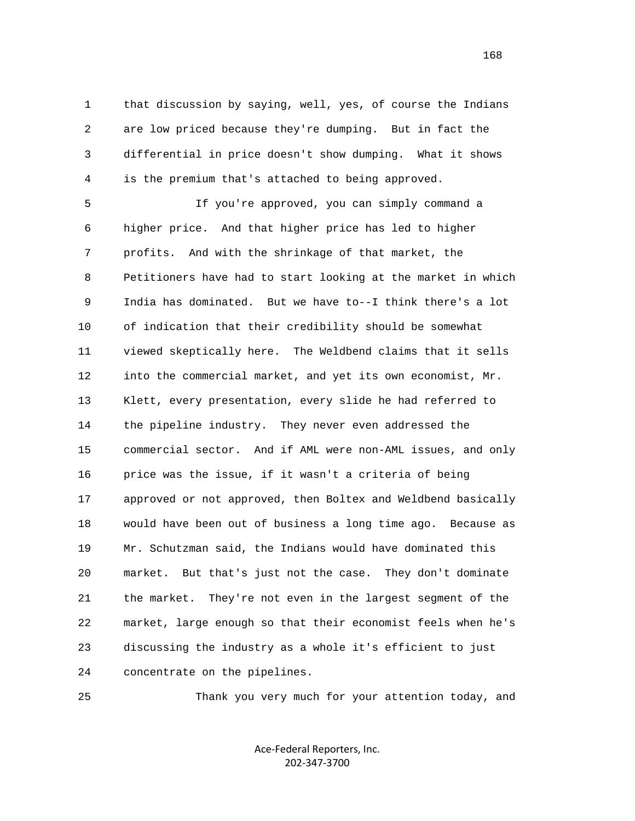1 that discussion by saying, well, yes, of course the Indians 2 are low priced because they're dumping. But in fact the 3 differential in price doesn't show dumping. What it shows 4 is the premium that's attached to being approved.

 5 If you're approved, you can simply command a 6 higher price. And that higher price has led to higher 7 profits. And with the shrinkage of that market, the 8 Petitioners have had to start looking at the market in which 9 India has dominated. But we have to--I think there's a lot 10 of indication that their credibility should be somewhat 11 viewed skeptically here. The Weldbend claims that it sells 12 into the commercial market, and yet its own economist, Mr. 13 Klett, every presentation, every slide he had referred to 14 the pipeline industry. They never even addressed the 15 commercial sector. And if AML were non-AML issues, and only 16 price was the issue, if it wasn't a criteria of being 17 approved or not approved, then Boltex and Weldbend basically 18 would have been out of business a long time ago. Because as 19 Mr. Schutzman said, the Indians would have dominated this 20 market. But that's just not the case. They don't dominate 21 the market. They're not even in the largest segment of the 22 market, large enough so that their economist feels when he's 23 discussing the industry as a whole it's efficient to just 24 concentrate on the pipelines.

25 Thank you very much for your attention today, and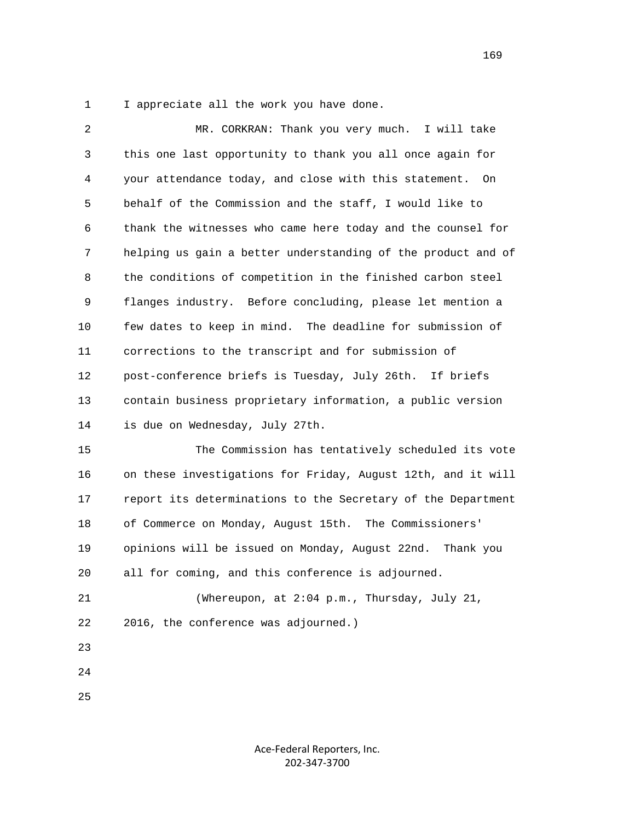1 I appreciate all the work you have done.

 2 MR. CORKRAN: Thank you very much. I will take 3 this one last opportunity to thank you all once again for 4 your attendance today, and close with this statement. On 5 behalf of the Commission and the staff, I would like to 6 thank the witnesses who came here today and the counsel for 7 helping us gain a better understanding of the product and of 8 the conditions of competition in the finished carbon steel 9 flanges industry. Before concluding, please let mention a 10 few dates to keep in mind. The deadline for submission of 11 corrections to the transcript and for submission of 12 post-conference briefs is Tuesday, July 26th. If briefs 13 contain business proprietary information, a public version 14 is due on Wednesday, July 27th. 15 The Commission has tentatively scheduled its vote

 16 on these investigations for Friday, August 12th, and it will 17 report its determinations to the Secretary of the Department 18 of Commerce on Monday, August 15th. The Commissioners' 19 opinions will be issued on Monday, August 22nd. Thank you 20 all for coming, and this conference is adjourned.

 21 (Whereupon, at 2:04 p.m., Thursday, July 21, 22 2016, the conference was adjourned.)

- 23
- 24

25